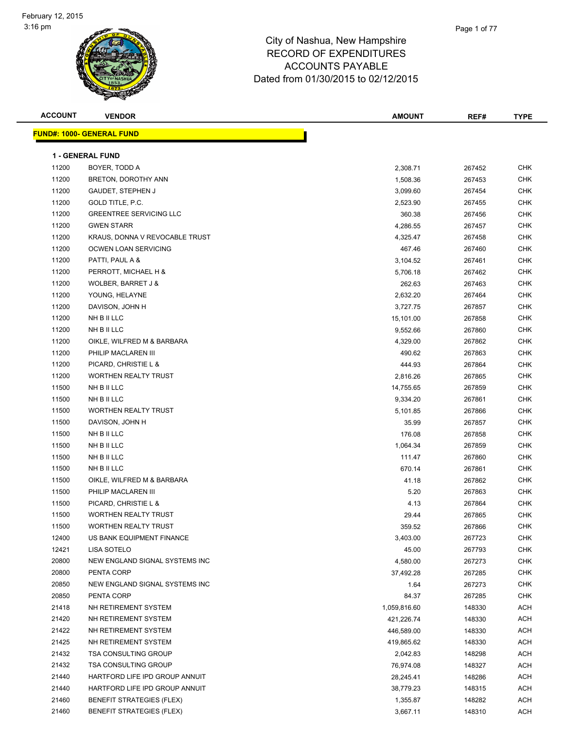

| <b>ACCOUNT</b> | <b>VENDOR</b>                     | <b>AMOUNT</b> | REF#   | <b>TYPE</b> |
|----------------|-----------------------------------|---------------|--------|-------------|
|                | <u> FUND#: 1000- GENERAL FUND</u> |               |        |             |
|                |                                   |               |        |             |
|                | <b>1 - GENERAL FUND</b>           |               |        |             |
| 11200          | BOYER, TODD A                     | 2,308.71      | 267452 | <b>CHK</b>  |
| 11200          | BRETON, DOROTHY ANN               | 1,508.36      | 267453 | <b>CHK</b>  |
| 11200          | <b>GAUDET, STEPHEN J</b>          | 3,099.60      | 267454 | <b>CHK</b>  |
| 11200          | GOLD TITLE, P.C.                  | 2,523.90      | 267455 | CHK         |
| 11200          | <b>GREENTREE SERVICING LLC</b>    | 360.38        | 267456 | <b>CHK</b>  |
| 11200          | <b>GWEN STARR</b>                 | 4,286.55      | 267457 | <b>CHK</b>  |
| 11200          | KRAUS, DONNA V REVOCABLE TRUST    | 4,325.47      | 267458 | CHK         |
| 11200          | OCWEN LOAN SERVICING              | 467.46        | 267460 | <b>CHK</b>  |
| 11200          | PATTI, PAUL A &                   | 3,104.52      | 267461 | CHK         |
| 11200          | PERROTT, MICHAEL H &              | 5,706.18      | 267462 | <b>CHK</b>  |
| 11200          | WOLBER, BARRET J &                | 262.63        | 267463 | <b>CHK</b>  |
| 11200          | YOUNG, HELAYNE                    | 2,632.20      | 267464 | <b>CHK</b>  |
| 11200          | DAVISON, JOHN H                   | 3,727.75      | 267857 | <b>CHK</b>  |
| 11200          | NH B II LLC                       | 15,101.00     | 267858 | <b>CHK</b>  |
| 11200          | NH B II LLC                       | 9,552.66      | 267860 | CHK         |
| 11200          | OIKLE, WILFRED M & BARBARA        | 4,329.00      | 267862 | <b>CHK</b>  |
| 11200          | PHILIP MACLAREN III               | 490.62        | 267863 | <b>CHK</b>  |
| 11200          | PICARD, CHRISTIE L &              | 444.93        | 267864 | CHK         |
| 11200          | <b>WORTHEN REALTY TRUST</b>       | 2,816.26      | 267865 | <b>CHK</b>  |
| 11500          | NH B II LLC                       | 14,755.65     | 267859 | <b>CHK</b>  |
| 11500          | NH B II LLC                       | 9,334.20      | 267861 | <b>CHK</b>  |
| 11500          | <b>WORTHEN REALTY TRUST</b>       | 5,101.85      | 267866 | <b>CHK</b>  |
| 11500          | DAVISON, JOHN H                   | 35.99         | 267857 | <b>CHK</b>  |
| 11500          | NH B II LLC                       | 176.08        | 267858 | <b>CHK</b>  |
| 11500          | NH B II LLC                       | 1,064.34      | 267859 | <b>CHK</b>  |
| 11500          | NH B II LLC                       | 111.47        | 267860 | CHK         |
| 11500          | NH B II LLC                       | 670.14        | 267861 | <b>CHK</b>  |
| 11500          | OIKLE, WILFRED M & BARBARA        | 41.18         | 267862 | <b>CHK</b>  |
| 11500          | PHILIP MACLAREN III               | 5.20          | 267863 | CHK         |
| 11500          | PICARD, CHRISTIE L &              | 4.13          | 267864 | <b>CHK</b>  |
| 11500          | <b>WORTHEN REALTY TRUST</b>       | 29.44         | 267865 | <b>CHK</b>  |
| 11500          | <b>WORTHEN REALTY TRUST</b>       | 359.52        | 267866 | CHK         |
| 12400          | US BANK EQUIPMENT FINANCE         | 3,403.00      | 267723 | <b>CHK</b>  |
| 12421          | LISA SOTELO                       | 45.00         | 267793 | CHK         |
| 20800          | NEW ENGLAND SIGNAL SYSTEMS INC    | 4,580.00      | 267273 | <b>CHK</b>  |
| 20800          | PENTA CORP                        | 37,492.28     | 267285 | <b>CHK</b>  |
| 20850          | NEW ENGLAND SIGNAL SYSTEMS INC    | 1.64          | 267273 | <b>CHK</b>  |
| 20850          | PENTA CORP                        | 84.37         | 267285 | CHK         |
| 21418          | NH RETIREMENT SYSTEM              | 1,059,816.60  | 148330 | ACH         |
| 21420          | NH RETIREMENT SYSTEM              | 421,226.74    | 148330 | ACH         |
| 21422          | NH RETIREMENT SYSTEM              | 446,589.00    | 148330 | ACH         |
| 21425          | NH RETIREMENT SYSTEM              | 419,865.62    | 148330 | ACH         |
| 21432          | <b>TSA CONSULTING GROUP</b>       | 2,042.83      | 148298 | ACH         |
| 21432          | <b>TSA CONSULTING GROUP</b>       | 76,974.08     | 148327 | ACH         |
| 21440          | HARTFORD LIFE IPD GROUP ANNUIT    | 28,245.41     | 148286 | ACH         |
| 21440          | HARTFORD LIFE IPD GROUP ANNUIT    | 38,779.23     | 148315 | ACH         |
| 21460          | <b>BENEFIT STRATEGIES (FLEX)</b>  | 1,355.87      | 148282 | ACH         |
| 21460          | <b>BENEFIT STRATEGIES (FLEX)</b>  | 3,667.11      | 148310 | ACH         |
|                |                                   |               |        |             |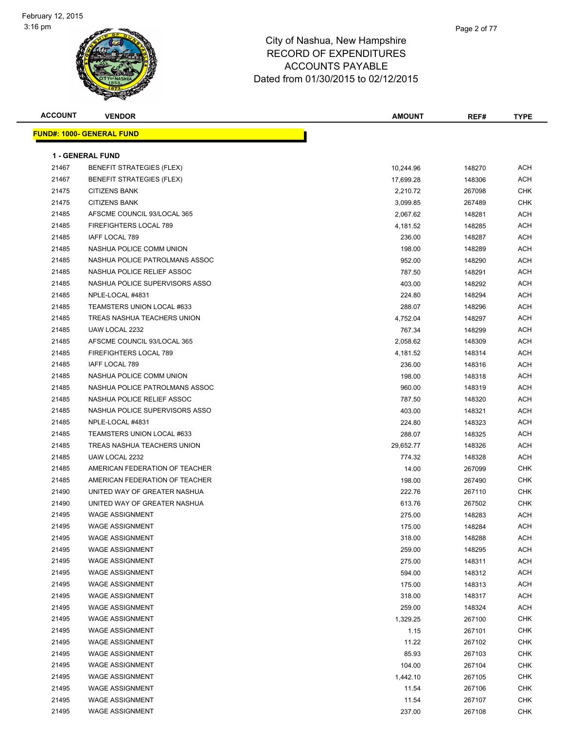

| <b>ACCOUNT</b> | <b>VENDOR</b>                     | <b>AMOUNT</b> | REF#   | TYPE       |
|----------------|-----------------------------------|---------------|--------|------------|
|                | <u> FUND#: 1000- GENERAL FUND</u> |               |        |            |
|                |                                   |               |        |            |
|                | <b>1 - GENERAL FUND</b>           |               |        |            |
| 21467          | <b>BENEFIT STRATEGIES (FLEX)</b>  | 10,244.96     | 148270 | ACH        |
| 21467          | <b>BENEFIT STRATEGIES (FLEX)</b>  | 17,699.28     | 148306 | ACH        |
| 21475          | <b>CITIZENS BANK</b>              | 2,210.72      | 267098 | <b>CHK</b> |
| 21475          | <b>CITIZENS BANK</b>              | 3,099.85      | 267489 | <b>CHK</b> |
| 21485          | AFSCME COUNCIL 93/LOCAL 365       | 2,067.62      | 148281 | ACH        |
| 21485          | FIREFIGHTERS LOCAL 789            | 4,181.52      | 148285 | ACH        |
| 21485          | <b>IAFF LOCAL 789</b>             | 236.00        | 148287 | ACH        |
| 21485          | NASHUA POLICE COMM UNION          | 198.00        | 148289 | ACH        |
| 21485          | NASHUA POLICE PATROLMANS ASSOC    | 952.00        | 148290 | ACH        |
| 21485          | NASHUA POLICE RELIEF ASSOC        | 787.50        | 148291 | ACH        |
| 21485          | NASHUA POLICE SUPERVISORS ASSO    | 403.00        | 148292 | ACH        |
| 21485          | NPLE-LOCAL #4831                  | 224.80        | 148294 | ACH        |
| 21485          | TEAMSTERS UNION LOCAL #633        | 288.07        | 148296 | ACH        |
| 21485          | TREAS NASHUA TEACHERS UNION       | 4,752.04      | 148297 | ACH        |
| 21485          | UAW LOCAL 2232                    | 767.34        | 148299 | ACH        |
| 21485          | AFSCME COUNCIL 93/LOCAL 365       | 2,058.62      | 148309 | ACH        |
| 21485          | FIREFIGHTERS LOCAL 789            | 4,181.52      | 148314 | ACH        |
| 21485          | IAFF LOCAL 789                    | 236.00        | 148316 | ACH        |
| 21485          | NASHUA POLICE COMM UNION          | 198.00        | 148318 | ACH        |
| 21485          | NASHUA POLICE PATROLMANS ASSOC    | 960.00        | 148319 | ACH        |
| 21485          | NASHUA POLICE RELIEF ASSOC        | 787.50        | 148320 | ACH        |
| 21485          | NASHUA POLICE SUPERVISORS ASSO    | 403.00        | 148321 | ACH        |
| 21485          | NPLE-LOCAL #4831                  | 224.80        | 148323 | ACH        |
| 21485          | TEAMSTERS UNION LOCAL #633        | 288.07        | 148325 | ACH        |
| 21485          | TREAS NASHUA TEACHERS UNION       | 29,652.77     | 148326 | ACH        |
| 21485          | UAW LOCAL 2232                    | 774.32        | 148328 | ACH        |
| 21485          | AMERICAN FEDERATION OF TEACHER    | 14.00         | 267099 | <b>CHK</b> |
| 21485          | AMERICAN FEDERATION OF TEACHER    | 198.00        | 267490 | <b>CHK</b> |
| 21490          | UNITED WAY OF GREATER NASHUA      | 222.76        | 267110 | <b>CHK</b> |
| 21490          | UNITED WAY OF GREATER NASHUA      | 613.76        | 267502 | <b>CHK</b> |
| 21495          | <b>WAGE ASSIGNMENT</b>            | 275.00        | 148283 | ACH        |
| 21495          | <b>WAGE ASSIGNMENT</b>            | 175.00        | 148284 | ACH        |
| 21495          | <b>WAGE ASSIGNMENT</b>            | 318.00        | 148288 | <b>ACH</b> |
| 21495          | <b>WAGE ASSIGNMENT</b>            | 259.00        | 148295 | <b>ACH</b> |
| 21495          | <b>WAGE ASSIGNMENT</b>            | 275.00        | 148311 | <b>ACH</b> |
| 21495          | <b>WAGE ASSIGNMENT</b>            | 594.00        | 148312 | <b>ACH</b> |
| 21495          | <b>WAGE ASSIGNMENT</b>            | 175.00        | 148313 | ACH        |
| 21495          | <b>WAGE ASSIGNMENT</b>            | 318.00        | 148317 | ACH        |
| 21495          | <b>WAGE ASSIGNMENT</b>            | 259.00        | 148324 | <b>ACH</b> |
| 21495          | <b>WAGE ASSIGNMENT</b>            | 1,329.25      | 267100 | <b>CHK</b> |
| 21495          | <b>WAGE ASSIGNMENT</b>            | 1.15          | 267101 | <b>CHK</b> |
| 21495          | <b>WAGE ASSIGNMENT</b>            | 11.22         | 267102 | CHK        |
| 21495          | <b>WAGE ASSIGNMENT</b>            | 85.93         | 267103 | <b>CHK</b> |
| 21495          | <b>WAGE ASSIGNMENT</b>            | 104.00        | 267104 | <b>CHK</b> |
| 21495          | <b>WAGE ASSIGNMENT</b>            | 1,442.10      | 267105 | CHK        |
| 21495          | <b>WAGE ASSIGNMENT</b>            | 11.54         | 267106 | CHK        |
| 21495          | <b>WAGE ASSIGNMENT</b>            | 11.54         | 267107 | CHK        |
| 21495          | <b>WAGE ASSIGNMENT</b>            | 237.00        | 267108 | CHK        |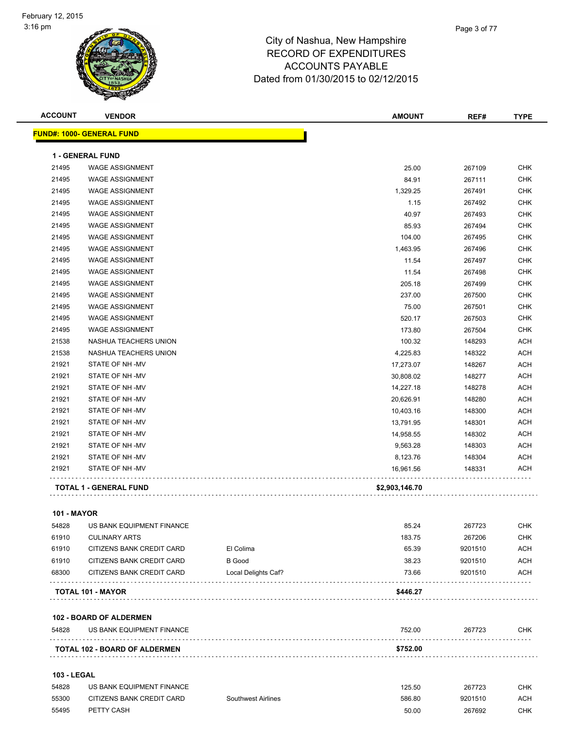| <b>ACCOUNT</b>     | <b>VENDOR</b>                                          |                                      | <b>AMOUNT</b>  | REF#               | <b>TYPE</b>       |
|--------------------|--------------------------------------------------------|--------------------------------------|----------------|--------------------|-------------------|
|                    | <b>FUND#: 1000- GENERAL FUND</b>                       |                                      |                |                    |                   |
|                    | <b>1 - GENERAL FUND</b>                                |                                      |                |                    |                   |
| 21495              | <b>WAGE ASSIGNMENT</b>                                 |                                      | 25.00          | 267109             | <b>CHK</b>        |
| 21495              | <b>WAGE ASSIGNMENT</b>                                 |                                      |                |                    | <b>CHK</b>        |
| 21495              |                                                        |                                      | 84.91          | 267111             |                   |
|                    | <b>WAGE ASSIGNMENT</b><br><b>WAGE ASSIGNMENT</b>       |                                      | 1,329.25       | 267491             | <b>CHK</b>        |
| 21495              | <b>WAGE ASSIGNMENT</b>                                 |                                      | 1.15           | 267492             | <b>CHK</b>        |
| 21495              |                                                        |                                      | 40.97          | 267493             | <b>CHK</b>        |
| 21495              | <b>WAGE ASSIGNMENT</b>                                 |                                      | 85.93          | 267494             | <b>CHK</b>        |
| 21495              | <b>WAGE ASSIGNMENT</b>                                 |                                      | 104.00         | 267495             | <b>CHK</b>        |
| 21495              | <b>WAGE ASSIGNMENT</b>                                 |                                      | 1,463.95       | 267496             | <b>CHK</b>        |
| 21495              | <b>WAGE ASSIGNMENT</b>                                 |                                      | 11.54          | 267497             | <b>CHK</b>        |
| 21495              | <b>WAGE ASSIGNMENT</b>                                 |                                      | 11.54          | 267498             | <b>CHK</b>        |
| 21495              | <b>WAGE ASSIGNMENT</b>                                 |                                      | 205.18         | 267499             | <b>CHK</b>        |
| 21495              | <b>WAGE ASSIGNMENT</b>                                 |                                      | 237.00         | 267500             | <b>CHK</b>        |
| 21495              | <b>WAGE ASSIGNMENT</b>                                 |                                      | 75.00          | 267501             | <b>CHK</b>        |
| 21495              | <b>WAGE ASSIGNMENT</b>                                 |                                      | 520.17         | 267503             | <b>CHK</b>        |
| 21495              | <b>WAGE ASSIGNMENT</b>                                 |                                      | 173.80         | 267504             | <b>CHK</b>        |
| 21538              | NASHUA TEACHERS UNION                                  |                                      | 100.32         | 148293             | <b>ACH</b>        |
| 21538              | NASHUA TEACHERS UNION                                  |                                      | 4,225.83       | 148322             | <b>ACH</b>        |
| 21921              | STATE OF NH-MV                                         |                                      | 17,273.07      | 148267             | ACH               |
| 21921              | STATE OF NH-MV                                         |                                      | 30,808.02      | 148277             | <b>ACH</b>        |
| 21921              | STATE OF NH-MV                                         |                                      | 14,227.18      | 148278             | <b>ACH</b>        |
| 21921              | STATE OF NH-MV                                         |                                      | 20,626.91      | 148280             | <b>ACH</b>        |
| 21921              | STATE OF NH-MV                                         |                                      | 10,403.16      | 148300             | <b>ACH</b>        |
| 21921              | STATE OF NH-MV                                         |                                      | 13,791.95      | 148301             | <b>ACH</b>        |
| 21921              | STATE OF NH-MV                                         |                                      | 14,958.55      | 148302             | <b>ACH</b>        |
| 21921              | STATE OF NH-MV                                         |                                      | 9,563.28       | 148303             | <b>ACH</b>        |
| 21921              | STATE OF NH-MV                                         |                                      | 8,123.76       | 148304             | <b>ACH</b>        |
| 21921              | STATE OF NH-MV                                         |                                      | 16,961.56      | 148331             | <b>ACH</b>        |
|                    | <b>TOTAL 1 - GENERAL FUND</b>                          |                                      | \$2,903,146.70 |                    |                   |
|                    |                                                        |                                      |                |                    |                   |
| <b>101 - MAYOR</b> |                                                        |                                      |                |                    |                   |
| 54828              | US BANK EQUIPMENT FINANCE                              |                                      | 85.24          | 267723             | <b>CHK</b>        |
| 61910              | <b>CULINARY ARTS</b>                                   |                                      | 183.75         | 267206             | <b>CHK</b>        |
| 61910              | CITIZENS BANK CREDIT CARD                              | El Colima                            | 65.39          | 9201510            | <b>ACH</b>        |
| 61910<br>68300     | CITIZENS BANK CREDIT CARD<br>CITIZENS BANK CREDIT CARD | <b>B</b> Good<br>Local Delights Caf? | 38.23<br>73.66 | 9201510<br>9201510 | ACH<br><b>ACH</b> |
|                    |                                                        |                                      |                |                    |                   |
|                    | <b>TOTAL 101 - MAYOR</b>                               |                                      | \$446.27       |                    |                   |
|                    | <b>102 - BOARD OF ALDERMEN</b>                         |                                      |                |                    |                   |
| 54828              | US BANK EQUIPMENT FINANCE                              |                                      | 752.00         | 267723             | <b>CHK</b>        |
|                    | <b>TOTAL 102 - BOARD OF ALDERMEN</b>                   |                                      | \$752.00       |                    |                   |
| <b>103 - LEGAL</b> |                                                        |                                      |                |                    |                   |
| 54828              | US BANK EQUIPMENT FINANCE                              |                                      | 125.50         | 267723             | <b>CHK</b>        |
| 55300              | CITIZENS BANK CREDIT CARD                              | <b>Southwest Airlines</b>            | 586.80         | 9201510            | <b>ACH</b>        |
| 55495              | PETTY CASH                                             |                                      | 50.00          | 267692             | <b>CHK</b>        |
|                    |                                                        |                                      |                |                    |                   |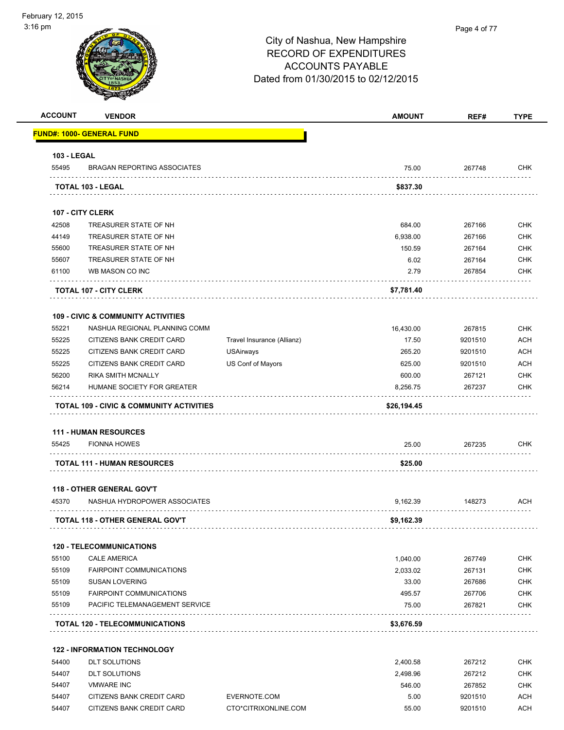#### Page 4 of 77

| <b>ACCOUNT</b>     | <b>VENDOR</b>                                                     |                            | <b>AMOUNT</b>   | REF#             | <b>TYPE</b>              |
|--------------------|-------------------------------------------------------------------|----------------------------|-----------------|------------------|--------------------------|
|                    | <b>FUND#: 1000- GENERAL FUND</b>                                  |                            |                 |                  |                          |
| <b>103 - LEGAL</b> |                                                                   |                            |                 |                  |                          |
| 55495              | <b>BRAGAN REPORTING ASSOCIATES</b>                                |                            | 75.00           | 267748           | <b>CHK</b>               |
|                    | TOTAL 103 - LEGAL                                                 |                            | \$837.30        |                  |                          |
|                    | 107 - CITY CLERK                                                  |                            |                 |                  |                          |
| 42508              | TREASURER STATE OF NH                                             |                            | 684.00          | 267166           | <b>CHK</b>               |
| 44149              | TREASURER STATE OF NH                                             |                            | 6,938.00        | 267166           | <b>CHK</b>               |
| 55600              | TREASURER STATE OF NH                                             |                            | 150.59          | 267164           | <b>CHK</b>               |
| 55607              | TREASURER STATE OF NH                                             |                            | 6.02            | 267164           | <b>CHK</b>               |
| 61100              | WB MASON CO INC                                                   |                            | 2.79            | 267854           | <b>CHK</b>               |
|                    | <b>TOTAL 107 - CITY CLERK</b>                                     |                            | \$7,781.40      |                  |                          |
|                    |                                                                   |                            |                 |                  |                          |
|                    | <b>109 - CIVIC &amp; COMMUNITY ACTIVITIES</b>                     |                            |                 |                  |                          |
| 55221              | NASHUA REGIONAL PLANNING COMM                                     |                            | 16,430.00       | 267815           | <b>CHK</b>               |
| 55225              | CITIZENS BANK CREDIT CARD                                         | Travel Insurance (Allianz) | 17.50           | 9201510          | <b>ACH</b>               |
| 55225              | CITIZENS BANK CREDIT CARD                                         | <b>USAirways</b>           | 265.20          | 9201510          | <b>ACH</b>               |
| 55225              | CITIZENS BANK CREDIT CARD                                         | US Conf of Mayors          | 625.00          | 9201510          | <b>ACH</b>               |
| 56200              | RIKA SMITH MCNALLY                                                |                            | 600.00          | 267121           | <b>CHK</b>               |
| 56214              | HUMANE SOCIETY FOR GREATER                                        |                            | 8,256.75        | 267237           | <b>CHK</b>               |
|                    | TOTAL 109 - CIVIC & COMMUNITY ACTIVITIES                          |                            | \$26,194.45     |                  |                          |
|                    | 111 - HUMAN RESOURCES                                             |                            |                 |                  |                          |
| 55425              | <b>FIONNA HOWES</b>                                               |                            | 25.00           | 267235           | <b>CHK</b>               |
|                    | <b>TOTAL 111 - HUMAN RESOURCES</b>                                |                            | \$25.00         |                  |                          |
|                    | <b>118 - OTHER GENERAL GOV'T</b>                                  |                            |                 |                  |                          |
| 45370              | NASHUA HYDROPOWER ASSOCIATES                                      |                            | 9,162.39        | 148273           | <b>ACH</b>               |
|                    | TOTAL 118 - OTHER GENERAL GOV'T                                   |                            | \$9,162.39      |                  |                          |
|                    |                                                                   |                            |                 |                  |                          |
|                    | <b>120 - TELECOMMUNICATIONS</b>                                   |                            |                 |                  |                          |
| 55100              | <b>CALE AMERICA</b>                                               |                            | 1,040.00        | 267749           | <b>CHK</b>               |
| 55109              | <b>FAIRPOINT COMMUNICATIONS</b>                                   |                            | 2,033.02        | 267131           | <b>CHK</b>               |
| 55109              | <b>SUSAN LOVERING</b>                                             |                            | 33.00           | 267686           | <b>CHK</b>               |
| 55109<br>55109     | <b>FAIRPOINT COMMUNICATIONS</b><br>PACIFIC TELEMANAGEMENT SERVICE |                            | 495.57<br>75.00 | 267706<br>267821 | <b>CHK</b><br><b>CHK</b> |
|                    |                                                                   |                            |                 |                  |                          |
|                    | <b>TOTAL 120 - TELECOMMUNICATIONS</b>                             |                            | \$3,676.59      |                  |                          |
|                    | <b>122 - INFORMATION TECHNOLOGY</b>                               |                            |                 |                  |                          |
| 54400              | <b>DLT SOLUTIONS</b>                                              |                            | 2,400.58        | 267212           | <b>CHK</b>               |
| 54407              | <b>DLT SOLUTIONS</b>                                              |                            | 2,498.96        | 267212           | <b>CHK</b>               |
| 54407              | <b>VMWARE INC</b>                                                 |                            | 546.00          | 267852           | <b>CHK</b>               |
| 54407              | CITIZENS BANK CREDIT CARD                                         | EVERNOTE.COM               | 5.00            | 9201510          | <b>ACH</b>               |
| 54407              | CITIZENS BANK CREDIT CARD                                         | CTO*CITRIXONLINE.COM       | 55.00           | 9201510          | <b>ACH</b>               |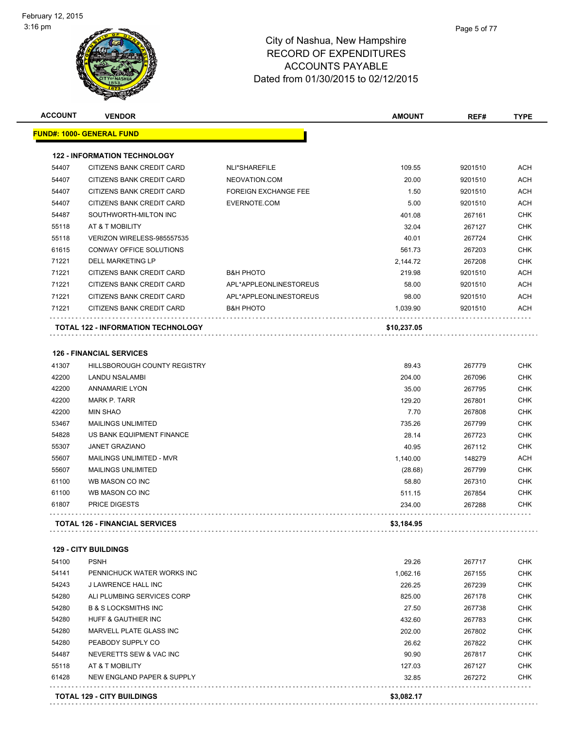| <b>ACCOUNT</b> | <b>VENDOR</b>                             |                             | <b>AMOUNT</b> | REF#    | <b>TYPE</b> |
|----------------|-------------------------------------------|-----------------------------|---------------|---------|-------------|
|                | <b>FUND#: 1000- GENERAL FUND</b>          |                             |               |         |             |
|                | <b>122 - INFORMATION TECHNOLOGY</b>       |                             |               |         |             |
| 54407          | CITIZENS BANK CREDIT CARD                 | <b>NLI*SHAREFILE</b>        | 109.55        | 9201510 | <b>ACH</b>  |
| 54407          | CITIZENS BANK CREDIT CARD                 | NEOVATION.COM               | 20.00         | 9201510 | ACH         |
| 54407          | CITIZENS BANK CREDIT CARD                 | <b>FOREIGN EXCHANGE FEE</b> | 1.50          | 9201510 | <b>ACH</b>  |
| 54407          | CITIZENS BANK CREDIT CARD                 | EVERNOTE.COM                | 5.00          | 9201510 | <b>ACH</b>  |
| 54487          | SOUTHWORTH-MILTON INC                     |                             | 401.08        | 267161  | <b>CHK</b>  |
| 55118          | AT & T MOBILITY                           |                             | 32.04         | 267127  | <b>CHK</b>  |
| 55118          | VERIZON WIRELESS-985557535                |                             | 40.01         | 267724  | <b>CHK</b>  |
| 61615          | CONWAY OFFICE SOLUTIONS                   |                             | 561.73        | 267203  | <b>CHK</b>  |
| 71221          | <b>DELL MARKETING LP</b>                  |                             | 2,144.72      | 267208  | <b>CHK</b>  |
| 71221          | CITIZENS BANK CREDIT CARD                 | <b>B&amp;H PHOTO</b>        | 219.98        | 9201510 | <b>ACH</b>  |
| 71221          | CITIZENS BANK CREDIT CARD                 | APL*APPLEONLINESTOREUS      | 58.00         | 9201510 | <b>ACH</b>  |
| 71221          | CITIZENS BANK CREDIT CARD                 | APL*APPLEONLINESTOREUS      | 98.00         | 9201510 | <b>ACH</b>  |
| 71221          | CITIZENS BANK CREDIT CARD                 | <b>B&amp;H PHOTO</b>        | 1,039.90      | 9201510 | <b>ACH</b>  |
|                | <b>TOTAL 122 - INFORMATION TECHNOLOGY</b> |                             | \$10,237.05   |         |             |
|                | <b>126 - FINANCIAL SERVICES</b>           |                             |               |         |             |
| 41307          | <b>HILLSBOROUGH COUNTY REGISTRY</b>       |                             | 89.43         | 267779  | <b>CHK</b>  |
| 42200          | <b>LANDU NSALAMBI</b>                     |                             | 204.00        | 267096  | <b>CHK</b>  |
| 42200          | <b>ANNAMARIE LYON</b>                     |                             | 35.00         | 267795  | <b>CHK</b>  |

|       | <b>TOTAL 126 - FINANCIAL SERVICES</b> | \$3,184.95 |        |            |
|-------|---------------------------------------|------------|--------|------------|
| 61807 | <b>PRICE DIGESTS</b>                  | 234.00     | 267288 | <b>CHK</b> |
| 61100 | WB MASON CO INC                       | 511.15     | 267854 | <b>CHK</b> |
| 61100 | WB MASON CO INC                       | 58.80      | 267310 | <b>CHK</b> |
| 55607 | <b>MAILINGS UNLIMITED</b>             | (28.68)    | 267799 | <b>CHK</b> |
| 55607 | MAILINGS UNLIMITED - MVR              | 1.140.00   | 148279 | <b>ACH</b> |
| 55307 | <b>JANET GRAZIANO</b>                 | 40.95      | 267112 | <b>CHK</b> |
| 54828 | US BANK EQUIPMENT FINANCE             | 28.14      | 267723 | <b>CHK</b> |
| 53467 | <b>MAILINGS UNLIMITED</b>             | 735.26     | 267799 | <b>CHK</b> |
| 42200 | <b>MIN SHAO</b>                       | 7.70       | 267808 | <b>CHK</b> |
| 42200 | MARK P. TARR                          | 129.20     | 267801 | <b>CHK</b> |
| 42200 | ANNAMARIE LYUN                        | 35.UU      | 267795 | <b>UHN</b> |

#### **129 - CITY BUILDINGS**

| 54100                             | <b>PSNH</b>                     | 29.26      | 267717 | <b>CHK</b> |
|-----------------------------------|---------------------------------|------------|--------|------------|
| 54141                             | PENNICHUCK WATER WORKS INC      | 1,062.16   | 267155 | <b>CHK</b> |
| 54243                             | J LAWRENCE HALL INC             | 226.25     | 267239 | <b>CHK</b> |
| 54280                             | ALI PLUMBING SERVICES CORP      | 825.00     | 267178 | <b>CHK</b> |
| 54280                             | <b>B &amp; S LOCKSMITHS INC</b> | 27.50      | 267738 | <b>CHK</b> |
| 54280                             | HUFF & GAUTHIER INC             | 432.60     | 267783 | <b>CHK</b> |
| 54280                             | MARVELL PLATE GLASS INC         | 202.00     | 267802 | <b>CHK</b> |
| 54280                             | PEABODY SUPPLY CO               | 26.62      | 267822 | <b>CHK</b> |
| 54487                             | NEVERETTS SEW & VAC INC         | 90.90      | 267817 | <b>CHK</b> |
| 55118                             | AT & T MOBILITY                 | 127.03     | 267127 | <b>CHK</b> |
| 61428                             | NEW ENGLAND PAPER & SUPPLY      | 32.85      | 267272 | <b>CHK</b> |
| <b>TOTAL 129 - CITY BUILDINGS</b> |                                 | \$3.082.17 |        |            |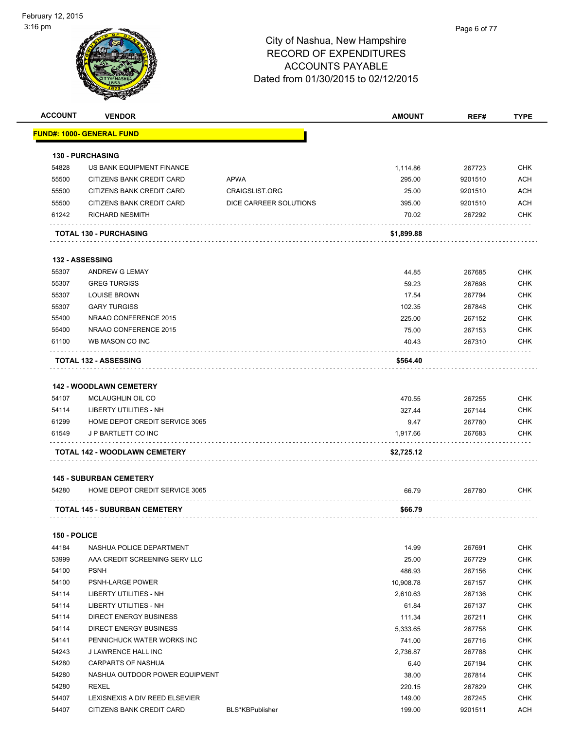

| <b>ACCOUNT</b> | <b>VENDOR</b>                        |                        | <b>AMOUNT</b> | REF#    | <b>TYPE</b> |
|----------------|--------------------------------------|------------------------|---------------|---------|-------------|
|                | <b>FUND#: 1000- GENERAL FUND</b>     |                        |               |         |             |
|                |                                      |                        |               |         |             |
|                | <b>130 - PURCHASING</b>              |                        |               |         |             |
| 54828          | US BANK EQUIPMENT FINANCE            |                        | 1,114.86      | 267723  | <b>CHK</b>  |
| 55500          | CITIZENS BANK CREDIT CARD            | APWA                   | 295.00        | 9201510 | <b>ACH</b>  |
| 55500          | CITIZENS BANK CREDIT CARD            | <b>CRAIGSLIST.ORG</b>  | 25.00         | 9201510 | <b>ACH</b>  |
| 55500          | CITIZENS BANK CREDIT CARD            | DICE CARREER SOLUTIONS | 395.00        | 9201510 | <b>ACH</b>  |
| 61242          | <b>RICHARD NESMITH</b>               |                        | 70.02         | 267292  | <b>CHK</b>  |
|                | <b>TOTAL 130 - PURCHASING</b>        |                        | \$1,899.88    |         |             |
|                | 132 - ASSESSING                      |                        |               |         |             |
| 55307          | ANDREW G LEMAY                       |                        | 44.85         | 267685  | <b>CHK</b>  |
| 55307          | <b>GREG TURGISS</b>                  |                        | 59.23         | 267698  | <b>CHK</b>  |
| 55307          | <b>LOUISE BROWN</b>                  |                        | 17.54         | 267794  | <b>CHK</b>  |
| 55307          | <b>GARY TURGISS</b>                  |                        | 102.35        | 267848  | <b>CHK</b>  |
| 55400          | NRAAO CONFERENCE 2015                |                        | 225.00        | 267152  | <b>CHK</b>  |
| 55400          | NRAAO CONFERENCE 2015                |                        | 75.00         | 267153  | <b>CHK</b>  |
| 61100          | WB MASON CO INC                      |                        | 40.43         | 267310  | <b>CHK</b>  |
|                | <b>TOTAL 132 - ASSESSING</b>         |                        | \$564.40      |         |             |
|                | <b>142 - WOODLAWN CEMETERY</b>       |                        |               |         |             |
| 54107          | MCLAUGHLIN OIL CO                    |                        | 470.55        | 267255  | <b>CHK</b>  |
| 54114          | LIBERTY UTILITIES - NH               |                        | 327.44        | 267144  | <b>CHK</b>  |
| 61299          | HOME DEPOT CREDIT SERVICE 3065       |                        | 9.47          | 267780  | <b>CHK</b>  |
| 61549          | J P BARTLETT CO INC                  |                        | 1,917.66      | 267683  | <b>CHK</b>  |
|                | TOTAL 142 - WOODLAWN CEMETERY        |                        | \$2,725.12    |         |             |
|                | <b>145 - SUBURBAN CEMETERY</b>       |                        |               |         |             |
| 54280          | HOME DEPOT CREDIT SERVICE 3065       |                        | 66.79         | 267780  | <b>CHK</b>  |
|                |                                      |                        |               |         |             |
|                | <b>TOTAL 145 - SUBURBAN CEMETERY</b> |                        | \$66.79       |         |             |
| 150 - POLICE   |                                      |                        |               |         |             |
| 44184          | NASHUA POLICE DEPARTMENT             |                        | 14.99         | 267691  | <b>CHK</b>  |
| 53999          | AAA CREDIT SCREENING SERV LLC        |                        | 25.00         | 267729  | <b>CHK</b>  |
| 54100          | <b>PSNH</b>                          |                        | 486.93        | 267156  | <b>CHK</b>  |
| 54100          | PSNH-LARGE POWER                     |                        | 10,908.78     | 267157  | <b>CHK</b>  |
| 54114          | <b>LIBERTY UTILITIES - NH</b>        |                        | 2,610.63      | 267136  | <b>CHK</b>  |
| 54114          | LIBERTY UTILITIES - NH               |                        | 61.84         | 267137  | <b>CHK</b>  |
| 54114          | DIRECT ENERGY BUSINESS               |                        | 111.34        | 267211  | <b>CHK</b>  |
| 54114          | <b>DIRECT ENERGY BUSINESS</b>        |                        | 5,333.65      | 267758  | <b>CHK</b>  |
| 54141          | PENNICHUCK WATER WORKS INC           |                        | 741.00        | 267716  | <b>CHK</b>  |
| 54243          | J LAWRENCE HALL INC                  |                        | 2,736.87      | 267788  | <b>CHK</b>  |
| 54280          | CARPARTS OF NASHUA                   |                        | 6.40          | 267194  | <b>CHK</b>  |
| 54280          | NASHUA OUTDOOR POWER EQUIPMENT       |                        | 38.00         | 267814  | <b>CHK</b>  |
| 54280          | REXEL                                |                        | 220.15        | 267829  | <b>CHK</b>  |
| 54407          | LEXISNEXIS A DIV REED ELSEVIER       |                        | 149.00        | 267245  | <b>CHK</b>  |
| 54407          | CITIZENS BANK CREDIT CARD            | BLS*KBPublisher        | 199.00        | 9201511 | <b>ACH</b>  |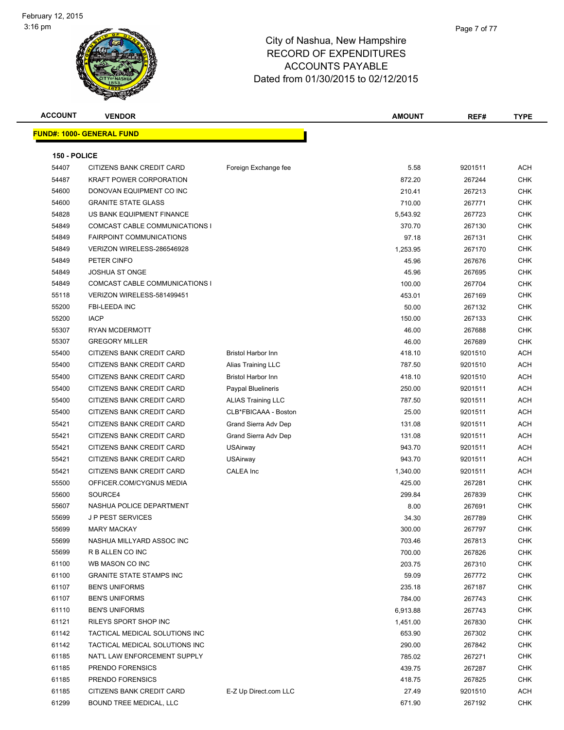

| <b>ACCOUNT</b> | <b>VENDOR</b>                    |                           | <b>AMOUNT</b> | REF#    | <b>TYPE</b> |
|----------------|----------------------------------|---------------------------|---------------|---------|-------------|
|                | <b>FUND#: 1000- GENERAL FUND</b> |                           |               |         |             |
|                |                                  |                           |               |         |             |
| 150 - POLICE   |                                  |                           |               |         |             |
| 54407          | CITIZENS BANK CREDIT CARD        | Foreign Exchange fee      | 5.58          | 9201511 | <b>ACH</b>  |
| 54487          | <b>KRAFT POWER CORPORATION</b>   |                           | 872.20        | 267244  | <b>CHK</b>  |
| 54600          | DONOVAN EQUIPMENT CO INC         |                           | 210.41        | 267213  | <b>CHK</b>  |
| 54600          | <b>GRANITE STATE GLASS</b>       |                           | 710.00        | 267771  | <b>CHK</b>  |
| 54828          | US BANK EQUIPMENT FINANCE        |                           | 5,543.92      | 267723  | <b>CHK</b>  |
| 54849          | COMCAST CABLE COMMUNICATIONS I   |                           | 370.70        | 267130  | <b>CHK</b>  |
| 54849          | <b>FAIRPOINT COMMUNICATIONS</b>  |                           | 97.18         | 267131  | <b>CHK</b>  |
| 54849          | VERIZON WIRELESS-286546928       |                           | 1,253.95      | 267170  | <b>CHK</b>  |
| 54849          | PETER CINFO                      |                           | 45.96         | 267676  | <b>CHK</b>  |
| 54849          | <b>JOSHUA ST ONGE</b>            |                           | 45.96         | 267695  | <b>CHK</b>  |
| 54849          | COMCAST CABLE COMMUNICATIONS I   |                           | 100.00        | 267704  | <b>CHK</b>  |
| 55118          | VERIZON WIRELESS-581499451       |                           | 453.01        | 267169  | <b>CHK</b>  |
| 55200          | <b>FBI-LEEDA INC</b>             |                           | 50.00         | 267132  | <b>CHK</b>  |
| 55200          | <b>IACP</b>                      |                           | 150.00        | 267133  | <b>CHK</b>  |
| 55307          | <b>RYAN MCDERMOTT</b>            |                           | 46.00         | 267688  | <b>CHK</b>  |
| 55307          | <b>GREGORY MILLER</b>            |                           | 46.00         | 267689  | <b>CHK</b>  |
| 55400          | CITIZENS BANK CREDIT CARD        | <b>Bristol Harbor Inn</b> | 418.10        | 9201510 | ACH         |
| 55400          | CITIZENS BANK CREDIT CARD        | Alias Training LLC        | 787.50        | 9201510 | <b>ACH</b>  |
| 55400          | CITIZENS BANK CREDIT CARD        | <b>Bristol Harbor Inn</b> | 418.10        | 9201510 | <b>ACH</b>  |
| 55400          | CITIZENS BANK CREDIT CARD        | Paypal Bluelineris        | 250.00        | 9201511 | <b>ACH</b>  |
| 55400          | CITIZENS BANK CREDIT CARD        | <b>ALIAS Training LLC</b> | 787.50        | 9201511 | <b>ACH</b>  |
| 55400          | CITIZENS BANK CREDIT CARD        | CLB*FBICAAA - Boston      | 25.00         | 9201511 | <b>ACH</b>  |
| 55421          | CITIZENS BANK CREDIT CARD        | Grand Sierra Adv Dep      | 131.08        | 9201511 | <b>ACH</b>  |
| 55421          | CITIZENS BANK CREDIT CARD        | Grand Sierra Adv Dep      | 131.08        | 9201511 | <b>ACH</b>  |
| 55421          | CITIZENS BANK CREDIT CARD        | <b>USAirway</b>           | 943.70        | 9201511 | <b>ACH</b>  |
| 55421          | CITIZENS BANK CREDIT CARD        | <b>USAirway</b>           | 943.70        | 9201511 | <b>ACH</b>  |
| 55421          | CITIZENS BANK CREDIT CARD        | <b>CALEA</b> Inc          | 1,340.00      | 9201511 | <b>ACH</b>  |
| 55500          | OFFICER.COM/CYGNUS MEDIA         |                           | 425.00        | 267281  | <b>CHK</b>  |
| 55600          | SOURCE4                          |                           | 299.84        | 267839  | <b>CHK</b>  |
| 55607          | NASHUA POLICE DEPARTMENT         |                           | 8.00          | 267691  | <b>CHK</b>  |
| 55699          | <b>JP PEST SERVICES</b>          |                           | 34.30         | 267789  | <b>CHK</b>  |
| 55699          | <b>MARY MACKAY</b>               |                           | 300.00        | 267797  | <b>CHK</b>  |
| 55699          | NASHUA MILLYARD ASSOC INC        |                           | 703.46        | 267813  | <b>CHK</b>  |
| 55699          | R B ALLEN CO INC                 |                           | 700.00        | 267826  | <b>CHK</b>  |
| 61100          | WB MASON CO INC                  |                           | 203.75        | 267310  | <b>CHK</b>  |
| 61100          | <b>GRANITE STATE STAMPS INC</b>  |                           | 59.09         | 267772  | <b>CHK</b>  |
| 61107          | <b>BEN'S UNIFORMS</b>            |                           | 235.18        | 267187  | <b>CHK</b>  |
| 61107          | <b>BEN'S UNIFORMS</b>            |                           | 784.00        | 267743  | <b>CHK</b>  |
| 61110          | <b>BEN'S UNIFORMS</b>            |                           | 6,913.88      | 267743  | <b>CHK</b>  |
| 61121          | RILEYS SPORT SHOP INC            |                           | 1,451.00      | 267830  | <b>CHK</b>  |
| 61142          | TACTICAL MEDICAL SOLUTIONS INC   |                           | 653.90        | 267302  | <b>CHK</b>  |
| 61142          | TACTICAL MEDICAL SOLUTIONS INC   |                           | 290.00        | 267842  | <b>CHK</b>  |
| 61185          | NAT'L LAW ENFORCEMENT SUPPLY     |                           | 785.02        | 267271  | <b>CHK</b>  |
| 61185          | PRENDO FORENSICS                 |                           | 439.75        | 267287  | <b>CHK</b>  |
| 61185          | PRENDO FORENSICS                 |                           | 418.75        | 267825  | <b>CHK</b>  |
| 61185          | CITIZENS BANK CREDIT CARD        | E-Z Up Direct.com LLC     | 27.49         | 9201510 | ACH         |
| 61299          | BOUND TREE MEDICAL, LLC          |                           | 671.90        | 267192  | <b>CHK</b>  |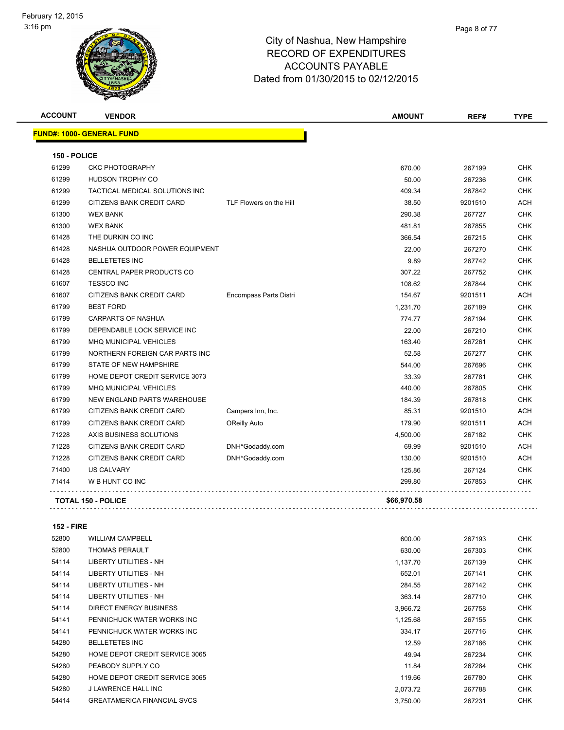| <b>ACCOUNT</b> | <b>VENDOR</b>                    |                         | <b>AMOUNT</b> | REF#    | <b>TYPE</b> |
|----------------|----------------------------------|-------------------------|---------------|---------|-------------|
|                | <b>FUND#: 1000- GENERAL FUND</b> |                         |               |         |             |
| 150 - POLICE   |                                  |                         |               |         |             |
| 61299          | <b>CKC PHOTOGRAPHY</b>           |                         | 670.00        | 267199  | <b>CHK</b>  |
| 61299          | <b>HUDSON TROPHY CO</b>          |                         | 50.00         | 267236  | <b>CHK</b>  |
| 61299          | TACTICAL MEDICAL SOLUTIONS INC   |                         | 409.34        | 267842  | <b>CHK</b>  |
| 61299          | CITIZENS BANK CREDIT CARD        | TLF Flowers on the Hill | 38.50         | 9201510 | <b>ACH</b>  |
| 61300          | <b>WEX BANK</b>                  |                         | 290.38        | 267727  | <b>CHK</b>  |
| 61300          | <b>WEX BANK</b>                  |                         | 481.81        | 267855  | <b>CHK</b>  |
| 61428          | THE DURKIN CO INC                |                         | 366.54        | 267215  | <b>CHK</b>  |
| 61428          | NASHUA OUTDOOR POWER EQUIPMENT   |                         | 22.00         | 267270  | <b>CHK</b>  |
| 61428          | <b>BELLETETES INC</b>            |                         | 9.89          | 267742  | <b>CHK</b>  |
| 61428          | <b>CENTRAL PAPER PRODUCTS CO</b> |                         | 307.22        | 267752  | <b>CHK</b>  |
| 61607          | <b>TESSCO INC</b>                |                         | 108.62        | 267844  | <b>CHK</b>  |
| 61607          | CITIZENS BANK CREDIT CARD        | Encompass Parts Distri  | 154.67        | 9201511 | <b>ACH</b>  |
| 61799          | <b>BEST FORD</b>                 |                         | 1,231.70      | 267189  | <b>CHK</b>  |
| 61799          | <b>CARPARTS OF NASHUA</b>        |                         | 774.77        | 267194  | <b>CHK</b>  |
| 61799          | DEPENDABLE LOCK SERVICE INC      |                         | 22.00         | 267210  | <b>CHK</b>  |
| 61799          | MHQ MUNICIPAL VEHICLES           |                         | 163.40        | 267261  | <b>CHK</b>  |
| 61799          | NORTHERN FOREIGN CAR PARTS INC   |                         | 52.58         | 267277  | <b>CHK</b>  |
| 61799          | STATE OF NEW HAMPSHIRE           |                         | 544.00        | 267696  | <b>CHK</b>  |
| 61799          | HOME DEPOT CREDIT SERVICE 3073   |                         | 33.39         | 267781  | <b>CHK</b>  |
| 61799          | <b>MHQ MUNICIPAL VEHICLES</b>    |                         | 440.00        | 267805  | <b>CHK</b>  |
| 61799          | NEW ENGLAND PARTS WAREHOUSE      |                         | 184.39        | 267818  | <b>CHK</b>  |
| 61799          | CITIZENS BANK CREDIT CARD        | Campers Inn, Inc.       | 85.31         | 9201510 | <b>ACH</b>  |
| 61799          | CITIZENS BANK CREDIT CARD        | <b>OReilly Auto</b>     | 179.90        | 9201511 | <b>ACH</b>  |
| 71228          | AXIS BUSINESS SOLUTIONS          |                         | 4,500.00      | 267182  | <b>CHK</b>  |
| 71228          | CITIZENS BANK CREDIT CARD        | DNH*Godaddy.com         | 69.99         | 9201510 | <b>ACH</b>  |
| 71228          | <b>CITIZENS BANK CREDIT CARD</b> | DNH*Godaddy.com         | 130.00        | 9201510 | <b>ACH</b>  |
| 71400          | <b>US CALVARY</b>                |                         | 125.86        | 267124  | <b>CHK</b>  |
| 71414          | W B HUNT CO INC                  |                         | 299.80        | 267853  | <b>CHK</b>  |
|                | <b>TOTAL 150 - POLICE</b>        |                         | \$66,970.58   |         |             |

**152 - FIRE**

| 52800 | <b>WILLIAM CAMPBELL</b>            | 600.00   | 267193 | <b>CHK</b> |
|-------|------------------------------------|----------|--------|------------|
| 52800 | <b>THOMAS PERAULT</b>              | 630.00   | 267303 | <b>CHK</b> |
| 54114 | LIBERTY UTILITIES - NH             | 1,137.70 | 267139 | <b>CHK</b> |
| 54114 | LIBERTY UTILITIES - NH             | 652.01   | 267141 | <b>CHK</b> |
| 54114 | LIBERTY UTILITIES - NH             | 284.55   | 267142 | <b>CHK</b> |
| 54114 | LIBERTY UTILITIES - NH             | 363.14   | 267710 | <b>CHK</b> |
| 54114 | DIRECT ENERGY BUSINESS             | 3,966.72 | 267758 | <b>CHK</b> |
| 54141 | PENNICHUCK WATER WORKS INC         | 1,125.68 | 267155 | <b>CHK</b> |
| 54141 | PENNICHUCK WATER WORKS INC         | 334.17   | 267716 | <b>CHK</b> |
| 54280 | <b>BELLETETES INC</b>              | 12.59    | 267186 | <b>CHK</b> |
| 54280 | HOME DEPOT CREDIT SERVICE 3065     | 49.94    | 267234 | <b>CHK</b> |
| 54280 | PEABODY SUPPLY CO                  | 11.84    | 267284 | <b>CHK</b> |
| 54280 | HOME DEPOT CREDIT SERVICE 3065     | 119.66   | 267780 | <b>CHK</b> |
| 54280 | J LAWRENCE HALL INC                | 2,073.72 | 267788 | <b>CHK</b> |
| 54414 | <b>GREATAMERICA FINANCIAL SVCS</b> | 3,750.00 | 267231 | <b>CHK</b> |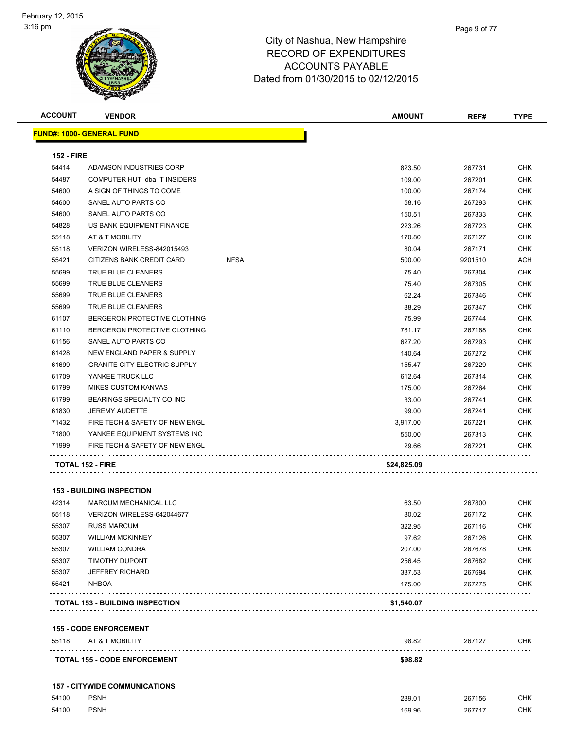| <b>ACCOUNT</b>    | <b>VENDOR</b>                       |             | <b>AMOUNT</b> | REF#    | <b>TYPE</b> |
|-------------------|-------------------------------------|-------------|---------------|---------|-------------|
|                   | <b>FUND#: 1000- GENERAL FUND</b>    |             |               |         |             |
| <b>152 - FIRE</b> |                                     |             |               |         |             |
| 54414             | ADAMSON INDUSTRIES CORP             |             | 823.50        | 267731  | <b>CHK</b>  |
| 54487             | COMPUTER HUT dba IT INSIDERS        |             | 109.00        | 267201  | <b>CHK</b>  |
| 54600             | A SIGN OF THINGS TO COME            |             | 100.00        | 267174  | CHK         |
| 54600             | SANEL AUTO PARTS CO                 |             | 58.16         | 267293  | <b>CHK</b>  |
| 54600             | SANEL AUTO PARTS CO                 |             | 150.51        | 267833  | <b>CHK</b>  |
| 54828             | US BANK EQUIPMENT FINANCE           |             | 223.26        | 267723  | <b>CHK</b>  |
| 55118             | AT & T MOBILITY                     |             | 170.80        | 267127  | <b>CHK</b>  |
| 55118             | VERIZON WIRELESS-842015493          |             | 80.04         | 267171  | <b>CHK</b>  |
| 55421             | CITIZENS BANK CREDIT CARD           | <b>NFSA</b> | 500.00        | 9201510 | ACH         |
| 55699             | TRUE BLUE CLEANERS                  |             | 75.40         | 267304  | <b>CHK</b>  |
| 55699             | <b>TRUE BLUE CLEANERS</b>           |             | 75.40         | 267305  | <b>CHK</b>  |
| 55699             | <b>TRUE BLUE CLEANERS</b>           |             | 62.24         | 267846  | <b>CHK</b>  |
| 55699             | <b>TRUE BLUE CLEANERS</b>           |             | 88.29         | 267847  | <b>CHK</b>  |
| 61107             | BERGERON PROTECTIVE CLOTHING        |             | 75.99         | 267744  | <b>CHK</b>  |
| 61110             | BERGERON PROTECTIVE CLOTHING        |             | 781.17        | 267188  | <b>CHK</b>  |
| 61156             | SANEL AUTO PARTS CO                 |             | 627.20        | 267293  | <b>CHK</b>  |
| 61428             | NEW ENGLAND PAPER & SUPPLY          |             | 140.64        | 267272  | <b>CHK</b>  |
| 61699             | <b>GRANITE CITY ELECTRIC SUPPLY</b> |             | 155.47        | 267229  | <b>CHK</b>  |
| 61709             | YANKEE TRUCK LLC                    |             | 612.64        | 267314  | <b>CHK</b>  |
| 61799             | <b>MIKES CUSTOM KANVAS</b>          |             | 175.00        | 267264  | <b>CHK</b>  |
| 61799             | BEARINGS SPECIALTY CO INC           |             | 33.00         | 267741  | <b>CHK</b>  |
| 61830             | <b>JEREMY AUDETTE</b>               |             | 99.00         | 267241  | CHK         |
| 71432             | FIRE TECH & SAFETY OF NEW ENGL      |             | 3,917.00      | 267221  | <b>CHK</b>  |
| 71800             | YANKEE EQUIPMENT SYSTEMS INC        |             | 550.00        | 267313  | CHK         |
| 71999             | FIRE TECH & SAFETY OF NEW ENGL      |             | 29.66         | 267221  | <b>CHK</b>  |
|                   | <b>TOTAL 152 - FIRE</b>             |             | \$24,825.09   |         |             |
|                   |                                     |             |               |         |             |
|                   | <b>153 - BUILDING INSPECTION</b>    |             |               |         |             |

#### **153 - BUILDING INSPECTION**

|       | <b>TOTAL 153 - BUILDING INSPECTION</b> | \$1,540.07 |        |            |
|-------|----------------------------------------|------------|--------|------------|
| 55421 | <b>NHBOA</b>                           | 175.00     | 267275 | <b>CHK</b> |
| 55307 | <b>JEFFREY RICHARD</b>                 | 337.53     | 267694 | <b>CHK</b> |
| 55307 | <b>TIMOTHY DUPONT</b>                  | 256.45     | 267682 | <b>CHK</b> |
| 55307 | <b>WILLIAM CONDRA</b>                  | 207.00     | 267678 | <b>CHK</b> |
| 55307 | <b>WILLIAM MCKINNEY</b>                | 97.62      | 267126 | <b>CHK</b> |
| 55307 | <b>RUSS MARCUM</b>                     | 322.95     | 267116 | <b>CHK</b> |
| 55118 | VERIZON WIRELESS-642044677             | 80.02      | 267172 | <b>CHK</b> |
| 42314 | MARCUM MECHANICAL LLC                  | 63.50      | 267800 | <b>CHK</b> |

**155 - CODE ENFORCEMENT**

| 55118<br>AT & T MOBILITY             | 98.82   | 267127 | <b>CHK</b> |
|--------------------------------------|---------|--------|------------|
| <b>TOTAL 155 - CODE ENFORCEMENT</b>  | \$98.82 |        |            |
| <b>157 - CITYWIDE COMMUNICATIONS</b> |         |        |            |

| 54100 | <b>PSNH</b> | 289.01 | 267156 | <b>CHK</b> |
|-------|-------------|--------|--------|------------|
| 54100 | <b>PSNH</b> | 169.96 | 267717 | <b>CHK</b> |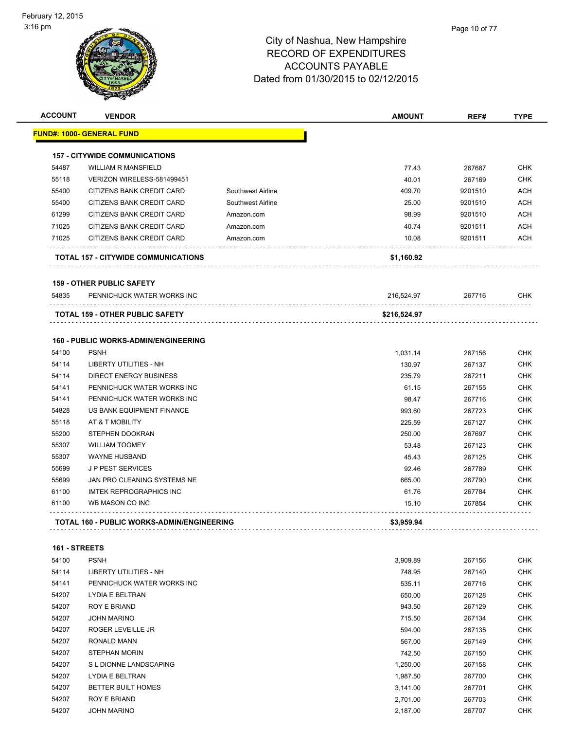|       | <b>VENDOR</b>                               |                          | <b>AMOUNT</b> | REF#    | <b>TYPE</b>                                                                                    |
|-------|---------------------------------------------|--------------------------|---------------|---------|------------------------------------------------------------------------------------------------|
|       | FUND#: 1000- GENERAL FUND                   |                          |               |         |                                                                                                |
|       | <b>157 - CITYWIDE COMMUNICATIONS</b>        |                          |               |         |                                                                                                |
| 54487 | <b>WILLIAM R MANSFIELD</b>                  |                          | 77.43         | 267687  | <b>CHK</b>                                                                                     |
| 55118 | VERIZON WIRELESS-581499451                  |                          | 40.01         | 267169  | <b>CHK</b>                                                                                     |
| 55400 | CITIZENS BANK CREDIT CARD                   | <b>Southwest Airline</b> | 409.70        | 9201510 | <b>ACH</b>                                                                                     |
| 55400 | CITIZENS BANK CREDIT CARD                   | Southwest Airline        | 25.00         | 9201510 | <b>ACH</b>                                                                                     |
| 61299 | CITIZENS BANK CREDIT CARD                   | Amazon.com               | 98.99         | 9201510 | <b>ACH</b>                                                                                     |
| 71025 | CITIZENS BANK CREDIT CARD                   | Amazon.com               | 40.74         | 9201511 | <b>ACH</b>                                                                                     |
| 71025 | CITIZENS BANK CREDIT CARD                   | Amazon.com               | 10.08         | 9201511 | <b>ACH</b>                                                                                     |
|       | <b>TOTAL 157 - CITYWIDE COMMUNICATIONS</b>  |                          | \$1,160.92    |         |                                                                                                |
|       | <b>159 - OTHER PUBLIC SAFETY</b>            |                          |               |         |                                                                                                |
| 54835 | PENNICHUCK WATER WORKS INC                  |                          | 216,524.97    | 267716  | <b>CHK</b>                                                                                     |
|       | <b>TOTAL 159 - OTHER PUBLIC SAFETY</b>      |                          | \$216,524.97  |         |                                                                                                |
|       |                                             |                          |               |         |                                                                                                |
|       | <b>160 - PUBLIC WORKS-ADMIN/ENGINEERING</b> |                          |               |         |                                                                                                |
| 54100 | <b>PSNH</b>                                 |                          | 1,031.14      | 267156  | <b>CHK</b>                                                                                     |
| 54114 | <b>LIBERTY UTILITIES - NH</b>               |                          | 130.97        | 267137  |                                                                                                |
| 54114 | <b>DIRECT ENERGY BUSINESS</b>               |                          | 235.79        | 267211  | <b>CHK</b><br><b>CHK</b>                                                                       |
| 54141 | PENNICHUCK WATER WORKS INC                  |                          | 61.15         | 267155  | <b>CHK</b>                                                                                     |
| 54141 | PENNICHUCK WATER WORKS INC                  |                          | 98.47         | 267716  |                                                                                                |
| 54828 | US BANK EQUIPMENT FINANCE                   |                          | 993.60        | 267723  |                                                                                                |
| 55118 | AT & T MOBILITY                             |                          | 225.59        | 267127  | <b>CHK</b><br><b>CHK</b><br><b>CHK</b>                                                         |
| 55200 | <b>STEPHEN DOOKRAN</b>                      |                          | 250.00        | 267697  |                                                                                                |
| 55307 | <b>WILLIAM TOOMEY</b>                       |                          | 53.48         | 267123  |                                                                                                |
| 55307 | <b>WAYNE HUSBAND</b>                        |                          | 45.43         | 267125  |                                                                                                |
| 55699 | <b>JP PEST SERVICES</b>                     |                          | 92.46         | 267789  |                                                                                                |
| 55699 | JAN PRO CLEANING SYSTEMS NE                 |                          | 665.00        | 267790  |                                                                                                |
| 61100 | <b>IMTEK REPROGRAPHICS INC</b>              |                          | 61.76         | 267784  |                                                                                                |
| 61100 | WB MASON CO INC                             |                          | 15.10         | 267854  | <b>CHK</b><br><b>CHK</b><br><b>CHK</b><br><b>CHK</b><br><b>CHK</b><br><b>CHK</b><br><b>CHK</b> |

| 54100 | <b>PSNH</b>                | 3,909.89 | 267156 | CHK        |
|-------|----------------------------|----------|--------|------------|
| 54114 | LIBERTY UTILITIES - NH     | 748.95   | 267140 | <b>CHK</b> |
| 54141 | PENNICHUCK WATER WORKS INC | 535.11   | 267716 | <b>CHK</b> |
| 54207 | LYDIA E BELTRAN            | 650.00   | 267128 | <b>CHK</b> |
| 54207 | <b>ROY E BRIAND</b>        | 943.50   | 267129 | <b>CHK</b> |
| 54207 | <b>JOHN MARINO</b>         | 715.50   | 267134 | <b>CHK</b> |
| 54207 | <b>ROGER LEVEILLE JR</b>   | 594.00   | 267135 | <b>CHK</b> |
| 54207 | RONALD MANN                | 567.00   | 267149 | <b>CHK</b> |
| 54207 | STEPHAN MORIN              | 742.50   | 267150 | <b>CHK</b> |
| 54207 | S L DIONNE LANDSCAPING     | 1,250.00 | 267158 | <b>CHK</b> |
| 54207 | <b>LYDIA E BELTRAN</b>     | 1,987.50 | 267700 | <b>CHK</b> |
| 54207 | <b>BETTER BUILT HOMES</b>  | 3,141.00 | 267701 | <b>CHK</b> |
| 54207 | <b>ROY E BRIAND</b>        | 2,701.00 | 267703 | <b>CHK</b> |
| 54207 | <b>JOHN MARINO</b>         | 2,187.00 | 267707 | <b>CHK</b> |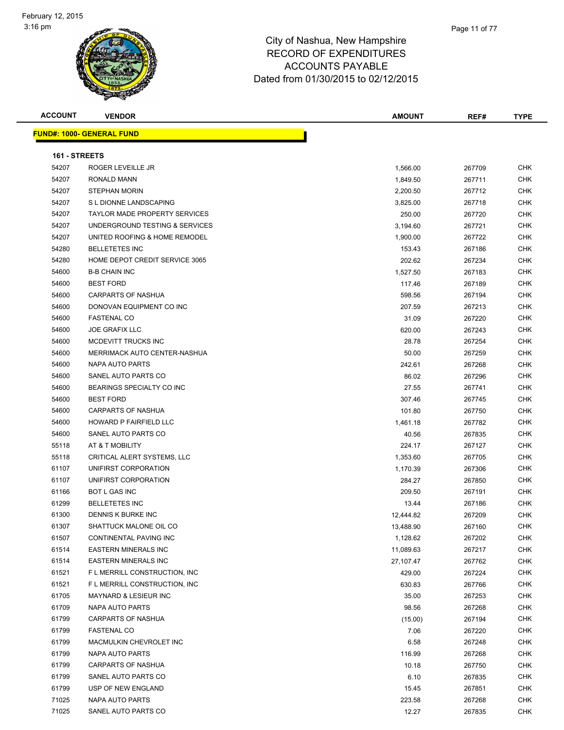

| <b>ACCOUNT</b> | <b>VENDOR</b>                     | <b>AMOUNT</b> | REF#   | <b>TYPE</b> |
|----------------|-----------------------------------|---------------|--------|-------------|
|                | <u> FUND#: 1000- GENERAL FUND</u> |               |        |             |
|                |                                   |               |        |             |
| 161 - STREETS  |                                   |               |        |             |
| 54207          | <b>ROGER LEVEILLE JR</b>          | 1,566.00      | 267709 | <b>CHK</b>  |
| 54207          | RONALD MANN                       | 1,849.50      | 267711 | CHK         |
| 54207          | <b>STEPHAN MORIN</b>              | 2,200.50      | 267712 | CHK         |
| 54207          | S L DIONNE LANDSCAPING            | 3,825.00      | 267718 | CHK         |
| 54207          | TAYLOR MADE PROPERTY SERVICES     | 250.00        | 267720 | CHK         |
| 54207          | UNDERGROUND TESTING & SERVICES    | 3,194.60      | 267721 | CHK         |
| 54207          | UNITED ROOFING & HOME REMODEL     | 1,900.00      | 267722 | <b>CHK</b>  |
| 54280          | <b>BELLETETES INC</b>             | 153.43        | 267186 | <b>CHK</b>  |
| 54280          | HOME DEPOT CREDIT SERVICE 3065    | 202.62        | 267234 | CHK         |
| 54600          | <b>B-B CHAIN INC</b>              | 1,527.50      | 267183 | CHK         |
| 54600          | <b>BEST FORD</b>                  | 117.46        | 267189 | <b>CHK</b>  |
| 54600          | CARPARTS OF NASHUA                | 598.56        | 267194 | <b>CHK</b>  |
| 54600          | DONOVAN EQUIPMENT CO INC          | 207.59        | 267213 | <b>CHK</b>  |
| 54600          | <b>FASTENAL CO</b>                | 31.09         | 267220 | <b>CHK</b>  |
| 54600          | <b>JOE GRAFIX LLC</b>             | 620.00        | 267243 | CHK         |
| 54600          | MCDEVITT TRUCKS INC               | 28.78         | 267254 | CHK         |
| 54600          | MERRIMACK AUTO CENTER-NASHUA      | 50.00         | 267259 | CHK         |
| 54600          | NAPA AUTO PARTS                   | 242.61        | 267268 | <b>CHK</b>  |
| 54600          | SANEL AUTO PARTS CO               | 86.02         | 267296 | CHK         |
| 54600          | BEARINGS SPECIALTY CO INC         | 27.55         | 267741 | CHK         |
| 54600          | <b>BEST FORD</b>                  | 307.46        | 267745 | CHK         |
| 54600          | <b>CARPARTS OF NASHUA</b>         | 101.80        | 267750 | CHK         |
| 54600          | HOWARD P FAIRFIELD LLC            | 1,461.18      | 267782 | CHK         |
| 54600          | SANEL AUTO PARTS CO               | 40.56         | 267835 | CHK         |
| 55118          | AT & T MOBILITY                   | 224.17        | 267127 | <b>CHK</b>  |
| 55118          | CRITICAL ALERT SYSTEMS, LLC       | 1,353.60      | 267705 | CHK         |
| 61107          | UNIFIRST CORPORATION              | 1,170.39      | 267306 | <b>CHK</b>  |
| 61107          | UNIFIRST CORPORATION              | 284.27        | 267850 | CHK         |
| 61166          | <b>BOT L GAS INC</b>              | 209.50        | 267191 | <b>CHK</b>  |
| 61299          | <b>BELLETETES INC</b>             | 13.44         | 267186 | <b>CHK</b>  |
| 61300          | <b>DENNIS K BURKE INC</b>         | 12,444.82     | 267209 | CHK         |
| 61307          | SHATTUCK MALONE OIL CO            | 13,488.90     | 267160 | <b>CHK</b>  |
| 61507          | CONTINENTAL PAVING INC            | 1,128.62      | 267202 | CHK         |
| 61514          | <b>EASTERN MINERALS INC</b>       | 11,089.63     | 267217 | CHK         |
| 61514          | <b>EASTERN MINERALS INC</b>       | 27,107.47     | 267762 | CHK         |
| 61521          | F L MERRILL CONSTRUCTION, INC     | 429.00        | 267224 | CHK         |
| 61521          | F L MERRILL CONSTRUCTION, INC     | 630.83        | 267766 | <b>CHK</b>  |
| 61705          | MAYNARD & LESIEUR INC             | 35.00         | 267253 | CHK         |
| 61709          | NAPA AUTO PARTS                   | 98.56         | 267268 | <b>CHK</b>  |
| 61799          | CARPARTS OF NASHUA                | (15.00)       | 267194 | <b>CHK</b>  |
| 61799          | <b>FASTENAL CO</b>                | 7.06          | 267220 | CHK         |
| 61799          | MACMULKIN CHEVROLET INC           | 6.58          | 267248 | CHK         |
| 61799          | NAPA AUTO PARTS                   | 116.99        | 267268 | CHK         |
| 61799          | <b>CARPARTS OF NASHUA</b>         | 10.18         | 267750 | CHK         |
| 61799          | SANEL AUTO PARTS CO               | 6.10          | 267835 | CHK         |
| 61799          | USP OF NEW ENGLAND                | 15.45         | 267851 | CHK         |
| 71025          | NAPA AUTO PARTS                   | 223.58        | 267268 | CHK         |
| 71025          | SANEL AUTO PARTS CO               | 12.27         | 267835 | <b>CHK</b>  |
|                |                                   |               |        |             |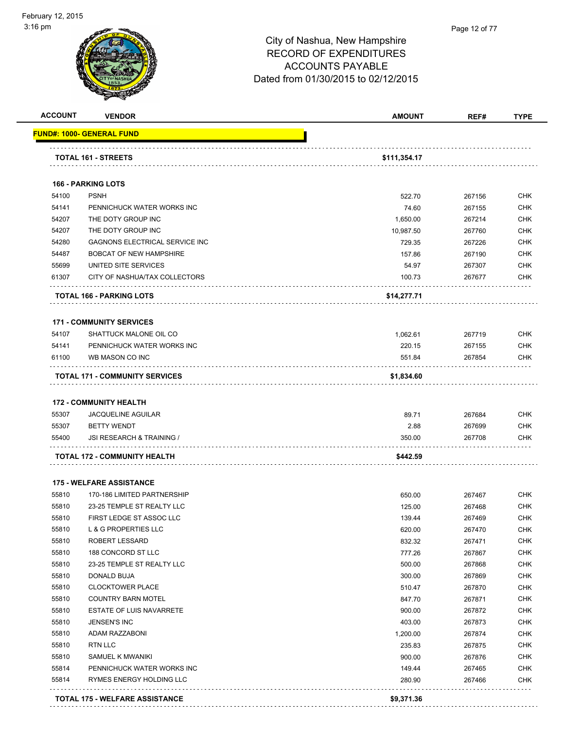#### Page 12 of 77

| <b>ACCOUNT</b> | <b>VENDOR</b>                         | <b>AMOUNT</b> | REF#   | <b>TYPE</b> |
|----------------|---------------------------------------|---------------|--------|-------------|
|                | <u> FUND#: 1000- GENERAL FUND</u>     |               |        |             |
|                | TOTAL 161 - STREETS                   | \$111,354.17  |        |             |
|                |                                       |               |        |             |
|                | <b>166 - PARKING LOTS</b>             |               |        |             |
| 54100          | <b>PSNH</b>                           | 522.70        | 267156 | <b>CHK</b>  |
| 54141          | PENNICHUCK WATER WORKS INC            | 74.60         | 267155 | <b>CHK</b>  |
| 54207          | THE DOTY GROUP INC                    | 1,650.00      | 267214 | <b>CHK</b>  |
| 54207          | THE DOTY GROUP INC                    | 10,987.50     | 267760 | <b>CHK</b>  |
| 54280          | GAGNONS ELECTRICAL SERVICE INC        | 729.35        | 267226 | <b>CHK</b>  |
| 54487          | <b>BOBCAT OF NEW HAMPSHIRE</b>        | 157.86        | 267190 | <b>CHK</b>  |
| 55699          | UNITED SITE SERVICES                  | 54.97         | 267307 | <b>CHK</b>  |
| 61307          | CITY OF NASHUA/TAX COLLECTORS         | 100.73        | 267677 | <b>CHK</b>  |
|                | <b>TOTAL 166 - PARKING LOTS</b>       | \$14,277.71   |        |             |
|                | <b>171 - COMMUNITY SERVICES</b>       |               |        |             |
| 54107          | SHATTUCK MALONE OIL CO                | 1,062.61      | 267719 | <b>CHK</b>  |
| 54141          | PENNICHUCK WATER WORKS INC            | 220.15        | 267155 | <b>CHK</b>  |
| 61100          | WB MASON CO INC                       | 551.84        | 267854 | <b>CHK</b>  |
|                | <b>TOTAL 171 - COMMUNITY SERVICES</b> | \$1,834.60    |        |             |
|                | <b>172 - COMMUNITY HEALTH</b>         |               |        |             |
| 55307          | <b>JACQUELINE AGUILAR</b>             | 89.71         | 267684 | <b>CHK</b>  |
| 55307          | <b>BETTY WENDT</b>                    | 2.88          | 267699 | <b>CHK</b>  |
| 55400          | JSI RESEARCH & TRAINING /             | 350.00        | 267708 | CHK         |
|                | <b>TOTAL 172 - COMMUNITY HEALTH</b>   | \$442.59      |        |             |
|                | <b>175 - WELFARE ASSISTANCE</b>       |               |        |             |
| 55810          | 170-186 LIMITED PARTNERSHIP           | 650.00        | 267467 | <b>CHK</b>  |
| 55810          | 23-25 TEMPLE ST REALTY LLC            | 125.00        | 267468 | <b>CHK</b>  |
| 55810          | FIRST LEDGE ST ASSOC LLC              | 139.44        | 267469 | <b>CHK</b>  |
| 55810          | L & G PROPERTIES LLC                  | 620.00        | 267470 | <b>CHK</b>  |
| 55810          | <b>ROBERT LESSARD</b>                 | 832.32        | 267471 | <b>CHK</b>  |
| 55810          | 188 CONCORD ST LLC                    | 777.26        | 267867 | <b>CHK</b>  |
| 55810          | 23-25 TEMPLE ST REALTY LLC            | 500.00        | 267868 | <b>CHK</b>  |
| 55810          | DONALD BUJA                           | 300.00        | 267869 | <b>CHK</b>  |
| 55810          | <b>CLOCKTOWER PLACE</b>               | 510.47        | 267870 | <b>CHK</b>  |
| 55810          | <b>COUNTRY BARN MOTEL</b>             | 847.70        | 267871 | <b>CHK</b>  |
| 55810          | <b>ESTATE OF LUIS NAVARRETE</b>       | 900.00        | 267872 | <b>CHK</b>  |
| 55810          | JENSEN'S INC                          | 403.00        | 267873 | <b>CHK</b>  |
| 55810          | ADAM RAZZABONI                        | 1,200.00      | 267874 | <b>CHK</b>  |
| 55810          | <b>RTN LLC</b>                        | 235.83        | 267875 | <b>CHK</b>  |
| 55810          | SAMUEL K MWANIKI                      | 900.00        | 267876 | <b>CHK</b>  |
| 55814          | PENNICHUCK WATER WORKS INC            | 149.44        | 267465 | <b>CHK</b>  |
| 55814          | RYMES ENERGY HOLDING LLC              | 280.90        | 267466 | <b>CHK</b>  |
|                | .                                     |               |        |             |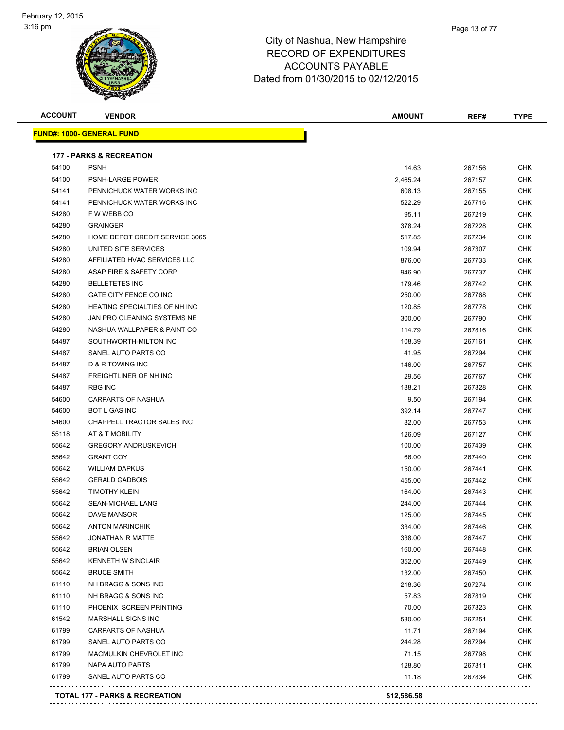

| <b>ACCOUNT</b> | <b>VENDOR</b>                       | <b>AMOUNT</b> | REF#   | <b>TYPE</b> |
|----------------|-------------------------------------|---------------|--------|-------------|
|                | <b>FUND#: 1000- GENERAL FUND</b>    |               |        |             |
|                | <b>177 - PARKS &amp; RECREATION</b> |               |        |             |
| 54100          | <b>PSNH</b>                         | 14.63         | 267156 | <b>CHK</b>  |
| 54100          | PSNH-LARGE POWER                    | 2,465.24      | 267157 | CHK         |
| 54141          | PENNICHUCK WATER WORKS INC          | 608.13        | 267155 | <b>CHK</b>  |
| 54141          | PENNICHUCK WATER WORKS INC          | 522.29        | 267716 | <b>CHK</b>  |
| 54280          | F W WEBB CO                         | 95.11         | 267219 | CHK         |
| 54280          | <b>GRAINGER</b>                     | 378.24        | 267228 | <b>CHK</b>  |
| 54280          | HOME DEPOT CREDIT SERVICE 3065      | 517.85        | 267234 | CHK         |
| 54280          | UNITED SITE SERVICES                | 109.94        | 267307 | <b>CHK</b>  |
| 54280          | AFFILIATED HVAC SERVICES LLC        | 876.00        | 267733 | CHK         |
| 54280          | ASAP FIRE & SAFETY CORP             | 946.90        | 267737 | CHK         |
| 54280          | <b>BELLETETES INC</b>               | 179.46        | 267742 | CHK         |
| 54280          | GATE CITY FENCE CO INC              | 250.00        | 267768 | CHK         |
| 54280          | HEATING SPECIALTIES OF NH INC       | 120.85        | 267778 | CHK         |
| 54280          | JAN PRO CLEANING SYSTEMS NE         | 300.00        | 267790 | <b>CHK</b>  |
| 54280          | NASHUA WALLPAPER & PAINT CO         | 114.79        | 267816 | <b>CHK</b>  |
| 54487          | SOUTHWORTH-MILTON INC               | 108.39        | 267161 | CHK         |
| 54487          | SANEL AUTO PARTS CO                 | 41.95         | 267294 | CHK         |
| 54487          | D & R TOWING INC                    | 146.00        | 267757 | CHK         |
| 54487          | <b>FREIGHTLINER OF NH INC</b>       | 29.56         | 267767 | CHK         |
| 54487          | <b>RBG INC</b>                      | 188.21        | 267828 | CHK         |
| 54600          | CARPARTS OF NASHUA                  | 9.50          | 267194 | CHK         |
| 54600          | <b>BOT L GAS INC</b>                | 392.14        | 267747 | CHK         |
| 54600          | CHAPPELL TRACTOR SALES INC          | 82.00         | 267753 | CHK         |
| 55118          | AT & T MOBILITY                     | 126.09        | 267127 | CHK         |
| 55642          | <b>GREGORY ANDRUSKEVICH</b>         | 100.00        | 267439 | CHK         |
| 55642          | <b>GRANT COY</b>                    | 66.00         | 267440 | CHK         |
| 55642          | <b>WILLIAM DAPKUS</b>               | 150.00        | 267441 | CHK         |
| 55642          | <b>GERALD GADBOIS</b>               | 455.00        | 267442 | <b>CHK</b>  |
| 55642          | <b>TIMOTHY KLEIN</b>                | 164.00        | 267443 | CHK         |
| 55642          | SEAN-MICHAEL LANG                   | 244.00        | 267444 | CHK         |
| 55642          | <b>DAVE MANSOR</b>                  | 125.00        | 267445 | CHK         |
| 55642          | ANTON MARINCHIK                     | 334.00        | 267446 | <b>CHK</b>  |
| 55642          | <b>JONATHAN R MATTE</b>             | 338.00        | 267447 | CHK         |
| 55642          | <b>BRIAN OLSEN</b>                  | 160.00        | 267448 | <b>CHK</b>  |
| 55642          | KENNETH W SINCLAIR                  | 352.00        | 267449 | <b>CHK</b>  |
| 55642          | <b>BRUCE SMITH</b>                  | 132.00        | 267450 | <b>CHK</b>  |
| 61110          | NH BRAGG & SONS INC                 | 218.36        | 267274 | <b>CHK</b>  |
| 61110          | NH BRAGG & SONS INC                 | 57.83         | 267819 | <b>CHK</b>  |
| 61110          | PHOENIX SCREEN PRINTING             | 70.00         | 267823 | <b>CHK</b>  |
| 61542          | MARSHALL SIGNS INC                  | 530.00        | 267251 | <b>CHK</b>  |
| 61799          | <b>CARPARTS OF NASHUA</b>           | 11.71         | 267194 | <b>CHK</b>  |
| 61799          | SANEL AUTO PARTS CO                 | 244.28        | 267294 | <b>CHK</b>  |
| 61799          | MACMULKIN CHEVROLET INC             | 71.15         | 267798 | <b>CHK</b>  |
| 61799          | NAPA AUTO PARTS                     | 128.80        | 267811 | <b>CHK</b>  |
| 61799          | SANEL AUTO PARTS CO                 | 11.18         | 267834 | <b>CHK</b>  |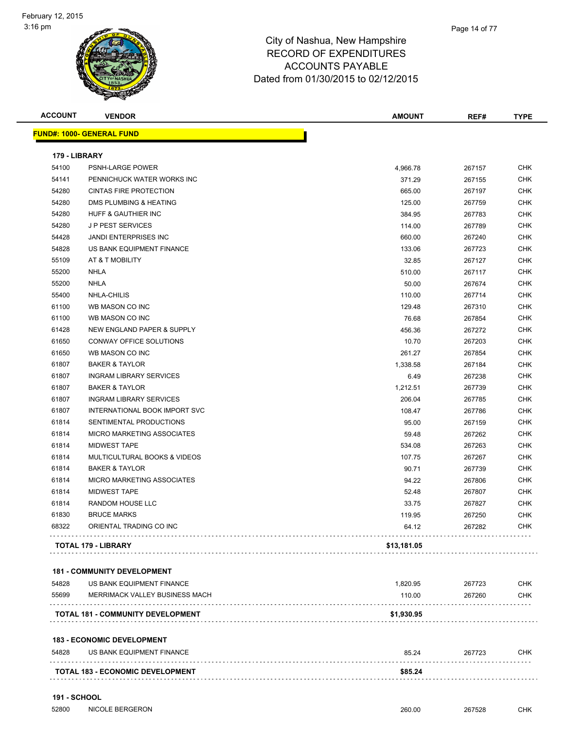

| <b>ACCOUNT</b>         | <b>VENDOR</b>                                                  | <b>AMOUNT</b>   | REF#             | <b>TYPE</b> |
|------------------------|----------------------------------------------------------------|-----------------|------------------|-------------|
|                        | <b>FUND#: 1000- GENERAL FUND</b>                               |                 |                  |             |
|                        |                                                                |                 |                  |             |
| 179 - LIBRARY<br>54100 | <b>PSNH-LARGE POWER</b>                                        | 4,966.78        | 267157           | <b>CHK</b>  |
| 54141                  | PENNICHUCK WATER WORKS INC                                     | 371.29          | 267155           | <b>CHK</b>  |
| 54280                  | <b>CINTAS FIRE PROTECTION</b>                                  | 665.00          | 267197           | <b>CHK</b>  |
| 54280                  | DMS PLUMBING & HEATING                                         | 125.00          | 267759           | <b>CHK</b>  |
| 54280                  | HUFF & GAUTHIER INC                                            | 384.95          | 267783           | <b>CHK</b>  |
| 54280                  | <b>JP PEST SERVICES</b>                                        | 114.00          | 267789           | <b>CHK</b>  |
| 54428                  | <b>JANDI ENTERPRISES INC</b>                                   | 660.00          | 267240           | <b>CHK</b>  |
| 54828                  | US BANK EQUIPMENT FINANCE                                      | 133.06          | 267723           | <b>CHK</b>  |
| 55109                  | AT & T MOBILITY                                                | 32.85           | 267127           | <b>CHK</b>  |
| 55200                  | <b>NHLA</b>                                                    |                 |                  | CHK         |
| 55200                  | NHLA                                                           | 510.00<br>50.00 | 267117           | <b>CHK</b>  |
|                        |                                                                | 110.00          | 267674           | <b>CHK</b>  |
| 55400<br>61100         | NHLA-CHILIS<br>WB MASON CO INC                                 | 129.48          | 267714           | <b>CHK</b>  |
| 61100                  | WB MASON CO INC                                                | 76.68           | 267310<br>267854 | <b>CHK</b>  |
| 61428                  | NEW ENGLAND PAPER & SUPPLY                                     |                 |                  | <b>CHK</b>  |
|                        | CONWAY OFFICE SOLUTIONS                                        | 456.36          | 267272           |             |
| 61650                  |                                                                | 10.70           | 267203           | <b>CHK</b>  |
| 61650                  | WB MASON CO INC                                                | 261.27          | 267854           | <b>CHK</b>  |
| 61807                  | <b>BAKER &amp; TAYLOR</b>                                      | 1,338.58        | 267184           | <b>CHK</b>  |
| 61807                  | <b>INGRAM LIBRARY SERVICES</b>                                 | 6.49            | 267238           | <b>CHK</b>  |
| 61807                  | <b>BAKER &amp; TAYLOR</b>                                      | 1,212.51        | 267739           | <b>CHK</b>  |
| 61807                  | <b>INGRAM LIBRARY SERVICES</b>                                 | 206.04          | 267785           | CHK         |
| 61807                  | INTERNATIONAL BOOK IMPORT SVC                                  | 108.47          | 267786           | <b>CHK</b>  |
| 61814                  | SENTIMENTAL PRODUCTIONS                                        | 95.00           | 267159           | <b>CHK</b>  |
| 61814                  | MICRO MARKETING ASSOCIATES                                     | 59.48           | 267262           | <b>CHK</b>  |
| 61814                  | <b>MIDWEST TAPE</b>                                            | 534.08          | 267263           | <b>CHK</b>  |
| 61814                  | MULTICULTURAL BOOKS & VIDEOS                                   | 107.75          | 267267           | <b>CHK</b>  |
| 61814                  | <b>BAKER &amp; TAYLOR</b>                                      | 90.71           | 267739           | <b>CHK</b>  |
| 61814                  | MICRO MARKETING ASSOCIATES                                     | 94.22           | 267806           | <b>CHK</b>  |
| 61814                  | <b>MIDWEST TAPE</b>                                            | 52.48           | 267807           | <b>CHK</b>  |
| 61814                  | RANDOM HOUSE LLC                                               | 33.75           | 267827           | <b>CHK</b>  |
| 61830                  | <b>BRUCE MARKS</b>                                             | 119.95          | 267250           | <b>CHK</b>  |
| 68322                  | ORIENTAL TRADING CO INC                                        | 64.12           | 267282           | CHK         |
|                        | TOTAL 179 - LIBRARY                                            | \$13,181.05     |                  |             |
|                        | <b>181 - COMMUNITY DEVELOPMENT</b>                             |                 |                  |             |
| 54828                  | US BANK EQUIPMENT FINANCE                                      | 1,820.95        | 267723           | <b>CHK</b>  |
| 55699                  | MERRIMACK VALLEY BUSINESS MACH                                 | 110.00          | 267260           | <b>CHK</b>  |
|                        | TOTAL 181 - COMMUNITY DEVELOPMENT                              | \$1,930.95      |                  |             |
|                        |                                                                |                 |                  |             |
| 54828                  | <b>183 - ECONOMIC DEVELOPMENT</b><br>US BANK EQUIPMENT FINANCE | 85.24           | 267723           | <b>CHK</b>  |
|                        |                                                                |                 |                  |             |
|                        | <b>TOTAL 183 - ECONOMIC DEVELOPMENT</b>                        | \$85.24         |                  |             |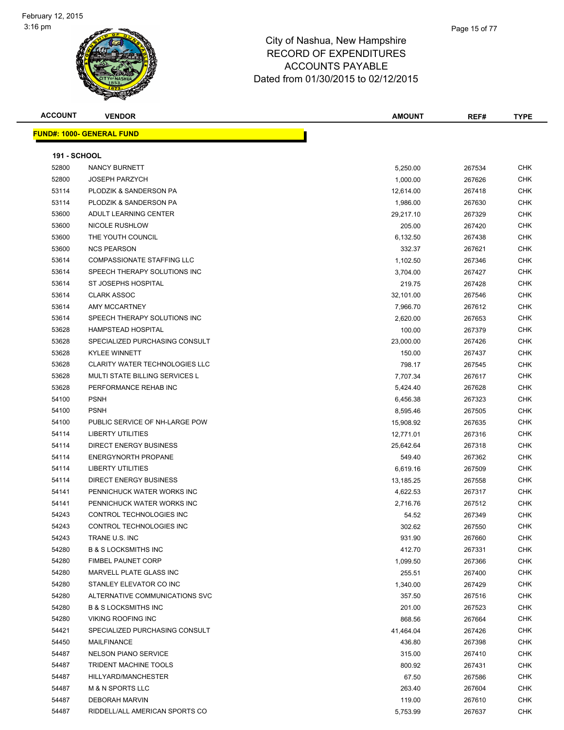| <b>ACCOUNT</b>      | <b>VENDOR</b>                         | AMOUNT    | REF#   | TYPE       |
|---------------------|---------------------------------------|-----------|--------|------------|
|                     | <b>FUND#: 1000- GENERAL FUND</b>      |           |        |            |
| <b>191 - SCHOOL</b> |                                       |           |        |            |
| 52800               | NANCY BURNETT                         | 5,250.00  | 267534 | CHK        |
| 52800               | <b>JOSEPH PARZYCH</b>                 | 1,000.00  | 267626 | <b>CHK</b> |
| 53114               | PLODZIK & SANDERSON PA                | 12,614.00 | 267418 | <b>CHK</b> |
| 53114               | PLODZIK & SANDERSON PA                | 1,986.00  | 267630 | <b>CHK</b> |
| 53600               | ADULT LEARNING CENTER                 | 29,217.10 | 267329 | <b>CHK</b> |
| 53600               | NICOLE RUSHLOW                        | 205.00    | 267420 | CHK        |
| 53600               | THE YOUTH COUNCIL                     | 6,132.50  | 267438 | <b>CHK</b> |
| 53600               | <b>NCS PEARSON</b>                    | 332.37    | 267621 | <b>CHK</b> |
| 53614               | <b>COMPASSIONATE STAFFING LLC</b>     | 1,102.50  | 267346 | <b>CHK</b> |
| 53614               | SPEECH THERAPY SOLUTIONS INC          | 3,704.00  | 267427 | <b>CHK</b> |
| 53614               | ST JOSEPHS HOSPITAL                   | 219.75    | 267428 | <b>CHK</b> |
| 53614               | <b>CLARK ASSOC</b>                    | 32,101.00 | 267546 | <b>CHK</b> |
| 53614               | AMY MCCARTNEY                         | 7,966.70  | 267612 | <b>CHK</b> |
| 53614               | SPEECH THERAPY SOLUTIONS INC          | 2,620.00  | 267653 | <b>CHK</b> |
| 53628               | <b>HAMPSTEAD HOSPITAL</b>             | 100.00    | 267379 | <b>CHK</b> |
| 53628               | SPECIALIZED PURCHASING CONSULT        | 23,000.00 | 267426 | <b>CHK</b> |
| 53628               | <b>KYLEE WINNETT</b>                  | 150.00    | 267437 | CHK        |
| 53628               | <b>CLARITY WATER TECHNOLOGIES LLC</b> | 798.17    | 267545 | <b>CHK</b> |
| 53628               | <b>MULTI STATE BILLING SERVICES L</b> | 7,707.34  | 267617 | <b>CHK</b> |
| 53628               | PERFORMANCE REHAB INC                 | 5,424.40  | 267628 | <b>CHK</b> |
| 54100               | <b>PSNH</b>                           | 6,456.38  | 267323 | <b>CHK</b> |
| 54100               | <b>PSNH</b>                           | 8,595.46  | 267505 | <b>CHK</b> |
| 54100               | PUBLIC SERVICE OF NH-LARGE POW        | 15,908.92 | 267635 | <b>CHK</b> |
| 54114               | <b>LIBERTY UTILITIES</b>              | 12,771.01 | 267316 | <b>CHK</b> |
| 54114               | DIRECT ENERGY BUSINESS                | 25,642.64 | 267318 | <b>CHK</b> |
| 54114               | <b>ENERGYNORTH PROPANE</b>            | 549.40    | 267362 | <b>CHK</b> |
| 54114               | <b>LIBERTY UTILITIES</b>              | 6,619.16  | 267509 | <b>CHK</b> |
| 54114               | <b>DIRECT ENERGY BUSINESS</b>         | 13,185.25 | 267558 | CHK        |
| 54141               | PENNICHUCK WATER WORKS INC            | 4,622.53  | 267317 | <b>CHK</b> |
| 54141               | PENNICHUCK WATER WORKS INC            | 2,716.76  | 267512 | <b>CHK</b> |
| 54243               | CONTROL TECHNOLOGIES INC              | 54.52     | 267349 | <b>CHK</b> |
| 54243               | CONTROL TECHNOLOGIES INC              | 302.62    | 267550 | CHK        |
| 54243               | TRANE U.S. INC                        | 931.90    | 267660 | <b>CHK</b> |
| 54280               | <b>B &amp; S LOCKSMITHS INC</b>       | 412.70    | 267331 | <b>CHK</b> |
| 54280               | <b>FIMBEL PAUNET CORP</b>             | 1,099.50  | 267366 | <b>CHK</b> |
| 54280               | MARVELL PLATE GLASS INC               | 255.51    | 267400 | <b>CHK</b> |
| 54280               | STANLEY ELEVATOR CO INC               | 1,340.00  | 267429 | <b>CHK</b> |
| 54280               | ALTERNATIVE COMMUNICATIONS SVC        | 357.50    | 267516 | <b>CHK</b> |
| 54280               | <b>B &amp; S LOCKSMITHS INC</b>       | 201.00    | 267523 | CHK        |
| 54280               | <b>VIKING ROOFING INC</b>             | 868.56    | 267664 | CHK        |
| 54421               | SPECIALIZED PURCHASING CONSULT        | 41,464.04 | 267426 | CHK        |
| 54450               | MAILFINANCE                           | 436.80    | 267398 | <b>CHK</b> |
| 54487               | <b>NELSON PIANO SERVICE</b>           | 315.00    | 267410 | <b>CHK</b> |
| 54487               | <b>TRIDENT MACHINE TOOLS</b>          | 800.92    | 267431 | <b>CHK</b> |
| 54487               | HILLYARD/MANCHESTER                   | 67.50     | 267586 | <b>CHK</b> |
| 54487               | <b>M &amp; N SPORTS LLC</b>           | 263.40    | 267604 | <b>CHK</b> |
| 54487               | <b>DEBORAH MARVIN</b>                 | 119.00    | 267610 | <b>CHK</b> |
| 54487               | RIDDELL/ALL AMERICAN SPORTS CO        | 5,753.99  | 267637 | CHK        |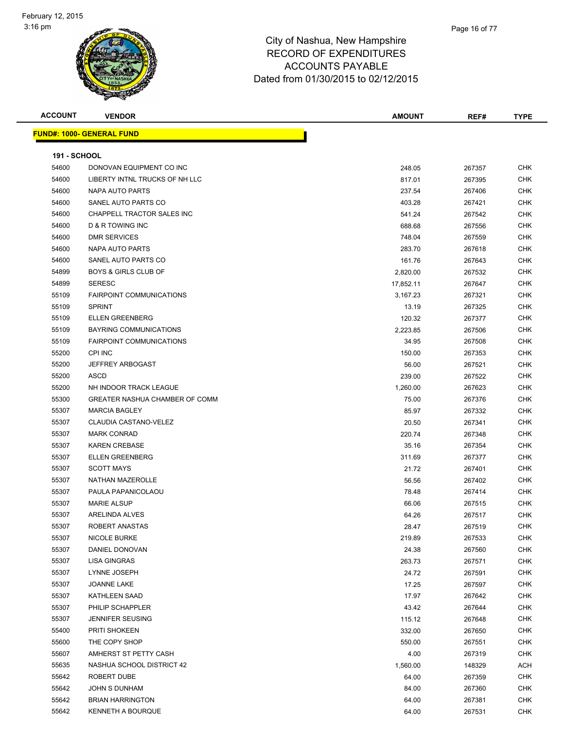| <b>ACCOUNT</b>      | <b>VENDOR</b>                    | <b>AMOUNT</b>    | REF#             | <b>TYPE</b> |
|---------------------|----------------------------------|------------------|------------------|-------------|
|                     | <b>FUND#: 1000- GENERAL FUND</b> |                  |                  |             |
| <b>191 - SCHOOL</b> |                                  |                  |                  |             |
| 54600               | DONOVAN EQUIPMENT CO INC         | 248.05           |                  | <b>CHK</b>  |
| 54600               | LIBERTY INTNL TRUCKS OF NH LLC   |                  | 267357           | <b>CHK</b>  |
| 54600               | NAPA AUTO PARTS                  | 817.01           | 267395           | <b>CHK</b>  |
| 54600               | SANEL AUTO PARTS CO              | 237.54           | 267406           | <b>CHK</b>  |
| 54600               | CHAPPELL TRACTOR SALES INC       | 403.28           | 267421           | CHK         |
| 54600               | D & R TOWING INC                 | 541.24           | 267542           | <b>CHK</b>  |
| 54600               | <b>DMR SERVICES</b>              | 688.68<br>748.04 | 267556<br>267559 | <b>CHK</b>  |
| 54600               | NAPA AUTO PARTS                  | 283.70           | 267618           | <b>CHK</b>  |
| 54600               | SANEL AUTO PARTS CO              | 161.76           | 267643           | <b>CHK</b>  |
| 54899               | <b>BOYS &amp; GIRLS CLUB OF</b>  | 2,820.00         | 267532           | <b>CHK</b>  |
| 54899               | <b>SERESC</b>                    | 17,852.11        | 267647           | <b>CHK</b>  |
| 55109               | <b>FAIRPOINT COMMUNICATIONS</b>  | 3,167.23         | 267321           | <b>CHK</b>  |
| 55109               | <b>SPRINT</b>                    | 13.19            | 267325           | <b>CHK</b>  |
| 55109               | <b>ELLEN GREENBERG</b>           | 120.32           | 267377           | CHK         |
| 55109               | <b>BAYRING COMMUNICATIONS</b>    | 2,223.85         | 267506           | CHK         |
| 55109               | <b>FAIRPOINT COMMUNICATIONS</b>  | 34.95            | 267508           | CHK         |
| 55200               | <b>CPI INC</b>                   | 150.00           | 267353           | CHK         |
| 55200               | <b>JEFFREY ARBOGAST</b>          | 56.00            | 267521           | <b>CHK</b>  |
| 55200               | ASCD                             | 239.00           | 267522           | <b>CHK</b>  |
| 55200               | NH INDOOR TRACK LEAGUE           | 1,260.00         | 267623           | <b>CHK</b>  |
| 55300               | GREATER NASHUA CHAMBER OF COMM   | 75.00            | 267376           | <b>CHK</b>  |
| 55307               | <b>MARCIA BAGLEY</b>             | 85.97            | 267332           | <b>CHK</b>  |
| 55307               | CLAUDIA CASTANO-VELEZ            | 20.50            | 267341           | <b>CHK</b>  |
| 55307               | <b>MARK CONRAD</b>               | 220.74           | 267348           | <b>CHK</b>  |
| 55307               | <b>KAREN CREBASE</b>             | 35.16            | 267354           | <b>CHK</b>  |
| 55307               | <b>ELLEN GREENBERG</b>           | 311.69           | 267377           | <b>CHK</b>  |
| 55307               | <b>SCOTT MAYS</b>                | 21.72            | 267401           | CHK         |
| 55307               | NATHAN MAZEROLLE                 | 56.56            | 267402           | <b>CHK</b>  |
| 55307               | PAULA PAPANICOLAOU               | 78.48            | 267414           | <b>CHK</b>  |
| 55307               | <b>MARIE ALSUP</b>               | 66.06            | 267515           | <b>CHK</b>  |
| 55307               | ARELINDA ALVES                   | 64.26            | 267517           | <b>CHK</b>  |
| 55307               | ROBERT ANASTAS                   | 28.47            | 267519           | <b>CHK</b>  |
| 55307               | NICOLE BURKE                     | 219.89           | 267533           | <b>CHK</b>  |
| 55307               | DANIEL DONOVAN                   | 24.38            | 267560           | <b>CHK</b>  |
| 55307               | LISA GINGRAS                     | 263.73           | 267571           | <b>CHK</b>  |
| 55307               | LYNNE JOSEPH                     | 24.72            | 267591           | CHK         |
| 55307               | JOANNE LAKE                      | 17.25            | 267597           | <b>CHK</b>  |
| 55307               | <b>KATHLEEN SAAD</b>             | 17.97            | 267642           | CHK         |
| 55307               | PHILIP SCHAPPLER                 | 43.42            | 267644           | <b>CHK</b>  |
| 55307               | <b>JENNIFER SEUSING</b>          | 115.12           | 267648           | <b>CHK</b>  |
| 55400               | PRITI SHOKEEN                    | 332.00           | 267650           | <b>CHK</b>  |
| 55600               | THE COPY SHOP                    | 550.00           | 267551           | <b>CHK</b>  |
| 55607               | AMHERST ST PETTY CASH            | 4.00             | 267319           | <b>CHK</b>  |
| 55635               | NASHUA SCHOOL DISTRICT 42        | 1,560.00         | 148329           | <b>ACH</b>  |
| 55642               | ROBERT DUBE                      | 64.00            | 267359           | <b>CHK</b>  |
| 55642               | JOHN S DUNHAM                    | 84.00            | 267360           | <b>CHK</b>  |
| 55642               | <b>BRIAN HARRINGTON</b>          | 64.00            | 267381           | CHK         |
| 55642               | <b>KENNETH A BOURQUE</b>         | 64.00            | 267531           | <b>CHK</b>  |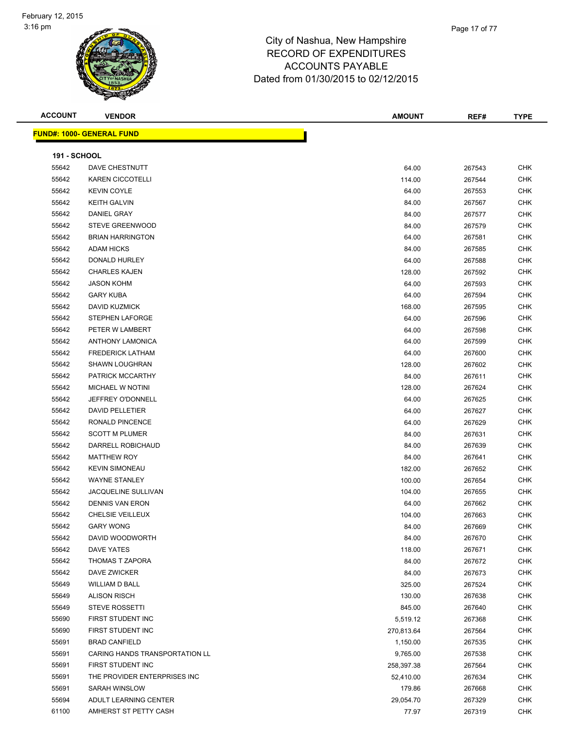| <b>ACCOUNT</b>      | <b>VENDOR</b>                    | <b>AMOUNT</b> | REF#   | <b>TYPE</b> |
|---------------------|----------------------------------|---------------|--------|-------------|
|                     | <b>FUND#: 1000- GENERAL FUND</b> |               |        |             |
|                     |                                  |               |        |             |
| <b>191 - SCHOOL</b> |                                  |               |        |             |
| 55642               | DAVE CHESTNUTT                   | 64.00         | 267543 | <b>CHK</b>  |
| 55642               | <b>KAREN CICCOTELLI</b>          | 114.00        | 267544 | CHK         |
| 55642               | <b>KEVIN COYLE</b>               | 64.00         | 267553 | <b>CHK</b>  |
| 55642               | <b>KEITH GALVIN</b>              | 84.00         | 267567 | <b>CHK</b>  |
| 55642               | DANIEL GRAY                      | 84.00         | 267577 | <b>CHK</b>  |
| 55642               | <b>STEVE GREENWOOD</b>           | 84.00         | 267579 | <b>CHK</b>  |
| 55642               | <b>BRIAN HARRINGTON</b>          | 64.00         | 267581 | <b>CHK</b>  |
| 55642               | <b>ADAM HICKS</b>                | 84.00         | 267585 | <b>CHK</b>  |
| 55642               | DONALD HURLEY                    | 64.00         | 267588 | <b>CHK</b>  |
| 55642               | <b>CHARLES KAJEN</b>             | 128.00        | 267592 | <b>CHK</b>  |
| 55642               | <b>JASON KOHM</b>                | 64.00         | 267593 | <b>CHK</b>  |
| 55642               | <b>GARY KUBA</b>                 | 64.00         | 267594 | <b>CHK</b>  |
| 55642               | DAVID KUZMICK                    | 168.00        | 267595 | <b>CHK</b>  |
| 55642               | STEPHEN LAFORGE                  | 64.00         | 267596 | <b>CHK</b>  |
| 55642               | PETER W LAMBERT                  | 64.00         | 267598 | <b>CHK</b>  |
| 55642               | <b>ANTHONY LAMONICA</b>          | 64.00         | 267599 | <b>CHK</b>  |
| 55642               | <b>FREDERICK LATHAM</b>          | 64.00         | 267600 | <b>CHK</b>  |
| 55642               | <b>SHAWN LOUGHRAN</b>            | 128.00        | 267602 | <b>CHK</b>  |
| 55642               | PATRICK MCCARTHY                 | 84.00         | 267611 | <b>CHK</b>  |
| 55642               | MICHAEL W NOTINI                 | 128.00        | 267624 | <b>CHK</b>  |
| 55642               | JEFFREY O'DONNELL                | 64.00         | 267625 | <b>CHK</b>  |
| 55642               | <b>DAVID PELLETIER</b>           | 64.00         | 267627 | <b>CHK</b>  |
| 55642               | RONALD PINCENCE                  | 64.00         | 267629 | <b>CHK</b>  |
| 55642               | <b>SCOTT M PLUMER</b>            | 84.00         | 267631 | <b>CHK</b>  |
| 55642               | DARRELL ROBICHAUD                | 84.00         | 267639 | <b>CHK</b>  |
| 55642               | <b>MATTHEW ROY</b>               | 84.00         | 267641 | <b>CHK</b>  |
| 55642               | <b>KEVIN SIMONEAU</b>            | 182.00        | 267652 | <b>CHK</b>  |
| 55642               | <b>WAYNE STANLEY</b>             | 100.00        | 267654 | <b>CHK</b>  |
| 55642               | JACQUELINE SULLIVAN              | 104.00        | 267655 | <b>CHK</b>  |
| 55642               | <b>DENNIS VAN ERON</b>           | 64.00         | 267662 | <b>CHK</b>  |
| 55642               | CHELSIE VEILLEUX                 | 104.00        | 267663 | <b>CHK</b>  |
| 55642               | <b>GARY WONG</b>                 | 84.00         | 267669 | CHK         |
| 55642               | DAVID WOODWORTH                  | 84.00         | 267670 | <b>CHK</b>  |
| 55642               | <b>DAVE YATES</b>                | 118.00        | 267671 | <b>CHK</b>  |
| 55642               | THOMAS T ZAPORA                  | 84.00         | 267672 | CHK         |
| 55642               | <b>DAVE ZWICKER</b>              | 84.00         | 267673 | <b>CHK</b>  |
| 55649               | WILLIAM D BALL                   | 325.00        | 267524 | <b>CHK</b>  |
| 55649               | <b>ALISON RISCH</b>              | 130.00        | 267638 | <b>CHK</b>  |
| 55649               | <b>STEVE ROSSETTI</b>            | 845.00        | 267640 | <b>CHK</b>  |
| 55690               | FIRST STUDENT INC                | 5,519.12      | 267368 | <b>CHK</b>  |
| 55690               | FIRST STUDENT INC                | 270,813.64    | 267564 | CHK         |
| 55691               | <b>BRAD CANFIELD</b>             | 1,150.00      | 267535 | <b>CHK</b>  |
| 55691               | CARING HANDS TRANSPORTATION LL   | 9,765.00      | 267538 | <b>CHK</b>  |
| 55691               | FIRST STUDENT INC                | 258,397.38    | 267564 | <b>CHK</b>  |
| 55691               | THE PROVIDER ENTERPRISES INC     | 52,410.00     | 267634 | <b>CHK</b>  |
| 55691               | SARAH WINSLOW                    | 179.86        | 267668 | CHK         |
| 55694               | ADULT LEARNING CENTER            | 29,054.70     | 267329 | <b>CHK</b>  |
| 61100               | AMHERST ST PETTY CASH            | 77.97         | 267319 | <b>CHK</b>  |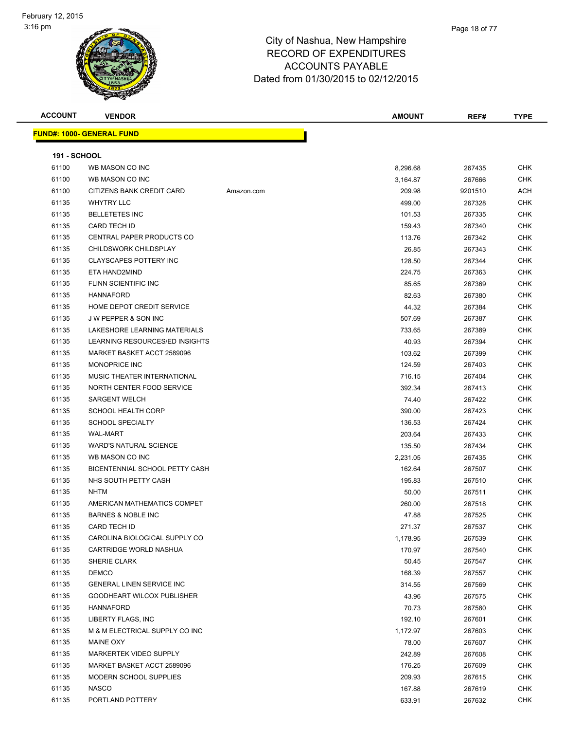

| <b>ACCOUNT</b>      | <b>VENDOR</b>                    |            | <b>AMOUNT</b> | REF#    | <b>TYPE</b> |
|---------------------|----------------------------------|------------|---------------|---------|-------------|
|                     | <b>FUND#: 1000- GENERAL FUND</b> |            |               |         |             |
|                     |                                  |            |               |         |             |
| <b>191 - SCHOOL</b> |                                  |            |               |         |             |
| 61100               | WB MASON CO INC                  |            | 8,296.68      | 267435  | <b>CHK</b>  |
| 61100               | WB MASON CO INC                  |            | 3,164.87      | 267666  | <b>CHK</b>  |
| 61100               | CITIZENS BANK CREDIT CARD        | Amazon.com | 209.98        | 9201510 | ACH         |
| 61135               | <b>WHYTRY LLC</b>                |            | 499.00        | 267328  | <b>CHK</b>  |
| 61135               | <b>BELLETETES INC</b>            |            | 101.53        | 267335  | CHK         |
| 61135               | <b>CARD TECH ID</b>              |            | 159.43        | 267340  | <b>CHK</b>  |
| 61135               | <b>CENTRAL PAPER PRODUCTS CO</b> |            | 113.76        | 267342  | CHK         |
| 61135               | CHILDSWORK CHILDSPLAY            |            | 26.85         | 267343  | CHK         |
| 61135               | <b>CLAYSCAPES POTTERY INC</b>    |            | 128.50        | 267344  | <b>CHK</b>  |
| 61135               | ETA HAND2MIND                    |            | 224.75        | 267363  | CHK         |
| 61135               | FLINN SCIENTIFIC INC             |            | 85.65         | 267369  | <b>CHK</b>  |
| 61135               | <b>HANNAFORD</b>                 |            | 82.63         | 267380  | CHK         |
| 61135               | HOME DEPOT CREDIT SERVICE        |            | 44.32         | 267384  | CHK         |
| 61135               | J W PEPPER & SON INC             |            | 507.69        | 267387  | <b>CHK</b>  |
| 61135               | LAKESHORE LEARNING MATERIALS     |            | 733.65        | 267389  | CHK         |
| 61135               | LEARNING RESOURCES/ED INSIGHTS   |            | 40.93         | 267394  | CHK         |
| 61135               | MARKET BASKET ACCT 2589096       |            | 103.62        | 267399  | <b>CHK</b>  |
| 61135               | <b>MONOPRICE INC</b>             |            | 124.59        | 267403  | CHK         |
| 61135               | MUSIC THEATER INTERNATIONAL      |            | 716.15        | 267404  | CHK         |
| 61135               | NORTH CENTER FOOD SERVICE        |            | 392.34        | 267413  | CHK         |
| 61135               | <b>SARGENT WELCH</b>             |            | 74.40         | 267422  | CHK         |
| 61135               | <b>SCHOOL HEALTH CORP</b>        |            | 390.00        | 267423  | <b>CHK</b>  |
| 61135               | <b>SCHOOL SPECIALTY</b>          |            | 136.53        | 267424  | <b>CHK</b>  |
| 61135               | <b>WAL-MART</b>                  |            | 203.64        | 267433  | CHK         |
| 61135               | <b>WARD'S NATURAL SCIENCE</b>    |            | 135.50        | 267434  | <b>CHK</b>  |
| 61135               | WB MASON CO INC                  |            | 2,231.05      | 267435  | CHK         |
| 61135               | BICENTENNIAL SCHOOL PETTY CASH   |            | 162.64        | 267507  | <b>CHK</b>  |
| 61135               | NHS SOUTH PETTY CASH             |            | 195.83        | 267510  | <b>CHK</b>  |
| 61135               | <b>NHTM</b>                      |            | 50.00         | 267511  | CHK         |
| 61135               | AMERICAN MATHEMATICS COMPET      |            | 260.00        | 267518  | CHK         |
| 61135               | <b>BARNES &amp; NOBLE INC</b>    |            | 47.88         | 267525  | <b>CHK</b>  |
| 61135               | CARD TECH ID                     |            | 271.37        | 267537  | CHK         |
| 61135               | CAROLINA BIOLOGICAL SUPPLY CO    |            | 1,178.95      | 267539  | <b>CHK</b>  |
| 61135               | CARTRIDGE WORLD NASHUA           |            | 170.97        | 267540  | CHK         |
| 61135               | SHERIE CLARK                     |            | 50.45         | 267547  | CHK         |
| 61135               | <b>DEMCO</b>                     |            | 168.39        | 267557  | <b>CHK</b>  |
| 61135               | <b>GENERAL LINEN SERVICE INC</b> |            | 314.55        | 267569  | <b>CHK</b>  |
| 61135               | GOODHEART WILCOX PUBLISHER       |            | 43.96         | 267575  | <b>CHK</b>  |
| 61135               | HANNAFORD                        |            | 70.73         | 267580  | <b>CHK</b>  |
| 61135               | LIBERTY FLAGS, INC               |            | 192.10        | 267601  | <b>CHK</b>  |
| 61135               | M & M ELECTRICAL SUPPLY CO INC   |            | 1,172.97      | 267603  | <b>CHK</b>  |
| 61135               | MAINE OXY                        |            | 78.00         | 267607  | CHK         |
| 61135               | MARKERTEK VIDEO SUPPLY           |            | 242.89        | 267608  | CHK         |
| 61135               | MARKET BASKET ACCT 2589096       |            | 176.25        | 267609  | <b>CHK</b>  |
| 61135               | MODERN SCHOOL SUPPLIES           |            | 209.93        | 267615  | CHK         |
| 61135               | <b>NASCO</b>                     |            | 167.88        | 267619  | CHK         |
| 61135               | PORTLAND POTTERY                 |            | 633.91        | 267632  | <b>CHK</b>  |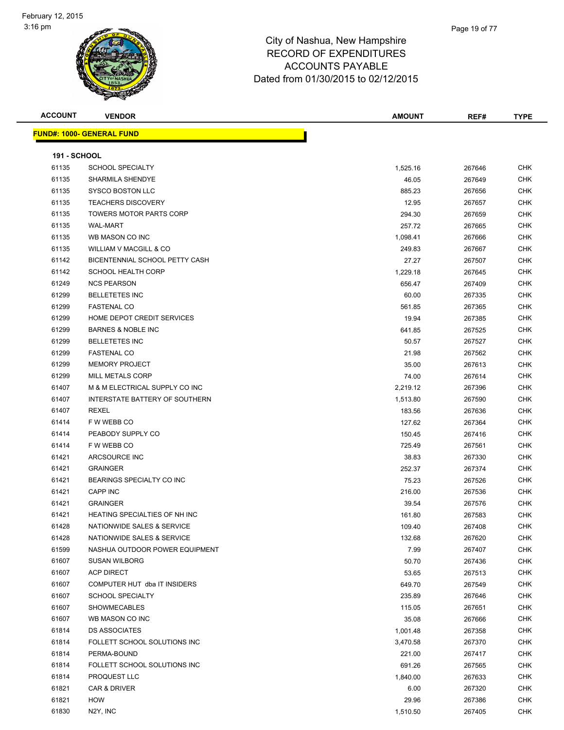

| <b>ACCOUNT</b>      | <b>VENDOR</b>                        | <b>AMOUNT</b> | REF#   | <b>TYPE</b> |
|---------------------|--------------------------------------|---------------|--------|-------------|
|                     | <b>FUND#: 1000- GENERAL FUND</b>     |               |        |             |
| <b>191 - SCHOOL</b> |                                      |               |        |             |
| 61135               | <b>SCHOOL SPECIALTY</b>              | 1,525.16      | 267646 | <b>CHK</b>  |
| 61135               | SHARMILA SHENDYE                     | 46.05         | 267649 | <b>CHK</b>  |
| 61135               | <b>SYSCO BOSTON LLC</b>              | 885.23        | 267656 | <b>CHK</b>  |
| 61135               | <b>TEACHERS DISCOVERY</b>            | 12.95         | 267657 | <b>CHK</b>  |
| 61135               | <b>TOWERS MOTOR PARTS CORP</b>       | 294.30        | 267659 | <b>CHK</b>  |
| 61135               | <b>WAL-MART</b>                      | 257.72        | 267665 | <b>CHK</b>  |
| 61135               | WB MASON CO INC                      | 1,098.41      | 267666 | <b>CHK</b>  |
| 61135               | WILLIAM V MACGILL & CO               | 249.83        | 267667 | <b>CHK</b>  |
| 61142               | BICENTENNIAL SCHOOL PETTY CASH       | 27.27         | 267507 | <b>CHK</b>  |
| 61142               | <b>SCHOOL HEALTH CORP</b>            | 1,229.18      | 267645 | <b>CHK</b>  |
| 61249               | <b>NCS PEARSON</b>                   | 656.47        | 267409 | <b>CHK</b>  |
| 61299               | <b>BELLETETES INC</b>                | 60.00         | 267335 | <b>CHK</b>  |
| 61299               | <b>FASTENAL CO</b>                   | 561.85        | 267365 | <b>CHK</b>  |
| 61299               | HOME DEPOT CREDIT SERVICES           | 19.94         | 267385 | <b>CHK</b>  |
| 61299               | <b>BARNES &amp; NOBLE INC</b>        | 641.85        | 267525 | <b>CHK</b>  |
| 61299               | <b>BELLETETES INC</b>                | 50.57         | 267527 | <b>CHK</b>  |
| 61299               | <b>FASTENAL CO</b>                   | 21.98         | 267562 | <b>CHK</b>  |
| 61299               | <b>MEMORY PROJECT</b>                | 35.00         | 267613 | <b>CHK</b>  |
| 61299               | <b>MILL METALS CORP</b>              | 74.00         | 267614 | <b>CHK</b>  |
| 61407               | M & M ELECTRICAL SUPPLY CO INC       | 2,219.12      | 267396 | <b>CHK</b>  |
| 61407               | INTERSTATE BATTERY OF SOUTHERN       | 1,513.80      | 267590 | <b>CHK</b>  |
| 61407               | <b>REXEL</b>                         | 183.56        | 267636 | <b>CHK</b>  |
| 61414               | F W WEBB CO                          | 127.62        | 267364 | <b>CHK</b>  |
| 61414               | PEABODY SUPPLY CO                    | 150.45        | 267416 | <b>CHK</b>  |
| 61414               | F W WEBB CO                          | 725.49        | 267561 | <b>CHK</b>  |
| 61421               | ARCSOURCE INC                        | 38.83         | 267330 | <b>CHK</b>  |
| 61421               | <b>GRAINGER</b>                      | 252.37        | 267374 | <b>CHK</b>  |
| 61421               | BEARINGS SPECIALTY CO INC            | 75.23         | 267526 | <b>CHK</b>  |
| 61421               | <b>CAPP INC</b>                      | 216.00        | 267536 | <b>CHK</b>  |
| 61421               | <b>GRAINGER</b>                      | 39.54         | 267576 | <b>CHK</b>  |
| 61421               | <b>HEATING SPECIALTIES OF NH INC</b> | 161.80        | 267583 | <b>CHK</b>  |
| 61428               | NATIONWIDE SALES & SERVICE           | 109.40        | 267408 | <b>CHK</b>  |
| 61428               | NATIONWIDE SALES & SERVICE           | 132.68        | 267620 | CHK         |
| 61599               | NASHUA OUTDOOR POWER EQUIPMENT       | 7.99          | 267407 | <b>CHK</b>  |
| 61607               | <b>SUSAN WILBORG</b>                 | 50.70         | 267436 | <b>CHK</b>  |
| 61607               | <b>ACP DIRECT</b>                    | 53.65         | 267513 | <b>CHK</b>  |
| 61607               | COMPUTER HUT dba IT INSIDERS         | 649.70        | 267549 | <b>CHK</b>  |
| 61607               | <b>SCHOOL SPECIALTY</b>              | 235.89        | 267646 | <b>CHK</b>  |
| 61607               | <b>SHOWMECABLES</b>                  | 115.05        | 267651 | <b>CHK</b>  |
| 61607               | WB MASON CO INC                      | 35.08         | 267666 | <b>CHK</b>  |
| 61814               | <b>DS ASSOCIATES</b>                 | 1,001.48      | 267358 | <b>CHK</b>  |
| 61814               | FOLLETT SCHOOL SOLUTIONS INC         | 3,470.58      | 267370 | <b>CHK</b>  |
| 61814               | PERMA-BOUND                          | 221.00        | 267417 | <b>CHK</b>  |
| 61814               | FOLLETT SCHOOL SOLUTIONS INC         | 691.26        | 267565 | <b>CHK</b>  |
| 61814               | PROQUEST LLC                         | 1,840.00      | 267633 | <b>CHK</b>  |
| 61821               | CAR & DRIVER                         | 6.00          | 267320 | <b>CHK</b>  |
| 61821               | HOW                                  | 29.96         | 267386 | <b>CHK</b>  |
| 61830               | N2Y, INC                             | 1,510.50      | 267405 | <b>CHK</b>  |
|                     |                                      |               |        |             |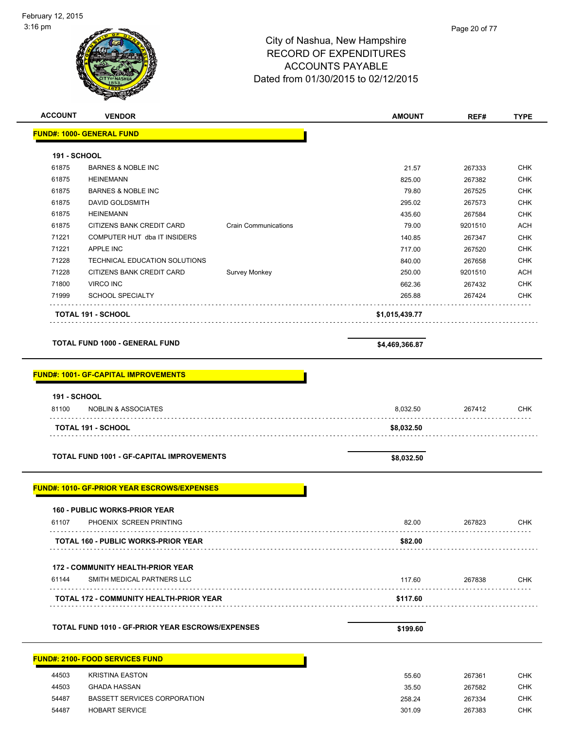## 3:16 pm Page 20 of 77City of Nashua, New Hampshire RECORD OF EXPENDITURES ACCOUNTS PAYABLE Dated from 01/30/2015 to 02/12/2015 **ACCOUNT VENDOR AMOUNT REF# TYPE FUND#: 1000- GENERAL FUND 191 - SCHOOL** 61875 BARNES & NOBLE INC 21.57 267333 CHK 61875 HEINEMANN 825.00 267382 CHK 61875 BARNES & NOBLE INC 79.80 267525 CHK 61875 DAVID GOLDSMITH 295.02 267573 CHK 61875 HEINEMANN 435.60 267584 CHK 61875 CITIZENS BANK CREDIT CARD Crain Communications 79.00 9201510 ACH The State of the COMPUTER HUT dba IT INSIDERS 140.85 267347 CHK 71221 APPLE INC 717.00 267520 CHK 71228 TECHNICAL EDUCATION SOLUTIONS 840.00 267658 CHK 71228 CITIZENS BANK CREDIT CARD Survey Monkey 250.00 9201510 ACH 71800 VIRCO INC 662.36 267432 CHK 71999 SCHOOL SPECIALTY 265.88 267424 CHK . . . . . . . . . . . . . . . **TOTAL 191 - SCHOOL \$1,015,439.77 TOTAL FUND 1000 - GENERAL FUND \$4,469,366.87**

#### **FUND#: 1001- GF-CAPITAL IMPROVEMENTS**

| <b>191 - SCHOOL</b><br>81100<br><b>NOBLIN &amp; ASSOCIATES</b> | 8,032.50   | 267412 | <b>CHK</b> |
|----------------------------------------------------------------|------------|--------|------------|
| .<br><b>TOTAL 191 - SCHOOL</b>                                 | \$8,032.50 |        |            |
| TOTAL FUND 1001 - GF-CAPITAL IMPROVEMENTS                      | \$8,032.50 |        |            |
| <b>FUND#: 1010- GF-PRIOR YEAR ESCROWS/EXPENSES</b>             |            |        |            |
| <b>160 - PUBLIC WORKS-PRIOR YEAR</b>                           |            |        |            |
| 61107 PHOENIX SCREEN PRINTING                                  | 82.00      | 267823 | <b>CHK</b> |
| <b>TOTAL 160 - PUBLIC WORKS-PRIOR YEAR</b>                     | \$82.00    |        |            |
| <b>172 - COMMUNITY HEALTH-PRIOR YEAR</b>                       |            |        |            |
| 61144<br>SMITH MEDICAL PARTNERS LLC                            | 117.60     | 267838 | <b>CHK</b> |
| <b>TOTAL 172 - COMMUNITY HEALTH-PRIOR YEAR</b>                 | \$117.60   |        |            |
|                                                                | \$199.60   |        |            |

| 44503 | KRISTINA EASTON                     | 55.60  |
|-------|-------------------------------------|--------|
| 44503 | <b>GHADA HASSAN</b>                 | 35.50  |
| 54487 | <b>BASSETT SERVICES CORPORATION</b> | 258.24 |
| 54487 | <b>HOBART SERVICE</b>               | 301.09 |
|       |                                     |        |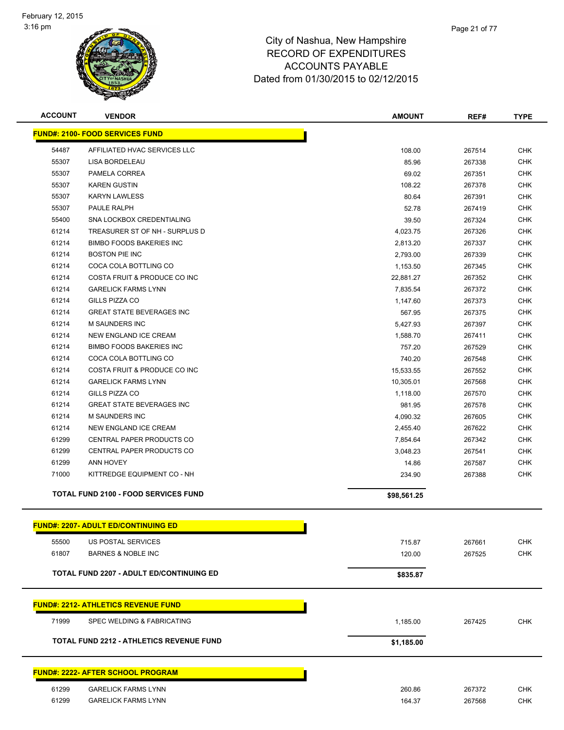

| <b>ACCOUNT</b> | <b>VENDOR</b>                                   | <b>AMOUNT</b> | REF#   | <b>TYPE</b> |
|----------------|-------------------------------------------------|---------------|--------|-------------|
|                | <b>FUND#: 2100- FOOD SERVICES FUND</b>          |               |        |             |
| 54487          | AFFILIATED HVAC SERVICES LLC                    | 108.00        | 267514 | <b>CHK</b>  |
| 55307          | LISA BORDELEAU                                  | 85.96         | 267338 | <b>CHK</b>  |
| 55307          | PAMELA CORREA                                   | 69.02         | 267351 | <b>CHK</b>  |
| 55307          | <b>KAREN GUSTIN</b>                             | 108.22        | 267378 | <b>CHK</b>  |
| 55307          | <b>KARYN LAWLESS</b>                            | 80.64         | 267391 | <b>CHK</b>  |
| 55307          | PAULE RALPH                                     | 52.78         | 267419 | <b>CHK</b>  |
| 55400          | SNA LOCKBOX CREDENTIALING                       | 39.50         | 267324 | <b>CHK</b>  |
| 61214          | TREASURER ST OF NH - SURPLUS D                  | 4,023.75      | 267326 | <b>CHK</b>  |
| 61214          | <b>BIMBO FOODS BAKERIES INC</b>                 | 2,813.20      | 267337 | <b>CHK</b>  |
| 61214          | <b>BOSTON PIE INC</b>                           | 2,793.00      | 267339 | <b>CHK</b>  |
| 61214          | COCA COLA BOTTLING CO                           | 1,153.50      | 267345 | <b>CHK</b>  |
| 61214          | COSTA FRUIT & PRODUCE CO INC                    | 22,881.27     | 267352 | <b>CHK</b>  |
| 61214          | <b>GARELICK FARMS LYNN</b>                      | 7,835.54      | 267372 | <b>CHK</b>  |
| 61214          | GILLS PIZZA CO                                  | 1,147.60      | 267373 | <b>CHK</b>  |
| 61214          | <b>GREAT STATE BEVERAGES INC</b>                | 567.95        | 267375 | <b>CHK</b>  |
| 61214          | <b>M SAUNDERS INC</b>                           | 5,427.93      | 267397 | <b>CHK</b>  |
| 61214          | NEW ENGLAND ICE CREAM                           | 1,588.70      | 267411 | <b>CHK</b>  |
| 61214          | <b>BIMBO FOODS BAKERIES INC</b>                 | 757.20        | 267529 | <b>CHK</b>  |
| 61214          | COCA COLA BOTTLING CO                           | 740.20        | 267548 | <b>CHK</b>  |
| 61214          | COSTA FRUIT & PRODUCE CO INC                    | 15,533.55     | 267552 | <b>CHK</b>  |
| 61214          | <b>GARELICK FARMS LYNN</b>                      | 10,305.01     | 267568 | <b>CHK</b>  |
| 61214          | GILLS PIZZA CO                                  | 1,118.00      | 267570 | <b>CHK</b>  |
| 61214          | <b>GREAT STATE BEVERAGES INC</b>                | 981.95        | 267578 | <b>CHK</b>  |
| 61214          | <b>M SAUNDERS INC</b>                           | 4,090.32      | 267605 | <b>CHK</b>  |
| 61214          | NEW ENGLAND ICE CREAM                           | 2,455.40      | 267622 | <b>CHK</b>  |
| 61299          | CENTRAL PAPER PRODUCTS CO                       | 7,854.64      | 267342 | <b>CHK</b>  |
| 61299          | CENTRAL PAPER PRODUCTS CO                       | 3,048.23      | 267541 | <b>CHK</b>  |
| 61299          | <b>ANN HOVEY</b>                                | 14.86         | 267587 | <b>CHK</b>  |
| 71000          | KITTREDGE EQUIPMENT CO - NH                     | 234.90        | 267388 | <b>CHK</b>  |
|                | <b>TOTAL FUND 2100 - FOOD SERVICES FUND</b>     | \$98,561.25   |        |             |
|                | <b>FUND#: 2207- ADULT ED/CONTINUING ED</b>      |               |        |             |
| 55500          | US POSTAL SERVICES                              | 715.87        | 267661 | <b>CHK</b>  |
| 61807          | <b>BARNES &amp; NOBLE INC</b>                   | 120.00        | 267525 | <b>CHK</b>  |
|                | <b>TOTAL FUND 2207 - ADULT ED/CONTINUING ED</b> | \$835.87      |        |             |
|                |                                                 |               |        |             |
|                | <u> FUND#: 2212- ATHLETICS REVENUE FUND</u>     |               |        |             |
| 71999          | SPEC WELDING & FABRICATING                      | 1,185.00      | 267425 | <b>CHK</b>  |
|                | <b>TOTAL FUND 2212 - ATHLETICS REVENUE FUND</b> | \$1,185.00    |        |             |
|                | <u> FUND#: 2222- AFTER SCHOOL PROGRAM</u>       |               |        |             |
|                |                                                 |               |        |             |
| 61299          | <b>GARELICK FARMS LYNN</b>                      | 260.86        | 267372 | <b>CHK</b>  |
| 61299          | <b>GARELICK FARMS LYNN</b>                      | 164.37        | 267568 | <b>CHK</b>  |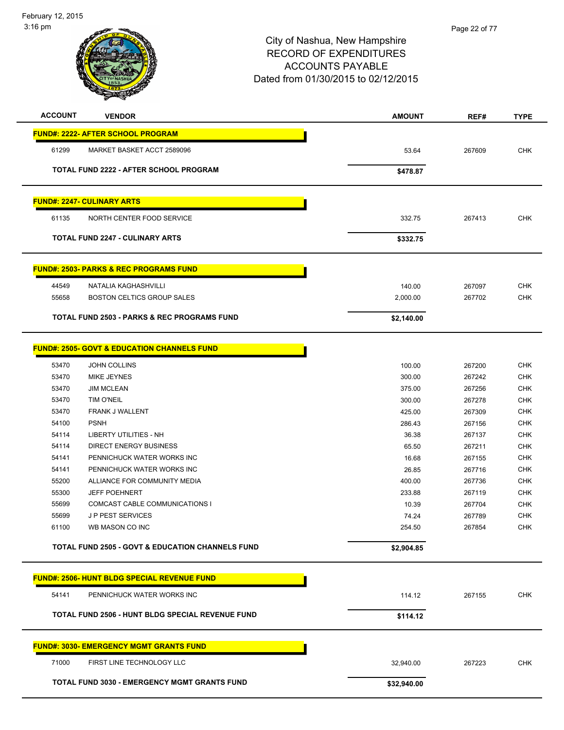February 12, 2015 3:16 pm

| <b>ACCOUNT</b> | <b>VENDOR</b>                                               | <b>AMOUNT</b>   | REF#             | <b>TYPE</b>              |
|----------------|-------------------------------------------------------------|-----------------|------------------|--------------------------|
|                | <b>FUND#: 2222- AFTER SCHOOL PROGRAM</b>                    |                 |                  |                          |
| 61299          | MARKET BASKET ACCT 2589096                                  | 53.64           | 267609           | <b>CHK</b>               |
|                | <b>TOTAL FUND 2222 - AFTER SCHOOL PROGRAM</b>               | \$478.87        |                  |                          |
|                | <b>FUND#: 2247- CULINARY ARTS</b>                           |                 |                  |                          |
| 61135          | NORTH CENTER FOOD SERVICE                                   |                 |                  | <b>CHK</b>               |
|                |                                                             | 332.75          | 267413           |                          |
|                | <b>TOTAL FUND 2247 - CULINARY ARTS</b>                      | \$332.75        |                  |                          |
|                | <u>FUND#: 2503- PARKS &amp; REC PROGRAMS FUND</u>           |                 |                  |                          |
| 44549          | NATALIA KAGHASHVILLI                                        | 140.00          | 267097           | <b>CHK</b>               |
| 55658          | <b>BOSTON CELTICS GROUP SALES</b>                           | 2,000.00        | 267702           | <b>CHK</b>               |
|                | <b>TOTAL FUND 2503 - PARKS &amp; REC PROGRAMS FUND</b>      | \$2,140.00      |                  |                          |
|                |                                                             |                 |                  |                          |
|                | <b>FUND#: 2505- GOVT &amp; EDUCATION CHANNELS FUND</b>      |                 |                  |                          |
| 53470          | JOHN COLLINS                                                | 100.00          | 267200           | <b>CHK</b>               |
| 53470          | MIKE JEYNES                                                 | 300.00          | 267242           | <b>CHK</b>               |
| 53470          | <b>JIM MCLEAN</b>                                           | 375.00          | 267256           | <b>CHK</b>               |
| 53470          | TIM O'NEIL                                                  | 300.00          | 267278           | <b>CHK</b>               |
| 53470          | FRANK J WALLENT                                             | 425.00          | 267309           | <b>CHK</b>               |
| 54100          | <b>PSNH</b>                                                 | 286.43          | 267156           | <b>CHK</b>               |
| 54114          | LIBERTY UTILITIES - NH                                      | 36.38           | 267137           | <b>CHK</b>               |
| 54114          | <b>DIRECT ENERGY BUSINESS</b>                               | 65.50           | 267211           | <b>CHK</b>               |
| 54141          | PENNICHUCK WATER WORKS INC                                  | 16.68           | 267155           | <b>CHK</b>               |
| 54141          | PENNICHUCK WATER WORKS INC                                  | 26.85           | 267716           | <b>CHK</b>               |
| 55200          | ALLIANCE FOR COMMUNITY MEDIA                                | 400.00          | 267736           | CHK                      |
| 55300          | <b>JEFF POEHNERT</b>                                        | 233.88          | 267119           | CHK                      |
| 55699          | COMCAST CABLE COMMUNICATIONS I                              | 10.39           | 267704           | <b>CHK</b>               |
| 55699<br>61100 | <b>JP PEST SERVICES</b><br>WB MASON CO INC                  | 74.24<br>254.50 | 267789<br>267854 | <b>CHK</b><br><b>CHK</b> |
|                | <b>TOTAL FUND 2505 - GOVT &amp; EDUCATION CHANNELS FUND</b> |                 |                  |                          |
|                |                                                             | \$2,904.85      |                  |                          |
|                | <b>FUND#: 2506- HUNT BLDG SPECIAL REVENUE FUND</b>          |                 |                  |                          |
| 54141          | PENNICHUCK WATER WORKS INC                                  | 114.12          | 267155           | <b>CHK</b>               |
|                | TOTAL FUND 2506 - HUNT BLDG SPECIAL REVENUE FUND            | \$114.12        |                  |                          |
|                | <b>FUND#: 3030- EMERGENCY MGMT GRANTS FUND</b>              |                 |                  |                          |
| 71000          | FIRST LINE TECHNOLOGY LLC                                   | 32,940.00       | 267223           | <b>CHK</b>               |
|                | <b>TOTAL FUND 3030 - EMERGENCY MGMT GRANTS FUND</b>         | \$32,940.00     |                  |                          |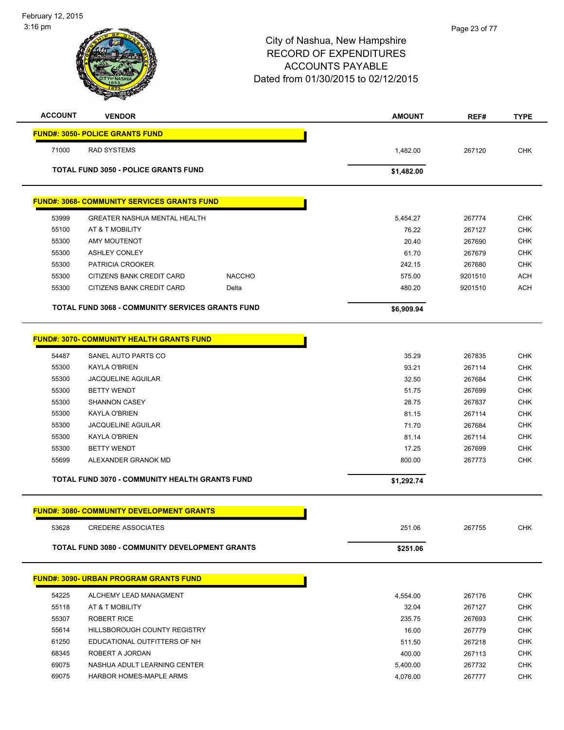| <b>ACCOUNT</b> | <b>VENDOR</b>                                           | <b>AMOUNT</b> | REF#    | <b>TYPE</b> |
|----------------|---------------------------------------------------------|---------------|---------|-------------|
|                | <b>FUND#: 3050- POLICE GRANTS FUND</b>                  |               |         |             |
| 71000          | <b>RAD SYSTEMS</b>                                      | 1,482.00      | 267120  | <b>CHK</b>  |
|                | <b>TOTAL FUND 3050 - POLICE GRANTS FUND</b>             | \$1,482.00    |         |             |
|                |                                                         |               |         |             |
|                | <u>FUND#: 3068- COMMUNITY SERVICES GRANTS FUND</u>      |               |         |             |
| 53999          | <b>GREATER NASHUA MENTAL HEALTH</b>                     | 5,454.27      | 267774  | <b>CHK</b>  |
| 55100          | AT & T MOBILITY                                         | 76.22         | 267127  | <b>CHK</b>  |
| 55300          | <b>AMY MOUTENOT</b>                                     | 20.40         | 267690  | <b>CHK</b>  |
| 55300          | <b>ASHLEY CONLEY</b>                                    | 61.70         | 267679  | <b>CHK</b>  |
| 55300          | PATRICIA CROOKER                                        | 242.15        | 267680  | <b>CHK</b>  |
| 55300          | <b>NACCHO</b><br>CITIZENS BANK CREDIT CARD              | 575.00        | 9201510 | <b>ACH</b>  |
| 55300          | CITIZENS BANK CREDIT CARD<br>Delta                      | 480.20        | 9201510 | <b>ACH</b>  |
|                | <b>TOTAL FUND 3068 - COMMUNITY SERVICES GRANTS FUND</b> | \$6,909.94    |         |             |
|                |                                                         |               |         |             |
|                | <u> FUND#: 3070- COMMUNITY HEALTH GRANTS FUND</u>       |               |         |             |
| 54487          | SANEL AUTO PARTS CO                                     | 35.29         | 267835  | <b>CHK</b>  |
| 55300          | <b>KAYLA O'BRIEN</b>                                    | 93.21         | 267114  | <b>CHK</b>  |
| 55300          | <b>JACQUELINE AGUILAR</b>                               | 32.50         | 267684  | <b>CHK</b>  |
| 55300          | <b>BETTY WENDT</b>                                      | 51.75         | 267699  | <b>CHK</b>  |
| 55300          | <b>SHANNON CASEY</b>                                    | 28.75         | 267837  | <b>CHK</b>  |
| 55300          | <b>KAYLA O'BRIEN</b>                                    | 81.15         | 267114  | <b>CHK</b>  |
| 55300          | <b>JACQUELINE AGUILAR</b>                               | 71.70         | 267684  | <b>CHK</b>  |
| 55300          | <b>KAYLA O'BRIEN</b>                                    | 81.14         | 267114  | <b>CHK</b>  |
| 55300          | <b>BETTY WENDT</b>                                      | 17.25         | 267699  | <b>CHK</b>  |
| 55699          | ALEXANDER GRANOK MD                                     | 800.00        | 267773  | <b>CHK</b>  |
|                | <b>TOTAL FUND 3070 - COMMUNITY HEALTH GRANTS FUND</b>   | \$1,292.74    |         |             |
|                |                                                         |               |         |             |
|                | <b>FUND#: 3080- COMMUNITY DEVELOPMENT GRANTS</b>        |               |         |             |
| 53628          | <b>CREDERE ASSOCIATES</b>                               | 251.06        | 267755  | <b>CHK</b>  |
|                | TOTAL FUND 3080 - COMMUNITY DEVELOPMENT GRANTS          | \$251.06      |         |             |
|                |                                                         |               |         |             |
|                | <b>FUND#: 3090- URBAN PROGRAM GRANTS FUND</b>           |               |         |             |
| 54225          | ALCHEMY LEAD MANAGMENT                                  | 4,554.00      | 267176  | <b>CHK</b>  |
| 55118          | AT & T MOBILITY                                         | 32.04         | 267127  | <b>CHK</b>  |
| 55307          | <b>ROBERT RICE</b>                                      | 235.75        | 267693  | <b>CHK</b>  |
| 55614          | <b>HILLSBOROUGH COUNTY REGISTRY</b>                     | 16.00         | 267779  | <b>CHK</b>  |
| 61250          | EDUCATIONAL OUTFITTERS OF NH                            | 511.50        | 267218  | <b>CHK</b>  |
| 68345          | ROBERT A JORDAN                                         | 400.00        | 267113  | <b>CHK</b>  |
| 69075          | NASHUA ADULT LEARNING CENTER                            | 5,400.00      | 267732  | <b>CHK</b>  |
| 69075          | HARBOR HOMES-MAPLE ARMS                                 | 4,076.00      | 267777  | <b>CHK</b>  |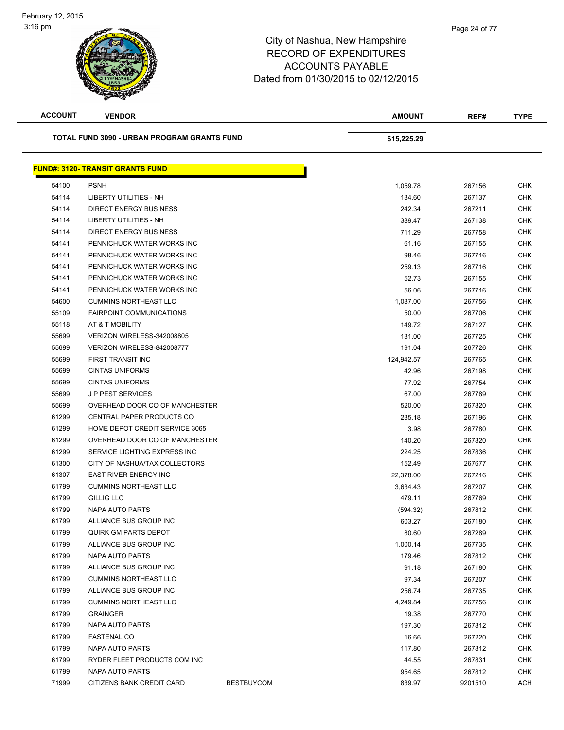| <b>ACCOUNT</b> | <b>VENDOR</b>                               |                   | <b>AMOUNT</b> | REF#    | <b>TYPE</b> |
|----------------|---------------------------------------------|-------------------|---------------|---------|-------------|
|                | TOTAL FUND 3090 - URBAN PROGRAM GRANTS FUND |                   | \$15,225.29   |         |             |
|                | <b>FUND#: 3120- TRANSIT GRANTS FUND</b>     |                   |               |         |             |
| 54100          | <b>PSNH</b>                                 |                   | 1,059.78      | 267156  | <b>CHK</b>  |
| 54114          | LIBERTY UTILITIES - NH                      |                   | 134.60        | 267137  | <b>CHK</b>  |
| 54114          | <b>DIRECT ENERGY BUSINESS</b>               |                   | 242.34        | 267211  | <b>CHK</b>  |
| 54114          | LIBERTY UTILITIES - NH                      |                   | 389.47        | 267138  | CHK         |
| 54114          | <b>DIRECT ENERGY BUSINESS</b>               |                   | 711.29        | 267758  | <b>CHK</b>  |
| 54141          | PENNICHUCK WATER WORKS INC                  |                   | 61.16         | 267155  | <b>CHK</b>  |
| 54141          | PENNICHUCK WATER WORKS INC                  |                   | 98.46         | 267716  | <b>CHK</b>  |
| 54141          | PENNICHUCK WATER WORKS INC                  |                   | 259.13        | 267716  | <b>CHK</b>  |
| 54141          | PENNICHUCK WATER WORKS INC                  |                   | 52.73         | 267155  | <b>CHK</b>  |
| 54141          | PENNICHUCK WATER WORKS INC                  |                   | 56.06         | 267716  | <b>CHK</b>  |
| 54600          | <b>CUMMINS NORTHEAST LLC</b>                |                   | 1,087.00      | 267756  | <b>CHK</b>  |
| 55109          | <b>FAIRPOINT COMMUNICATIONS</b>             |                   | 50.00         | 267706  | <b>CHK</b>  |
| 55118          | AT & T MOBILITY                             |                   | 149.72        | 267127  | <b>CHK</b>  |
| 55699          | VERIZON WIRELESS-342008805                  |                   | 131.00        | 267725  | <b>CHK</b>  |
| 55699          | VERIZON WIRELESS-842008777                  |                   | 191.04        | 267726  | <b>CHK</b>  |
| 55699          | FIRST TRANSIT INC                           |                   | 124,942.57    | 267765  | <b>CHK</b>  |
| 55699          | <b>CINTAS UNIFORMS</b>                      |                   | 42.96         | 267198  | <b>CHK</b>  |
| 55699          | <b>CINTAS UNIFORMS</b>                      |                   | 77.92         | 267754  | CHK         |
| 55699          | <b>JP PEST SERVICES</b>                     |                   | 67.00         | 267789  | <b>CHK</b>  |
| 55699          | OVERHEAD DOOR CO OF MANCHESTER              |                   | 520.00        | 267820  | <b>CHK</b>  |
| 61299          | CENTRAL PAPER PRODUCTS CO                   |                   | 235.18        | 267196  | <b>CHK</b>  |
| 61299          | HOME DEPOT CREDIT SERVICE 3065              |                   | 3.98          | 267780  | <b>CHK</b>  |
| 61299          | OVERHEAD DOOR CO OF MANCHESTER              |                   | 140.20        | 267820  | CHK         |
| 61299          | SERVICE LIGHTING EXPRESS INC                |                   | 224.25        | 267836  | <b>CHK</b>  |
| 61300          | CITY OF NASHUA/TAX COLLECTORS               |                   | 152.49        | 267677  | <b>CHK</b>  |
| 61307          | <b>EAST RIVER ENERGY INC</b>                |                   | 22,378.00     | 267216  | CHK         |
| 61799          | <b>CUMMINS NORTHEAST LLC</b>                |                   | 3,634.43      | 267207  | <b>CHK</b>  |
| 61799          | <b>GILLIG LLC</b>                           |                   | 479.11        | 267769  | <b>CHK</b>  |
| 61799          | <b>NAPA AUTO PARTS</b>                      |                   | (594.32)      | 267812  | <b>CHK</b>  |
| 61799          | ALLIANCE BUS GROUP INC                      |                   | 603.27        | 267180  | <b>CHK</b>  |
| 61799          | <b>QUIRK GM PARTS DEPOT</b>                 |                   | 80.60         | 267289  | <b>CHK</b>  |
| 61799          | ALLIANCE BUS GROUP INC                      |                   | 1,000.14      | 267735  | <b>CHK</b>  |
| 61799          | NAPA AUTO PARTS                             |                   | 179.46        | 267812  | <b>CHK</b>  |
| 61799          | ALLIANCE BUS GROUP INC                      |                   | 91.18         | 267180  | <b>CHK</b>  |
| 61799          | <b>CUMMINS NORTHEAST LLC</b>                |                   | 97.34         | 267207  | <b>CHK</b>  |
| 61799          | ALLIANCE BUS GROUP INC                      |                   | 256.74        | 267735  | <b>CHK</b>  |
| 61799          | <b>CUMMINS NORTHEAST LLC</b>                |                   | 4,249.84      | 267756  | <b>CHK</b>  |
| 61799          | <b>GRAINGER</b>                             |                   | 19.38         | 267770  | <b>CHK</b>  |
| 61799          | NAPA AUTO PARTS                             |                   | 197.30        | 267812  | <b>CHK</b>  |
| 61799          | <b>FASTENAL CO</b>                          |                   | 16.66         | 267220  | <b>CHK</b>  |
| 61799          | NAPA AUTO PARTS                             |                   | 117.80        | 267812  | <b>CHK</b>  |
| 61799          | RYDER FLEET PRODUCTS COM INC                |                   | 44.55         | 267831  | <b>CHK</b>  |
| 61799          | NAPA AUTO PARTS                             |                   | 954.65        | 267812  | <b>CHK</b>  |
| 71999          | CITIZENS BANK CREDIT CARD                   | <b>BESTBUYCOM</b> | 839.97        | 9201510 | ACH         |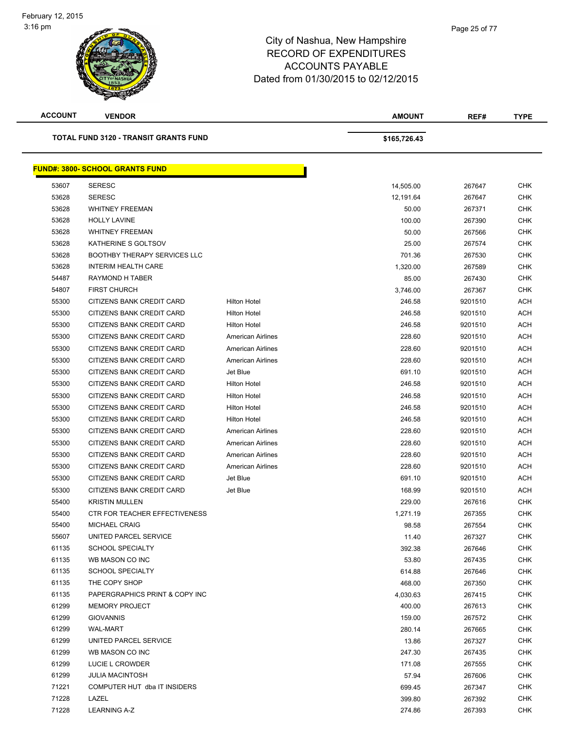

Page 25 of 77

| <b>ACCOUNT</b> | <b>VENDOR</b>                                |                          | <b>AMOUNT</b> | REF#    | <b>TYPE</b> |
|----------------|----------------------------------------------|--------------------------|---------------|---------|-------------|
|                | <b>TOTAL FUND 3120 - TRANSIT GRANTS FUND</b> |                          | \$165,726.43  |         |             |
|                | <b>FUND#: 3800- SCHOOL GRANTS FUND</b>       |                          |               |         |             |
| 53607          | <b>SERESC</b>                                |                          | 14,505.00     | 267647  | <b>CHK</b>  |
| 53628          | <b>SERESC</b>                                |                          | 12,191.64     | 267647  | <b>CHK</b>  |
| 53628          | <b>WHITNEY FREEMAN</b>                       |                          | 50.00         | 267371  | CHK         |
| 53628          | <b>HOLLY LAVINE</b>                          |                          | 100.00        | 267390  | <b>CHK</b>  |
| 53628          | <b>WHITNEY FREEMAN</b>                       |                          | 50.00         | 267566  | <b>CHK</b>  |
| 53628          | KATHERINE S GOLTSOV                          |                          | 25.00         | 267574  | <b>CHK</b>  |
| 53628          | <b>BOOTHBY THERAPY SERVICES LLC</b>          |                          | 701.36        | 267530  | <b>CHK</b>  |
| 53628          | <b>INTERIM HEALTH CARE</b>                   |                          | 1,320.00      | 267589  | CHK         |
| 54487          | RAYMOND H TABER                              |                          | 85.00         | 267430  | CHK         |
| 54807          | <b>FIRST CHURCH</b>                          |                          | 3,746.00      | 267367  | CHK         |
| 55300          | CITIZENS BANK CREDIT CARD                    | <b>Hilton Hotel</b>      | 246.58        | 9201510 | <b>ACH</b>  |
| 55300          | CITIZENS BANK CREDIT CARD                    | <b>Hilton Hotel</b>      | 246.58        | 9201510 | <b>ACH</b>  |
| 55300          | CITIZENS BANK CREDIT CARD                    | <b>Hilton Hotel</b>      | 246.58        | 9201510 | <b>ACH</b>  |
| 55300          | CITIZENS BANK CREDIT CARD                    | <b>American Airlines</b> | 228.60        | 9201510 | <b>ACH</b>  |
| 55300          | CITIZENS BANK CREDIT CARD                    | <b>American Airlines</b> | 228.60        | 9201510 | <b>ACH</b>  |
| 55300          | <b>CITIZENS BANK CREDIT CARD</b>             | American Airlines        | 228.60        | 9201510 | ACH         |
| 55300          | CITIZENS BANK CREDIT CARD                    | Jet Blue                 | 691.10        | 9201510 | <b>ACH</b>  |
| 55300          | CITIZENS BANK CREDIT CARD                    | <b>Hilton Hotel</b>      | 246.58        | 9201510 | <b>ACH</b>  |
| 55300          | CITIZENS BANK CREDIT CARD                    | <b>Hilton Hotel</b>      | 246.58        | 9201510 | ACH         |
| 55300          | CITIZENS BANK CREDIT CARD                    | <b>Hilton Hotel</b>      | 246.58        | 9201510 | <b>ACH</b>  |
| 55300          | CITIZENS BANK CREDIT CARD                    | <b>Hilton Hotel</b>      | 246.58        | 9201510 | <b>ACH</b>  |
| 55300          | CITIZENS BANK CREDIT CARD                    | <b>American Airlines</b> | 228.60        | 9201510 | ACH         |
| 55300          | CITIZENS BANK CREDIT CARD                    | American Airlines        | 228.60        | 9201510 | <b>ACH</b>  |
| 55300          | CITIZENS BANK CREDIT CARD                    | American Airlines        | 228.60        | 9201510 | ACH         |
| 55300          | CITIZENS BANK CREDIT CARD                    | <b>American Airlines</b> | 228.60        | 9201510 | ACH         |
| 55300          | CITIZENS BANK CREDIT CARD                    | Jet Blue                 | 691.10        | 9201510 | <b>ACH</b>  |
| 55300          | CITIZENS BANK CREDIT CARD                    | Jet Blue                 | 168.99        | 9201510 | <b>ACH</b>  |
| 55400          | <b>KRISTIN MULLEN</b>                        |                          | 229.00        | 267616  | CHK         |
| 55400          | <b>CTR FOR TEACHER EFFECTIVENESS</b>         |                          | 1,271.19      | 267355  | <b>CHK</b>  |
| 55400          | MICHAEL CRAIG                                |                          | 98.58         | 267554  | <b>CHK</b>  |
| 55607          | UNITED PARCEL SERVICE                        |                          | 11.40         | 267327  | CHK         |
| 61135          | <b>SCHOOL SPECIALTY</b>                      |                          | 392.38        | 267646  | <b>CHK</b>  |
| 61135          | WB MASON CO INC                              |                          | 53.80         | 267435  | CHK         |
| 61135          | <b>SCHOOL SPECIALTY</b>                      |                          | 614.88        | 267646  | CHK         |
| 61135          | THE COPY SHOP                                |                          | 468.00        | 267350  | CHK         |
| 61135          | PAPERGRAPHICS PRINT & COPY INC               |                          | 4,030.63      | 267415  | CHK         |
| 61299          | <b>MEMORY PROJECT</b>                        |                          | 400.00        | 267613  | <b>CHK</b>  |
| 61299          | <b>GIOVANNIS</b>                             |                          | 159.00        | 267572  | CHK         |
| 61299          | <b>WAL-MART</b>                              |                          | 280.14        | 267665  | <b>CHK</b>  |
| 61299          | UNITED PARCEL SERVICE                        |                          | 13.86         | 267327  | <b>CHK</b>  |
| 61299          | WB MASON CO INC                              |                          | 247.30        | 267435  | CHK         |
| 61299          | LUCIE L CROWDER                              |                          | 171.08        | 267555  | CHK         |
| 61299          | <b>JULIA MACINTOSH</b>                       |                          | 57.94         | 267606  | CHK         |
| 71221          | COMPUTER HUT dba IT INSIDERS                 |                          | 699.45        | 267347  | CHK         |
| 71228          | LAZEL                                        |                          | 399.80        | 267392  | CHK         |
| 71228          | <b>LEARNING A-Z</b>                          |                          | 274.86        | 267393  | CHK         |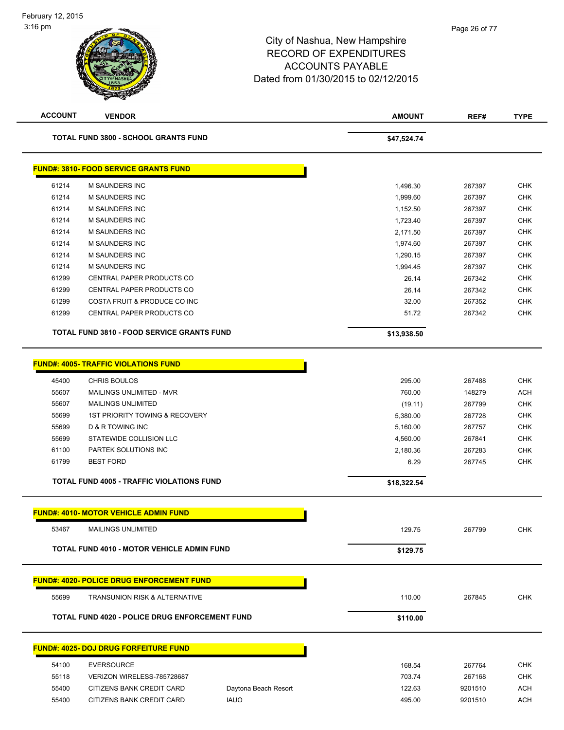| <b>ACCOUNT</b> | <b>VENDOR</b>                                         |                      | <b>AMOUNT</b> | REF#    | <b>TYPE</b> |
|----------------|-------------------------------------------------------|----------------------|---------------|---------|-------------|
|                | <b>TOTAL FUND 3800 - SCHOOL GRANTS FUND</b>           |                      | \$47,524.74   |         |             |
|                | <b>FUND#: 3810- FOOD SERVICE GRANTS FUND</b>          |                      |               |         |             |
| 61214          | M SAUNDERS INC                                        |                      | 1,496.30      | 267397  | <b>CHK</b>  |
| 61214          | <b>M SAUNDERS INC</b>                                 |                      | 1,999.60      | 267397  | <b>CHK</b>  |
| 61214          | M SAUNDERS INC                                        |                      | 1,152.50      | 267397  | <b>CHK</b>  |
| 61214          | <b>M SAUNDERS INC</b>                                 |                      | 1,723.40      | 267397  | <b>CHK</b>  |
| 61214          | <b>M SAUNDERS INC</b>                                 |                      | 2,171.50      | 267397  | <b>CHK</b>  |
| 61214          | <b>M SAUNDERS INC</b>                                 |                      | 1,974.60      | 267397  | <b>CHK</b>  |
| 61214          | M SAUNDERS INC                                        |                      | 1,290.15      | 267397  | <b>CHK</b>  |
| 61214          | M SAUNDERS INC                                        |                      | 1,994.45      | 267397  | <b>CHK</b>  |
| 61299          | CENTRAL PAPER PRODUCTS CO                             |                      | 26.14         | 267342  | <b>CHK</b>  |
| 61299          | CENTRAL PAPER PRODUCTS CO                             |                      | 26.14         | 267342  | <b>CHK</b>  |
| 61299          | COSTA FRUIT & PRODUCE CO INC                          |                      | 32.00         | 267352  | <b>CHK</b>  |
| 61299          | CENTRAL PAPER PRODUCTS CO                             |                      | 51.72         | 267342  | <b>CHK</b>  |
|                | <b>TOTAL FUND 3810 - FOOD SERVICE GRANTS FUND</b>     |                      | \$13,938.50   |         |             |
|                | <b>FUND#: 4005- TRAFFIC VIOLATIONS FUND</b>           |                      |               |         |             |
| 45400          | <b>CHRIS BOULOS</b>                                   |                      | 295.00        | 267488  | <b>CHK</b>  |
| 55607          | MAILINGS UNLIMITED - MVR                              |                      | 760.00        | 148279  | <b>ACH</b>  |
| 55607          | <b>MAILINGS UNLIMITED</b>                             |                      | (19.11)       | 267799  | <b>CHK</b>  |
| 55699          | <b>1ST PRIORITY TOWING &amp; RECOVERY</b>             |                      | 5,380.00      | 267728  | <b>CHK</b>  |
| 55699          | <b>D &amp; R TOWING INC</b>                           |                      | 5,160.00      | 267757  | <b>CHK</b>  |
| 55699          | STATEWIDE COLLISION LLC                               |                      | 4,560.00      | 267841  | <b>CHK</b>  |
| 61100          | PARTEK SOLUTIONS INC                                  |                      | 2,180.36      | 267283  | <b>CHK</b>  |
| 61799          | <b>BEST FORD</b>                                      |                      | 6.29          | 267745  | <b>CHK</b>  |
|                | <b>TOTAL FUND 4005 - TRAFFIC VIOLATIONS FUND</b>      |                      | \$18,322.54   |         |             |
|                | <b>FUND#: 4010- MOTOR VEHICLE ADMIN FUND</b>          |                      |               |         |             |
|                |                                                       |                      |               |         |             |
| 53467          | MAILINGS UNLIMITED                                    |                      | 129.75        | 267799  | <b>CHK</b>  |
|                | <b>TOTAL FUND 4010 - MOTOR VEHICLE ADMIN FUND</b>     |                      | \$129.75      |         |             |
|                | <b>FUND#: 4020- POLICE DRUG ENFORCEMENT FUND</b>      |                      |               |         |             |
| 55699          | <b>TRANSUNION RISK &amp; ALTERNATIVE</b>              |                      | 110.00        | 267845  | <b>CHK</b>  |
|                | <b>TOTAL FUND 4020 - POLICE DRUG ENFORCEMENT FUND</b> |                      | \$110.00      |         |             |
|                | <b>FUND#: 4025- DOJ DRUG FORFEITURE FUND</b>          |                      |               |         |             |
|                |                                                       |                      |               |         |             |
| 54100          | <b>EVERSOURCE</b>                                     |                      | 168.54        | 267764  | CHK         |
| 55118          | VERIZON WIRELESS-785728687                            |                      | 703.74        | 267168  | <b>CHK</b>  |
| 55400          | CITIZENS BANK CREDIT CARD                             | Daytona Beach Resort | 122.63        | 9201510 | <b>ACH</b>  |
| 55400          | CITIZENS BANK CREDIT CARD                             | <b>IAUO</b>          | 495.00        | 9201510 | <b>ACH</b>  |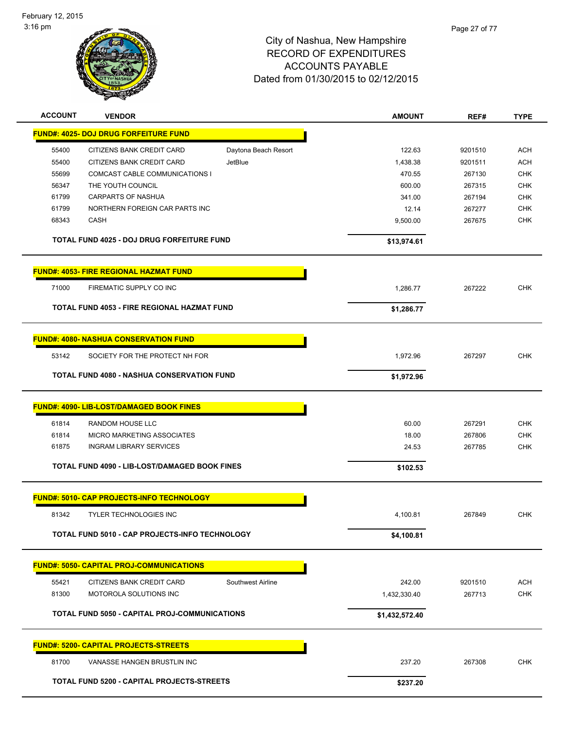

| <b>ACCOUNT</b><br><b>VENDOR</b>                            | <b>AMOUNT</b>  | REF#    | <b>TYPE</b> |
|------------------------------------------------------------|----------------|---------|-------------|
| <b>FUND#: 4025- DOJ DRUG FORFEITURE FUND</b>               |                |         |             |
| 55400<br>CITIZENS BANK CREDIT CARD<br>Daytona Beach Resort | 122.63         | 9201510 | <b>ACH</b>  |
| 55400<br>CITIZENS BANK CREDIT CARD<br><b>JetBlue</b>       | 1,438.38       | 9201511 | <b>ACH</b>  |
| 55699<br>COMCAST CABLE COMMUNICATIONS I                    | 470.55         | 267130  | <b>CHK</b>  |
| 56347<br>THE YOUTH COUNCIL                                 | 600.00         | 267315  | <b>CHK</b>  |
| 61799<br><b>CARPARTS OF NASHUA</b>                         | 341.00         | 267194  | <b>CHK</b>  |
| NORTHERN FOREIGN CAR PARTS INC<br>61799                    | 12.14          | 267277  | <b>CHK</b>  |
| 68343<br>CASH                                              | 9,500.00       | 267675  | <b>CHK</b>  |
| <b>TOTAL FUND 4025 - DOJ DRUG FORFEITURE FUND</b>          | \$13,974.61    |         |             |
| <b>FUND#: 4053- FIRE REGIONAL HAZMAT FUND</b>              |                |         |             |
| 71000<br>FIREMATIC SUPPLY CO INC                           | 1,286.77       | 267222  | <b>CHK</b>  |
| <b>TOTAL FUND 4053 - FIRE REGIONAL HAZMAT FUND</b>         | \$1,286.77     |         |             |
| <b>FUND#: 4080- NASHUA CONSERVATION FUND</b>               |                |         |             |
|                                                            |                |         |             |
| 53142<br>SOCIETY FOR THE PROTECT NH FOR                    | 1,972.96       | 267297  | <b>CHK</b>  |
| <b>TOTAL FUND 4080 - NASHUA CONSERVATION FUND</b>          | \$1,972.96     |         |             |
| FUND#: 4090- LIB-LOST/DAMAGED BOOK FINES                   |                |         |             |
| 61814<br>RANDOM HOUSE LLC                                  | 60.00          | 267291  | <b>CHK</b>  |
| 61814<br>MICRO MARKETING ASSOCIATES                        | 18.00          | 267806  | <b>CHK</b>  |
| 61875<br><b>INGRAM LIBRARY SERVICES</b>                    | 24.53          | 267785  | <b>CHK</b>  |
| TOTAL FUND 4090 - LIB-LOST/DAMAGED BOOK FINES              | \$102.53       |         |             |
| <b>FUND#: 5010- CAP PROJECTS-INFO TECHNOLOGY</b>           |                |         |             |
| 81342<br><b>TYLER TECHNOLOGIES INC</b>                     | 4,100.81       | 267849  | <b>CHK</b>  |
| TOTAL FUND 5010 - CAP PROJECTS-INFO TECHNOLOGY             | \$4,100.81     |         |             |
|                                                            |                |         |             |
| <b>FUND#: 5050- CAPITAL PROJ-COMMUNICATIONS</b>            |                |         |             |
| 55421<br>CITIZENS BANK CREDIT CARD<br>Southwest Airline    | 242.00         | 9201510 | <b>ACH</b>  |
| 81300<br>MOTOROLA SOLUTIONS INC                            | 1,432,330.40   | 267713  | <b>CHK</b>  |
| TOTAL FUND 5050 - CAPITAL PROJ-COMMUNICATIONS              | \$1,432,572.40 |         |             |
| <b>FUND#: 5200- CAPITAL PROJECTS-STREETS</b>               |                |         |             |
| 81700<br>VANASSE HANGEN BRUSTLIN INC                       | 237.20         | 267308  | <b>CHK</b>  |
| TOTAL FUND 5200 - CAPITAL PROJECTS-STREETS                 | \$237.20       |         |             |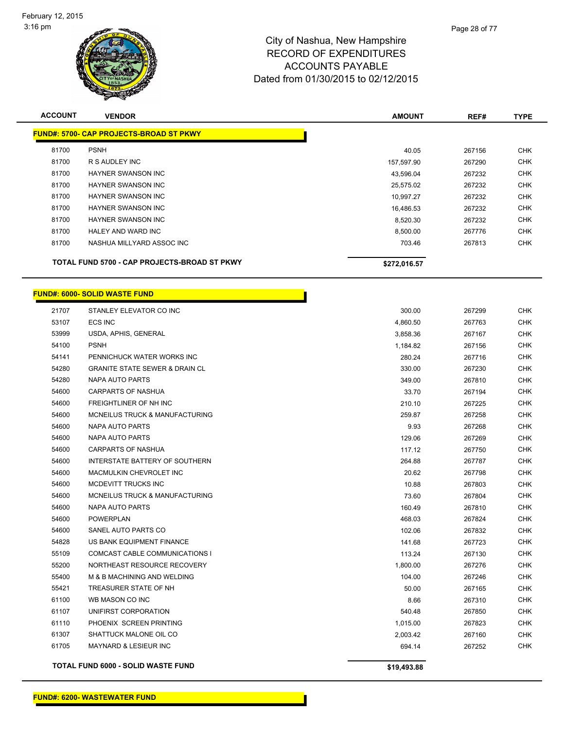

| <b>ACCOUNT</b> | <b>VENDOR</b>                                  | <b>AMOUNT</b> | REF#   | <b>TYPE</b> |
|----------------|------------------------------------------------|---------------|--------|-------------|
|                | <b>FUND#: 5700- CAP PROJECTS-BROAD ST PKWY</b> |               |        |             |
| 81700          | <b>PSNH</b>                                    | 40.05         | 267156 | <b>CHK</b>  |
| 81700          | R S AUDLEY INC                                 | 157,597.90    | 267290 | <b>CHK</b>  |
| 81700          | <b>HAYNER SWANSON INC</b>                      | 43,596.04     | 267232 | <b>CHK</b>  |
| 81700          | <b>HAYNER SWANSON INC</b>                      | 25,575.02     | 267232 | <b>CHK</b>  |
| 81700          | HAYNER SWANSON INC                             | 10,997.27     | 267232 | <b>CHK</b>  |
| 81700          | <b>HAYNER SWANSON INC</b>                      | 16,486.53     | 267232 | <b>CHK</b>  |
| 81700          | HAYNER SWANSON INC                             | 8,520.30      | 267232 | <b>CHK</b>  |
| 81700          | <b>HALEY AND WARD INC</b>                      | 8,500.00      | 267776 | <b>CHK</b>  |
| 81700          | NASHUA MILLYARD ASSOC INC                      | 703.46        | 267813 | <b>CHK</b>  |
|                | TOTAL FUND 5700 - CAP PROJECTS-BROAD ST PKWY   | \$272,016.57  |        |             |

Г

#### **FUND#: 6000- SOLID WASTE FUND**

|       | <b>TOTAL FUND 6000 - SOLID WASTE FUND</b> | \$19,493.88 |        |            |
|-------|-------------------------------------------|-------------|--------|------------|
| 61705 | MAYNARD & LESIEUR INC                     | 694.14      | 267252 | <b>CHK</b> |
| 61307 | SHATTUCK MALONE OIL CO                    | 2,003.42    | 267160 | <b>CHK</b> |
| 61110 | PHOENIX SCREEN PRINTING                   | 1,015.00    | 267823 | <b>CHK</b> |
| 61107 | UNIFIRST CORPORATION                      | 540.48      | 267850 | <b>CHK</b> |
| 61100 | WB MASON CO INC                           | 8.66        | 267310 | <b>CHK</b> |
| 55421 | TREASURER STATE OF NH                     | 50.00       | 267165 | <b>CHK</b> |
| 55400 | M & B MACHINING AND WELDING               | 104.00      | 267246 | <b>CHK</b> |
| 55200 | NORTHEAST RESOURCE RECOVERY               | 1,800.00    | 267276 | <b>CHK</b> |
| 55109 | COMCAST CABLE COMMUNICATIONS I            | 113.24      | 267130 | <b>CHK</b> |
| 54828 | US BANK EQUIPMENT FINANCE                 | 141.68      | 267723 | <b>CHK</b> |
| 54600 | SANEL AUTO PARTS CO                       | 102.06      | 267832 | <b>CHK</b> |
| 54600 | <b>POWERPLAN</b>                          | 468.03      | 267824 | <b>CHK</b> |
| 54600 | NAPA AUTO PARTS                           | 160.49      | 267810 | <b>CHK</b> |
| 54600 | <b>MCNEILUS TRUCK &amp; MANUFACTURING</b> | 73.60       | 267804 | <b>CHK</b> |
| 54600 | <b>MCDEVITT TRUCKS INC</b>                | 10.88       | 267803 | <b>CHK</b> |
| 54600 | MACMULKIN CHEVROLET INC                   | 20.62       | 267798 | CHK        |
| 54600 | INTERSTATE BATTERY OF SOUTHERN            | 264.88      | 267787 | <b>CHK</b> |
| 54600 | <b>CARPARTS OF NASHUA</b>                 | 117.12      | 267750 | <b>CHK</b> |
| 54600 | NAPA AUTO PARTS                           | 129.06      | 267269 | CHK        |
| 54600 | NAPA AUTO PARTS                           | 9.93        | 267268 | <b>CHK</b> |
| 54600 | <b>MCNEILUS TRUCK &amp; MANUFACTURING</b> | 259.87      | 267258 | <b>CHK</b> |
| 54600 | FREIGHTLINER OF NH INC                    | 210.10      | 267225 | CHK        |
| 54600 | <b>CARPARTS OF NASHUA</b>                 | 33.70       | 267194 | <b>CHK</b> |
| 54280 | NAPA AUTO PARTS                           | 349.00      | 267810 | <b>CHK</b> |
| 54280 | <b>GRANITE STATE SEWER &amp; DRAIN CL</b> | 330.00      | 267230 | <b>CHK</b> |
| 54141 | PENNICHUCK WATER WORKS INC                | 280.24      | 267716 | <b>CHK</b> |
| 54100 | <b>PSNH</b>                               | 1,184.82    | 267156 | <b>CHK</b> |
| 53999 | USDA, APHIS, GENERAL                      | 3,858.36    | 267167 | CHK        |
| 53107 | ECS INC                                   | 4,860.50    | 267763 | <b>CHK</b> |
| 21707 | STANLEY ELEVATOR CO INC                   | 300.00      | 267299 | <b>CHK</b> |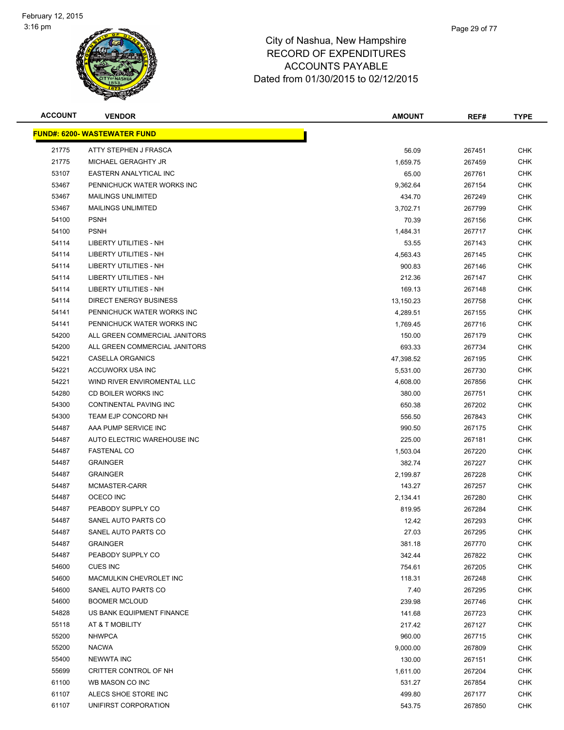

| <b>ACCOUNT</b> | <b>VENDOR</b>                       | <b>AMOUNT</b> | REF#   | <b>TYPE</b> |
|----------------|-------------------------------------|---------------|--------|-------------|
|                | <b>FUND#: 6200- WASTEWATER FUND</b> |               |        |             |
| 21775          | ATTY STEPHEN J FRASCA               | 56.09         | 267451 | <b>CHK</b>  |
| 21775          | MICHAEL GERAGHTY JR                 | 1,659.75      | 267459 | <b>CHK</b>  |
| 53107          | EASTERN ANALYTICAL INC              | 65.00         | 267761 | <b>CHK</b>  |
| 53467          | PENNICHUCK WATER WORKS INC          | 9,362.64      | 267154 | <b>CHK</b>  |
| 53467          | <b>MAILINGS UNLIMITED</b>           | 434.70        | 267249 | <b>CHK</b>  |
| 53467          | <b>MAILINGS UNLIMITED</b>           | 3,702.71      | 267799 | <b>CHK</b>  |
| 54100          | <b>PSNH</b>                         | 70.39         | 267156 | <b>CHK</b>  |
| 54100          | <b>PSNH</b>                         | 1,484.31      | 267717 | <b>CHK</b>  |
| 54114          | <b>LIBERTY UTILITIES - NH</b>       | 53.55         | 267143 | <b>CHK</b>  |
| 54114          | LIBERTY UTILITIES - NH              | 4,563.43      | 267145 | <b>CHK</b>  |
| 54114          | LIBERTY UTILITIES - NH              | 900.83        | 267146 | CHK         |
| 54114          | LIBERTY UTILITIES - NH              | 212.36        | 267147 | <b>CHK</b>  |
| 54114          | LIBERTY UTILITIES - NH              | 169.13        | 267148 | <b>CHK</b>  |
| 54114          | <b>DIRECT ENERGY BUSINESS</b>       | 13,150.23     | 267758 | <b>CHK</b>  |
| 54141          | PENNICHUCK WATER WORKS INC          | 4,289.51      | 267155 | <b>CHK</b>  |
| 54141          | PENNICHUCK WATER WORKS INC          | 1,769.45      | 267716 | <b>CHK</b>  |
| 54200          | ALL GREEN COMMERCIAL JANITORS       | 150.00        | 267179 | <b>CHK</b>  |
| 54200          | ALL GREEN COMMERCIAL JANITORS       | 693.33        | 267734 | <b>CHK</b>  |
| 54221          | CASELLA ORGANICS                    | 47,398.52     | 267195 | <b>CHK</b>  |
| 54221          | ACCUWORX USA INC                    | 5,531.00      | 267730 | <b>CHK</b>  |
| 54221          | WIND RIVER ENVIROMENTAL LLC         | 4,608.00      | 267856 | <b>CHK</b>  |
| 54280          | CD BOILER WORKS INC                 | 380.00        | 267751 | CHK         |
| 54300          | CONTINENTAL PAVING INC              | 650.38        | 267202 | <b>CHK</b>  |
| 54300          | TEAM EJP CONCORD NH                 | 556.50        | 267843 | <b>CHK</b>  |
| 54487          | AAA PUMP SERVICE INC                | 990.50        | 267175 | <b>CHK</b>  |
| 54487          | AUTO ELECTRIC WAREHOUSE INC         | 225.00        | 267181 | <b>CHK</b>  |
| 54487          | <b>FASTENAL CO</b>                  | 1,503.04      | 267220 | <b>CHK</b>  |
| 54487          | <b>GRAINGER</b>                     | 382.74        | 267227 | <b>CHK</b>  |
| 54487          | <b>GRAINGER</b>                     | 2,199.87      | 267228 | <b>CHK</b>  |
| 54487          | MCMASTER-CARR                       | 143.27        | 267257 | <b>CHK</b>  |
| 54487          | OCECO INC                           | 2,134.41      | 267280 | <b>CHK</b>  |
| 54487          | PEABODY SUPPLY CO                   | 819.95        | 267284 | <b>CHK</b>  |
| 54487          | SANEL AUTO PARTS CO                 | 12.42         | 267293 | <b>CHK</b>  |
| 54487          | SANEL AUTO PARTS CO                 | 27.03         | 267295 | <b>CHK</b>  |
| 54487          | <b>GRAINGER</b>                     | 381.18        | 267770 | <b>CHK</b>  |
| 54487          | PEABODY SUPPLY CO                   | 342.44        | 267822 | <b>CHK</b>  |
| 54600          | <b>CUES INC</b>                     | 754.61        | 267205 | <b>CHK</b>  |
| 54600          | MACMULKIN CHEVROLET INC             | 118.31        | 267248 | <b>CHK</b>  |
| 54600          | SANEL AUTO PARTS CO                 | 7.40          | 267295 | <b>CHK</b>  |
| 54600          | <b>BOOMER MCLOUD</b>                | 239.98        | 267746 | <b>CHK</b>  |
| 54828          | US BANK EQUIPMENT FINANCE           | 141.68        | 267723 | <b>CHK</b>  |
| 55118          | AT & T MOBILITY                     | 217.42        | 267127 | <b>CHK</b>  |
| 55200          | <b>NHWPCA</b>                       | 960.00        | 267715 | <b>CHK</b>  |
| 55200          | <b>NACWA</b>                        | 9,000.00      | 267809 | <b>CHK</b>  |
| 55400          | <b>NEWWTA INC</b>                   | 130.00        | 267151 | <b>CHK</b>  |
| 55699          | CRITTER CONTROL OF NH               | 1,611.00      | 267204 | <b>CHK</b>  |
| 61100          | WB MASON CO INC                     | 531.27        | 267854 | <b>CHK</b>  |
| 61107          | ALECS SHOE STORE INC                | 499.80        | 267177 | <b>CHK</b>  |
| 61107          | UNIFIRST CORPORATION                | 543.75        | 267850 | <b>CHK</b>  |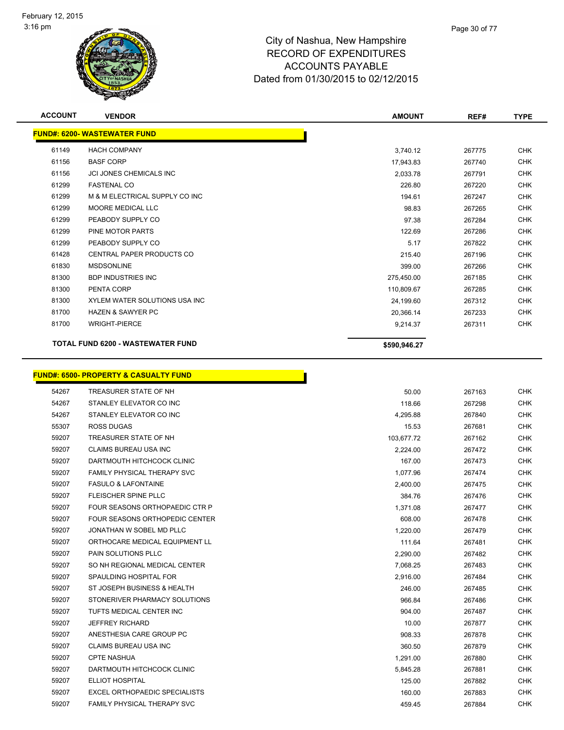

| <b>ACCOUNT</b> | <b>VENDOR</b>                            | <b>AMOUNT</b> | REF#   | <b>TYPE</b> |
|----------------|------------------------------------------|---------------|--------|-------------|
|                | <b>FUND#: 6200- WASTEWATER FUND</b>      |               |        |             |
| 61149          | <b>HACH COMPANY</b>                      | 3,740.12      | 267775 | <b>CHK</b>  |
| 61156          | <b>BASF CORP</b>                         | 17,943.83     | 267740 | <b>CHK</b>  |
| 61156          | <b>JCI JONES CHEMICALS INC</b>           | 2,033.78      | 267791 | <b>CHK</b>  |
| 61299          | <b>FASTENAL CO</b>                       | 226.80        | 267220 | <b>CHK</b>  |
| 61299          | M & M ELECTRICAL SUPPLY CO INC           | 194.61        | 267247 | <b>CHK</b>  |
| 61299          | MOORE MEDICAL LLC                        | 98.83         | 267265 | <b>CHK</b>  |
| 61299          | PEABODY SUPPLY CO                        | 97.38         | 267284 | <b>CHK</b>  |
| 61299          | PINE MOTOR PARTS                         | 122.69        | 267286 | <b>CHK</b>  |
| 61299          | PEABODY SUPPLY CO                        | 5.17          | 267822 | <b>CHK</b>  |
| 61428          | <b>CENTRAL PAPER PRODUCTS CO</b>         | 215.40        | 267196 | <b>CHK</b>  |
| 61830          | <b>MSDSONLINE</b>                        | 399.00        | 267266 | <b>CHK</b>  |
| 81300          | <b>BDP INDUSTRIES INC</b>                | 275,450.00    | 267185 | <b>CHK</b>  |
| 81300          | PENTA CORP                               | 110,809.67    | 267285 | <b>CHK</b>  |
| 81300          | XYLEM WATER SOLUTIONS USA INC            | 24,199.60     | 267312 | <b>CHK</b>  |
| 81700          | <b>HAZEN &amp; SAWYER PC</b>             | 20,366.14     | 267233 | <b>CHK</b>  |
| 81700          | <b>WRIGHT-PIERCE</b>                     | 9,214.37      | 267311 | <b>CHK</b>  |
|                | <b>TOTAL FUND 6200 - WASTEWATER FUND</b> | \$590,946.27  |        |             |

#### **FUND#: 6500- PROPERTY & CASUALTY FUND** TREASURER STATE OF NH 50.00 267163 CHK STANLEY ELEVATOR CO INC 118.66 267298 CHK STANLEY ELEVATOR CO INC 4,295.88 267840 CHK ROSS DUGAS 15.53 267681 CHK 59207 TREASURER STATE OF NH 103,677.72 267162 CHK CLAIMS BUREAU USA INC 2,224.00 267472 CHK 59207 DARTMOUTH HITCHCOCK CLINIC NO CHANGER CONTROL CHANGER CHANGER CHANGER CHANGER CHANGER CHANGER CHANGER CHA FAMILY PHYSICAL THERAPY SVC 1,077.96 267474 CHK FASULO & LAFONTAINE 2,400.00 267475 CHK FLEISCHER SPINE PLLC 384.76 267476 CHK FOUR SEASONS ORTHOPAEDIC CTR P 1,371.08 267477 CHK FOUR SEASONS ORTHOPEDIC CENTER 608.00 267478 CHK JONATHAN W SOBEL MD PLLC 1,220.00 267479 CHK 59207 ORTHOCARE MEDICAL EQUIPMENT LL **111.64** 267481 CHK PAIN SOLUTIONS PLLC 2,290.00 267482 CHK SO NH REGIONAL MEDICAL CENTER 7,068.25 267483 CHK SPAULDING HOSPITAL FOR 2,916.00 267484 CHK ST JOSEPH BUSINESS & HEALTH 246.00 267485 CHK STONERIVER PHARMACY SOLUTIONS 966.84 267486 CHK TUFTS MEDICAL CENTER INC 904.00 267487 CHK JEFFREY RICHARD 10.00 267877 CHK ANESTHESIA CARE GROUP PC 908.33 267878 CHK 59207 CLAIMS BUREAU USA INC 2002 CONSERVERSE CHR 200360.50 267879 CHK CPTE NASHUA 1,291.00 267880 CHK DARTMOUTH HITCHCOCK CLINIC 5,845.28 267881 CHK ELLIOT HOSPITAL 125.00 267882 CHK EXCEL ORTHOPAEDIC SPECIALISTS 160.00 267883 CHK FAMILY PHYSICAL THERAPY SVC 459.45 267884 CHK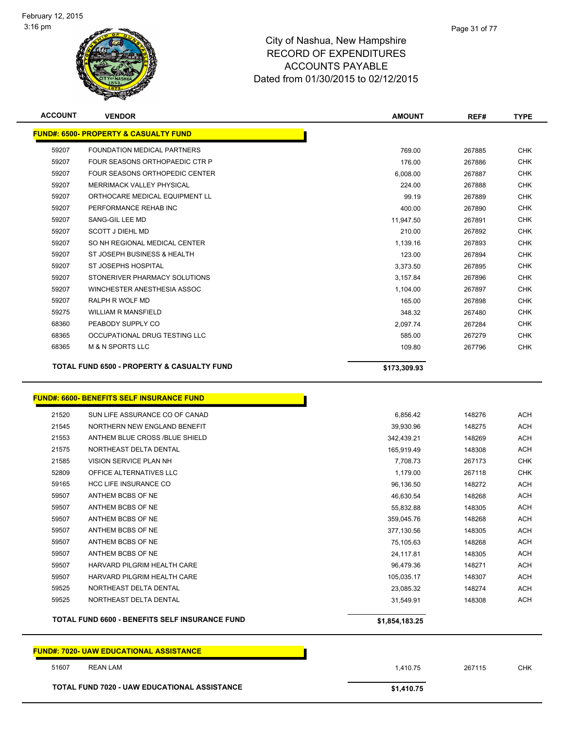

| <b>ACCOUNT</b> | <b>VENDOR</b>                                         | <b>AMOUNT</b> | REF#   | <b>TYPE</b> |
|----------------|-------------------------------------------------------|---------------|--------|-------------|
|                | <b>FUND#: 6500- PROPERTY &amp; CASUALTY FUND</b>      |               |        |             |
| 59207          | FOUNDATION MEDICAL PARTNERS                           | 769.00        | 267885 | <b>CHK</b>  |
| 59207          | FOUR SEASONS ORTHOPAEDIC CTR P                        | 176.00        | 267886 | <b>CHK</b>  |
| 59207          | FOUR SEASONS ORTHOPEDIC CENTER                        | 6.008.00      | 267887 | <b>CHK</b>  |
| 59207          | MERRIMACK VALLEY PHYSICAL                             | 224.00        | 267888 | <b>CHK</b>  |
| 59207          | ORTHOCARE MEDICAL EQUIPMENT LL                        | 99.19         | 267889 | <b>CHK</b>  |
| 59207          | PERFORMANCE REHAB INC                                 | 400.00        | 267890 | <b>CHK</b>  |
| 59207          | SANG-GIL LEE MD                                       | 11,947.50     | 267891 | <b>CHK</b>  |
| 59207          | <b>SCOTT J DIEHL MD</b>                               | 210.00        | 267892 | <b>CHK</b>  |
| 59207          | SO NH REGIONAL MEDICAL CENTER                         | 1,139.16      | 267893 | <b>CHK</b>  |
| 59207          | ST JOSEPH BUSINESS & HEALTH                           | 123.00        | 267894 | <b>CHK</b>  |
| 59207          | <b>ST JOSEPHS HOSPITAL</b>                            | 3,373.50      | 267895 | <b>CHK</b>  |
| 59207          | STONERIVER PHARMACY SOLUTIONS                         | 3,157.84      | 267896 | <b>CHK</b>  |
| 59207          | WINCHESTER ANESTHESIA ASSOC                           | 1,104.00      | 267897 | <b>CHK</b>  |
| 59207          | RALPH R WOLF MD                                       | 165.00        | 267898 | <b>CHK</b>  |
| 59275          | <b>WILLIAM R MANSFIELD</b>                            | 348.32        | 267480 | <b>CHK</b>  |
| 68360          | PEABODY SUPPLY CO                                     | 2,097.74      | 267284 | <b>CHK</b>  |
| 68365          | OCCUPATIONAL DRUG TESTING LLC                         | 585.00        | 267279 | <b>CHK</b>  |
| 68365          | <b>M &amp; N SPORTS LLC</b>                           | 109.80        | 267796 | <b>CHK</b>  |
|                | <b>TOTAL FUND 6500 - PROPERTY &amp; CASUALTY FUND</b> | \$173,309.93  |        |             |

# **FUND#: 6600- BENEFITS SELF INSURANCE FUND**

|       | <u> UND#: 6600- BENEFITS SELF INSURANCE FUND</u>      |                |
|-------|-------------------------------------------------------|----------------|
| 21520 | SUN LIFE ASSURANCE CO OF CANAD                        | 6.856.42       |
| 21545 | NORTHERN NEW ENGLAND BENEFIT                          | 39,930.96      |
| 21553 | ANTHEM BLUE CROSS /BLUE SHIELD                        | 342.439.21     |
| 21575 | NORTHEAST DELTA DENTAL                                | 165,919.49     |
| 21585 | <b>VISION SERVICE PLAN NH</b>                         | 7,708.73       |
| 52809 | OFFICE ALTERNATIVES LLC                               | 1,179.00       |
| 59165 | <b>HCC LIFE INSURANCE CO</b>                          | 96,136.50      |
| 59507 | ANTHEM BCBS OF NE                                     | 46,630.54      |
| 59507 | ANTHEM BCBS OF NE                                     | 55,832.88      |
| 59507 | ANTHEM BCBS OF NE                                     | 359,045.76     |
| 59507 | ANTHEM BCBS OF NE                                     | 377,130.56     |
| 59507 | ANTHEM BCBS OF NE                                     | 75,105.63      |
| 59507 | ANTHEM BCBS OF NE                                     | 24,117.81      |
| 59507 | HARVARD PILGRIM HEALTH CARE                           | 96,479.36      |
| 59507 | HARVARD PILGRIM HEALTH CARE                           | 105,035.17     |
| 59525 | NORTHEAST DELTA DENTAL                                | 23,085.32      |
| 59525 | NORTHEAST DELTA DENTAL                                | 31,549.91      |
|       | <b>TOTAL FUND 6600 - BENEFITS SELF INSURANCE FUND</b> | \$1,854,183.25 |

**FUND#: 7020- UAW EDUCATIONAL ASSISTANCE**

 REAN LAM 1,410.75 267115 CHK **TOTAL FUND 7020 - UAW EDUCATIONAL ASSISTANCE \$1,410.75**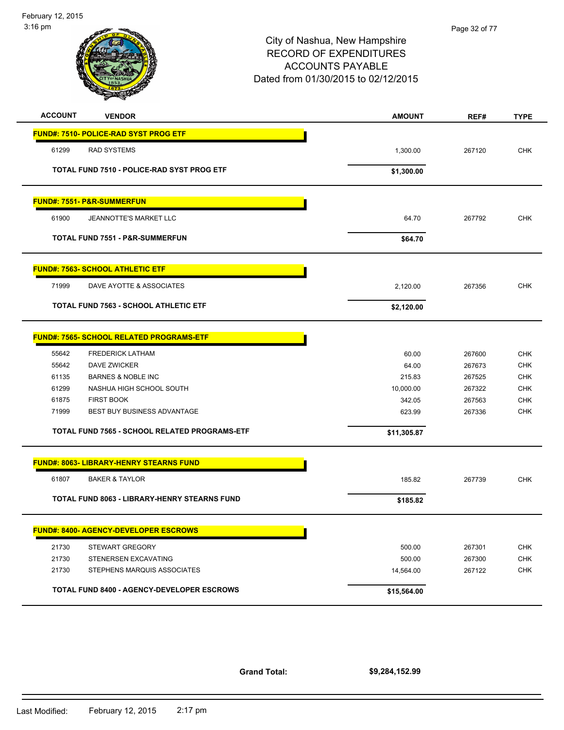

| <b>ACCOUNT</b>                               | <b>VENDOR</b>                                     | <b>AMOUNT</b> | REF#   | <b>TYPE</b> |
|----------------------------------------------|---------------------------------------------------|---------------|--------|-------------|
| <b>FUND#: 7510- POLICE-RAD SYST PROG ETF</b> |                                                   |               |        |             |
| 61299<br><b>RAD SYSTEMS</b>                  |                                                   | 1,300.00      | 267120 | <b>CHK</b>  |
|                                              | <b>TOTAL FUND 7510 - POLICE-RAD SYST PROG ETF</b> | \$1,300.00    |        |             |
| <b>FUND#: 7551- P&amp;R-SUMMERFUN</b>        |                                                   |               |        |             |
| 61900                                        | <b>JEANNOTTE'S MARKET LLC</b>                     | 64.70         | 267792 | <b>CHK</b>  |
|                                              | <b>TOTAL FUND 7551 - P&amp;R-SUMMERFUN</b>        | \$64.70       |        |             |
| <b>FUND#: 7563- SCHOOL ATHLETIC ETF</b>      |                                                   |               |        |             |
| 71999                                        | DAVE AYOTTE & ASSOCIATES                          | 2,120.00      | 267356 | <b>CHK</b>  |
|                                              | <b>TOTAL FUND 7563 - SCHOOL ATHLETIC ETF</b>      | \$2,120.00    |        |             |
|                                              | <b>FUND#: 7565- SCHOOL RELATED PROGRAMS-ETF</b>   |               |        |             |
| 55642                                        | <b>FREDERICK LATHAM</b>                           | 60.00         | 267600 | <b>CHK</b>  |
| 55642                                        | <b>DAVE ZWICKER</b>                               | 64.00         | 267673 | <b>CHK</b>  |
| 61135                                        | <b>BARNES &amp; NOBLE INC</b>                     | 215.83        | 267525 | <b>CHK</b>  |
| 61299                                        | NASHUA HIGH SCHOOL SOUTH                          | 10,000.00     | 267322 | <b>CHK</b>  |
| 61875<br><b>FIRST BOOK</b>                   |                                                   | 342.05        | 267563 | <b>CHK</b>  |
| 71999                                        | BEST BUY BUSINESS ADVANTAGE                       | 623.99        | 267336 | <b>CHK</b>  |
|                                              | TOTAL FUND 7565 - SCHOOL RELATED PROGRAMS-ETF     | \$11,305.87   |        |             |
|                                              | <b>FUND#: 8063- LIBRARY-HENRY STEARNS FUND</b>    |               |        |             |
| 61807                                        | <b>BAKER &amp; TAYLOR</b>                         | 185.82        | 267739 | <b>CHK</b>  |
|                                              | TOTAL FUND 8063 - LIBRARY-HENRY STEARNS FUND      | \$185.82      |        |             |
|                                              | <b>FUND#: 8400- AGENCY-DEVELOPER ESCROWS</b>      |               |        |             |
| 21730                                        | <b>STEWART GREGORY</b>                            | 500.00        | 267301 | <b>CHK</b>  |
| 21730                                        | STENERSEN EXCAVATING                              | 500.00        | 267300 | <b>CHK</b>  |
| 21730                                        | STEPHENS MARQUIS ASSOCIATES                       | 14,564.00     | 267122 | <b>CHK</b>  |
|                                              | <b>TOTAL FUND 8400 - AGENCY-DEVELOPER ESCROWS</b> | \$15,564.00   |        |             |

**Grand Total:**

**\$9,284,152.99**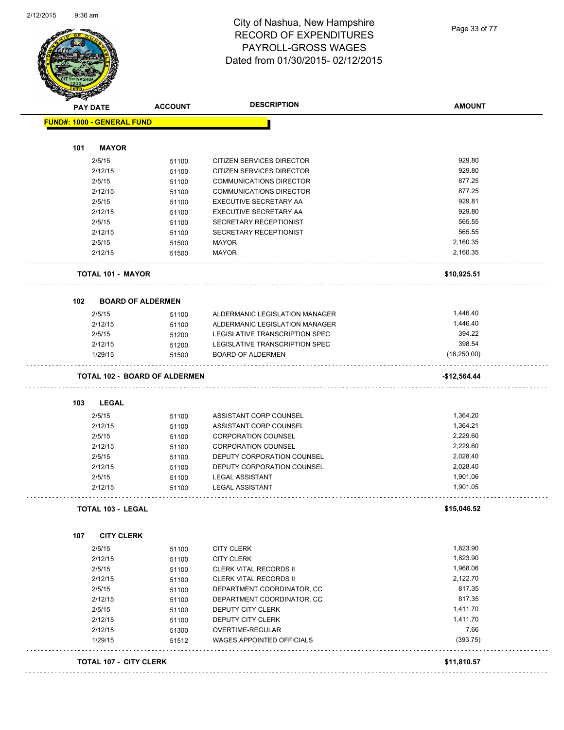

Page 33 of 77

| <b>FUND#: 1000 - GENERAL FUND</b><br><b>MAYOR</b><br>101<br>2/5/15 |                          |                                                            |                        |
|--------------------------------------------------------------------|--------------------------|------------------------------------------------------------|------------------------|
|                                                                    |                          |                                                            |                        |
|                                                                    |                          |                                                            |                        |
|                                                                    |                          |                                                            |                        |
|                                                                    | 51100                    | <b>CITIZEN SERVICES DIRECTOR</b>                           | 929.80                 |
| 2/12/15                                                            | 51100                    | CITIZEN SERVICES DIRECTOR                                  | 929.80                 |
| 2/5/15                                                             | 51100                    | <b>COMMUNICATIONS DIRECTOR</b>                             | 877.25                 |
| 2/12/15                                                            | 51100                    | <b>COMMUNICATIONS DIRECTOR</b>                             | 877.25                 |
| 2/5/15                                                             | 51100                    | EXECUTIVE SECRETARY AA                                     | 929.81                 |
| 2/12/15                                                            | 51100                    | EXECUTIVE SECRETARY AA                                     | 929.80                 |
| 2/5/15                                                             | 51100                    | SECRETARY RECEPTIONIST                                     | 565.55                 |
| 2/12/15                                                            | 51100                    | SECRETARY RECEPTIONIST                                     | 565.55                 |
| 2/5/15                                                             | 51500                    | <b>MAYOR</b>                                               | 2,160.35               |
| 2/12/15                                                            | 51500                    | <b>MAYOR</b>                                               | 2,160.35               |
| <b>TOTAL 101 - MAYOR</b>                                           |                          |                                                            | \$10,925.51            |
| 102                                                                | <b>BOARD OF ALDERMEN</b> |                                                            |                        |
| 2/5/15                                                             |                          | ALDERMANIC LEGISLATION MANAGER                             | 1,446.40               |
| 2/12/15                                                            | 51100                    | ALDERMANIC LEGISLATION MANAGER                             | 1,446.40               |
|                                                                    | 51100                    |                                                            |                        |
| 2/5/15                                                             | 51200                    | LEGISLATIVE TRANSCRIPTION SPEC                             | 394.22                 |
| 2/12/15<br>1/29/15                                                 | 51200<br>51500           | LEGISLATIVE TRANSCRIPTION SPEC<br><b>BOARD OF ALDERMEN</b> | 398.54<br>(16, 250.00) |
| <b>TOTAL 102 - BOARD OF ALDERMEN</b>                               |                          |                                                            | -\$12,564.44           |
|                                                                    |                          |                                                            |                        |
| <b>LEGAL</b><br>103                                                |                          |                                                            |                        |
| 2/5/15                                                             | 51100                    | ASSISTANT CORP COUNSEL                                     | 1,364.20               |
| 2/12/15                                                            | 51100                    | ASSISTANT CORP COUNSEL                                     | 1,364.21               |
| 2/5/15                                                             | 51100                    | <b>CORPORATION COUNSEL</b>                                 | 2,229.60               |
| 2/12/15                                                            | 51100                    | <b>CORPORATION COUNSEL</b>                                 | 2,229.60               |
| 2/5/15                                                             | 51100                    | DEPUTY CORPORATION COUNSEL                                 | 2,028.40               |
| 2/12/15                                                            | 51100                    | DEPUTY CORPORATION COUNSEL                                 | 2,028.40               |
| 2/5/15                                                             | 51100                    | <b>LEGAL ASSISTANT</b>                                     | 1,901.06               |
| 2/12/15                                                            | 51100                    | <b>LEGAL ASSISTANT</b>                                     | 1,901.05               |
| TOTAL 103 - LEGAL                                                  |                          |                                                            | \$15,046.52            |
|                                                                    |                          |                                                            |                        |
| 107<br><b>CITY CLERK</b>                                           |                          |                                                            |                        |
| 2/5/15                                                             | 51100                    | <b>CITY CLERK</b>                                          | 1,823.90               |
| 2/12/15                                                            | 51100                    | <b>CITY CLERK</b>                                          | 1,823.90               |
| 2/5/15                                                             | 51100                    | <b>CLERK VITAL RECORDS II</b>                              | 1,968.06               |
| 2/12/15                                                            | 51100                    | <b>CLERK VITAL RECORDS II</b>                              | 2,122.70               |
| 2/5/15                                                             | 51100                    | DEPARTMENT COORDINATOR, CC                                 | 817.35                 |
| 2/12/15                                                            | 51100                    | DEPARTMENT COORDINATOR, CC                                 | 817.35                 |
| 2/5/15                                                             | 51100                    | DEPUTY CITY CLERK                                          | 1,411.70               |
| 2/12/15                                                            | 51100                    | DEPUTY CITY CLERK                                          | 1,411.70               |
| 2/12/15                                                            | 51300                    | OVERTIME-REGULAR                                           | 7.66                   |
| 1/29/15                                                            | 51512                    | WAGES APPOINTED OFFICIALS                                  | (393.75)               |
| <b>TOTAL 107 - CITY CLERK</b>                                      |                          |                                                            | \$11,810.57            |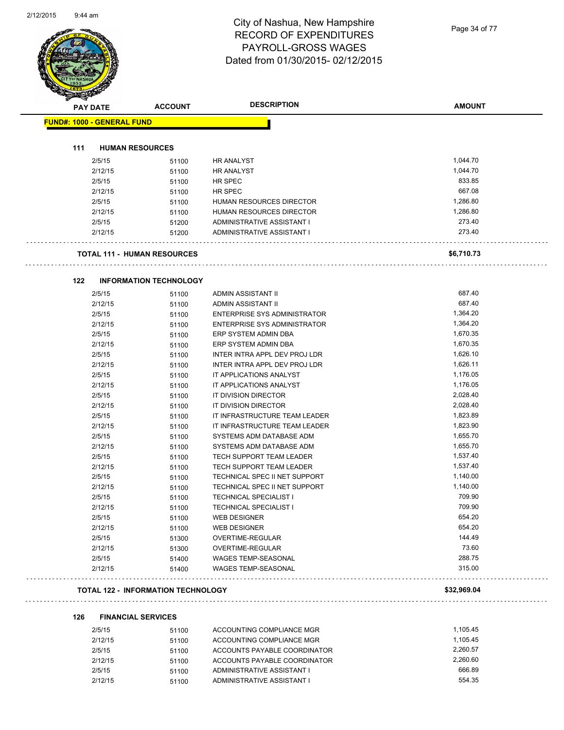| PAY DATE                          | <b>ACCOUNT</b>                     | <b>DESCRIPTION</b>                  | <b>AMOUNT</b> |
|-----------------------------------|------------------------------------|-------------------------------------|---------------|
| <b>FUND#: 1000 - GENERAL FUND</b> |                                    |                                     |               |
| 111                               |                                    |                                     |               |
|                                   | <b>HUMAN RESOURCES</b>             |                                     |               |
| 2/5/15                            | 51100                              | <b>HR ANALYST</b>                   | 1,044.70      |
| 2/12/15                           | 51100                              | <b>HR ANALYST</b>                   | 1,044.70      |
| 2/5/15                            | 51100                              | HR SPEC                             | 833.85        |
| 2/12/15                           | 51100                              | HR SPEC                             | 667.08        |
| 2/5/15                            | 51100                              | HUMAN RESOURCES DIRECTOR            | 1,286.80      |
| 2/12/15                           | 51100                              | HUMAN RESOURCES DIRECTOR            | 1,286.80      |
| 2/5/15                            | 51200                              | ADMINISTRATIVE ASSISTANT I          | 273.40        |
| 2/12/15                           | 51200                              | ADMINISTRATIVE ASSISTANT I          | 273.40        |
|                                   | <b>TOTAL 111 - HUMAN RESOURCES</b> |                                     | \$6,710.73    |
| 122                               | <b>INFORMATION TECHNOLOGY</b>      |                                     |               |
| 2/5/15                            | 51100                              | ADMIN ASSISTANT II                  | 687.40        |
| 2/12/15                           | 51100                              | ADMIN ASSISTANT II                  | 687.40        |
| 2/5/15                            | 51100                              | <b>ENTERPRISE SYS ADMINISTRATOR</b> | 1,364.20      |
| 2/12/15                           | 51100                              | <b>ENTERPRISE SYS ADMINISTRATOR</b> | 1,364.20      |
| 2/5/15                            | 51100                              | ERP SYSTEM ADMIN DBA                | 1,670.35      |
| 2/12/15                           | 51100                              | ERP SYSTEM ADMIN DBA                | 1,670.35      |
| 2/5/15                            | 51100                              | INTER INTRA APPL DEV PROJ LDR       | 1,626.10      |
| 2/12/15                           | 51100                              | INTER INTRA APPL DEV PROJ LDR       | 1,626.11      |
| 2/5/15                            | 51100                              | IT APPLICATIONS ANALYST             | 1,176.05      |
| 2/12/15                           | 51100                              | IT APPLICATIONS ANALYST             | 1,176.05      |
| 2/5/15                            | 51100                              | IT DIVISION DIRECTOR                | 2,028.40      |
| 2/12/15                           | 51100                              | IT DIVISION DIRECTOR                | 2,028.40      |
| 2/5/15                            | 51100                              | IT INFRASTRUCTURE TEAM LEADER       | 1,823.89      |
| 2/12/15                           | 51100                              | IT INFRASTRUCTURE TEAM LEADER       | 1,823.90      |
| 2/5/15                            | 51100                              | SYSTEMS ADM DATABASE ADM            | 1,655.70      |
| 2/12/15                           | 51100                              | SYSTEMS ADM DATABASE ADM            | 1,655.70      |
| 2/5/15                            | 51100                              | <b>TECH SUPPORT TEAM LEADER</b>     | 1,537.40      |
| 2/12/15                           | 51100                              | TECH SUPPORT TEAM LEADER            | 1,537.40      |
| 2/5/15                            | 51100                              | TECHNICAL SPEC II NET SUPPORT       | 1,140.00      |
| 2/12/15                           | 51100                              | TECHNICAL SPEC II NET SUPPORT       | 1,140.00      |
| 2/5/15                            | 51100                              | <b>TECHNICAL SPECIALIST I</b>       | 709.90        |
| 2/12/15                           | 51100                              | <b>TECHNICAL SPECIALIST I</b>       | 709.90        |
| 2/5/15                            | 51100                              | <b>WEB DESIGNER</b>                 | 654.20        |
| 2/12/15                           | 51100                              | <b>WEB DESIGNER</b>                 | 654.20        |
| 2/5/15                            | 51300                              | OVERTIME-REGULAR                    | 144.49        |
| 2/12/15                           | 51300                              | OVERTIME-REGULAR                    | 73.60         |
| 2/5/15                            | 51400                              | <b>WAGES TEMP-SEASONAL</b>          | 288.75        |
| 2/12/15                           | 51400                              | WAGES TEMP-SEASONAL                 | 315.00        |

#### **126 FINANCIAL SERVICES**

| 2/5/15  | 51100 | ACCOUNTING COMPLIANCE MGR    | 1.105.45 |
|---------|-------|------------------------------|----------|
| 2/12/15 | 51100 | ACCOUNTING COMPLIANCE MGR    | 1.105.45 |
| 2/5/15  | 51100 | ACCOUNTS PAYABLE COORDINATOR | 2.260.57 |
| 2/12/15 | 51100 | ACCOUNTS PAYABLE COORDINATOR | 2.260.60 |
| 2/5/15  | 51100 | ADMINISTRATIVE ASSISTANT I   | 666.89   |
| 2/12/15 | 51100 | ADMINISTRATIVE ASSISTANT I   | 554.35   |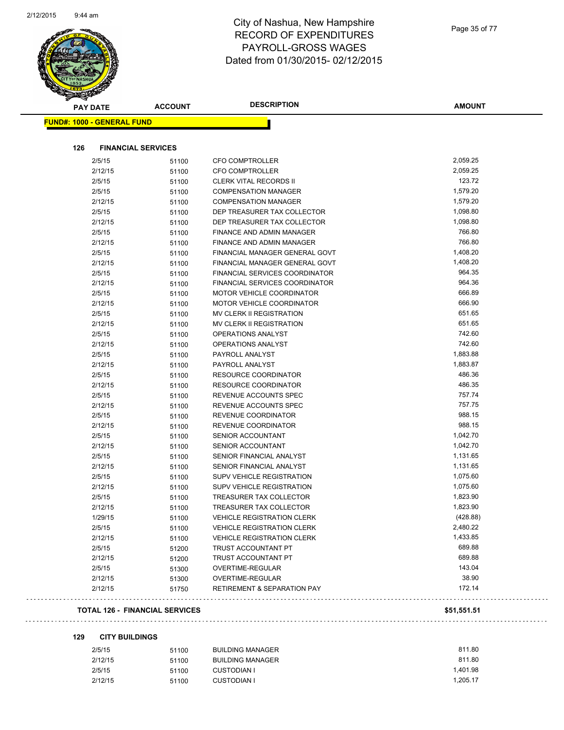

|     | <b>PAY DATE</b>                       | <b>ACCOUNT</b> | <b>DESCRIPTION</b>                     | <b>AMOUNT</b> |
|-----|---------------------------------------|----------------|----------------------------------------|---------------|
|     | <u> FUND#: 1000 - GENERAL FUND</u>    |                |                                        |               |
|     |                                       |                |                                        |               |
| 126 | <b>FINANCIAL SERVICES</b>             |                |                                        |               |
|     | 2/5/15                                | 51100          | <b>CFO COMPTROLLER</b>                 | 2,059.25      |
|     | 2/12/15                               | 51100          | CFO COMPTROLLER                        | 2,059.25      |
|     | 2/5/15                                | 51100          | <b>CLERK VITAL RECORDS II</b>          | 123.72        |
|     | 2/5/15                                | 51100          | <b>COMPENSATION MANAGER</b>            | 1,579.20      |
|     | 2/12/15                               | 51100          | <b>COMPENSATION MANAGER</b>            | 1,579.20      |
|     | 2/5/15                                | 51100          | DEP TREASURER TAX COLLECTOR            | 1,098.80      |
|     | 2/12/15                               | 51100          | DEP TREASURER TAX COLLECTOR            | 1,098.80      |
|     | 2/5/15                                | 51100          | FINANCE AND ADMIN MANAGER              | 766.80        |
|     | 2/12/15                               | 51100          | FINANCE AND ADMIN MANAGER              | 766.80        |
|     | 2/5/15                                | 51100          | FINANCIAL MANAGER GENERAL GOVT         | 1,408.20      |
|     | 2/12/15                               | 51100          | FINANCIAL MANAGER GENERAL GOVT         | 1,408.20      |
|     | 2/5/15                                | 51100          | FINANCIAL SERVICES COORDINATOR         | 964.35        |
|     | 2/12/15                               | 51100          | FINANCIAL SERVICES COORDINATOR         | 964.36        |
|     | 2/5/15                                | 51100          | <b>MOTOR VEHICLE COORDINATOR</b>       | 666.89        |
|     | 2/12/15                               | 51100          | MOTOR VEHICLE COORDINATOR              | 666.90        |
|     | 2/5/15                                | 51100          | <b>MV CLERK II REGISTRATION</b>        | 651.65        |
|     | 2/12/15                               | 51100          | <b>MV CLERK II REGISTRATION</b>        | 651.65        |
|     | 2/5/15                                | 51100          | OPERATIONS ANALYST                     | 742.60        |
|     | 2/12/15                               | 51100          | <b>OPERATIONS ANALYST</b>              | 742.60        |
|     | 2/5/15                                | 51100          | PAYROLL ANALYST                        | 1,883.88      |
|     | 2/12/15                               | 51100          | PAYROLL ANALYST                        | 1,883.87      |
|     | 2/5/15                                | 51100          | <b>RESOURCE COORDINATOR</b>            | 486.36        |
|     | 2/12/15                               | 51100          | <b>RESOURCE COORDINATOR</b>            | 486.35        |
|     | 2/5/15                                | 51100          | REVENUE ACCOUNTS SPEC                  | 757.74        |
|     | 2/12/15                               | 51100          | REVENUE ACCOUNTS SPEC                  | 757.75        |
|     | 2/5/15                                | 51100          | REVENUE COORDINATOR                    | 988.15        |
|     | 2/12/15                               | 51100          | REVENUE COORDINATOR                    | 988.15        |
|     | 2/5/15                                | 51100          | <b>SENIOR ACCOUNTANT</b>               | 1,042.70      |
|     | 2/12/15                               | 51100          | SENIOR ACCOUNTANT                      | 1,042.70      |
|     | 2/5/15                                | 51100          | SENIOR FINANCIAL ANALYST               | 1,131.65      |
|     | 2/12/15                               | 51100          | SENIOR FINANCIAL ANALYST               | 1,131.65      |
|     | 2/5/15                                | 51100          | <b>SUPV VEHICLE REGISTRATION</b>       | 1,075.60      |
|     | 2/12/15                               | 51100          | <b>SUPV VEHICLE REGISTRATION</b>       | 1,075.60      |
|     | 2/5/15                                | 51100          | TREASURER TAX COLLECTOR                | 1,823.90      |
|     | 2/12/15                               | 51100          | TREASURER TAX COLLECTOR                | 1,823.90      |
|     | 1/29/15                               | 51100          | VEHICLE REGISTRATION CLERK             | (428.88)      |
|     | 2/5/15                                | 51100          | <b>VEHICLE REGISTRATION CLERK</b>      | 2,480.22      |
|     | 2/12/15                               | 51100          | <b>VEHICLE REGISTRATION CLERK</b>      | 1,433.85      |
|     | 2/5/15                                | 51200          | TRUST ACCOUNTANT PT                    | 689.88        |
|     | 2/12/15                               | 51200          | TRUST ACCOUNTANT PT                    | 689.88        |
|     | 2/5/15                                | 51300          | OVERTIME-REGULAR                       | 143.04        |
|     | 2/12/15                               | 51300          | OVERTIME-REGULAR                       | 38.90         |
|     | 2/12/15                               | 51750          | <b>RETIREMENT &amp; SEPARATION PAY</b> | 172.14        |
|     | <b>TOTAL 126 - FINANCIAL SERVICES</b> |                |                                        | \$51,551.51   |

#### 

**129 CITY BUILDINGS**

. . . . . . .

. . .

#### 2/5/15 51100 BUILDING MANAGER 811.80 2/12/15 51100 BUILDING MANAGER 811.80 2/5/15 51100 CUSTODIAN I 1,401.98 2/12/15 51100 CUSTODIAN I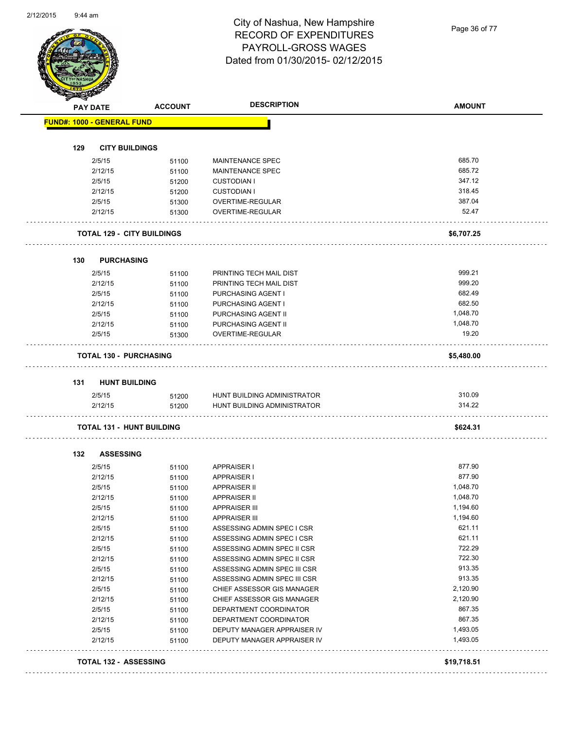Page 36 of 77

| <b>PAY DATE</b>                   | <b>ACCOUNT</b> | <b>DESCRIPTION</b>                                         | <b>AMOUNT</b>        |
|-----------------------------------|----------------|------------------------------------------------------------|----------------------|
| <b>FUND#: 1000 - GENERAL FUND</b> |                |                                                            |                      |
|                                   |                |                                                            |                      |
| 129<br><b>CITY BUILDINGS</b>      |                |                                                            |                      |
| 2/5/15                            | 51100          | <b>MAINTENANCE SPEC</b>                                    | 685.70               |
| 2/12/15                           | 51100          | <b>MAINTENANCE SPEC</b>                                    | 685.72<br>347.12     |
| 2/5/15<br>2/12/15                 | 51200          | <b>CUSTODIAN I</b>                                         | 318.45               |
| 2/5/15                            | 51200          | <b>CUSTODIAN I</b><br>OVERTIME-REGULAR                     | 387.04               |
| 2/12/15                           | 51300<br>51300 | OVERTIME-REGULAR                                           | 52.47                |
|                                   |                |                                                            |                      |
| <b>TOTAL 129 - CITY BUILDINGS</b> |                |                                                            | \$6,707.25           |
| 130<br>PURCHASING                 |                |                                                            |                      |
| 2/5/15                            | 51100          | PRINTING TECH MAIL DIST                                    | 999.21               |
| 2/12/15                           | 51100          | PRINTING TECH MAIL DIST                                    | 999.20               |
| 2/5/15                            | 51100          | PURCHASING AGENT I                                         | 682.49               |
| 2/12/15                           | 51100          | PURCHASING AGENT I                                         | 682.50               |
| 2/5/15                            | 51100          | PURCHASING AGENT II                                        | 1,048.70             |
| 2/12/15                           | 51100          | PURCHASING AGENT II                                        | 1,048.70             |
| 2/5/15                            | 51300          | <b>OVERTIME-REGULAR</b>                                    | 19.20                |
| <b>TOTAL 130 - PURCHASING</b>     |                |                                                            | \$5,480.00           |
|                                   |                |                                                            |                      |
| <b>HUNT BUILDING</b><br>131       |                |                                                            | 310.09               |
| 2/5/15<br>2/12/15                 | 51200<br>51200 | HUNT BUILDING ADMINISTRATOR<br>HUNT BUILDING ADMINISTRATOR | 314.22               |
|                                   |                |                                                            |                      |
| <b>TOTAL 131 - HUNT BUILDING</b>  |                |                                                            | \$624.31             |
|                                   |                |                                                            |                      |
| 132<br><b>ASSESSING</b><br>2/5/15 |                | <b>APPRAISER I</b>                                         | 877.90               |
| 2/12/15                           | 51100          | <b>APPRAISER I</b>                                         | 877.90               |
|                                   | 51100          |                                                            |                      |
| 2/5/15                            | 51100          | <b>APPRAISER II</b>                                        | 1,048.70<br>1,048.70 |
| 2/12/15<br>2/5/15                 | 51100          | <b>APPRAISER II</b><br>APPRAISER III                       | 1,194.60             |
| 2/12/15                           | 51100<br>51100 | <b>APPRAISER III</b>                                       | 1,194.60             |
| 2/5/15                            |                | ASSESSING ADMIN SPEC I CSR                                 | 621.11               |
| 2/12/15                           | 51100          | ASSESSING ADMIN SPEC I CSR                                 | 621.11               |
| 2/5/15                            | 51100          | ASSESSING ADMIN SPEC II CSR                                | 722.29               |
| 2/12/15                           | 51100          | ASSESSING ADMIN SPEC II CSR                                | 722.30               |
| 2/5/15                            | 51100          | ASSESSING ADMIN SPEC III CSR                               | 913.35               |
| 2/12/15                           | 51100          | ASSESSING ADMIN SPEC III CSR                               | 913.35               |
| 2/5/15                            | 51100          |                                                            | 2,120.90             |
| 2/12/15                           | 51100          | CHIEF ASSESSOR GIS MANAGER<br>CHIEF ASSESSOR GIS MANAGER   | 2,120.90             |
| 2/5/15                            | 51100          | DEPARTMENT COORDINATOR                                     | 867.35               |
| 2/12/15                           | 51100          |                                                            | 867.35               |
| 2/5/15                            | 51100          | DEPARTMENT COORDINATOR                                     | 1,493.05             |
| 2/12/15                           | 51100<br>51100 | DEPUTY MANAGER APPRAISER IV<br>DEPUTY MANAGER APPRAISER IV | 1,493.05             |
|                                   |                |                                                            |                      |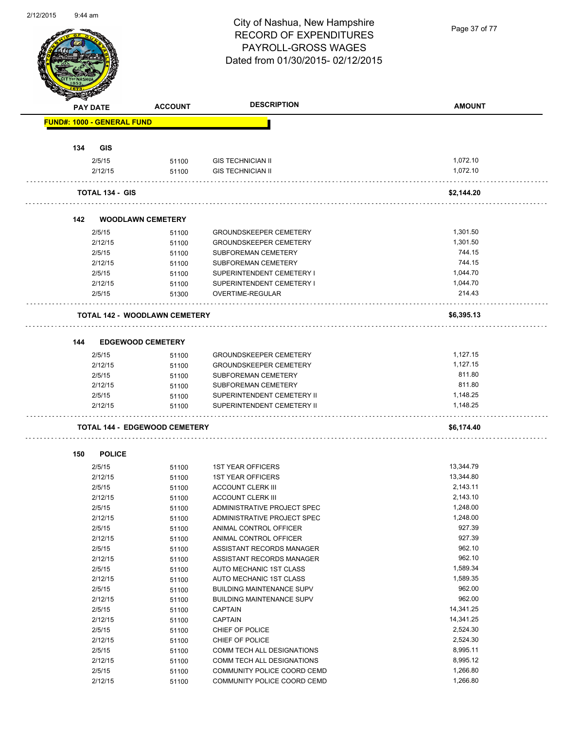

Page 37 of 77

|     | <b>PAY DATE</b>                   | <b>ACCOUNT</b>                       | <b>DESCRIPTION</b>               | <b>AMOUNT</b>        |
|-----|-----------------------------------|--------------------------------------|----------------------------------|----------------------|
|     | <b>FUND#: 1000 - GENERAL FUND</b> |                                      |                                  |                      |
|     |                                   |                                      |                                  |                      |
| 134 | <b>GIS</b>                        |                                      |                                  |                      |
|     | 2/5/15                            | 51100                                | <b>GIS TECHNICIAN II</b>         | 1,072.10             |
|     | 2/12/15                           | 51100                                | <b>GIS TECHNICIAN II</b>         | 1,072.10             |
|     | <b>TOTAL 134 - GIS</b>            |                                      |                                  | \$2,144.20           |
| 142 |                                   | <b>WOODLAWN CEMETERY</b>             |                                  |                      |
|     | 2/5/15                            | 51100                                | <b>GROUNDSKEEPER CEMETERY</b>    | 1,301.50             |
|     | 2/12/15                           | 51100                                | <b>GROUNDSKEEPER CEMETERY</b>    | 1,301.50             |
|     | 2/5/15                            | 51100                                | SUBFOREMAN CEMETERY              | 744.15               |
|     | 2/12/15                           | 51100                                | SUBFOREMAN CEMETERY              | 744.15               |
|     | 2/5/15                            | 51100                                | SUPERINTENDENT CEMETERY I        | 1.044.70             |
|     | 2/12/15                           | 51100                                | SUPERINTENDENT CEMETERY I        | 1,044.70             |
|     | 2/5/15                            | 51300                                | OVERTIME-REGULAR                 | 214.43               |
|     |                                   | <b>TOTAL 142 - WOODLAWN CEMETERY</b> |                                  | \$6,395.13           |
| 144 |                                   | <b>EDGEWOOD CEMETERY</b>             |                                  |                      |
|     | 2/5/15                            |                                      | <b>GROUNDSKEEPER CEMETERY</b>    | 1,127.15             |
|     | 2/12/15                           | 51100                                | <b>GROUNDSKEEPER CEMETERY</b>    | 1,127.15             |
|     | 2/5/15                            | 51100<br>51100                       | SUBFOREMAN CEMETERY              | 811.80               |
|     | 2/12/15                           | 51100                                | SUBFOREMAN CEMETERY              | 811.80               |
|     | 2/5/15                            | 51100                                | SUPERINTENDENT CEMETERY II       | 1,148.25             |
|     | 2/12/15                           | 51100                                | SUPERINTENDENT CEMETERY II       | 1,148.25             |
|     |                                   | <b>TOTAL 144 - EDGEWOOD CEMETERY</b> |                                  | \$6,174.40           |
|     |                                   |                                      |                                  |                      |
| 150 | <b>POLICE</b>                     |                                      |                                  |                      |
|     | 2/5/15                            | 51100                                | <b>1ST YEAR OFFICERS</b>         | 13,344.79            |
|     | 2/12/15                           | 51100                                | <b>1ST YEAR OFFICERS</b>         | 13,344.80            |
|     | 2/5/15                            | 51100                                | <b>ACCOUNT CLERK III</b>         | 2,143.11             |
|     | 2/12/15                           | 51100                                | <b>ACCOUNT CLERK III</b>         | 2,143.10             |
|     | 2/5/15                            | 51100                                | ADMINISTRATIVE PROJECT SPEC      | 1,248.00             |
|     | 2/12/15                           | 51100                                | ADMINISTRATIVE PROJECT SPEC      | 1,248.00             |
|     | 2/5/15                            | 51100                                | ANIMAL CONTROL OFFICER           | 927.39               |
|     | 2/12/15                           | 51100                                | ANIMAL CONTROL OFFICER           | 927.39               |
|     | 2/5/15                            | 51100                                | ASSISTANT RECORDS MANAGER        | 962.10               |
|     | 2/12/15                           | 51100                                | ASSISTANT RECORDS MANAGER        | 962.10               |
|     | 2/5/15                            | 51100                                | AUTO MECHANIC 1ST CLASS          | 1,589.34             |
|     | 2/12/15                           | 51100                                | <b>AUTO MECHANIC 1ST CLASS</b>   | 1,589.35             |
|     | 2/5/15                            | 51100                                | <b>BUILDING MAINTENANCE SUPV</b> | 962.00               |
|     | 2/12/15                           | 51100                                | <b>BUILDING MAINTENANCE SUPV</b> | 962.00               |
|     | 2/5/15                            | 51100                                | <b>CAPTAIN</b>                   | 14,341.25            |
|     | 2/12/15                           | 51100                                | CAPTAIN                          | 14,341.25            |
|     | 2/5/15                            | 51100                                | CHIEF OF POLICE                  | 2,524.30             |
|     | 2/12/15                           | 51100                                | CHIEF OF POLICE                  | 2,524.30             |
|     | 2/5/15                            | 51100                                | COMM TECH ALL DESIGNATIONS       | 8,995.11             |
|     | 2/12/15                           | 51100                                | COMM TECH ALL DESIGNATIONS       | 8,995.12<br>1,266.80 |
|     | 2/5/15                            | 51100                                | COMMUNITY POLICE COORD CEMD      | 1,266.80             |
|     | 2/12/15                           | 51100                                | COMMUNITY POLICE COORD CEMD      |                      |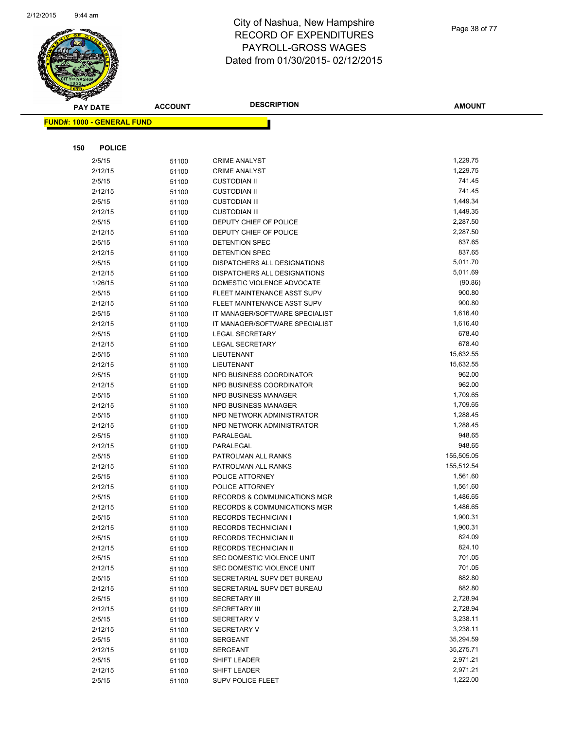

Page 38 of 77

**AMOUNT**

| <b>FUND#: 1000 - GENERAL FUND</b> |                |                                              |                      |
|-----------------------------------|----------------|----------------------------------------------|----------------------|
|                                   |                |                                              |                      |
| <b>POLICE</b><br>150              |                |                                              |                      |
|                                   |                |                                              |                      |
| 2/5/15                            | 51100          | <b>CRIME ANALYST</b>                         | 1,229.75             |
| 2/12/15                           | 51100          | <b>CRIME ANALYST</b>                         | 1,229.75<br>741.45   |
| 2/5/15                            | 51100          | <b>CUSTODIAN II</b>                          | 741.45               |
| 2/12/15                           | 51100          | <b>CUSTODIAN II</b>                          | 1,449.34             |
| 2/5/15                            | 51100          | <b>CUSTODIAN III</b><br><b>CUSTODIAN III</b> | 1,449.35             |
| 2/12/15                           | 51100          | DEPUTY CHIEF OF POLICE                       | 2,287.50             |
| 2/5/15<br>2/12/15                 | 51100          | DEPUTY CHIEF OF POLICE                       | 2,287.50             |
| 2/5/15                            | 51100<br>51100 | <b>DETENTION SPEC</b>                        | 837.65               |
| 2/12/15                           | 51100          | DETENTION SPEC                               | 837.65               |
| 2/5/15                            | 51100          | DISPATCHERS ALL DESIGNATIONS                 | 5,011.70             |
| 2/12/15                           | 51100          | DISPATCHERS ALL DESIGNATIONS                 | 5,011.69             |
| 1/26/15                           | 51100          | DOMESTIC VIOLENCE ADVOCATE                   | (90.86)              |
| 2/5/15                            | 51100          | FLEET MAINTENANCE ASST SUPV                  | 900.80               |
| 2/12/15                           | 51100          | FLEET MAINTENANCE ASST SUPV                  | 900.80               |
| 2/5/15                            | 51100          | IT MANAGER/SOFTWARE SPECIALIST               | 1,616.40             |
| 2/12/15                           | 51100          | IT MANAGER/SOFTWARE SPECIALIST               | 1,616.40             |
| 2/5/15                            | 51100          | LEGAL SECRETARY                              | 678.40               |
| 2/12/15                           | 51100          | <b>LEGAL SECRETARY</b>                       | 678.40               |
| 2/5/15                            | 51100          | <b>LIEUTENANT</b>                            | 15,632.55            |
| 2/12/15                           | 51100          | LIEUTENANT                                   | 15,632.55            |
| 2/5/15                            | 51100          | NPD BUSINESS COORDINATOR                     | 962.00               |
| 2/12/15                           | 51100          | NPD BUSINESS COORDINATOR                     | 962.00               |
| 2/5/15                            | 51100          | <b>NPD BUSINESS MANAGER</b>                  | 1,709.65             |
| 2/12/15                           | 51100          | NPD BUSINESS MANAGER                         | 1,709.65             |
| 2/5/15                            | 51100          | NPD NETWORK ADMINISTRATOR                    | 1,288.45             |
| 2/12/15                           | 51100          | NPD NETWORK ADMINISTRATOR                    | 1,288.45             |
| 2/5/15                            | 51100          | PARALEGAL                                    | 948.65               |
| 2/12/15                           | 51100          | PARALEGAL                                    | 948.65               |
| 2/5/15                            | 51100          | PATROLMAN ALL RANKS                          | 155,505.05           |
| 2/12/15                           | 51100          | PATROLMAN ALL RANKS                          | 155,512.54           |
| 2/5/15                            | 51100          | POLICE ATTORNEY                              | 1,561.60             |
| 2/12/15                           | 51100          | POLICE ATTORNEY                              | 1,561.60             |
| 2/5/15                            | 51100          | RECORDS & COMMUNICATIONS MGR                 | 1,486.65             |
| 2/12/15                           | 51100          | RECORDS & COMMUNICATIONS MGR                 | 1,486.65             |
| 2/5/15                            | 51100          | RECORDS TECHNICIAN I                         | 1,900.31             |
| 2/12/15                           | 51100          | RECORDS TECHNICIAN I                         | 1,900.31             |
| 2/5/15                            | 51100          | RECORDS TECHNICIAN II                        | 824.09               |
| 2/12/15                           | 51100          | RECORDS TECHNICIAN II                        | 824.10               |
| 2/5/15                            | 51100          | SEC DOMESTIC VIOLENCE UNIT                   | 701.05               |
| 2/12/15                           | 51100          | SEC DOMESTIC VIOLENCE UNIT                   | 701.05               |
| 2/5/15                            | 51100          | SECRETARIAL SUPV DET BUREAU                  | 882.80               |
| 2/12/15                           | 51100          | SECRETARIAL SUPV DET BUREAU                  | 882.80               |
| 2/5/15                            | 51100          | <b>SECRETARY III</b>                         | 2,728.94             |
| 2/12/15                           | 51100          | <b>SECRETARY III</b>                         | 2,728.94             |
| 2/5/15                            | 51100          | <b>SECRETARY V</b>                           | 3,238.11             |
| 2/12/15                           | 51100          | <b>SECRETARY V</b>                           | 3,238.11             |
| 2/5/15                            | 51100          | SERGEANT                                     | 35,294.59            |
| 2/12/15                           | 51100          | SERGEANT                                     | 35,275.71            |
| 2/5/15                            | 51100          | SHIFT LEADER                                 | 2,971.21             |
| 2/12/15                           | 51100          | SHIFT LEADER                                 | 2,971.21<br>1,222.00 |
| 2/5/15                            | 51100          | SUPV POLICE FLEET                            |                      |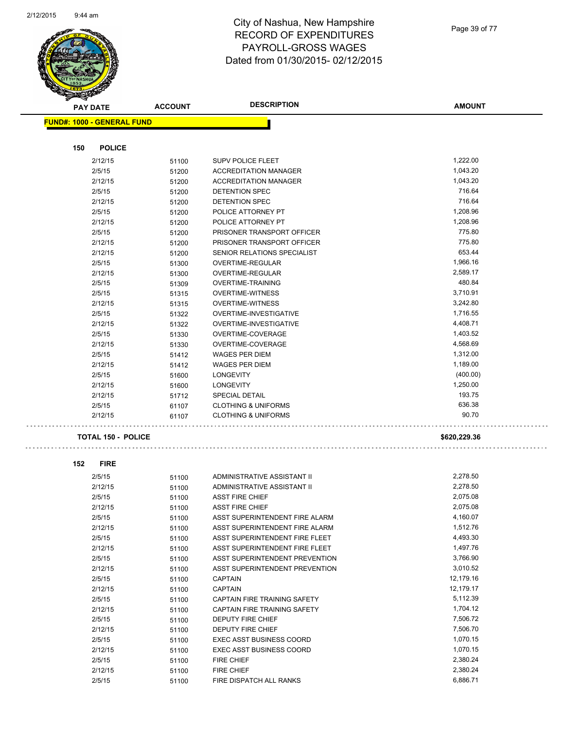

| <b>PAY DATE</b>                   | <b>ACCOUNT</b> | <b>DESCRIPTION</b>              | <b>AMOUNT</b> |
|-----------------------------------|----------------|---------------------------------|---------------|
| <b>FUND#: 1000 - GENERAL FUND</b> |                |                                 |               |
|                                   |                |                                 |               |
|                                   |                |                                 |               |
| 150<br><b>POLICE</b>              |                |                                 |               |
| 2/12/15                           | 51100          | <b>SUPV POLICE FLEET</b>        | 1,222.00      |
| 2/5/15                            | 51200          | <b>ACCREDITATION MANAGER</b>    | 1,043.20      |
| 2/12/15                           | 51200          | <b>ACCREDITATION MANAGER</b>    | 1,043.20      |
| 2/5/15                            | 51200          | DETENTION SPEC                  | 716.64        |
| 2/12/15                           | 51200          | <b>DETENTION SPEC</b>           | 716.64        |
| 2/5/15                            | 51200          | POLICE ATTORNEY PT              | 1,208.96      |
| 2/12/15                           | 51200          | POLICE ATTORNEY PT              | 1,208.96      |
| 2/5/15                            | 51200          | PRISONER TRANSPORT OFFICER      | 775.80        |
| 2/12/15                           | 51200          | PRISONER TRANSPORT OFFICER      | 775.80        |
| 2/12/15                           | 51200          | SENIOR RELATIONS SPECIALIST     | 653.44        |
| 2/5/15                            | 51300          | OVERTIME-REGULAR                | 1,966.16      |
| 2/12/15                           | 51300          | OVERTIME-REGULAR                | 2,589.17      |
| 2/5/15                            | 51309          | OVERTIME-TRAINING               | 480.84        |
| 2/5/15                            | 51315          | <b>OVERTIME-WITNESS</b>         | 3,710.91      |
| 2/12/15                           | 51315          | <b>OVERTIME-WITNESS</b>         | 3,242.80      |
| 2/5/15                            | 51322          | OVERTIME-INVESTIGATIVE          | 1,716.55      |
| 2/12/15                           | 51322          | OVERTIME-INVESTIGATIVE          | 4,408.71      |
| 2/5/15                            | 51330          | OVERTIME-COVERAGE               | 1,403.52      |
| 2/12/15                           | 51330          | OVERTIME-COVERAGE               | 4,568.69      |
| 2/5/15                            | 51412          | <b>WAGES PER DIEM</b>           | 1,312.00      |
| 2/12/15                           | 51412          | <b>WAGES PER DIEM</b>           | 1,189.00      |
| 2/5/15                            | 51600          | <b>LONGEVITY</b>                | (400.00)      |
| 2/12/15                           | 51600          | <b>LONGEVITY</b>                | 1,250.00      |
| 2/12/15                           | 51712          | <b>SPECIAL DETAIL</b>           | 193.75        |
| 2/5/15                            | 61107          | <b>CLOTHING &amp; UNIFORMS</b>  | 636.38        |
| 2/12/15                           | 61107          | <b>CLOTHING &amp; UNIFORMS</b>  | 90.70         |
| <b>TOTAL 150 - POLICE</b>         |                |                                 | \$620,229.36  |
|                                   |                |                                 |               |
| 152<br><b>FIRE</b>                |                |                                 |               |
| 2/5/15                            | 51100          | ADMINISTRATIVE ASSISTANT II     | 2,278.50      |
| 2/12/15                           | 51100          | ADMINISTRATIVE ASSISTANT II     | 2,278.50      |
| 2/5/15                            | 51100          | <b>ASST FIRE CHIEF</b>          | 2,075.08      |
| 2/12/15                           | 51100          | <b>ASST FIRE CHIEF</b>          | 2,075.08      |
| 2/5/15                            | 51100          | ASST SUPERINTENDENT FIRE ALARM  | 4,160.07      |
| 2/12/15                           | 51100          | ASST SUPERINTENDENT FIRE ALARM  | 1,512.76      |
| 2/5/15                            | 51100          | ASST SUPERINTENDENT FIRE FLEET  | 4,493.30      |
| 2/12/15                           | 51100          | ASST SUPERINTENDENT FIRE FLEET  | 1,497.76      |
| 2/5/15                            | 51100          | ASST SUPERINTENDENT PREVENTION  | 3,766.90      |
| 2/12/15                           | 51100          | ASST SUPERINTENDENT PREVENTION  | 3,010.52      |
| 2/5/15                            | 51100          | <b>CAPTAIN</b>                  | 12,179.16     |
| 2/12/15                           | 51100          | <b>CAPTAIN</b>                  | 12,179.17     |
| 2/5/15                            | 51100          | CAPTAIN FIRE TRAINING SAFETY    | 5,112.39      |
| 2/12/15                           | 51100          | CAPTAIN FIRE TRAINING SAFETY    | 1,704.12      |
| 2/5/15                            | 51100          | DEPUTY FIRE CHIEF               | 7,506.72      |
| 2/12/15                           | 51100          | DEPUTY FIRE CHIEF               | 7,506.70      |
| 2/5/15                            | 51100          | <b>EXEC ASST BUSINESS COORD</b> | 1,070.15      |
| 2/12/15                           | 51100          | <b>EXEC ASST BUSINESS COORD</b> | 1,070.15      |
| 2/5/15                            | 51100          | <b>FIRE CHIEF</b>               | 2,380.24      |
| 2/12/15                           | 51100          | FIRE CHIEF                      | 2,380.24      |
| 2/5/15                            | 51100          | FIRE DISPATCH ALL RANKS         | 6,886.71      |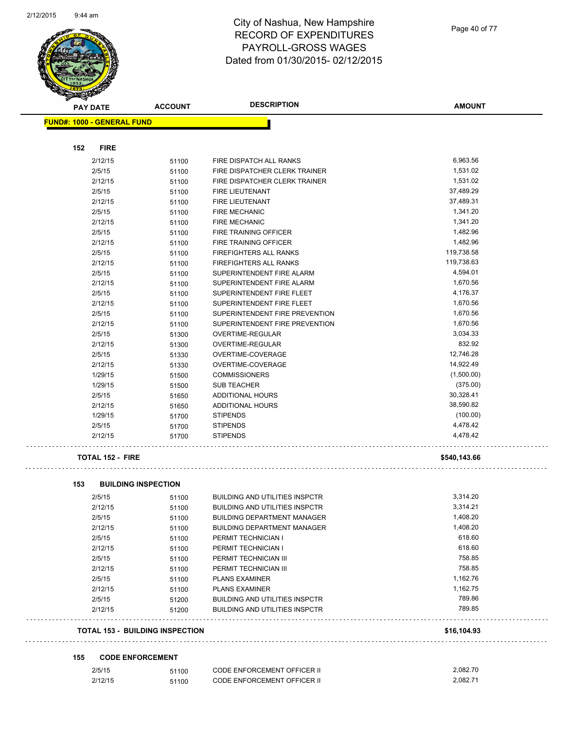

**FUND#: 1000 - GENERAL FUND**

**152 FIRE**

#### City of Nashua, New Hampshire RECORD OF EXPENDITURES PAYROLL-GROSS WAGES Dated from 01/30/2015- 02/12/2015

**AMOUNT PAY DATE ACCOUNT DESCRIPTION** 2/12/15 51100 FIRE DISPATCH ALL RANKS 6,963.56 2/5/15 51100 FIRE DISPATCHER CLERK TRAINER 1,531.02 2/12/15 51100 FIRE DISPATCHER CLERK TRAINER 1,531.02 2/5/15 51100 FIRE LIEUTENANT 37,489.29 2/12/15 51100 FIRE LIEUTENANT 37,489.31 2/5/15 51100 FIRE MECHANIC 1,341.20 2/12/15 51100 FIRE MECHANIC 30 100 1,341.20

| 2/12/15 | 51100 | <b>FIRE MECHANIC</b>           | U.J. H. PG, I |
|---------|-------|--------------------------------|---------------|
| 2/5/15  | 51100 | <b>FIRE TRAINING OFFICER</b>   | 1,482.96      |
| 2/12/15 | 51100 | FIRE TRAINING OFFICER          | 1,482.96      |
| 2/5/15  | 51100 | <b>FIREFIGHTERS ALL RANKS</b>  | 119,738.58    |
| 2/12/15 | 51100 | <b>FIREFIGHTERS ALL RANKS</b>  | 119,738.63    |
| 2/5/15  | 51100 | SUPERINTENDENT FIRE ALARM      | 4,594.01      |
| 2/12/15 | 51100 | SUPERINTENDENT FIRE ALARM      | 1,670.56      |
| 2/5/15  | 51100 | SUPERINTENDENT FIRE FLEET      | 4,176.37      |
| 2/12/15 | 51100 | SUPERINTENDENT FIRE FLEET      | 1,670.56      |
| 2/5/15  | 51100 | SUPERINTENDENT FIRE PREVENTION | 1,670.56      |
| 2/12/15 | 51100 | SUPERINTENDENT FIRE PREVENTION | 1,670.56      |
| 2/5/15  | 51300 | OVERTIME-REGULAR               | 3,034.33      |
| 2/12/15 | 51300 | OVERTIME-REGULAR               | 832.92        |
| 2/5/15  | 51330 | OVERTIME-COVERAGE              | 12,746.28     |
| 2/12/15 | 51330 | OVERTIME-COVERAGE              | 14,922.49     |
| 1/29/15 | 51500 | <b>COMMISSIONERS</b>           | (1,500.00)    |
| 1/29/15 | 51500 | SUB TEACHER                    | (375.00)      |
| 2/5/15  | 51650 | ADDITIONAL HOURS               | 30,328.41     |
| 2/12/15 | 51650 | <b>ADDITIONAL HOURS</b>        | 38,590.82     |
| 1/29/15 | 51700 | <b>STIPENDS</b>                | (100.00)      |
| 2/5/15  | 51700 | <b>STIPENDS</b>                | 4,478.42      |
| 2/12/15 | 51700 | <b>STIPENDS</b>                | 4,478.42      |
|         |       |                                |               |

#### **TOTAL 152 - FIRE \$540,143.66**

|         |       |                                       | \$16,104.93                            |
|---------|-------|---------------------------------------|----------------------------------------|
| 2/12/15 | 51200 | <b>BUILDING AND UTILITIES INSPCTR</b> | 789.85                                 |
| 2/5/15  | 51200 | <b>BUILDING AND UTILITIES INSPCTR</b> | 789.86                                 |
| 2/12/15 | 51100 | <b>PLANS EXAMINER</b>                 | 1,162.75                               |
| 2/5/15  | 51100 | <b>PLANS EXAMINER</b>                 | 1,162.76                               |
| 2/12/15 | 51100 | PERMIT TECHNICIAN III                 | 758.85                                 |
| 2/5/15  | 51100 | PERMIT TECHNICIAN III                 | 758.85                                 |
| 2/12/15 | 51100 | PERMIT TECHNICIAN I                   | 618.60                                 |
| 2/5/15  | 51100 | PERMIT TECHNICIAN I                   | 618.60                                 |
| 2/12/15 | 51100 | <b>BUILDING DEPARTMENT MANAGER</b>    | 1,408.20                               |
| 2/5/15  | 51100 | <b>BUILDING DEPARTMENT MANAGER</b>    | 1,408.20                               |
| 2/12/15 | 51100 | <b>BUILDING AND UTILITIES INSPCTR</b> | 3.314.21                               |
| 2/5/15  | 51100 | <b>BUILDING AND UTILITIES INSPCTR</b> | 3,314.20                               |
|         |       |                                       | <b>TOTAL 153 - BUILDING INSPECTION</b> |

#### **155 CODE ENFORCEMENT**

| 2/5/15  | 51100 | <b>CODE ENFORCEMENT OFFICER II</b> | 2.082.70 |
|---------|-------|------------------------------------|----------|
| 2/12/15 | 51100 | CODE ENFORCEMENT OFFICER II        | 2,082.71 |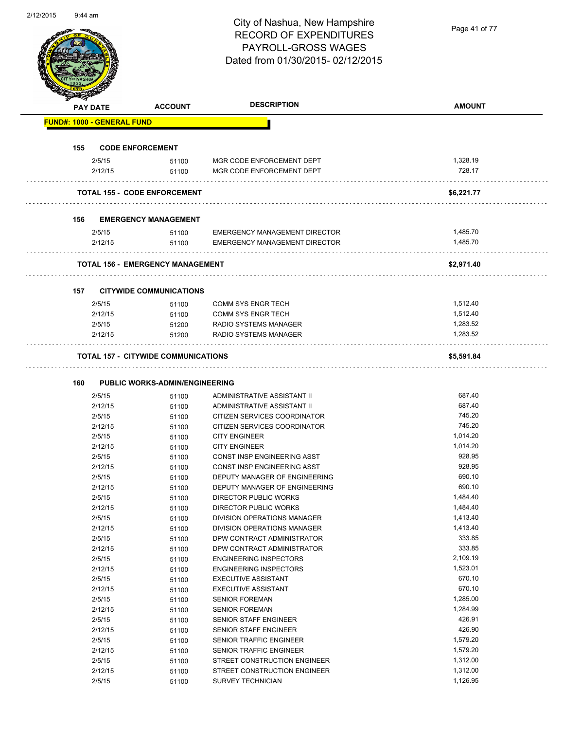Page 41 of 77

|                                   | <b>PAY DATE</b>   | <b>ACCOUNT</b>                             | <b>DESCRIPTION</b>                                     | <b>AMOUNT</b> |
|-----------------------------------|-------------------|--------------------------------------------|--------------------------------------------------------|---------------|
| <b>FUND#: 1000 - GENERAL FUND</b> |                   |                                            |                                                        |               |
|                                   |                   |                                            |                                                        |               |
| 155                               |                   | <b>CODE ENFORCEMENT</b>                    |                                                        | 1,328.19      |
|                                   | 2/5/15<br>2/12/15 | 51100<br>51100                             | MGR CODE ENFORCEMENT DEPT<br>MGR CODE ENFORCEMENT DEPT | 728.17        |
|                                   |                   | <b>TOTAL 155 - CODE ENFORCEMENT</b>        |                                                        | \$6,221.77    |
| 156                               |                   | <b>EMERGENCY MANAGEMENT</b>                |                                                        |               |
|                                   | 2/5/15            | 51100                                      | <b>EMERGENCY MANAGEMENT DIRECTOR</b>                   | 1,485.70      |
|                                   | 2/12/15           | 51100                                      | <b>EMERGENCY MANAGEMENT DIRECTOR</b>                   | 1,485.70      |
|                                   |                   | <b>TOTAL 156 - EMERGENCY MANAGEMENT</b>    |                                                        | \$2,971.40    |
| 157                               |                   | <b>CITYWIDE COMMUNICATIONS</b>             |                                                        |               |
|                                   | 2/5/15            | 51100                                      | <b>COMM SYS ENGR TECH</b>                              | 1,512.40      |
|                                   | 2/12/15           | 51100                                      | <b>COMM SYS ENGR TECH</b>                              | 1,512.40      |
|                                   | 2/5/15            | 51200                                      | RADIO SYSTEMS MANAGER                                  | 1,283.52      |
|                                   | 2/12/15           | 51200                                      | RADIO SYSTEMS MANAGER                                  | 1,283.52      |
|                                   |                   | <b>TOTAL 157 - CITYWIDE COMMUNICATIONS</b> |                                                        | \$5,591.84    |
| 160                               |                   | PUBLIC WORKS-ADMIN/ENGINEERING             |                                                        |               |
|                                   | 2/5/15            | 51100                                      | ADMINISTRATIVE ASSISTANT II                            | 687.40        |
|                                   | 2/12/15           | 51100                                      | ADMINISTRATIVE ASSISTANT II                            | 687.40        |
|                                   | 2/5/15            | 51100                                      | CITIZEN SERVICES COORDINATOR                           | 745.20        |
|                                   | 2/12/15           | 51100                                      | CITIZEN SERVICES COORDINATOR                           | 745.20        |
|                                   | 2/5/15            | 51100                                      | <b>CITY ENGINEER</b>                                   | 1,014.20      |
|                                   | 2/12/15           | 51100                                      | <b>CITY ENGINEER</b>                                   | 1,014.20      |
|                                   | 2/5/15            | 51100                                      | CONST INSP ENGINEERING ASST                            | 928.95        |
|                                   | 2/12/15           | 51100                                      | CONST INSP ENGINEERING ASST                            | 928.95        |
|                                   | 2/5/15            | 51100                                      | DEPUTY MANAGER OF ENGINEERING                          | 690.10        |
|                                   | 2/12/15           | 51100                                      | DEPUTY MANAGER OF ENGINEERING                          | 690.10        |
|                                   | 2/5/15            | 51100                                      | DIRECTOR PUBLIC WORKS                                  | 1,484.40      |
|                                   | 2/12/15           | 51100                                      | DIRECTOR PUBLIC WORKS                                  | 1,484.40      |
|                                   | 2/5/15            | 51100                                      | DIVISION OPERATIONS MANAGER                            | 1,413.40      |
|                                   | 2/12/15           | 51100                                      | DIVISION OPERATIONS MANAGER                            | 1,413.40      |
|                                   | 2/5/15            | 51100                                      | DPW CONTRACT ADMINISTRATOR                             | 333.85        |
|                                   | 2/12/15           | 51100                                      | DPW CONTRACT ADMINISTRATOR                             | 333.85        |
|                                   | 2/5/15            | 51100                                      | <b>ENGINEERING INSPECTORS</b>                          | 2,109.19      |
|                                   | 2/12/15           | 51100                                      | <b>ENGINEERING INSPECTORS</b>                          | 1,523.01      |
|                                   | 2/5/15            | 51100                                      | <b>EXECUTIVE ASSISTANT</b>                             | 670.10        |
|                                   | 2/12/15           | 51100                                      | <b>EXECUTIVE ASSISTANT</b>                             | 670.10        |
|                                   | 2/5/15            | 51100                                      | <b>SENIOR FOREMAN</b>                                  | 1,285.00      |
|                                   | 2/12/15           | 51100                                      | <b>SENIOR FOREMAN</b>                                  | 1,284.99      |
|                                   | 2/5/15            | 51100                                      | SENIOR STAFF ENGINEER                                  | 426.91        |
|                                   | 2/12/15           | 51100                                      | SENIOR STAFF ENGINEER                                  | 426.90        |
|                                   | 2/5/15            | 51100                                      | SENIOR TRAFFIC ENGINEER                                | 1,579.20      |
|                                   | 2/12/15           | 51100                                      | SENIOR TRAFFIC ENGINEER                                | 1,579.20      |
|                                   | 2/5/15            | 51100                                      | STREET CONSTRUCTION ENGINEER                           | 1,312.00      |
|                                   | 2/12/15           | 51100                                      | STREET CONSTRUCTION ENGINEER                           | 1,312.00      |
|                                   | 2/5/15            | 51100                                      | SURVEY TECHNICIAN                                      | 1,126.95      |
|                                   |                   |                                            |                                                        |               |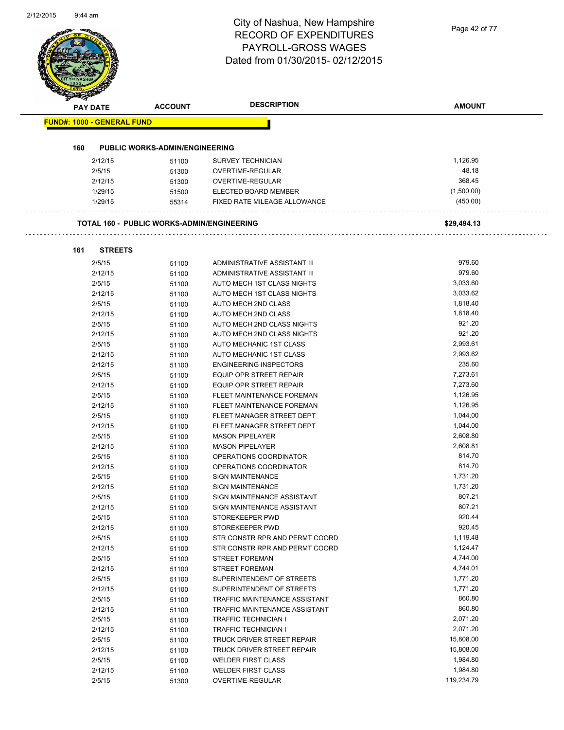|     | <b>PAY DATE</b>                   | <b>ACCOUNT</b>                             | <b>DESCRIPTION</b>             | <b>AMOUNT</b> |
|-----|-----------------------------------|--------------------------------------------|--------------------------------|---------------|
|     | <b>FUND#: 1000 - GENERAL FUND</b> |                                            |                                |               |
|     |                                   |                                            |                                |               |
| 160 |                                   | <b>PUBLIC WORKS-ADMIN/ENGINEERING</b>      |                                |               |
|     | 2/12/15                           | 51100                                      | <b>SURVEY TECHNICIAN</b>       | 1,126.95      |
|     | 2/5/15                            | 51300                                      | OVERTIME-REGULAR               | 48.18         |
|     | 2/12/15                           | 51300                                      | OVERTIME-REGULAR               | 368.45        |
|     | 1/29/15                           | 51500                                      | ELECTED BOARD MEMBER           | (1,500.00)    |
|     | 1/29/15                           | 55314                                      | FIXED RATE MILEAGE ALLOWANCE   | (450.00)      |
|     |                                   | TOTAL 160 - PUBLIC WORKS-ADMIN/ENGINEERING |                                | \$29,494.13   |
| 161 | <b>STREETS</b>                    |                                            |                                |               |
|     | 2/5/15                            | 51100                                      | ADMINISTRATIVE ASSISTANT III   | 979.60        |
|     | 2/12/15                           | 51100                                      | ADMINISTRATIVE ASSISTANT III   | 979.60        |
|     | 2/5/15                            | 51100                                      | AUTO MECH 1ST CLASS NIGHTS     | 3,033.60      |
|     | 2/12/15                           | 51100                                      | AUTO MECH 1ST CLASS NIGHTS     | 3,033.62      |
|     | 2/5/15                            | 51100                                      | AUTO MECH 2ND CLASS            | 1,818.40      |
|     | 2/12/15                           | 51100                                      | AUTO MECH 2ND CLASS            | 1,818.40      |
|     | 2/5/15                            | 51100                                      | AUTO MECH 2ND CLASS NIGHTS     | 921.20        |
|     | 2/12/15                           | 51100                                      | AUTO MECH 2ND CLASS NIGHTS     | 921.20        |
|     | 2/5/15                            | 51100                                      | AUTO MECHANIC 1ST CLASS        | 2,993.61      |
|     | 2/12/15                           | 51100                                      | AUTO MECHANIC 1ST CLASS        | 2,993.62      |
|     | 2/12/15                           | 51100                                      | <b>ENGINEERING INSPECTORS</b>  | 235.60        |
|     | 2/5/15                            | 51100                                      | EQUIP OPR STREET REPAIR        | 7,273.61      |
|     | 2/12/15                           | 51100                                      | EQUIP OPR STREET REPAIR        | 7,273.60      |
|     | 2/5/15                            | 51100                                      | FLEET MAINTENANCE FOREMAN      | 1,126.95      |
|     | 2/12/15                           | 51100                                      | FLEET MAINTENANCE FOREMAN      | 1,126.95      |
|     | 2/5/15                            | 51100                                      | FLEET MANAGER STREET DEPT      | 1,044.00      |
|     | 2/12/15                           | 51100                                      | FLEET MANAGER STREET DEPT      | 1,044.00      |
|     | 2/5/15                            | 51100                                      | <b>MASON PIPELAYER</b>         | 2,608.80      |
|     | 2/12/15                           | 51100                                      | <b>MASON PIPELAYER</b>         | 2,608.81      |
|     | 2/5/15                            | 51100                                      | OPERATIONS COORDINATOR         | 814.70        |
|     | 2/12/15                           | 51100                                      | OPERATIONS COORDINATOR         | 814.70        |
|     | 2/5/15                            | 51100                                      | SIGN MAINTENANCE               | 1,731.20      |
|     | 2/12/15                           | 51100                                      | <b>SIGN MAINTENANCE</b>        | 1,731.20      |
|     | 2/5/15                            | 51100                                      | SIGN MAINTENANCE ASSISTANT     | 807.21        |
|     | 2/12/15                           | 51100                                      | SIGN MAINTENANCE ASSISTANT     | 807.21        |
|     | 2/5/15                            | 51100                                      | STOREKEEPER PWD                | 920.44        |
|     | 2/12/15                           | 51100                                      | STOREKEEPER PWD                | 920.45        |
|     | 2/5/15                            | 51100                                      | STR CONSTR RPR AND PERMT COORD | 1,119.48      |
|     | 2/12/15                           | 51100                                      | STR CONSTR RPR AND PERMT COORD | 1,124.47      |
|     | 2/5/15                            | 51100                                      | <b>STREET FOREMAN</b>          | 4,744.00      |
|     | 2/12/15                           | 51100                                      | <b>STREET FOREMAN</b>          | 4,744.01      |
|     | 2/5/15                            | 51100                                      | SUPERINTENDENT OF STREETS      | 1,771.20      |
|     | 2/12/15                           | 51100                                      | SUPERINTENDENT OF STREETS      | 1,771.20      |
|     | 2/5/15                            | 51100                                      | TRAFFIC MAINTENANCE ASSISTANT  | 860.80        |
|     | 2/12/15                           | 51100                                      | TRAFFIC MAINTENANCE ASSISTANT  | 860.80        |
|     | 2/5/15                            | 51100                                      | <b>TRAFFIC TECHNICIAN I</b>    | 2,071.20      |
|     | 2/12/15                           | 51100                                      | <b>TRAFFIC TECHNICIAN I</b>    | 2,071.20      |
|     | 2/5/15                            | 51100                                      | TRUCK DRIVER STREET REPAIR     | 15,808.00     |
|     | 2/12/15                           | 51100                                      | TRUCK DRIVER STREET REPAIR     | 15,808.00     |
|     | 2/5/15                            | 51100                                      | <b>WELDER FIRST CLASS</b>      | 1,984.80      |
|     | 2/12/15                           | 51100                                      | <b>WELDER FIRST CLASS</b>      | 1,984.80      |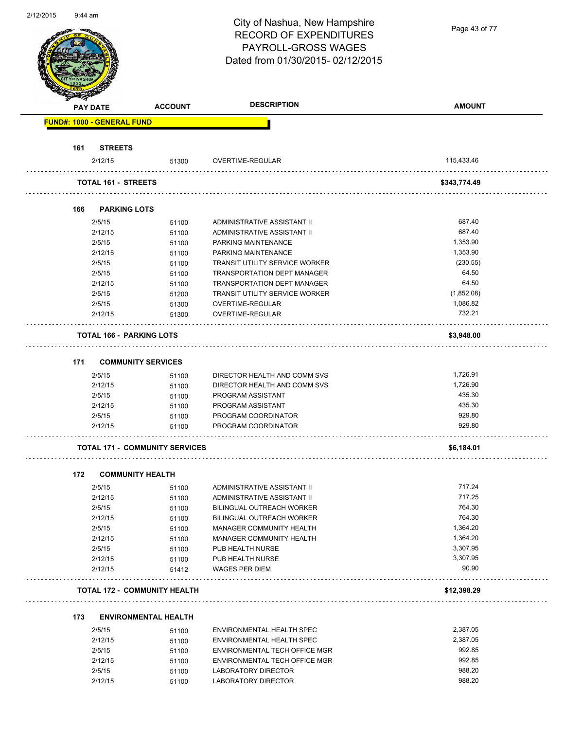|     |                                   |                                       | City of Nashua, New Hampshire         | Page 43 of 77 |
|-----|-----------------------------------|---------------------------------------|---------------------------------------|---------------|
|     |                                   |                                       | <b>RECORD OF EXPENDITURES</b>         |               |
|     |                                   |                                       | PAYROLL-GROSS WAGES                   |               |
|     |                                   |                                       | Dated from 01/30/2015-02/12/2015      |               |
|     |                                   |                                       |                                       |               |
|     |                                   |                                       |                                       |               |
|     |                                   |                                       |                                       |               |
|     | <b>PAY DATE</b>                   | <b>ACCOUNT</b>                        | <b>DESCRIPTION</b>                    | <b>AMOUNT</b> |
|     | <b>FUND#: 1000 - GENERAL FUND</b> |                                       |                                       |               |
|     |                                   |                                       |                                       |               |
| 161 | <b>STREETS</b>                    |                                       |                                       |               |
|     | 2/12/15                           | 51300                                 | OVERTIME-REGULAR                      | 115,433.46    |
|     |                                   |                                       |                                       |               |
|     | TOTAL 161 - STREETS               |                                       |                                       | \$343,774.49  |
|     |                                   |                                       |                                       |               |
| 166 | <b>PARKING LOTS</b>               |                                       |                                       |               |
|     | 2/5/15                            | 51100                                 | ADMINISTRATIVE ASSISTANT II           | 687.40        |
|     | 2/12/15                           | 51100                                 | ADMINISTRATIVE ASSISTANT II           | 687.40        |
|     | 2/5/15                            | 51100                                 | PARKING MAINTENANCE                   | 1,353.90      |
|     | 2/12/15                           | 51100                                 | PARKING MAINTENANCE                   | 1,353.90      |
|     | 2/5/15                            | 51100                                 | <b>TRANSIT UTILITY SERVICE WORKER</b> | (230.55)      |
|     | 2/5/15                            | 51100                                 | TRANSPORTATION DEPT MANAGER           | 64.50         |
|     | 2/12/15                           | 51100                                 | TRANSPORTATION DEPT MANAGER           | 64.50         |
|     | 2/5/15                            | 51200                                 | <b>TRANSIT UTILITY SERVICE WORKER</b> | (1,852.08)    |
|     | 2/5/15                            | 51300                                 | OVERTIME-REGULAR                      | 1,086.82      |
|     | 2/12/15                           | 51300                                 | OVERTIME-REGULAR                      | 732.21        |
|     | TOTAL 166 - PARKING LOTS          |                                       |                                       | \$3,948.00    |
|     |                                   |                                       |                                       |               |
| 171 | <b>COMMUNITY SERVICES</b>         |                                       |                                       |               |
|     | 2/5/15                            | 51100                                 | DIRECTOR HEALTH AND COMM SVS          | 1,726.91      |
|     | 2/12/15                           | 51100                                 | DIRECTOR HEALTH AND COMM SVS          | 1,726.90      |
|     | 2/5/15                            | 51100                                 | PROGRAM ASSISTANT                     | 435.30        |
|     | 2/12/15                           | 51100                                 | PROGRAM ASSISTANT                     | 435.30        |
|     | 2/5/15                            | 51100                                 | PROGRAM COORDINATOR                   | 929.80        |
|     | 2/12/15                           | 51100                                 | PROGRAM COORDINATOR                   | 929.80        |
|     |                                   |                                       |                                       |               |
|     |                                   | <b>TOTAL 171 - COMMUNITY SERVICES</b> |                                       | \$6,184.01    |
|     |                                   |                                       |                                       |               |
| 172 | <b>COMMUNITY HEALTH</b>           |                                       |                                       |               |
|     | 2/5/15                            | 51100                                 | ADMINISTRATIVE ASSISTANT II           | 717.24        |
|     | 2/12/15                           | 51100                                 | ADMINISTRATIVE ASSISTANT II           | 717.25        |
|     | 2/5/15                            | 51100                                 | BILINGUAL OUTREACH WORKER             | 764.30        |
|     | 2/12/15                           | 51100                                 | <b>BILINGUAL OUTREACH WORKER</b>      | 764.30        |
|     | 2/5/15                            | 51100                                 | MANAGER COMMUNITY HEALTH              | 1,364.20      |
|     | 2/12/15                           | 51100                                 | MANAGER COMMUNITY HEALTH              | 1,364.20      |
|     | 2/5/15                            | 51100                                 | PUB HEALTH NURSE                      | 3,307.95      |
|     | 2/12/15                           | 51100                                 | PUB HEALTH NURSE                      | 3,307.95      |
|     | 2/12/15                           | 51412                                 | <b>WAGES PER DIEM</b>                 | 90.90         |
|     |                                   | <b>TOTAL 172 - COMMUNITY HEALTH</b>   |                                       | \$12,398.29   |
|     |                                   |                                       |                                       |               |
| 173 |                                   | <b>ENVIRONMENTAL HEALTH</b>           |                                       |               |
|     | 2/5/15                            | 51100                                 | ENVIRONMENTAL HEALTH SPEC             | 2,387.05      |
|     | 2/12/15                           | 51100                                 | ENVIRONMENTAL HEALTH SPEC             | 2,387.05      |
|     | 2/5/15                            | 51100                                 | ENVIRONMENTAL TECH OFFICE MGR         | 992.85        |
|     | 2/12/15                           | 51100                                 | ENVIRONMENTAL TECH OFFICE MGR         | 992.85        |
|     | 2/5/15                            | 51100                                 | LABORATORY DIRECTOR                   | 988.20        |
|     | 2/12/15                           | 51100                                 | LABORATORY DIRECTOR                   | 988.20        |

2/12/15 51100 LABORATORY DIRECTOR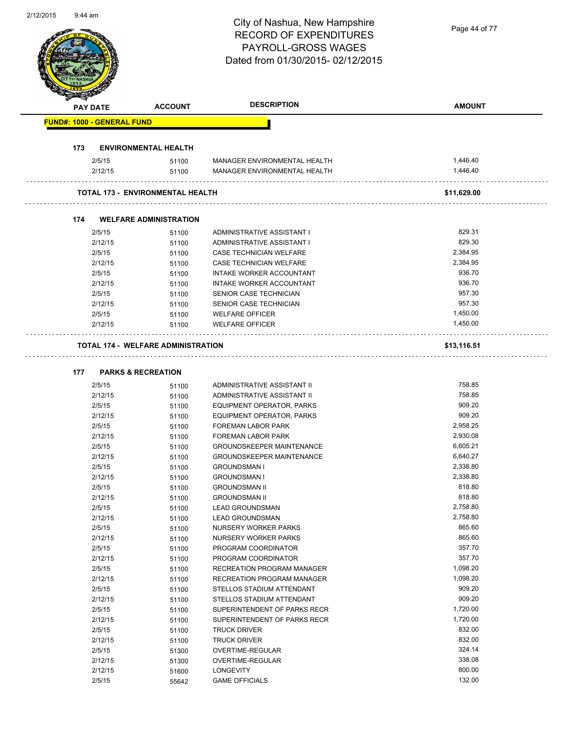|     |                                   |                                           | City of Nashua, New Hampshire    | Page 44 of 77 |
|-----|-----------------------------------|-------------------------------------------|----------------------------------|---------------|
|     |                                   |                                           | <b>RECORD OF EXPENDITURES</b>    |               |
|     |                                   |                                           | PAYROLL-GROSS WAGES              |               |
|     |                                   |                                           | Dated from 01/30/2015-02/12/2015 |               |
|     |                                   |                                           |                                  |               |
|     |                                   |                                           |                                  |               |
|     |                                   |                                           |                                  |               |
|     |                                   |                                           |                                  |               |
|     | PAY DATE                          | <b>ACCOUNT</b>                            | <b>DESCRIPTION</b>               | <b>AMOUNT</b> |
|     | <b>FUND#: 1000 - GENERAL FUND</b> |                                           |                                  |               |
|     |                                   |                                           |                                  |               |
| 173 |                                   | <b>ENVIRONMENTAL HEALTH</b>               |                                  |               |
|     | 2/5/15                            | 51100                                     | MANAGER ENVIRONMENTAL HEALTH     | 1,446.40      |
|     | 2/12/15                           | 51100                                     | MANAGER ENVIRONMENTAL HEALTH     | 1,446.40      |
|     |                                   | <b>TOTAL 173 - ENVIRONMENTAL HEALTH</b>   |                                  | \$11,629.00   |
|     |                                   |                                           |                                  |               |
| 174 |                                   | <b>WELFARE ADMINISTRATION</b>             |                                  |               |
|     | 2/5/15                            | 51100                                     | ADMINISTRATIVE ASSISTANT I       | 829.31        |
|     | 2/12/15                           | 51100                                     | ADMINISTRATIVE ASSISTANT I       | 829.30        |
|     | 2/5/15                            | 51100                                     | CASE TECHNICIAN WELFARE          | 2,384.95      |
|     | 2/12/15                           | 51100                                     | CASE TECHNICIAN WELFARE          | 2,384.95      |
|     | 2/5/15                            | 51100                                     | INTAKE WORKER ACCOUNTANT         | 936.70        |
|     |                                   |                                           | INTAKE WORKER ACCOUNTANT         | 936.70        |
|     | 2/12/15                           | 51100                                     |                                  |               |
|     | 2/5/15                            | 51100                                     | SENIOR CASE TECHNICIAN           | 957.30        |
|     | 2/12/15                           | 51100                                     | SENIOR CASE TECHNICIAN           | 957.30        |
|     | 2/5/15                            | 51100                                     | <b>WELFARE OFFICER</b>           | 1,450.00      |
|     | 2/12/15                           | 51100                                     | <b>WELFARE OFFICER</b>           | 1,450.00      |
|     |                                   | <b>TOTAL 174 - WELFARE ADMINISTRATION</b> |                                  | \$13,116.51   |
|     |                                   |                                           |                                  |               |
| 177 |                                   | <b>PARKS &amp; RECREATION</b>             |                                  |               |
|     | 2/5/15                            | 51100                                     | ADMINISTRATIVE ASSISTANT II      | 758.85        |
|     | 2/12/15                           | 51100                                     | ADMINISTRATIVE ASSISTANT II      | 758.85        |
|     | 2/5/15                            | 51100                                     | EQUIPMENT OPERATOR, PARKS        | 909.20        |
|     | 2/12/15                           | 51100                                     | <b>EQUIPMENT OPERATOR, PARKS</b> | 909.20        |
|     | 2/5/15                            | 51100                                     | <b>FOREMAN LABOR PARK</b>        | 2.958.25      |
|     |                                   |                                           |                                  |               |
|     | 2/12/15                           | 51100                                     | FOREMAN LABOR PARK               | 2,930.08      |
|     | 2/5/15                            | 51100                                     | <b>GROUNDSKEEPER MAINTENANCE</b> | 6,605.21      |
|     | 2/12/15                           | 51100                                     | <b>GROUNDSKEEPER MAINTENANCE</b> | 6,640.27      |
|     | 2/5/15                            | 51100                                     | <b>GROUNDSMAN I</b>              | 2,338.80      |
|     | 2/12/15                           | 51100                                     | <b>GROUNDSMAN I</b>              | 2,338.80      |
|     | 2/5/15                            | 51100                                     | <b>GROUNDSMAN II</b>             | 818.80        |
|     | 2/12/15                           | 51100                                     | <b>GROUNDSMAN II</b>             | 818.80        |
|     | 2/5/15                            | 51100                                     | <b>LEAD GROUNDSMAN</b>           | 2,758.80      |
|     | 2/12/15                           | 51100                                     | <b>LEAD GROUNDSMAN</b>           | 2,758.80      |
|     |                                   |                                           |                                  | 865.60        |
|     | 2/5/15                            | 51100                                     | NURSERY WORKER PARKS             |               |
|     | 2/12/15                           | 51100                                     | NURSERY WORKER PARKS             | 865.60        |
|     | 2/5/15                            | 51100                                     | PROGRAM COORDINATOR              | 357.70        |
|     | 2/12/15                           | 51100                                     | PROGRAM COORDINATOR              | 357.70        |
|     | 2/5/15                            | 51100                                     | RECREATION PROGRAM MANAGER       | 1,098.20      |
|     | 2/12/15                           | 51100                                     | RECREATION PROGRAM MANAGER       | 1,098.20      |
|     | 2/5/15                            | 51100                                     | STELLOS STADIUM ATTENDANT        | 909.20        |
|     | 2/12/15                           | 51100                                     | STELLOS STADIUM ATTENDANT        | 909.20        |
|     | 2/5/15                            | 51100                                     | SUPERINTENDENT OF PARKS RECR     | 1,720.00      |
|     |                                   |                                           |                                  | 1,720.00      |
|     | 2/12/15                           | 51100                                     | SUPERINTENDENT OF PARKS RECR     |               |
|     | 2/5/15                            | 51100                                     | <b>TRUCK DRIVER</b>              | 832.00        |
|     | 2/12/15                           | 51100                                     | <b>TRUCK DRIVER</b>              | 832.00        |
|     | 2/5/15                            | 51300                                     | OVERTIME-REGULAR                 | 324.14        |
|     | 2/12/15                           | 51300                                     | OVERTIME-REGULAR                 | 338.08        |
|     | 2/12/15                           | 51600                                     | LONGEVITY                        | 800.00        |
|     | 2/5/15                            | 55642                                     | <b>GAME OFFICIALS</b>            | 132.00        |
|     |                                   |                                           |                                  |               |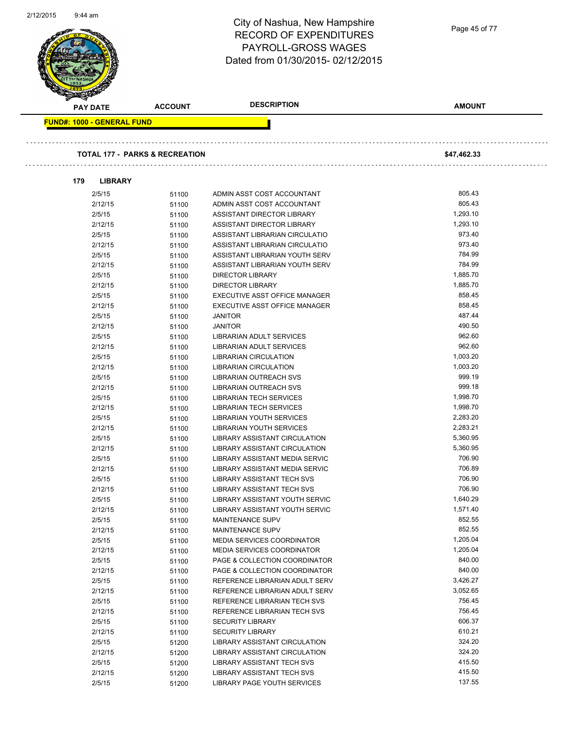| 2/12/2015 | 9:44 am                                   |                | City of Nashua, New Hampshire<br><b>RECORD OF EXPENDITURES</b><br>PAYROLL-GROSS WAGES<br>Dated from 01/30/2015-02/12/2015 | Page 45 of 77 |  |
|-----------|-------------------------------------------|----------------|---------------------------------------------------------------------------------------------------------------------------|---------------|--|
|           | <b>PAY DATE</b>                           | <b>ACCOUNT</b> | <b>DESCRIPTION</b>                                                                                                        | <b>AMOUNT</b> |  |
|           | <b>FUND#: 1000 - GENERAL FUND</b>         |                |                                                                                                                           |               |  |
|           |                                           |                |                                                                                                                           |               |  |
|           |                                           |                |                                                                                                                           |               |  |
|           | <b>TOTAL 177 - PARKS &amp; RECREATION</b> |                |                                                                                                                           | \$47,462.33   |  |
|           | <b>LIBRARY</b><br>179                     |                |                                                                                                                           |               |  |
|           | 2/5/15                                    | 51100          | ADMIN ASST COST ACCOUNTANT                                                                                                | 805.43        |  |
|           | 2/12/15                                   | 51100          | ADMIN ASST COST ACCOUNTANT                                                                                                | 805.43        |  |
|           | 2/5/15                                    | 51100          | ASSISTANT DIRECTOR LIBRARY                                                                                                | 1,293.10      |  |
|           | 2/12/15                                   | 51100          | ASSISTANT DIRECTOR LIBRARY                                                                                                | 1,293.10      |  |
|           | 2/5/15                                    | 51100          | ASSISTANT LIBRARIAN CIRCULATIO                                                                                            | 973.40        |  |
|           | 2/12/15                                   | 51100          | ASSISTANT LIBRARIAN CIRCULATIO                                                                                            | 973.40        |  |
|           | 2/5/15                                    | 51100          | ASSISTANT LIBRARIAN YOUTH SERV                                                                                            | 784.99        |  |
|           | 2/12/15                                   | 51100          | ASSISTANT LIBRARIAN YOUTH SERV                                                                                            | 784.99        |  |
|           | 2/5/15                                    | 51100          | <b>DIRECTOR LIBRARY</b>                                                                                                   | 1,885.70      |  |
|           | 2/12/15                                   | 51100          | <b>DIRECTOR LIBRARY</b>                                                                                                   | 1,885.70      |  |
|           | 2/5/15                                    | 51100          | EXECUTIVE ASST OFFICE MANAGER                                                                                             | 858.45        |  |
|           | 2/12/15                                   | 51100          | EXECUTIVE ASST OFFICE MANAGER                                                                                             | 858.45        |  |
|           | 2/5/15                                    | 51100          | <b>JANITOR</b>                                                                                                            | 487.44        |  |
|           | 2/12/15                                   | 51100          | <b>JANITOR</b>                                                                                                            | 490.50        |  |
|           | 2/5/15                                    | 51100          | LIBRARIAN ADULT SERVICES                                                                                                  | 962.60        |  |
|           | 2/12/15                                   | 51100          | LIBRARIAN ADULT SERVICES                                                                                                  | 962.60        |  |
|           | 2/5/15                                    | 51100          | <b>LIBRARIAN CIRCULATION</b>                                                                                              | 1,003.20      |  |
|           | 2/12/15                                   | 51100          | <b>LIBRARIAN CIRCULATION</b>                                                                                              | 1,003.20      |  |
|           | 2/5/15                                    | 51100          | LIBRARIAN OUTREACH SVS                                                                                                    | 999.19        |  |
|           | 2/12/15                                   | 51100          | <b>LIBRARIAN OUTREACH SVS</b>                                                                                             | 999.18        |  |
|           | 2/5/15                                    | 51100          | <b>LIBRARIAN TECH SERVICES</b>                                                                                            | 1,998.70      |  |
|           | 2/12/15                                   | 51100          | <b>LIBRARIAN TECH SERVICES</b>                                                                                            | 1,998.70      |  |
|           | 2/5/15                                    | 51100          | LIBRARIAN YOUTH SERVICES                                                                                                  | 2,283.20      |  |
|           | 2/12/15                                   | 51100          | <b>LIBRARIAN YOUTH SERVICES</b>                                                                                           | 2,283.21      |  |
|           | 2/5/15                                    | 51100          | LIBRARY ASSISTANT CIRCULATION                                                                                             | 5,360.95      |  |
|           | 2/12/15                                   | 51100          | LIBRARY ASSISTANT CIRCULATION                                                                                             | 5,360.95      |  |
|           | 2/5/15                                    | 51100          | LIBRARY ASSISTANT MEDIA SERVIC                                                                                            | 706.90        |  |
|           | 2/12/15                                   | 51100          | LIBRARY ASSISTANT MEDIA SERVIC                                                                                            | 706.89        |  |
|           | 2/5/15                                    | 51100          | LIBRARY ASSISTANT TECH SVS                                                                                                | 706.90        |  |
|           | 2/12/15                                   | 51100          | LIBRARY ASSISTANT TECH SVS                                                                                                | 706.90        |  |
|           | 2/5/15                                    | 51100          | LIBRARY ASSISTANT YOUTH SERVIC                                                                                            | 1,640.29      |  |
|           | 2/12/15                                   | 51100          | LIBRARY ASSISTANT YOUTH SERVIC                                                                                            | 1,571.40      |  |
|           | 2/5/15                                    | 51100          | MAINTENANCE SUPV                                                                                                          | 852.55        |  |
|           | 2/12/15                                   | 51100          | MAINTENANCE SUPV                                                                                                          | 852.55        |  |
|           | 2/5/15                                    | 51100          | <b>MEDIA SERVICES COORDINATOR</b>                                                                                         | 1,205.04      |  |
|           | 2/12/15                                   | 51100          | <b>MEDIA SERVICES COORDINATOR</b>                                                                                         | 1,205.04      |  |
|           | 2/5/15                                    | 51100          | PAGE & COLLECTION COORDINATOR                                                                                             | 840.00        |  |
|           | 2/12/15                                   | 51100          | PAGE & COLLECTION COORDINATOR                                                                                             | 840.00        |  |
|           | 2/5/15                                    | 51100          | REFERENCE LIBRARIAN ADULT SERV                                                                                            | 3,426.27      |  |
|           | 2/12/15                                   | 51100          | REFERENCE LIBRARIAN ADULT SERV                                                                                            | 3,052.65      |  |
|           | 2/5/15                                    | 51100          | REFERENCE LIBRARIAN TECH SVS                                                                                              | 756.45        |  |
|           | 2/12/15                                   | 51100          | REFERENCE LIBRARIAN TECH SVS                                                                                              | 756.45        |  |
|           | 2/5/15                                    | 51100          | <b>SECURITY LIBRARY</b>                                                                                                   | 606.37        |  |
|           | 2/12/15                                   | 51100          | <b>SECURITY LIBRARY</b>                                                                                                   | 610.21        |  |
|           | 2/5/15                                    | 51200          | LIBRARY ASSISTANT CIRCULATION                                                                                             | 324.20        |  |
|           | 2/12/15                                   | 51200          | LIBRARY ASSISTANT CIRCULATION                                                                                             | 324.20        |  |
|           | 2/5/15                                    | 51200          | LIBRARY ASSISTANT TECH SVS                                                                                                | 415.50        |  |
|           | 2/12/15                                   | 51200          | LIBRARY ASSISTANT TECH SVS                                                                                                | 415.50        |  |
|           | 2/5/15                                    | 51200          | LIBRARY PAGE YOUTH SERVICES                                                                                               | 137.55        |  |
|           |                                           |                |                                                                                                                           |               |  |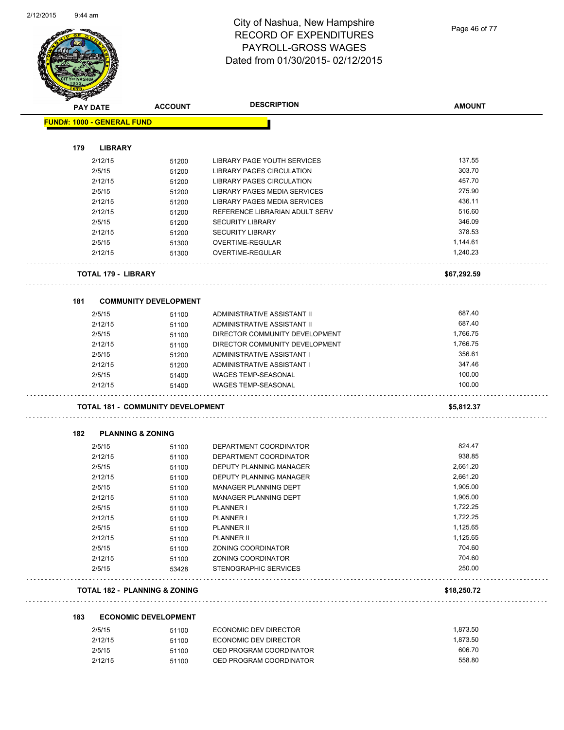

Page 46 of 77

| <b>PAY DATE</b>                   |                              | <b>ACCOUNT</b>                           | <b>DESCRIPTION</b>             | <b>AMOUNT</b>    |
|-----------------------------------|------------------------------|------------------------------------------|--------------------------------|------------------|
| <b>FUND#: 1000 - GENERAL FUND</b> |                              |                                          |                                |                  |
|                                   |                              |                                          |                                |                  |
| 179                               | <b>LIBRARY</b><br>2/12/15    |                                          | LIBRARY PAGE YOUTH SERVICES    | 137.55           |
|                                   | 2/5/15                       | 51200                                    | LIBRARY PAGES CIRCULATION      | 303.70           |
|                                   | 2/12/15                      | 51200<br>51200                           | LIBRARY PAGES CIRCULATION      | 457.70           |
|                                   | 2/5/15                       | 51200                                    | LIBRARY PAGES MEDIA SERVICES   | 275.90           |
|                                   | 2/12/15                      | 51200                                    | LIBRARY PAGES MEDIA SERVICES   | 436.11           |
|                                   | 2/12/15                      |                                          | REFERENCE LIBRARIAN ADULT SERV | 516.60           |
|                                   | 2/5/15                       | 51200<br>51200                           | <b>SECURITY LIBRARY</b>        | 346.09           |
|                                   | 2/12/15                      |                                          | <b>SECURITY LIBRARY</b>        | 378.53           |
|                                   | 2/5/15                       | 51200<br>51300                           | OVERTIME-REGULAR               | 1,144.61         |
|                                   | 2/12/15                      | 51300                                    | OVERTIME-REGULAR               | 1,240.23         |
|                                   |                              |                                          |                                |                  |
|                                   | TOTAL 179 - LIBRARY          |                                          |                                | \$67,292.59      |
| 181                               |                              | <b>COMMUNITY DEVELOPMENT</b>             |                                |                  |
|                                   | 2/5/15                       | 51100                                    | ADMINISTRATIVE ASSISTANT II    | 687.40           |
|                                   | 2/12/15                      | 51100                                    | ADMINISTRATIVE ASSISTANT II    | 687.40           |
|                                   | 2/5/15                       | 51100                                    | DIRECTOR COMMUNITY DEVELOPMENT | 1,766.75         |
|                                   | 2/12/15                      | 51100                                    | DIRECTOR COMMUNITY DEVELOPMENT | 1,766.75         |
|                                   | 2/5/15                       | 51200                                    | ADMINISTRATIVE ASSISTANT I     | 356.61           |
|                                   | 2/12/15                      | 51200                                    | ADMINISTRATIVE ASSISTANT I     | 347.46           |
|                                   | 2/5/15                       | 51400                                    | <b>WAGES TEMP-SEASONAL</b>     | 100.00           |
|                                   | 2/12/15                      | 51400                                    | <b>WAGES TEMP-SEASONAL</b>     | 100.00           |
|                                   |                              | TOTAL 181 - COMMUNITY DEVELOPMENT        |                                | \$5,812.37       |
|                                   |                              |                                          |                                |                  |
| 182                               | <b>PLANNING &amp; ZONING</b> |                                          |                                |                  |
|                                   | 2/5/15                       | 51100                                    | DEPARTMENT COORDINATOR         | 824.47           |
|                                   | 2/12/15                      | 51100                                    | DEPARTMENT COORDINATOR         | 938.85           |
|                                   | 2/5/15                       | 51100                                    | DEPUTY PLANNING MANAGER        | 2,661.20         |
|                                   | 2/12/15                      | 51100                                    | DEPUTY PLANNING MANAGER        | 2,661.20         |
|                                   | 2/5/15                       | 51100                                    | MANAGER PLANNING DEPT          | 1,905.00         |
|                                   | 2/12/15                      | 51100                                    | MANAGER PLANNING DEPT          | 1,905.00         |
|                                   | 2/5/15                       | 51100                                    | PLANNER I                      | 1,722.25         |
|                                   | 2/12/15                      | 51100                                    | PLANNER I                      | 1,722.25         |
|                                   | 2/5/15                       | 51100                                    | <b>PLANNER II</b>              | 1,125.65         |
|                                   | 2/12/15                      | 51100                                    | <b>PLANNER II</b>              | 1,125.65         |
|                                   | 2/5/15                       | 51100                                    | ZONING COORDINATOR             | 704.60           |
|                                   | 2/12/15                      | 51100                                    | ZONING COORDINATOR             | 704.60<br>250.00 |
|                                   | 2/5/15                       | 53428                                    | STENOGRAPHIC SERVICES          |                  |
|                                   |                              | <b>TOTAL 182 - PLANNING &amp; ZONING</b> |                                | \$18,250.72      |
| 183                               |                              | <b>ECONOMIC DEVELOPMENT</b>              |                                |                  |
|                                   | 2/5/15                       | 51100                                    | ECONOMIC DEV DIRECTOR          | 1,873.50         |
|                                   | 2/12/15                      | 51100                                    | ECONOMIC DEV DIRECTOR          | 1,873.50         |
|                                   | 2/5/15                       | 51100                                    | OED PROGRAM COORDINATOR        | 606.70           |
|                                   | 2/12/15                      | 51100                                    | OED PROGRAM COORDINATOR        | 558.80           |

51100 OED PROGRAM COORDINATOR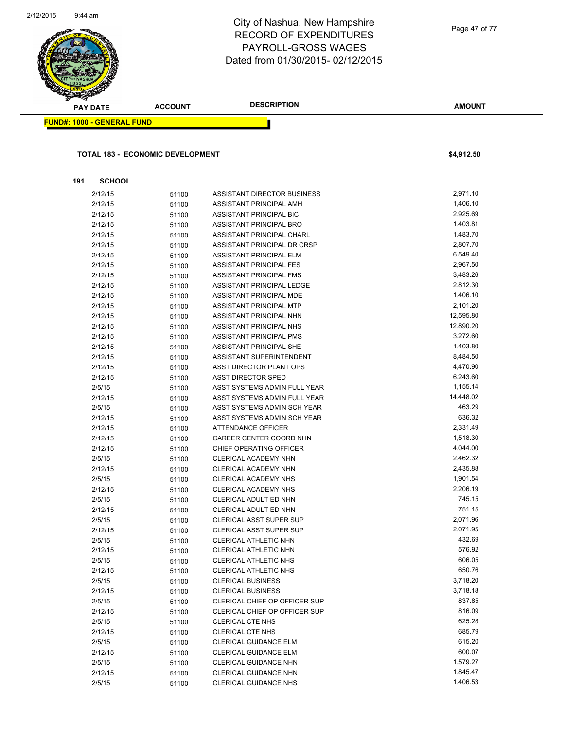| 2/12/2015<br>9:44 am              |                                         | City of Nashua, New Hampshire<br><b>RECORD OF EXPENDITURES</b><br>PAYROLL-GROSS WAGES<br>Dated from 01/30/2015-02/12/2015 | Page 47 of 77        |
|-----------------------------------|-----------------------------------------|---------------------------------------------------------------------------------------------------------------------------|----------------------|
| <b>PAY DATE</b>                   | <b>ACCOUNT</b>                          | <b>DESCRIPTION</b>                                                                                                        | <b>AMOUNT</b>        |
| <b>FUND#: 1000 - GENERAL FUND</b> | <b>TOTAL 183 - ECONOMIC DEVELOPMENT</b> |                                                                                                                           | \$4,912.50           |
| 191                               | <b>SCHOOL</b>                           |                                                                                                                           |                      |
| 2/12/15                           | 51100                                   | ASSISTANT DIRECTOR BUSINESS                                                                                               | 2,971.10             |
| 2/12/15                           | 51100                                   | ASSISTANT PRINCIPAL AMH                                                                                                   | 1,406.10             |
| 2/12/15                           | 51100                                   | ASSISTANT PRINCIPAL BIC                                                                                                   | 2,925.69             |
| 2/12/15                           | 51100                                   | ASSISTANT PRINCIPAL BRO                                                                                                   | 1,403.81             |
| 2/12/15                           | 51100                                   | ASSISTANT PRINCIPAL CHARL                                                                                                 | 1,483.70             |
| 2/12/15                           | 51100                                   | ASSISTANT PRINCIPAL DR CRSP                                                                                               | 2,807.70             |
| 2/12/15                           | 51100                                   | <b>ASSISTANT PRINCIPAL ELM</b>                                                                                            | 6,549.40             |
| 2/12/15                           | 51100                                   | <b>ASSISTANT PRINCIPAL FES</b>                                                                                            | 2,967.50             |
| 2/12/15                           | 51100                                   | ASSISTANT PRINCIPAL FMS                                                                                                   | 3,483.26             |
| 2/12/15                           | 51100                                   | ASSISTANT PRINCIPAL LEDGE                                                                                                 | 2,812.30             |
| 2/12/15                           | 51100                                   | ASSISTANT PRINCIPAL MDE                                                                                                   | 1,406.10             |
| 2/12/15                           | 51100                                   | ASSISTANT PRINCIPAL MTP                                                                                                   | 2,101.20             |
| 2/12/15                           | 51100                                   | ASSISTANT PRINCIPAL NHN                                                                                                   | 12,595.80            |
| 2/12/15                           | 51100                                   | ASSISTANT PRINCIPAL NHS                                                                                                   | 12,890.20            |
| 2/12/15                           | 51100                                   | ASSISTANT PRINCIPAL PMS                                                                                                   | 3,272.60             |
| 2/12/15                           | 51100                                   | ASSISTANT PRINCIPAL SHE                                                                                                   | 1,403.80             |
| 2/12/15                           | 51100                                   | ASSISTANT SUPERINTENDENT                                                                                                  | 8,484.50             |
| 2/12/15                           | 51100                                   | ASST DIRECTOR PLANT OPS                                                                                                   | 4,470.90             |
| 2/12/15                           | 51100                                   | <b>ASST DIRECTOR SPED</b>                                                                                                 | 6,243.60<br>1,155.14 |
| 2/5/15                            | 51100                                   | ASST SYSTEMS ADMIN FULL YEAR                                                                                              | 14,448.02            |
| 2/12/15<br>2/5/15                 | 51100                                   | ASST SYSTEMS ADMIN FULL YEAR<br>ASST SYSTEMS ADMIN SCH YEAR                                                               | 463.29               |
| 2/12/15                           | 51100<br>51100                          | ASST SYSTEMS ADMIN SCH YEAR                                                                                               | 636.32               |
| 2/12/15                           | 51100                                   | <b>ATTENDANCE OFFICER</b>                                                                                                 | 2,331.49             |
| 2/12/15                           | 51100                                   | CAREER CENTER COORD NHN                                                                                                   | 1,518.30             |
| 2/12/15                           | 51100                                   | CHIEF OPERATING OFFICER                                                                                                   | 4,044.00             |
| 2/5/15                            | 51100                                   | CLERICAL ACADEMY NHN                                                                                                      | 2,462.32             |
| 2/12/15                           | 51100                                   | CLERICAL ACADEMY NHN                                                                                                      | 2,435.88             |
| 2/5/15                            | 51100                                   | <b>CLERICAL ACADEMY NHS</b>                                                                                               | 1,901.54             |
| 2/12/15                           | 51100                                   | <b>CLERICAL ACADEMY NHS</b>                                                                                               | 2,206.19             |
| 2/5/15                            | 51100                                   | CLERICAL ADULT ED NHN                                                                                                     | 745.15               |
| 2/12/15                           | 51100                                   | CLERICAL ADULT ED NHN                                                                                                     | 751.15               |
| 2/5/15                            | 51100                                   | CLERICAL ASST SUPER SUP                                                                                                   | 2,071.96             |
| 2/12/15                           | 51100                                   | CLERICAL ASST SUPER SUP                                                                                                   | 2,071.95             |
| 2/5/15                            | 51100                                   | CLERICAL ATHLETIC NHN                                                                                                     | 432.69               |
| 2/12/15                           | 51100                                   | CLERICAL ATHLETIC NHN                                                                                                     | 576.92               |
| 2/5/15                            | 51100                                   | CLERICAL ATHLETIC NHS                                                                                                     | 606.05               |
| 2/12/15                           | 51100                                   | CLERICAL ATHLETIC NHS                                                                                                     | 650.76               |
| 2/5/15                            | 51100                                   | <b>CLERICAL BUSINESS</b>                                                                                                  | 3,718.20             |
| 2/12/15                           | 51100                                   | <b>CLERICAL BUSINESS</b>                                                                                                  | 3,718.18             |
| 2/5/15                            | 51100                                   | CLERICAL CHIEF OP OFFICER SUP                                                                                             | 837.85               |
| 2/12/15                           | 51100                                   | CLERICAL CHIEF OP OFFICER SUP                                                                                             | 816.09               |
| 2/5/15                            | 51100                                   | <b>CLERICAL CTE NHS</b>                                                                                                   | 625.28               |
| 2/12/15                           | 51100                                   | <b>CLERICAL CTE NHS</b>                                                                                                   | 685.79               |
| 2/5/15                            | 51100                                   | CLERICAL GUIDANCE ELM                                                                                                     | 615.20               |
| 2/12/15                           | 51100                                   | CLERICAL GUIDANCE ELM                                                                                                     | 600.07               |
| 2/5/15                            | 51100                                   | CLERICAL GUIDANCE NHN                                                                                                     | 1,579.27             |
| 2/12/15                           | 51100                                   | <b>CLERICAL GUIDANCE NHN</b>                                                                                              | 1,845.47             |
| 2/5/15                            | 51100                                   | CLERICAL GUIDANCE NHS                                                                                                     | 1,406.53             |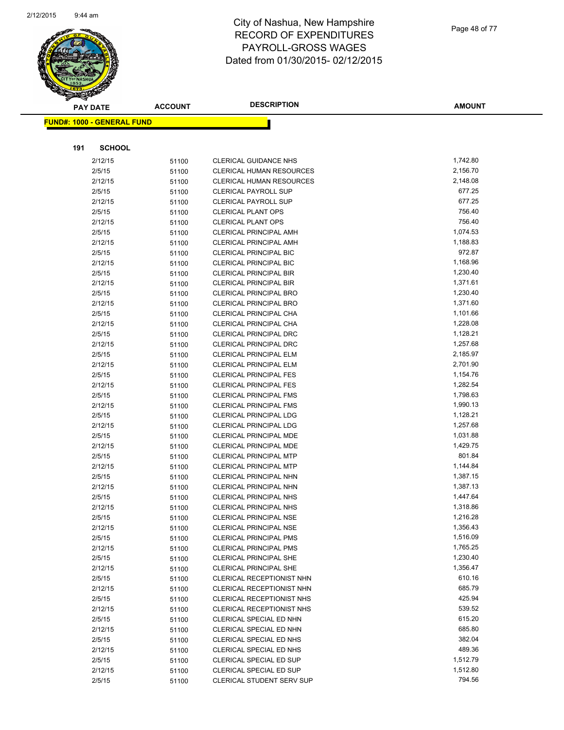

Page 48 of 77

|     | <b>PAY DATE</b>                   | <b>ACCOUNT</b> | <b>DESCRIPTION</b>                                             | <b>AMOUNT</b>        |
|-----|-----------------------------------|----------------|----------------------------------------------------------------|----------------------|
|     | <b>FUND#: 1000 - GENERAL FUND</b> |                |                                                                |                      |
|     |                                   |                |                                                                |                      |
| 191 | <b>SCHOOL</b>                     |                |                                                                |                      |
|     |                                   |                |                                                                |                      |
|     | 2/12/15                           | 51100          | <b>CLERICAL GUIDANCE NHS</b>                                   | 1,742.80             |
|     | 2/5/15                            | 51100          | <b>CLERICAL HUMAN RESOURCES</b>                                | 2,156.70             |
|     | 2/12/15                           | 51100          | <b>CLERICAL HUMAN RESOURCES</b>                                | 2,148.08             |
|     | 2/5/15                            | 51100          | <b>CLERICAL PAYROLL SUP</b>                                    | 677.25               |
|     | 2/12/15                           | 51100          | <b>CLERICAL PAYROLL SUP</b>                                    | 677.25               |
|     | 2/5/15                            | 51100          | <b>CLERICAL PLANT OPS</b>                                      | 756.40               |
|     | 2/12/15                           | 51100          | <b>CLERICAL PLANT OPS</b>                                      | 756.40               |
|     | 2/5/15                            | 51100          | <b>CLERICAL PRINCIPAL AMH</b>                                  | 1,074.53             |
|     | 2/12/15                           | 51100          | <b>CLERICAL PRINCIPAL AMH</b>                                  | 1,188.83             |
|     | 2/5/15                            | 51100          | <b>CLERICAL PRINCIPAL BIC</b>                                  | 972.87               |
|     | 2/12/15                           | 51100          | <b>CLERICAL PRINCIPAL BIC</b>                                  | 1,168.96             |
|     | 2/5/15                            | 51100          | <b>CLERICAL PRINCIPAL BIR</b>                                  | 1,230.40             |
|     | 2/12/15                           | 51100          | <b>CLERICAL PRINCIPAL BIR</b>                                  | 1,371.61             |
|     | 2/5/15                            | 51100          | <b>CLERICAL PRINCIPAL BRO</b>                                  | 1,230.40             |
|     | 2/12/15                           | 51100          | <b>CLERICAL PRINCIPAL BRO</b>                                  | 1,371.60             |
|     | 2/5/15                            | 51100          | CLERICAL PRINCIPAL CHA                                         | 1,101.66             |
|     | 2/12/15                           | 51100          | CLERICAL PRINCIPAL CHA                                         | 1,228.08             |
|     | 2/5/15                            | 51100          | <b>CLERICAL PRINCIPAL DRC</b>                                  | 1,128.21             |
|     | 2/12/15                           | 51100          | <b>CLERICAL PRINCIPAL DRC</b>                                  | 1,257.68             |
|     | 2/5/15                            | 51100          | <b>CLERICAL PRINCIPAL ELM</b>                                  | 2,185.97             |
|     | 2/12/15                           | 51100          | <b>CLERICAL PRINCIPAL ELM</b>                                  | 2,701.90             |
|     | 2/5/15                            | 51100          | <b>CLERICAL PRINCIPAL FES</b>                                  | 1,154.76             |
|     | 2/12/15                           | 51100          | <b>CLERICAL PRINCIPAL FES</b>                                  | 1,282.54             |
|     | 2/5/15                            | 51100          | <b>CLERICAL PRINCIPAL FMS</b>                                  | 1,798.63             |
|     | 2/12/15                           | 51100          | <b>CLERICAL PRINCIPAL FMS</b>                                  | 1,990.13             |
|     | 2/5/15                            | 51100          | <b>CLERICAL PRINCIPAL LDG</b>                                  | 1,128.21             |
|     | 2/12/15                           | 51100          | <b>CLERICAL PRINCIPAL LDG</b>                                  | 1,257.68<br>1,031.88 |
|     | 2/5/15                            | 51100          | <b>CLERICAL PRINCIPAL MDE</b>                                  | 1,429.75             |
|     | 2/12/15                           | 51100          | <b>CLERICAL PRINCIPAL MDE</b>                                  | 801.84               |
|     | 2/5/15                            | 51100          | <b>CLERICAL PRINCIPAL MTP</b>                                  | 1,144.84             |
|     | 2/12/15                           | 51100          | <b>CLERICAL PRINCIPAL MTP</b><br><b>CLERICAL PRINCIPAL NHN</b> | 1,387.15             |
|     | 2/5/15<br>2/12/15                 | 51100          | <b>CLERICAL PRINCIPAL NHN</b>                                  | 1,387.13             |
|     |                                   | 51100          |                                                                | 1,447.64             |
|     | 2/5/15<br>2/12/15                 | 51100<br>51100 | <b>CLERICAL PRINCIPAL NHS</b><br><b>CLERICAL PRINCIPAL NHS</b> | 1,318.86             |
|     | 2/5/15                            |                | CLERICAL PRINCIPAL NSE                                         | 1,216.28             |
|     | 2/12/15                           | 51100          | <b>CLERICAL PRINCIPAL NSE</b>                                  | 1,356.43             |
|     | 2/5/15                            | 51100          | <b>CLERICAL PRINCIPAL PMS</b>                                  | 1,516.09             |
|     | 2/12/15                           | 51100          | <b>CLERICAL PRINCIPAL PMS</b>                                  | 1,765.25             |
|     | 2/5/15                            | 51100          | <b>CLERICAL PRINCIPAL SHE</b>                                  | 1,230.40             |
|     | 2/12/15                           | 51100          | <b>CLERICAL PRINCIPAL SHE</b>                                  | 1,356.47             |
|     | 2/5/15                            | 51100          | CLERICAL RECEPTIONIST NHN                                      | 610.16               |
|     | 2/12/15                           | 51100<br>51100 | CLERICAL RECEPTIONIST NHN                                      | 685.79               |
|     | 2/5/15                            | 51100          | CLERICAL RECEPTIONIST NHS                                      | 425.94               |
|     | 2/12/15                           | 51100          | <b>CLERICAL RECEPTIONIST NHS</b>                               | 539.52               |
|     | 2/5/15                            | 51100          | <b>CLERICAL SPECIAL ED NHN</b>                                 | 615.20               |
|     | 2/12/15                           | 51100          | CLERICAL SPECIAL ED NHN                                        | 685.80               |
|     | 2/5/15                            | 51100          | CLERICAL SPECIAL ED NHS                                        | 382.04               |
|     | 2/12/15                           | 51100          | CLERICAL SPECIAL ED NHS                                        | 489.36               |
|     | 2/5/15                            | 51100          | CLERICAL SPECIAL ED SUP                                        | 1,512.79             |
|     | 2/12/15                           | 51100          | CLERICAL SPECIAL ED SUP                                        | 1,512.80             |
|     | 2/5/15                            | 51100          | CLERICAL STUDENT SERV SUP                                      | 794.56               |
|     |                                   |                |                                                                |                      |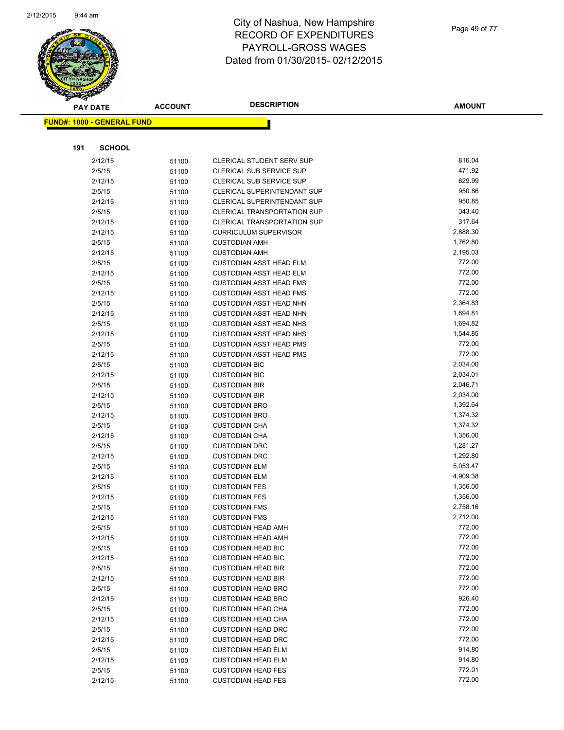

| <b>PAY DATE</b>                   | <b>ACCOUNT</b> | <b>DESCRIPTION</b>                                               | <b>AMOUNT</b>    |
|-----------------------------------|----------------|------------------------------------------------------------------|------------------|
| <b>FUND#: 1000 - GENERAL FUND</b> |                |                                                                  |                  |
|                                   |                |                                                                  |                  |
|                                   |                |                                                                  |                  |
| 191<br><b>SCHOOL</b>              |                |                                                                  |                  |
| 2/12/15                           | 51100          | CLERICAL STUDENT SERV SUP                                        | 816.04           |
| 2/5/15                            | 51100          | <b>CLERICAL SUB SERVICE SUP</b>                                  | 471.92           |
| 2/12/15                           | 51100          | CLERICAL SUB SERVICE SUP                                         | 629.99           |
| 2/5/15                            | 51100          | <b>CLERICAL SUPERINTENDANT SUP</b>                               | 950.86           |
| 2/12/15                           | 51100          | <b>CLERICAL SUPERINTENDANT SUP</b>                               | 950.85           |
| 2/5/15                            | 51100          | CLERICAL TRANSPORTATION SUP                                      | 343.40           |
| 2/12/15                           | 51100          | <b>CLERICAL TRANSPORTATION SUP</b>                               | 317.64           |
| 2/12/15                           | 51100          | <b>CURRICULUM SUPERVISOR</b>                                     | 2,888.30         |
| 2/5/15                            | 51100          | <b>CUSTODIAN AMH</b>                                             | 1,762.80         |
| 2/12/15                           | 51100          | <b>CUSTODIAN AMH</b>                                             | 2,195.03         |
| 2/5/15                            | 51100          | <b>CUSTODIAN ASST HEAD ELM</b>                                   | 772.00<br>772.00 |
| 2/12/15                           | 51100          | <b>CUSTODIAN ASST HEAD ELM</b>                                   | 772.00           |
| 2/5/15                            | 51100          | <b>CUSTODIAN ASST HEAD FMS</b>                                   | 772.00           |
| 2/12/15                           | 51100          | <b>CUSTODIAN ASST HEAD FMS</b><br><b>CUSTODIAN ASST HEAD NHN</b> | 2,364.83         |
| 2/5/15                            | 51100          |                                                                  | 1,694.81         |
| 2/12/15<br>2/5/15                 | 51100          | <b>CUSTODIAN ASST HEAD NHN</b><br><b>CUSTODIAN ASST HEAD NHS</b> | 1,694.82         |
| 2/12/15                           | 51100          | <b>CUSTODIAN ASST HEAD NHS</b>                                   | 1,544.85         |
| 2/5/15                            | 51100<br>51100 | <b>CUSTODIAN ASST HEAD PMS</b>                                   | 772.00           |
| 2/12/15                           | 51100          | <b>CUSTODIAN ASST HEAD PMS</b>                                   | 772.00           |
| 2/5/15                            | 51100          | <b>CUSTODIAN BIC</b>                                             | 2,034.00         |
| 2/12/15                           | 51100          | <b>CUSTODIAN BIC</b>                                             | 2,034.01         |
| 2/5/15                            | 51100          | <b>CUSTODIAN BIR</b>                                             | 2,046.71         |
| 2/12/15                           | 51100          | <b>CUSTODIAN BIR</b>                                             | 2,034.00         |
| 2/5/15                            | 51100          | <b>CUSTODIAN BRO</b>                                             | 1,392.64         |
| 2/12/15                           | 51100          | <b>CUSTODIAN BRO</b>                                             | 1,374.32         |
| 2/5/15                            | 51100          | <b>CUSTODIAN CHA</b>                                             | 1,374.32         |
| 2/12/15                           | 51100          | <b>CUSTODIAN CHA</b>                                             | 1,356.00         |
| 2/5/15                            | 51100          | <b>CUSTODIAN DRC</b>                                             | 1,281.27         |
| 2/12/15                           | 51100          | <b>CUSTODIAN DRC</b>                                             | 1,292.80         |
| 2/5/15                            | 51100          | <b>CUSTODIAN ELM</b>                                             | 5,053.47         |
| 2/12/15                           | 51100          | <b>CUSTODIAN ELM</b>                                             | 4,909.38         |
| 2/5/15                            | 51100          | <b>CUSTODIAN FES</b>                                             | 1,356.00         |
| 2/12/15                           | 51100          | <b>CUSTODIAN FES</b>                                             | 1,356.00         |
| 2/5/15                            | 51100          | <b>CUSTODIAN FMS</b>                                             | 2,758.16         |
| 2/12/15                           | 51100          | <b>CUSTODIAN FMS</b>                                             | 2,712.00         |
| 2/5/15                            | 51100          | <b>CUSTODIAN HEAD AMH</b>                                        | 772.00           |
| 2/12/15                           | 51100          | <b>CUSTODIAN HEAD AMH</b>                                        | 772.00           |
| 2/5/15                            | 51100          | <b>CUSTODIAN HEAD BIC</b>                                        | 772.00           |
| 2/12/15                           | 51100          | <b>CUSTODIAN HEAD BIC</b>                                        | 772.00           |
| 2/5/15                            | 51100          | <b>CUSTODIAN HEAD BIR</b>                                        | 772.00           |
| 2/12/15                           | 51100          | <b>CUSTODIAN HEAD BIR</b>                                        | 772.00           |
| 2/5/15                            | 51100          | <b>CUSTODIAN HEAD BRO</b>                                        | 772.00           |
| 2/12/15                           | 51100          | <b>CUSTODIAN HEAD BRO</b>                                        | 926.40           |
| 2/5/15                            | 51100          | <b>CUSTODIAN HEAD CHA</b>                                        | 772.00           |
| 2/12/15                           | 51100          | <b>CUSTODIAN HEAD CHA</b>                                        | 772.00           |
| 2/5/15                            | 51100          | <b>CUSTODIAN HEAD DRC</b>                                        | 772.00           |
| 2/12/15                           | 51100          | <b>CUSTODIAN HEAD DRC</b>                                        | 772.00           |
| 2/5/15                            | 51100          | <b>CUSTODIAN HEAD ELM</b>                                        | 914.80           |
| 2/12/15                           | 51100          | <b>CUSTODIAN HEAD ELM</b>                                        | 914.80           |
| 2/5/15                            | 51100          | <b>CUSTODIAN HEAD FES</b>                                        | 772.01           |
| 2/12/15                           | 51100          | <b>CUSTODIAN HEAD FES</b>                                        | 772.00           |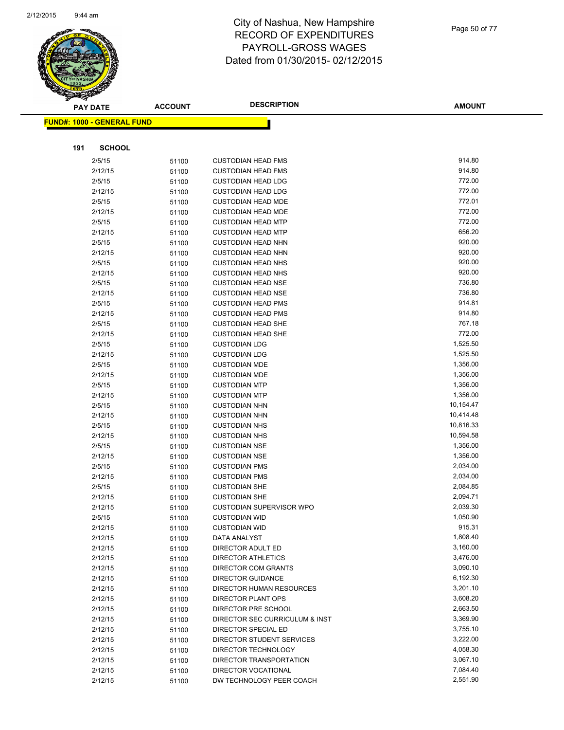

|     | <b>PAY DATE</b>                   | <b>ACCOUNT</b> | <b>DESCRIPTION</b>                               | <b>AMOUNT</b>        |
|-----|-----------------------------------|----------------|--------------------------------------------------|----------------------|
|     | <b>FUND#: 1000 - GENERAL FUND</b> |                |                                                  |                      |
|     |                                   |                |                                                  |                      |
| 191 | <b>SCHOOL</b>                     |                |                                                  |                      |
|     | 2/5/15                            | 51100          | <b>CUSTODIAN HEAD FMS</b>                        | 914.80               |
|     | 2/12/15                           | 51100          | <b>CUSTODIAN HEAD FMS</b>                        | 914.80               |
|     | 2/5/15                            | 51100          | <b>CUSTODIAN HEAD LDG</b>                        | 772.00               |
|     | 2/12/15                           | 51100          | <b>CUSTODIAN HEAD LDG</b>                        | 772.00               |
|     | 2/5/15                            | 51100          | <b>CUSTODIAN HEAD MDE</b>                        | 772.01               |
|     | 2/12/15                           | 51100          | <b>CUSTODIAN HEAD MDE</b>                        | 772.00               |
|     | 2/5/15                            | 51100          | <b>CUSTODIAN HEAD MTP</b>                        | 772.00               |
|     | 2/12/15                           | 51100          | <b>CUSTODIAN HEAD MTP</b>                        | 656.20               |
|     | 2/5/15                            | 51100          | <b>CUSTODIAN HEAD NHN</b>                        | 920.00               |
|     | 2/12/15                           | 51100          | <b>CUSTODIAN HEAD NHN</b>                        | 920.00               |
|     | 2/5/15                            | 51100          | <b>CUSTODIAN HEAD NHS</b>                        | 920.00               |
|     | 2/12/15                           | 51100          | <b>CUSTODIAN HEAD NHS</b>                        | 920.00               |
|     | 2/5/15                            | 51100          | <b>CUSTODIAN HEAD NSE</b>                        | 736.80               |
|     | 2/12/15                           | 51100          | <b>CUSTODIAN HEAD NSE</b>                        | 736.80               |
|     | 2/5/15                            | 51100          | <b>CUSTODIAN HEAD PMS</b>                        | 914.81               |
|     | 2/12/15                           | 51100          | <b>CUSTODIAN HEAD PMS</b>                        | 914.80               |
|     | 2/5/15                            | 51100          | <b>CUSTODIAN HEAD SHE</b>                        | 767.18               |
|     | 2/12/15                           | 51100          | <b>CUSTODIAN HEAD SHE</b>                        | 772.00               |
|     | 2/5/15                            | 51100          | <b>CUSTODIAN LDG</b>                             | 1,525.50             |
|     | 2/12/15                           | 51100          | <b>CUSTODIAN LDG</b>                             | 1,525.50             |
|     | 2/5/15                            | 51100          | <b>CUSTODIAN MDE</b>                             | 1,356.00             |
|     | 2/12/15                           | 51100          | <b>CUSTODIAN MDE</b>                             | 1,356.00             |
|     | 2/5/15                            | 51100          | <b>CUSTODIAN MTP</b>                             | 1,356.00             |
|     | 2/12/15                           | 51100          | <b>CUSTODIAN MTP</b>                             | 1,356.00             |
|     | 2/5/15                            | 51100          | <b>CUSTODIAN NHN</b>                             | 10,154.47            |
|     | 2/12/15                           | 51100          | <b>CUSTODIAN NHN</b>                             | 10,414.48            |
|     | 2/5/15                            | 51100          | <b>CUSTODIAN NHS</b>                             | 10,816.33            |
|     | 2/12/15                           | 51100          | <b>CUSTODIAN NHS</b>                             | 10,594.58            |
|     | 2/5/15                            | 51100          | <b>CUSTODIAN NSE</b>                             | 1,356.00             |
|     | 2/12/15                           | 51100          | <b>CUSTODIAN NSE</b>                             | 1,356.00             |
|     | 2/5/15                            | 51100          | <b>CUSTODIAN PMS</b>                             | 2,034.00             |
|     | 2/12/15                           | 51100          | <b>CUSTODIAN PMS</b>                             | 2,034.00             |
|     | 2/5/15                            | 51100          | <b>CUSTODIAN SHE</b>                             | 2,084.85             |
|     | 2/12/15                           | 51100          | <b>CUSTODIAN SHE</b>                             | 2,094.71             |
|     | 2/12/15                           | 51100          | CUSTODIAN SUPERVISOR WPO                         | 2,039.30             |
|     | 2/5/15                            | 51100          | <b>CUSTODIAN WID</b>                             | 1,050.90             |
|     | 2/12/15                           | 51100          | <b>CUSTODIAN WID</b>                             | 915.31               |
|     | 2/12/15                           | 51100          | DATA ANALYST                                     | 1,808.40             |
|     | 2/12/15                           | 51100          | DIRECTOR ADULT ED                                | 3,160.00<br>3,476.00 |
|     | 2/12/15<br>2/12/15                | 51100          | <b>DIRECTOR ATHLETICS</b><br>DIRECTOR COM GRANTS | 3,090.10             |
|     | 2/12/15                           | 51100          | <b>DIRECTOR GUIDANCE</b>                         | 6,192.30             |
|     | 2/12/15                           | 51100          | DIRECTOR HUMAN RESOURCES                         | 3,201.10             |
|     | 2/12/15                           | 51100<br>51100 | <b>DIRECTOR PLANT OPS</b>                        | 3,608.20             |
|     | 2/12/15                           |                | <b>DIRECTOR PRE SCHOOL</b>                       | 2,663.50             |
|     | 2/12/15                           | 51100<br>51100 | DIRECTOR SEC CURRICULUM & INST                   | 3,369.90             |
|     | 2/12/15                           |                | DIRECTOR SPECIAL ED                              | 3,755.10             |
|     | 2/12/15                           | 51100<br>51100 | DIRECTOR STUDENT SERVICES                        | 3,222.00             |
|     | 2/12/15                           | 51100          | DIRECTOR TECHNOLOGY                              | 4,058.30             |
|     | 2/12/15                           | 51100          | DIRECTOR TRANSPORTATION                          | 3,067.10             |
|     | 2/12/15                           | 51100          | DIRECTOR VOCATIONAL                              | 7,084.40             |
|     | 2/12/15                           | 51100          | DW TECHNOLOGY PEER COACH                         | 2,551.90             |
|     |                                   |                |                                                  |                      |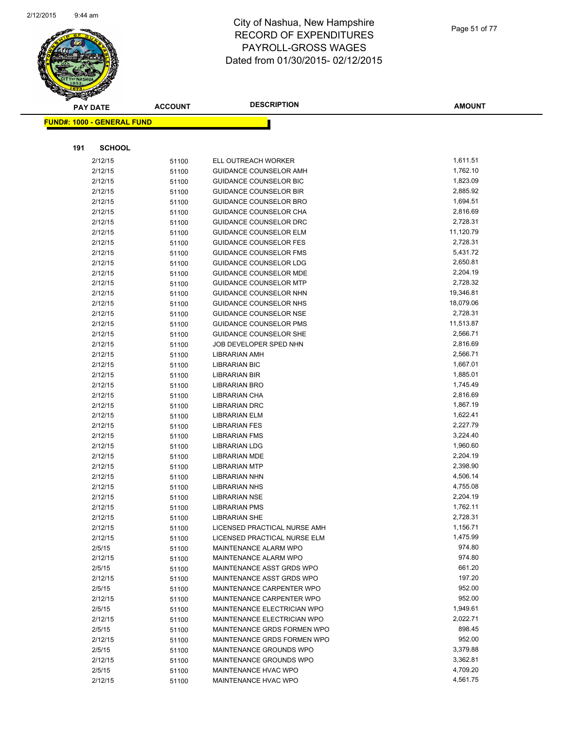

|     | <b>PAY DATE</b>                    | <b>ACCOUNT</b> | <b>DESCRIPTION</b>            | <b>AMOUNT</b> |
|-----|------------------------------------|----------------|-------------------------------|---------------|
|     | <u> FUND#: 1000 - GENERAL FUND</u> |                |                               |               |
|     |                                    |                |                               |               |
|     |                                    |                |                               |               |
| 191 | <b>SCHOOL</b>                      |                |                               |               |
|     | 2/12/15                            | 51100          | ELL OUTREACH WORKER           | 1,611.51      |
|     | 2/12/15                            | 51100          | GUIDANCE COUNSELOR AMH        | 1,762.10      |
|     | 2/12/15                            | 51100          | <b>GUIDANCE COUNSELOR BIC</b> | 1,823.09      |
|     | 2/12/15                            | 51100          | <b>GUIDANCE COUNSELOR BIR</b> | 2,885.92      |
|     | 2/12/15                            | 51100          | <b>GUIDANCE COUNSELOR BRO</b> | 1,694.51      |
|     | 2/12/15                            | 51100          | GUIDANCE COUNSELOR CHA        | 2,816.69      |
|     | 2/12/15                            | 51100          | GUIDANCE COUNSELOR DRC        | 2,728.31      |
|     | 2/12/15                            | 51100          | <b>GUIDANCE COUNSELOR ELM</b> | 11,120.79     |
|     | 2/12/15                            | 51100          | <b>GUIDANCE COUNSELOR FES</b> | 2,728.31      |
|     | 2/12/15                            | 51100          | <b>GUIDANCE COUNSELOR FMS</b> | 5,431.72      |
|     | 2/12/15                            | 51100          | <b>GUIDANCE COUNSELOR LDG</b> | 2,650.81      |
|     | 2/12/15                            | 51100          | <b>GUIDANCE COUNSELOR MDE</b> | 2,204.19      |
|     | 2/12/15                            | 51100          | <b>GUIDANCE COUNSELOR MTP</b> | 2,728.32      |
|     | 2/12/15                            | 51100          | <b>GUIDANCE COUNSELOR NHN</b> | 19,346.81     |
|     | 2/12/15                            | 51100          | GUIDANCE COUNSELOR NHS        | 18,079.06     |
|     | 2/12/15                            | 51100          | <b>GUIDANCE COUNSELOR NSE</b> | 2,728.31      |
|     | 2/12/15                            | 51100          | <b>GUIDANCE COUNSELOR PMS</b> | 11,513.87     |
|     | 2/12/15                            | 51100          | <b>GUIDANCE COUNSELOR SHE</b> | 2,566.71      |
|     | 2/12/15                            | 51100          | JOB DEVELOPER SPED NHN        | 2,816.69      |
|     | 2/12/15                            | 51100          | <b>LIBRARIAN AMH</b>          | 2,566.71      |
|     | 2/12/15                            | 51100          | <b>LIBRARIAN BIC</b>          | 1,667.01      |
|     | 2/12/15                            | 51100          | <b>LIBRARIAN BIR</b>          | 1,885.01      |
|     | 2/12/15                            | 51100          | LIBRARIAN BRO                 | 1,745.49      |
|     | 2/12/15                            | 51100          | LIBRARIAN CHA                 | 2,816.69      |
|     | 2/12/15                            | 51100          | <b>LIBRARIAN DRC</b>          | 1,867.19      |
|     | 2/12/15                            | 51100          | <b>LIBRARIAN ELM</b>          | 1,622.41      |
|     | 2/12/15                            | 51100          | <b>LIBRARIAN FES</b>          | 2,227.79      |
|     | 2/12/15                            | 51100          | <b>LIBRARIAN FMS</b>          | 3,224.40      |
|     | 2/12/15                            | 51100          | <b>LIBRARIAN LDG</b>          | 1,960.60      |
|     | 2/12/15                            | 51100          | <b>LIBRARIAN MDE</b>          | 2,204.19      |
|     | 2/12/15                            | 51100          | <b>LIBRARIAN MTP</b>          | 2,398.90      |
|     | 2/12/15                            | 51100          | LIBRARIAN NHN                 | 4,506.14      |
|     | 2/12/15                            | 51100          | <b>LIBRARIAN NHS</b>          | 4,755.08      |
|     | 2/12/15                            | 51100          | <b>LIBRARIAN NSE</b>          | 2,204.19      |
|     | 2/12/15                            | 51100          | <b>LIBRARIAN PMS</b>          | 1,762.11      |
|     | 2/12/15                            | 51100          | <b>LIBRARIAN SHE</b>          | 2,728.31      |
|     | 2/12/15                            | 51100          | LICENSED PRACTICAL NURSE AMH  | 1,156.71      |
|     | 2/12/15                            | 51100          | LICENSED PRACTICAL NURSE ELM  | 1,475.99      |
|     | 2/5/15                             | 51100          | MAINTENANCE ALARM WPO         | 974.80        |
|     | 2/12/15                            | 51100          | MAINTENANCE ALARM WPO         | 974.80        |
|     | 2/5/15                             | 51100          | MAINTENANCE ASST GRDS WPO     | 661.20        |
|     | 2/12/15                            | 51100          | MAINTENANCE ASST GRDS WPO     | 197.20        |
|     | 2/5/15                             | 51100          | MAINTENANCE CARPENTER WPO     | 952.00        |
|     | 2/12/15                            | 51100          | MAINTENANCE CARPENTER WPO     | 952.00        |
|     | 2/5/15                             | 51100          | MAINTENANCE ELECTRICIAN WPO   | 1,949.61      |
|     | 2/12/15                            | 51100          | MAINTENANCE ELECTRICIAN WPO   | 2,022.71      |
|     | 2/5/15                             | 51100          | MAINTENANCE GRDS FORMEN WPO   | 898.45        |
|     | 2/12/15                            | 51100          | MAINTENANCE GRDS FORMEN WPO   | 952.00        |
|     | 2/5/15                             | 51100          | MAINTENANCE GROUNDS WPO       | 3,379.88      |
|     | 2/12/15                            | 51100          | MAINTENANCE GROUNDS WPO       | 3,362.81      |
|     | 2/5/15                             | 51100          | MAINTENANCE HVAC WPO          | 4,709.20      |
|     | 2/12/15                            | 51100          | MAINTENANCE HVAC WPO          | 4,561.75      |
|     |                                    |                |                               |               |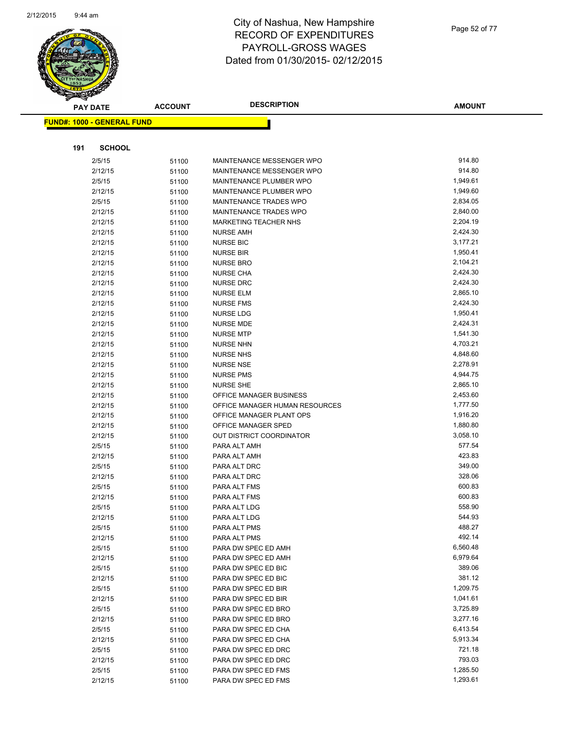

|     | <b>PAY DATE</b>                   | <b>ACCOUNT</b> | <b>DESCRIPTION</b>             | <b>AMOUNT</b>    |
|-----|-----------------------------------|----------------|--------------------------------|------------------|
|     | <b>FUND#: 1000 - GENERAL FUND</b> |                |                                |                  |
|     |                                   |                |                                |                  |
| 191 | <b>SCHOOL</b>                     |                |                                |                  |
|     | 2/5/15                            | 51100          | MAINTENANCE MESSENGER WPO      | 914.80           |
|     | 2/12/15                           | 51100          | MAINTENANCE MESSENGER WPO      | 914.80           |
|     | 2/5/15                            | 51100          | MAINTENANCE PLUMBER WPO        | 1,949.61         |
|     | 2/12/15                           | 51100          | MAINTENANCE PLUMBER WPO        | 1,949.60         |
|     | 2/5/15                            | 51100          | MAINTENANCE TRADES WPO         | 2,834.05         |
|     | 2/12/15                           | 51100          | MAINTENANCE TRADES WPO         | 2,840.00         |
|     | 2/12/15                           | 51100          | <b>MARKETING TEACHER NHS</b>   | 2,204.19         |
|     | 2/12/15                           | 51100          | <b>NURSE AMH</b>               | 2,424.30         |
|     | 2/12/15                           | 51100          | <b>NURSE BIC</b>               | 3,177.21         |
|     | 2/12/15                           | 51100          | <b>NURSE BIR</b>               | 1,950.41         |
|     | 2/12/15                           | 51100          | <b>NURSE BRO</b>               | 2,104.21         |
|     | 2/12/15                           | 51100          | <b>NURSE CHA</b>               | 2,424.30         |
|     | 2/12/15                           | 51100          | <b>NURSE DRC</b>               | 2,424.30         |
|     | 2/12/15                           | 51100          | <b>NURSE ELM</b>               | 2,865.10         |
|     | 2/12/15                           | 51100          | <b>NURSE FMS</b>               | 2,424.30         |
|     | 2/12/15                           | 51100          | <b>NURSE LDG</b>               | 1,950.41         |
|     | 2/12/15                           | 51100          | <b>NURSE MDE</b>               | 2,424.31         |
|     | 2/12/15                           | 51100          | <b>NURSE MTP</b>               | 1,541.30         |
|     | 2/12/15                           | 51100          | <b>NURSE NHN</b>               | 4,703.21         |
|     | 2/12/15                           | 51100          | <b>NURSE NHS</b>               | 4,848.60         |
|     | 2/12/15                           | 51100          | <b>NURSE NSE</b>               | 2,278.91         |
|     | 2/12/15                           | 51100          | <b>NURSE PMS</b>               | 4,944.75         |
|     | 2/12/15                           | 51100          | <b>NURSE SHE</b>               | 2,865.10         |
|     | 2/12/15                           | 51100          | OFFICE MANAGER BUSINESS        | 2,453.60         |
|     | 2/12/15                           | 51100          | OFFICE MANAGER HUMAN RESOURCES | 1,777.50         |
|     | 2/12/15                           | 51100          | OFFICE MANAGER PLANT OPS       | 1,916.20         |
|     | 2/12/15                           | 51100          | OFFICE MANAGER SPED            | 1,880.80         |
|     | 2/12/15                           | 51100          | OUT DISTRICT COORDINATOR       | 3,058.10         |
|     | 2/5/15                            | 51100          | PARA ALT AMH                   | 577.54           |
|     | 2/12/15                           | 51100          | PARA ALT AMH                   | 423.83           |
|     | 2/5/15                            | 51100          | PARA ALT DRC                   | 349.00           |
|     | 2/12/15                           | 51100          | PARA ALT DRC                   | 328.06<br>600.83 |
|     | 2/5/15                            | 51100          | PARA ALT FMS                   | 600.83           |
|     | 2/12/15                           | 51100          | PARA ALT FMS<br>PARA ALT LDG   | 558.90           |
|     | 2/5/15<br>2/12/15                 | 51100          | PARA ALT LDG                   | 544.93           |
|     | 2/5/15                            | 51100          | PARA ALT PMS                   | 488.27           |
|     | 2/12/15                           | 51100<br>51100 | PARA ALT PMS                   | 492.14           |
|     | 2/5/15                            | 51100          | PARA DW SPEC ED AMH            | 6,560.48         |
|     | 2/12/15                           | 51100          | PARA DW SPEC ED AMH            | 6,979.64         |
|     | 2/5/15                            | 51100          | PARA DW SPEC ED BIC            | 389.06           |
|     | 2/12/15                           | 51100          | PARA DW SPEC ED BIC            | 381.12           |
|     | 2/5/15                            | 51100          | PARA DW SPEC ED BIR            | 1,209.75         |
|     | 2/12/15                           | 51100          | PARA DW SPEC ED BIR            | 1,041.61         |
|     | 2/5/15                            | 51100          | PARA DW SPEC ED BRO            | 3,725.89         |
|     | 2/12/15                           | 51100          | PARA DW SPEC ED BRO            | 3,277.16         |
|     | 2/5/15                            | 51100          | PARA DW SPEC ED CHA            | 6,413.54         |
|     | 2/12/15                           | 51100          | PARA DW SPEC ED CHA            | 5,913.34         |
|     | 2/5/15                            | 51100          | PARA DW SPEC ED DRC            | 721.18           |
|     | 2/12/15                           | 51100          | PARA DW SPEC ED DRC            | 793.03           |
|     | 2/5/15                            | 51100          | PARA DW SPEC ED FMS            | 1,285.50         |
|     | 2/12/15                           | 51100          | PARA DW SPEC ED FMS            | 1,293.61         |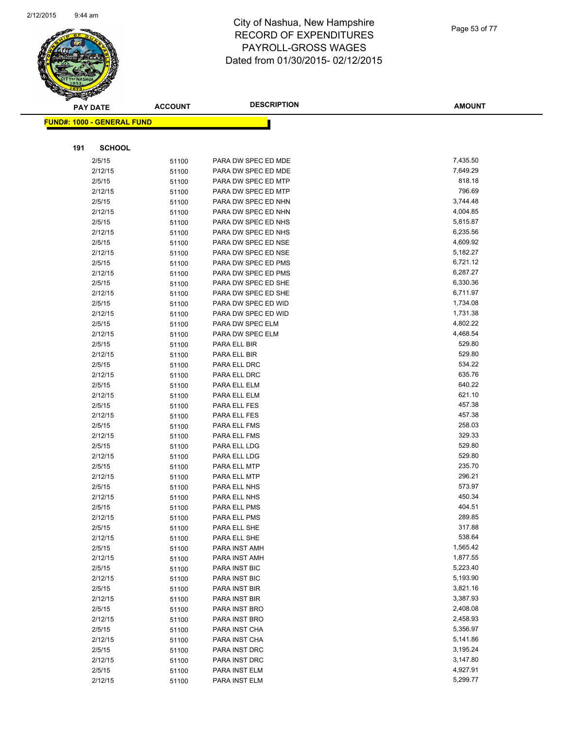

|     | <b>PAY DATE</b>                   | <b>ACCOUNT</b> | <b>DESCRIPTION</b>           | <b>AMOUNT</b>    |
|-----|-----------------------------------|----------------|------------------------------|------------------|
|     | <b>FUND#: 1000 - GENERAL FUND</b> |                |                              |                  |
|     |                                   |                |                              |                  |
|     |                                   |                |                              |                  |
| 191 | <b>SCHOOL</b>                     |                |                              |                  |
|     | 2/5/15                            | 51100          | PARA DW SPEC ED MDE          | 7,435.50         |
|     | 2/12/15                           | 51100          | PARA DW SPEC ED MDE          | 7,649.29         |
|     | 2/5/15                            | 51100          | PARA DW SPEC ED MTP          | 818.18           |
|     | 2/12/15                           | 51100          | PARA DW SPEC ED MTP          | 796.69           |
|     | 2/5/15                            | 51100          | PARA DW SPEC ED NHN          | 3,744.48         |
|     | 2/12/15                           | 51100          | PARA DW SPEC ED NHN          | 4,004.85         |
|     | 2/5/15                            | 51100          | PARA DW SPEC ED NHS          | 5,815.87         |
|     | 2/12/15                           | 51100          | PARA DW SPEC ED NHS          | 6,235.56         |
|     | 2/5/15                            | 51100          | PARA DW SPEC ED NSE          | 4,609.92         |
|     | 2/12/15                           | 51100          | PARA DW SPEC ED NSE          | 5,182.27         |
|     | 2/5/15                            | 51100          | PARA DW SPEC ED PMS          | 6,721.12         |
|     | 2/12/15                           | 51100          | PARA DW SPEC ED PMS          | 6,287.27         |
|     | 2/5/15                            | 51100          | PARA DW SPEC ED SHE          | 6,330.36         |
|     | 2/12/15                           | 51100          | PARA DW SPEC ED SHE          | 6,711.97         |
|     | 2/5/15                            | 51100          | PARA DW SPEC ED WID          | 1,734.08         |
|     | 2/12/15                           | 51100          | PARA DW SPEC ED WID          | 1,731.38         |
|     | 2/5/15                            | 51100          | PARA DW SPEC ELM             | 4,802.22         |
|     | 2/12/15                           | 51100          | PARA DW SPEC ELM             | 4,468.54         |
|     | 2/5/15                            | 51100          | PARA ELL BIR                 | 529.80           |
|     | 2/12/15                           | 51100          | PARA ELL BIR                 | 529.80           |
|     | 2/5/15                            | 51100          | PARA ELL DRC                 | 534.22           |
|     | 2/12/15                           | 51100          | PARA ELL DRC                 | 635.76           |
|     | 2/5/15                            | 51100          | PARA ELL ELM                 | 640.22           |
|     | 2/12/15                           | 51100          | PARA ELL ELM                 | 621.10           |
|     | 2/5/15                            | 51100          | PARA ELL FES                 | 457.38           |
|     | 2/12/15                           | 51100          | PARA ELL FES                 | 457.38           |
|     | 2/5/15                            | 51100          | PARA ELL FMS                 | 258.03           |
|     | 2/12/15                           | 51100          | PARA ELL FMS                 | 329.33<br>529.80 |
|     | 2/5/15                            | 51100          | PARA ELL LDG                 | 529.80           |
|     | 2/12/15                           | 51100          | PARA ELL LDG                 | 235.70           |
|     | 2/5/15<br>2/12/15                 | 51100          | PARA ELL MTP<br>PARA ELL MTP | 296.21           |
|     | 2/5/15                            | 51100          | PARA ELL NHS                 | 573.97           |
|     | 2/12/15                           | 51100          | PARA ELL NHS                 | 450.34           |
|     | 2/5/15                            | 51100<br>51100 | PARA ELL PMS                 | 404.51           |
|     | 2/12/15                           | 51100          | PARA ELL PMS                 | 289.85           |
|     | 2/5/15                            | 51100          | PARA ELL SHE                 | 317.88           |
|     | 2/12/15                           | 51100          | PARA ELL SHE                 | 538.64           |
|     | 2/5/15                            | 51100          | PARA INST AMH                | 1,565.42         |
|     | 2/12/15                           | 51100          | PARA INST AMH                | 1,877.55         |
|     | 2/5/15                            | 51100          | PARA INST BIC                | 5,223.40         |
|     | 2/12/15                           | 51100          | PARA INST BIC                | 5,193.90         |
|     | 2/5/15                            | 51100          | PARA INST BIR                | 3,821.16         |
|     | 2/12/15                           | 51100          | PARA INST BIR                | 3,387.93         |
|     | 2/5/15                            | 51100          | PARA INST BRO                | 2,408.08         |
|     | 2/12/15                           | 51100          | PARA INST BRO                | 2,458.93         |
|     | 2/5/15                            | 51100          | PARA INST CHA                | 5,356.97         |
|     | 2/12/15                           | 51100          | PARA INST CHA                | 5,141.86         |
|     | 2/5/15                            | 51100          | PARA INST DRC                | 3,195.24         |
|     | 2/12/15                           | 51100          | PARA INST DRC                | 3,147.80         |
|     | 2/5/15                            | 51100          | PARA INST ELM                | 4,927.91         |
|     | 2/12/15                           | 51100          | PARA INST ELM                | 5,299.77         |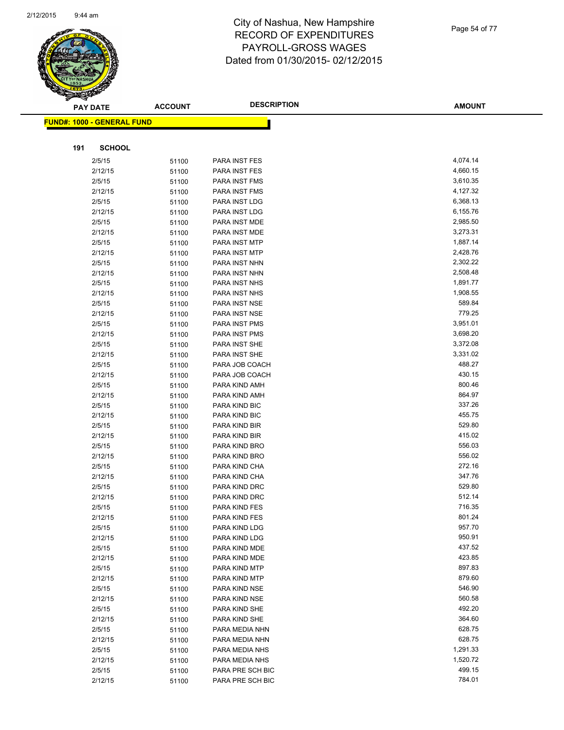

| <b>AMOUNT</b> |
|---------------|
|               |
|               |
|               |
|               |
|               |

| <b>PAY DATE</b>                   | <b>ACCOUNT</b> | <b>DESCRIPTION</b> | <b>AMOUNT</b>    |
|-----------------------------------|----------------|--------------------|------------------|
| <b>FUND#: 1000 - GENERAL FUND</b> |                |                    |                  |
|                                   |                |                    |                  |
|                                   |                |                    |                  |
| 191<br><b>SCHOOL</b>              |                |                    |                  |
| 2/5/15                            | 51100          | PARA INST FES      | 4,074.14         |
| 2/12/15                           | 51100          | PARA INST FES      | 4,660.15         |
| 2/5/15                            | 51100          | PARA INST FMS      | 3,610.35         |
| 2/12/15                           | 51100          | PARA INST FMS      | 4,127.32         |
| 2/5/15                            | 51100          | PARA INST LDG      | 6,368.13         |
| 2/12/15                           | 51100          | PARA INST LDG      | 6,155.76         |
| 2/5/15                            | 51100          | PARA INST MDE      | 2,985.50         |
| 2/12/15                           | 51100          | PARA INST MDE      | 3,273.31         |
| 2/5/15                            | 51100          | PARA INST MTP      | 1,887.14         |
| 2/12/15                           | 51100          | PARA INST MTP      | 2,428.76         |
| 2/5/15                            | 51100          | PARA INST NHN      | 2,302.22         |
| 2/12/15                           | 51100          | PARA INST NHN      | 2,508.48         |
| 2/5/15                            | 51100          | PARA INST NHS      | 1,891.77         |
| 2/12/15                           | 51100          | PARA INST NHS      | 1,908.55         |
| 2/5/15                            | 51100          | PARA INST NSE      | 589.84           |
| 2/12/15                           | 51100          | PARA INST NSE      | 779.25           |
| 2/5/15                            | 51100          | PARA INST PMS      | 3,951.01         |
| 2/12/15                           | 51100          | PARA INST PMS      | 3,698.20         |
| 2/5/15                            | 51100          | PARA INST SHE      | 3,372.08         |
| 2/12/15                           | 51100          | PARA INST SHE      | 3,331.02         |
| 2/5/15                            | 51100          | PARA JOB COACH     | 488.27           |
| 2/12/15                           | 51100          | PARA JOB COACH     | 430.15           |
| 2/5/15                            | 51100          | PARA KIND AMH      | 800.46           |
| 2/12/15                           | 51100          | PARA KIND AMH      | 864.97           |
| 2/5/15                            | 51100          | PARA KIND BIC      | 337.26           |
| 2/12/15                           | 51100          | PARA KIND BIC      | 455.75           |
| 2/5/15                            | 51100          | PARA KIND BIR      | 529.80           |
| 2/12/15                           | 51100          | PARA KIND BIR      | 415.02           |
| 2/5/15                            | 51100          | PARA KIND BRO      | 556.03           |
| 2/12/15                           | 51100          | PARA KIND BRO      | 556.02           |
| 2/5/15                            | 51100          | PARA KIND CHA      | 272.16           |
| 2/12/15                           | 51100          | PARA KIND CHA      | 347.76           |
| 2/5/15                            | 51100          | PARA KIND DRC      | 529.80           |
| 2/12/15                           | 51100          | PARA KIND DRC      | 512.14           |
| 2/5/15                            | 51100          | PARA KIND FES      | 716.35           |
| 2/12/15                           | 51100          | PARA KIND FES      | 801.24           |
| 2/5/15                            | 51100          | PARA KIND LDG      | 957.70           |
| 2/12/15                           | 51100          | PARA KIND LDG      | 950.91           |
| 2/5/15                            | 51100          | PARA KIND MDE      | 437.52           |
| 2/12/15                           | 51100          | PARA KIND MDE      | 423.85           |
| 2/5/15                            | 51100          | PARA KIND MTP      | 897.83           |
| 2/12/15                           | 51100          | PARA KIND MTP      | 879.60           |
| 2/5/15                            | 51100          | PARA KIND NSE      | 546.90           |
| 2/12/15                           | 51100          | PARA KIND NSE      | 560.58           |
| 2/5/15                            | 51100          | PARA KIND SHE      | 492.20           |
| 2/12/15                           | 51100          | PARA KIND SHE      | 364.60           |
| 2/5/15                            | 51100          | PARA MEDIA NHN     | 628.75           |
| 2/12/15                           | 51100          | PARA MEDIA NHN     | 628.75           |
| 2/5/15                            | 51100          | PARA MEDIA NHS     | 1,291.33         |
| 2/12/15                           | 51100          | PARA MEDIA NHS     | 1,520.72         |
| 2/5/15                            | 51100          | PARA PRE SCH BIC   | 499.15<br>784.01 |
| 2/12/15                           | 51100          | PARA PRE SCH BIC   |                  |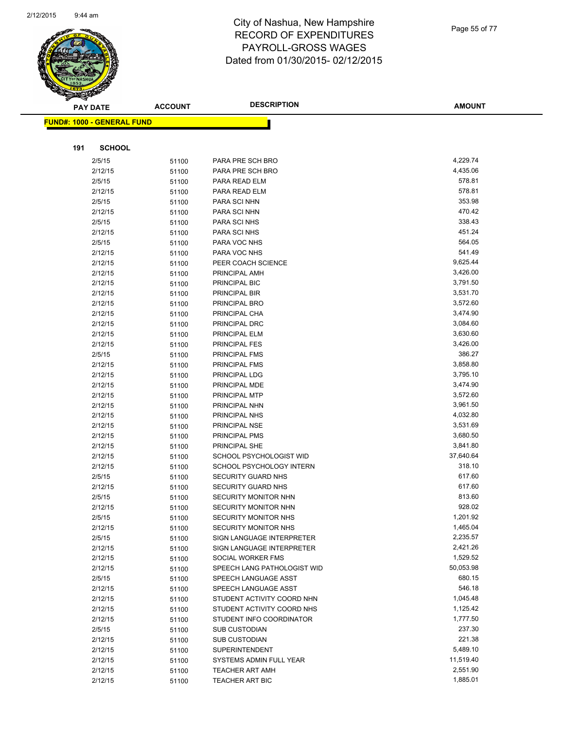

Page 55 of 77

|     | <b>PAY DATE</b>                   | <b>ACCOUNT</b> | <b>DESCRIPTION</b>                                  | <b>AMOUNT</b>       |
|-----|-----------------------------------|----------------|-----------------------------------------------------|---------------------|
|     | <b>FUND#: 1000 - GENERAL FUND</b> |                |                                                     |                     |
|     |                                   |                |                                                     |                     |
|     |                                   |                |                                                     |                     |
| 191 | <b>SCHOOL</b>                     |                |                                                     |                     |
|     | 2/5/15                            | 51100          | PARA PRE SCH BRO                                    | 4,229.74            |
|     | 2/12/15                           | 51100          | PARA PRE SCH BRO                                    | 4,435.06            |
|     | 2/5/15                            | 51100          | PARA READ ELM                                       | 578.81              |
|     | 2/12/15                           | 51100          | PARA READ ELM                                       | 578.81              |
|     | 2/5/15                            | 51100          | PARA SCI NHN                                        | 353.98              |
|     | 2/12/15                           | 51100          | PARA SCI NHN                                        | 470.42              |
|     | 2/5/15                            | 51100          | PARA SCI NHS                                        | 338.43              |
|     | 2/12/15                           | 51100          | PARA SCI NHS                                        | 451.24              |
|     | 2/5/15                            | 51100          | PARA VOC NHS                                        | 564.05              |
|     | 2/12/15                           | 51100          | PARA VOC NHS                                        | 541.49              |
|     | 2/12/15                           | 51100          | PEER COACH SCIENCE                                  | 9,625.44            |
|     | 2/12/15                           | 51100          | PRINCIPAL AMH                                       | 3,426.00            |
|     | 2/12/15                           | 51100          | PRINCIPAL BIC                                       | 3,791.50            |
|     | 2/12/15                           | 51100          | PRINCIPAL BIR                                       | 3,531.70            |
|     | 2/12/15                           | 51100          | PRINCIPAL BRO                                       | 3,572.60            |
|     | 2/12/15                           | 51100          | PRINCIPAL CHA                                       | 3,474.90            |
|     | 2/12/15                           | 51100          | PRINCIPAL DRC                                       | 3,084.60            |
|     | 2/12/15                           | 51100          | PRINCIPAL ELM                                       | 3,630.60            |
|     | 2/12/15                           | 51100          | PRINCIPAL FES                                       | 3,426.00            |
|     | 2/5/15                            | 51100          | PRINCIPAL FMS                                       | 386.27              |
|     | 2/12/15                           | 51100          | PRINCIPAL FMS                                       | 3,858.80            |
|     | 2/12/15                           | 51100          | PRINCIPAL LDG                                       | 3,795.10            |
|     | 2/12/15                           | 51100          | PRINCIPAL MDE                                       | 3,474.90            |
|     | 2/12/15                           | 51100          | PRINCIPAL MTP                                       | 3,572.60            |
|     | 2/12/15                           | 51100          | PRINCIPAL NHN                                       | 3,961.50            |
|     | 2/12/15                           | 51100          | PRINCIPAL NHS                                       | 4,032.80            |
|     | 2/12/15                           | 51100          | PRINCIPAL NSE                                       | 3,531.69            |
|     | 2/12/15                           | 51100          | PRINCIPAL PMS                                       | 3,680.50            |
|     | 2/12/15                           | 51100          | PRINCIPAL SHE                                       | 3,841.80            |
|     | 2/12/15                           | 51100          | SCHOOL PSYCHOLOGIST WID                             | 37,640.64<br>318.10 |
|     | 2/12/15                           | 51100          | SCHOOL PSYCHOLOGY INTERN                            |                     |
|     | 2/5/15                            | 51100          | SECURITY GUARD NHS                                  | 617.60<br>617.60    |
|     | 2/12/15                           | 51100          | SECURITY GUARD NHS                                  | 813.60              |
|     | 2/5/15                            | 51100          | SECURITY MONITOR NHN<br><b>SECURITY MONITOR NHN</b> | 928.02              |
|     | 2/12/15<br>2/5/15                 | 51100          |                                                     | 1,201.92            |
|     |                                   | 51100          | SECURITY MONITOR NHS                                | 1,465.04            |
|     | 2/12/15<br>2/5/15                 | 51100          | SECURITY MONITOR NHS<br>SIGN LANGUAGE INTERPRETER   | 2,235.57            |
|     | 2/12/15                           | 51100<br>51100 | SIGN LANGUAGE INTERPRETER                           | 2,421.26            |
|     | 2/12/15                           | 51100          | SOCIAL WORKER FMS                                   | 1,529.52            |
|     | 2/12/15                           | 51100          | SPEECH LANG PATHOLOGIST WID                         | 50,053.98           |
|     | 2/5/15                            | 51100          | SPEECH LANGUAGE ASST                                | 680.15              |
|     | 2/12/15                           | 51100          | SPEECH LANGUAGE ASST                                | 546.18              |
|     | 2/12/15                           | 51100          | STUDENT ACTIVITY COORD NHN                          | 1,045.48            |
|     | 2/12/15                           | 51100          | STUDENT ACTIVITY COORD NHS                          | 1,125.42            |
|     | 2/12/15                           | 51100          | STUDENT INFO COORDINATOR                            | 1,777.50            |
|     | 2/5/15                            | 51100          | <b>SUB CUSTODIAN</b>                                | 237.30              |
|     | 2/12/15                           | 51100          | <b>SUB CUSTODIAN</b>                                | 221.38              |
|     | 2/12/15                           | 51100          | <b>SUPERINTENDENT</b>                               | 5,489.10            |
|     | 2/12/15                           | 51100          | SYSTEMS ADMIN FULL YEAR                             | 11,519.40           |
|     | 2/12/15                           | 51100          | <b>TEACHER ART AMH</b>                              | 2,551.90            |
|     | 2/12/15                           | 51100          | <b>TEACHER ART BIC</b>                              | 1,885.01            |
|     |                                   |                |                                                     |                     |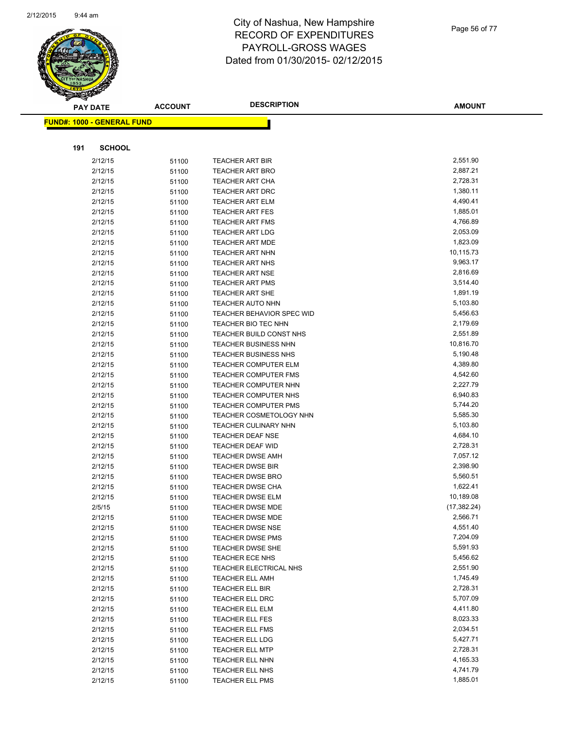

Page 56 of 77

|     | <b>PAY DATE</b>                    | <b>ACCOUNT</b> | <b>DESCRIPTION</b>                                            | <b>AMOUNT</b>        |
|-----|------------------------------------|----------------|---------------------------------------------------------------|----------------------|
|     | <u> FUND#: 1000 - GENERAL FUND</u> |                |                                                               |                      |
|     |                                    |                |                                                               |                      |
|     |                                    |                |                                                               |                      |
| 191 | <b>SCHOOL</b>                      |                |                                                               |                      |
|     | 2/12/15                            | 51100          | <b>TEACHER ART BIR</b>                                        | 2,551.90             |
|     | 2/12/15                            | 51100          | <b>TEACHER ART BRO</b>                                        | 2,887.21             |
|     | 2/12/15                            | 51100          | <b>TEACHER ART CHA</b>                                        | 2,728.31             |
|     | 2/12/15                            | 51100          | <b>TEACHER ART DRC</b>                                        | 1,380.11             |
|     | 2/12/15                            | 51100          | <b>TEACHER ART ELM</b>                                        | 4,490.41             |
|     | 2/12/15                            | 51100          | <b>TEACHER ART FES</b>                                        | 1,885.01             |
|     | 2/12/15                            | 51100          | <b>TEACHER ART FMS</b>                                        | 4,766.89             |
|     | 2/12/15                            | 51100          | <b>TEACHER ART LDG</b>                                        | 2,053.09             |
|     | 2/12/15                            | 51100          | <b>TEACHER ART MDE</b>                                        | 1,823.09             |
|     | 2/12/15                            | 51100          | <b>TEACHER ART NHN</b>                                        | 10,115.73            |
|     | 2/12/15                            | 51100          | <b>TEACHER ART NHS</b>                                        | 9,963.17             |
|     | 2/12/15                            | 51100          | <b>TEACHER ART NSE</b>                                        | 2,816.69             |
|     | 2/12/15                            | 51100          | <b>TEACHER ART PMS</b>                                        | 3,514.40             |
|     | 2/12/15                            | 51100          | <b>TEACHER ART SHE</b>                                        | 1,891.19             |
|     | 2/12/15                            | 51100          | <b>TEACHER AUTO NHN</b>                                       | 5,103.80             |
|     | 2/12/15                            | 51100          | TEACHER BEHAVIOR SPEC WID                                     | 5,456.63             |
|     | 2/12/15                            | 51100          | TEACHER BIO TEC NHN                                           | 2,179.69             |
|     | 2/12/15                            | 51100          | TEACHER BUILD CONST NHS                                       | 2,551.89             |
|     | 2/12/15                            | 51100          | <b>TEACHER BUSINESS NHN</b>                                   | 10,816.70            |
|     | 2/12/15                            | 51100          | <b>TEACHER BUSINESS NHS</b>                                   | 5,190.48             |
|     | 2/12/15                            | 51100          | <b>TEACHER COMPUTER ELM</b>                                   | 4,389.80             |
|     | 2/12/15                            | 51100          | <b>TEACHER COMPUTER FMS</b>                                   | 4,542.60<br>2,227.79 |
|     | 2/12/15                            | 51100          | TEACHER COMPUTER NHN                                          |                      |
|     | 2/12/15                            | 51100          | TEACHER COMPUTER NHS                                          | 6,940.83<br>5,744.20 |
|     | 2/12/15<br>2/12/15                 | 51100          | <b>TEACHER COMPUTER PMS</b><br><b>TEACHER COSMETOLOGY NHN</b> | 5,585.30             |
|     | 2/12/15                            | 51100          | <b>TEACHER CULINARY NHN</b>                                   | 5,103.80             |
|     | 2/12/15                            | 51100          | <b>TEACHER DEAF NSE</b>                                       | 4,684.10             |
|     | 2/12/15                            | 51100          | <b>TEACHER DEAF WID</b>                                       | 2,728.31             |
|     | 2/12/15                            | 51100          | <b>TEACHER DWSE AMH</b>                                       | 7,057.12             |
|     | 2/12/15                            | 51100<br>51100 | <b>TEACHER DWSE BIR</b>                                       | 2,398.90             |
|     | 2/12/15                            | 51100          | <b>TEACHER DWSE BRO</b>                                       | 5,560.51             |
|     | 2/12/15                            | 51100          | <b>TEACHER DWSE CHA</b>                                       | 1,622.41             |
|     | 2/12/15                            | 51100          | <b>TEACHER DWSE ELM</b>                                       | 10,189.08            |
|     | 2/5/15                             | 51100          | <b>TEACHER DWSE MDE</b>                                       | (17, 382.24)         |
|     | 2/12/15                            | 51100          | TEACHER DWSE MDE                                              | 2,566.71             |
|     | 2/12/15                            | 51100          | <b>TEACHER DWSE NSE</b>                                       | 4,551.40             |
|     | 2/12/15                            | 51100          | <b>TEACHER DWSE PMS</b>                                       | 7,204.09             |
|     | 2/12/15                            | 51100          | TEACHER DWSE SHE                                              | 5,591.93             |
|     | 2/12/15                            | 51100          | <b>TEACHER ECE NHS</b>                                        | 5,456.62             |
|     | 2/12/15                            | 51100          | TEACHER ELECTRICAL NHS                                        | 2,551.90             |
|     | 2/12/15                            | 51100          | <b>TEACHER ELL AMH</b>                                        | 1,745.49             |
|     | 2/12/15                            | 51100          | <b>TEACHER ELL BIR</b>                                        | 2,728.31             |
|     | 2/12/15                            | 51100          | TEACHER ELL DRC                                               | 5,707.09             |
|     | 2/12/15                            | 51100          | TEACHER ELL ELM                                               | 4,411.80             |
|     | 2/12/15                            | 51100          | <b>TEACHER ELL FES</b>                                        | 8,023.33             |
|     | 2/12/15                            | 51100          | <b>TEACHER ELL FMS</b>                                        | 2,034.51             |
|     | 2/12/15                            | 51100          | <b>TEACHER ELL LDG</b>                                        | 5,427.71             |
|     | 2/12/15                            | 51100          | <b>TEACHER ELL MTP</b>                                        | 2,728.31             |
|     | 2/12/15                            | 51100          | TEACHER ELL NHN                                               | 4,165.33             |
|     | 2/12/15                            | 51100          | TEACHER ELL NHS                                               | 4,741.79             |
|     | 2/12/15                            | 51100          | TEACHER ELL PMS                                               | 1,885.01             |
|     |                                    |                |                                                               |                      |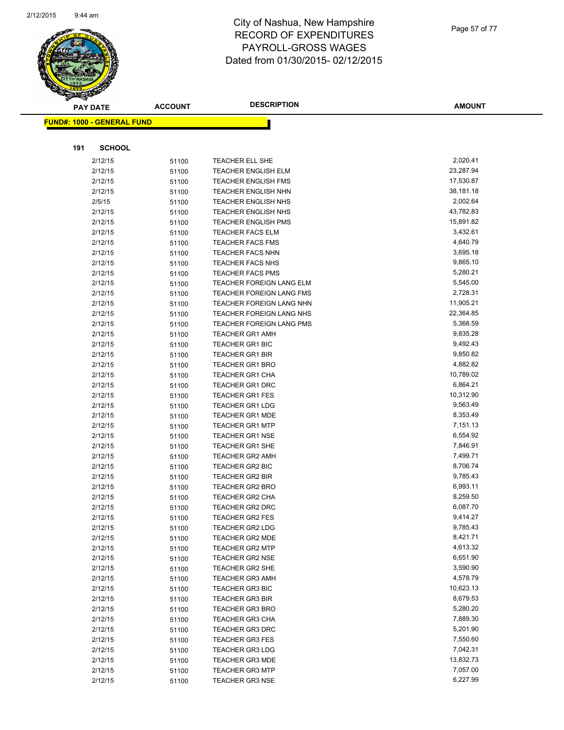

Page 57 of 77

|     | <b>PAY DATE</b>                   | <b>ACCOUNT</b> | <b>DESCRIPTION</b>         | <b>AMOUNT</b>         |
|-----|-----------------------------------|----------------|----------------------------|-----------------------|
|     | <b>FUND#: 1000 - GENERAL FUND</b> |                |                            |                       |
|     |                                   |                |                            |                       |
|     |                                   |                |                            |                       |
| 191 | <b>SCHOOL</b>                     |                |                            |                       |
|     | 2/12/15                           | 51100          | TEACHER ELL SHE            | 2,020.41              |
|     | 2/12/15                           | 51100          | TEACHER ENGLISH ELM        | 23,287.94             |
|     | 2/12/15                           | 51100          | TEACHER ENGLISH FMS        | 17,530.87             |
|     | 2/12/15                           | 51100          | TEACHER ENGLISH NHN        | 38,181.18             |
|     | 2/5/15                            | 51100          | <b>TEACHER ENGLISH NHS</b> | 2,002.64              |
|     | 2/12/15                           | 51100          | TEACHER ENGLISH NHS        | 43,782.83             |
|     | 2/12/15                           | 51100          | <b>TEACHER ENGLISH PMS</b> | 15,891.82             |
|     | 2/12/15                           | 51100          | TEACHER FACS ELM           | 3,432.61              |
|     | 2/12/15                           | 51100          | TEACHER FACS FMS           | 4,640.79              |
|     | 2/12/15                           | 51100          | TEACHER FACS NHN           | 3,695.18              |
|     | 2/12/15                           | 51100          | TEACHER FACS NHS           | 9,865.10              |
|     | 2/12/15                           | 51100          | TEACHER FACS PMS           | 5,280.21              |
|     | 2/12/15                           | 51100          | TEACHER FOREIGN LANG ELM   | 5,545.00              |
|     | 2/12/15                           | 51100          | TEACHER FOREIGN LANG FMS   | 2,728.31              |
|     | 2/12/15                           | 51100          | TEACHER FOREIGN LANG NHN   | 11,905.21             |
|     | 2/12/15                           | 51100          | TEACHER FOREIGN LANG NHS   | 22,364.85             |
|     | 2/12/15                           | 51100          | TEACHER FOREIGN LANG PMS   | 5,368.59              |
|     | 2/12/15                           | 51100          | <b>TEACHER GR1 AMH</b>     | 9,835.28              |
|     | 2/12/15                           | 51100          | TEACHER GR1 BIC            | 9,492.43              |
|     | 2/12/15                           | 51100          | <b>TEACHER GR1 BIR</b>     | 9,850.82              |
|     | 2/12/15                           | 51100          | TEACHER GR1 BRO            | 4,882.82              |
|     | 2/12/15                           | 51100          | TEACHER GR1 CHA            | 10,789.02             |
|     | 2/12/15                           | 51100          | TEACHER GR1 DRC            | 6,864.21              |
|     | 2/12/15                           | 51100          | <b>TEACHER GR1 FES</b>     | 10,312.90             |
|     | 2/12/15                           | 51100          | <b>TEACHER GR1 LDG</b>     | 9,563.49              |
|     | 2/12/15                           | 51100          | <b>TEACHER GR1 MDE</b>     | 8,353.49              |
|     | 2/12/15                           | 51100          | <b>TEACHER GR1 MTP</b>     | 7,151.13              |
|     | 2/12/15                           | 51100          | <b>TEACHER GR1 NSE</b>     | 6,554.92              |
|     | 2/12/15                           | 51100          | TEACHER GR1 SHE            | 7,846.91              |
|     | 2/12/15                           | 51100          | TEACHER GR2 AMH            | 7,499.71              |
|     | 2/12/15                           | 51100          | TEACHER GR2 BIC            | 8,706.74              |
|     | 2/12/15                           | 51100          | <b>TEACHER GR2 BIR</b>     | 9,785.43              |
|     | 2/12/15                           | 51100          | <b>TEACHER GR2 BRO</b>     | 6,993.11              |
|     | 2/12/15                           | 51100          | TEACHER GR2 CHA            | 8,259.50              |
|     | 2/12/15                           | 51100          | <b>TEACHER GR2 DRC</b>     | 6,087.70              |
|     | 2/12/15                           | 51100          | TEACHER GR2 FES            | 9,414.27              |
|     | 2/12/15                           | 51100          | <b>TEACHER GR2 LDG</b>     | 9,785.43              |
|     | 2/12/15                           | 51100          | <b>TEACHER GR2 MDE</b>     | 8,421.71              |
|     | 2/12/15                           | 51100          | <b>TEACHER GR2 MTP</b>     | 4,613.32              |
|     | 2/12/15                           | 51100          | <b>TEACHER GR2 NSE</b>     | 6,651.90              |
|     | 2/12/15                           | 51100          | <b>TEACHER GR2 SHE</b>     | 3,590.90              |
|     | 2/12/15                           | 51100          | <b>TEACHER GR3 AMH</b>     | 4,578.79              |
|     | 2/12/15                           | 51100          | <b>TEACHER GR3 BIC</b>     | 10,623.13             |
|     | 2/12/15                           | 51100          | <b>TEACHER GR3 BIR</b>     | 8,679.53              |
|     | 2/12/15                           | 51100          | <b>TEACHER GR3 BRO</b>     | 5,280.20              |
|     | 2/12/15                           | 51100          | <b>TEACHER GR3 CHA</b>     | 7,889.30              |
|     | 2/12/15                           | 51100          | <b>TEACHER GR3 DRC</b>     | 5,201.90              |
|     | 2/12/15                           | 51100          | <b>TEACHER GR3 FES</b>     | 7,550.60              |
|     | 2/12/15                           | 51100          | <b>TEACHER GR3 LDG</b>     | 7,042.31              |
|     | 2/12/15                           | 51100          | <b>TEACHER GR3 MDE</b>     | 13,832.73<br>7,057.00 |
|     | 2/12/15                           | 51100          | <b>TEACHER GR3 MTP</b>     | 6,227.99              |
|     | 2/12/15                           | 51100          | <b>TEACHER GR3 NSE</b>     |                       |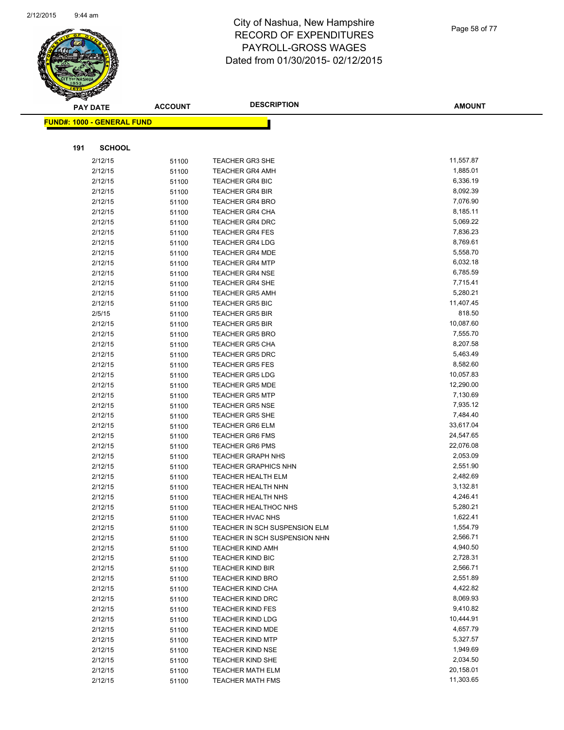

| Page 58 of 77 |
|---------------|
|               |

|     | <b>PAY DATE</b>                   | <b>ACCOUNT</b> | <b>DESCRIPTION</b>                               | AMOUNT               |
|-----|-----------------------------------|----------------|--------------------------------------------------|----------------------|
|     | <b>FUND#: 1000 - GENERAL FUND</b> |                |                                                  |                      |
|     |                                   |                |                                                  |                      |
| 191 | <b>SCHOOL</b>                     |                |                                                  |                      |
|     |                                   |                |                                                  |                      |
|     | 2/12/15                           | 51100          | TEACHER GR3 SHE                                  | 11,557.87            |
|     | 2/12/15                           | 51100          | <b>TEACHER GR4 AMH</b>                           | 1,885.01             |
|     | 2/12/15                           | 51100          | <b>TEACHER GR4 BIC</b>                           | 6,336.19<br>8,092.39 |
|     | 2/12/15                           | 51100          | <b>TEACHER GR4 BIR</b>                           | 7,076.90             |
|     | 2/12/15                           | 51100          | <b>TEACHER GR4 BRO</b>                           | 8,185.11             |
|     | 2/12/15<br>2/12/15                | 51100          | <b>TEACHER GR4 CHA</b><br><b>TEACHER GR4 DRC</b> | 5,069.22             |
|     | 2/12/15                           | 51100          | <b>TEACHER GR4 FES</b>                           | 7,836.23             |
|     | 2/12/15                           | 51100<br>51100 | <b>TEACHER GR4 LDG</b>                           | 8,769.61             |
|     | 2/12/15                           | 51100          | <b>TEACHER GR4 MDE</b>                           | 5,558.70             |
|     | 2/12/15                           | 51100          | <b>TEACHER GR4 MTP</b>                           | 6,032.18             |
|     | 2/12/15                           | 51100          | <b>TEACHER GR4 NSE</b>                           | 6,785.59             |
|     | 2/12/15                           | 51100          | <b>TEACHER GR4 SHE</b>                           | 7,715.41             |
|     | 2/12/15                           | 51100          | <b>TEACHER GR5 AMH</b>                           | 5,280.21             |
|     | 2/12/15                           | 51100          | <b>TEACHER GR5 BIC</b>                           | 11,407.45            |
|     | 2/5/15                            | 51100          | <b>TEACHER GR5 BIR</b>                           | 818.50               |
|     | 2/12/15                           | 51100          | <b>TEACHER GR5 BIR</b>                           | 10,087.60            |
|     | 2/12/15                           | 51100          | <b>TEACHER GR5 BRO</b>                           | 7,555.70             |
|     | 2/12/15                           | 51100          | <b>TEACHER GR5 CHA</b>                           | 8,207.58             |
|     | 2/12/15                           | 51100          | <b>TEACHER GR5 DRC</b>                           | 5,463.49             |
|     | 2/12/15                           | 51100          | <b>TEACHER GR5 FES</b>                           | 8,582.60             |
|     | 2/12/15                           | 51100          | <b>TEACHER GR5 LDG</b>                           | 10,057.83            |
|     | 2/12/15                           | 51100          | <b>TEACHER GR5 MDE</b>                           | 12,290.00            |
|     | 2/12/15                           | 51100          | <b>TEACHER GR5 MTP</b>                           | 7,130.69             |
|     | 2/12/15                           | 51100          | <b>TEACHER GR5 NSE</b>                           | 7,935.12             |
|     | 2/12/15                           | 51100          | <b>TEACHER GR5 SHE</b>                           | 7,484.40             |
|     | 2/12/15                           | 51100          | <b>TEACHER GR6 ELM</b>                           | 33,617.04            |
|     | 2/12/15                           | 51100          | <b>TEACHER GR6 FMS</b>                           | 24,547.65            |
|     | 2/12/15                           | 51100          | <b>TEACHER GR6 PMS</b>                           | 22,076.08            |
|     | 2/12/15                           | 51100          | <b>TEACHER GRAPH NHS</b>                         | 2,053.09             |
|     | 2/12/15                           | 51100          | <b>TEACHER GRAPHICS NHN</b>                      | 2,551.90             |
|     | 2/12/15                           | 51100          | <b>TEACHER HEALTH ELM</b>                        | 2,482.69             |
|     | 2/12/15                           | 51100          | <b>TEACHER HEALTH NHN</b>                        | 3,132.81             |
|     | 2/12/15                           | 51100          | TEACHER HEALTH NHS                               | 4,246.41             |
|     | 2/12/15                           | 51100          | <b>TEACHER HEALTHOC NHS</b>                      | 5,280.21             |
|     | 2/12/15                           | 51100          | TEACHER HVAC NHS                                 | 1,622.41             |
|     | 2/12/15                           | 51100          | TEACHER IN SCH SUSPENSION ELM                    | 1,554.79             |
|     | 2/12/15                           | 51100          | TEACHER IN SCH SUSPENSION NHN                    | 2,566.71             |
|     | 2/12/15                           | 51100          | <b>TEACHER KIND AMH</b>                          | 4,940.50             |
|     | 2/12/15                           | 51100          | <b>TEACHER KIND BIC</b>                          | 2,728.31             |
|     | 2/12/15                           | 51100          | <b>TEACHER KIND BIR</b>                          | 2,566.71             |
|     | 2/12/15                           | 51100          | <b>TEACHER KIND BRO</b>                          | 2,551.89             |
|     | 2/12/15                           | 51100          | <b>TEACHER KIND CHA</b>                          | 4,422.82             |
|     | 2/12/15                           | 51100          | <b>TEACHER KIND DRC</b>                          | 8,069.93             |
|     | 2/12/15                           | 51100          | <b>TEACHER KIND FES</b>                          | 9,410.82             |
|     | 2/12/15                           | 51100          | <b>TEACHER KIND LDG</b>                          | 10,444.91            |
|     | 2/12/15                           | 51100          | <b>TEACHER KIND MDE</b>                          | 4,657.79             |
|     | 2/12/15                           | 51100          | <b>TEACHER KIND MTP</b>                          | 5,327.57             |
|     | 2/12/15                           | 51100          | <b>TEACHER KIND NSE</b>                          | 1,949.69             |
|     | 2/12/15                           | 51100          | <b>TEACHER KIND SHE</b>                          | 2,034.50             |
|     | 2/12/15                           | 51100          | TEACHER MATH ELM                                 | 20,158.01            |
|     | 2/12/15                           | 51100          | <b>TEACHER MATH FMS</b>                          | 11,303.65            |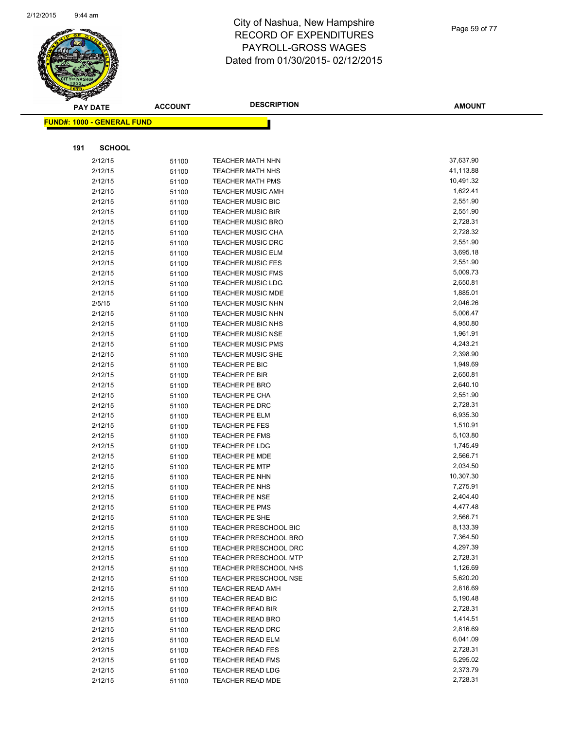

|     | <b>PAY DATE</b>                   | <b>ACCOUNT</b> | <b>DESCRIPTION</b>               | <b>AMOUNT</b>        |
|-----|-----------------------------------|----------------|----------------------------------|----------------------|
|     | <b>FUND#: 1000 - GENERAL FUND</b> |                |                                  |                      |
|     |                                   |                |                                  |                      |
|     |                                   |                |                                  |                      |
| 191 | <b>SCHOOL</b>                     |                |                                  |                      |
|     | 2/12/15                           | 51100          | <b>TEACHER MATH NHN</b>          | 37,637.90            |
|     | 2/12/15                           | 51100          | <b>TEACHER MATH NHS</b>          | 41,113.88            |
|     | 2/12/15                           | 51100          | <b>TEACHER MATH PMS</b>          | 10,491.32            |
|     | 2/12/15                           | 51100          | <b>TEACHER MUSIC AMH</b>         | 1,622.41             |
|     | 2/12/15                           | 51100          | <b>TEACHER MUSIC BIC</b>         | 2,551.90             |
|     | 2/12/15                           | 51100          | <b>TEACHER MUSIC BIR</b>         | 2,551.90             |
|     | 2/12/15                           | 51100          | <b>TEACHER MUSIC BRO</b>         | 2,728.31             |
|     | 2/12/15                           | 51100          | TEACHER MUSIC CHA                | 2,728.32             |
|     | 2/12/15                           | 51100          | <b>TEACHER MUSIC DRC</b>         | 2,551.90             |
|     | 2/12/15                           | 51100          | <b>TEACHER MUSIC ELM</b>         | 3,695.18             |
|     | 2/12/15                           | 51100          | <b>TEACHER MUSIC FES</b>         | 2,551.90             |
|     | 2/12/15                           | 51100          | <b>TEACHER MUSIC FMS</b>         | 5,009.73             |
|     | 2/12/15                           | 51100          | <b>TEACHER MUSIC LDG</b>         | 2,650.81             |
|     | 2/12/15                           | 51100          | <b>TEACHER MUSIC MDE</b>         | 1,885.01             |
|     | 2/5/15                            | 51100          | <b>TEACHER MUSIC NHN</b>         | 2,046.26             |
|     | 2/12/15                           | 51100          | <b>TEACHER MUSIC NHN</b>         | 5,006.47             |
|     | 2/12/15                           | 51100          | <b>TEACHER MUSIC NHS</b>         | 4,950.80             |
|     | 2/12/15                           | 51100          | <b>TEACHER MUSIC NSE</b>         | 1,961.91             |
|     | 2/12/15                           | 51100          | <b>TEACHER MUSIC PMS</b>         | 4,243.21             |
|     | 2/12/15                           | 51100          | <b>TEACHER MUSIC SHE</b>         | 2,398.90             |
|     | 2/12/15                           | 51100          | TEACHER PE BIC                   | 1,949.69             |
|     | 2/12/15                           | 51100          | TEACHER PE BIR                   | 2,650.81<br>2,640.10 |
|     | 2/12/15                           | 51100          | <b>TEACHER PE BRO</b>            | 2,551.90             |
|     | 2/12/15<br>2/12/15                | 51100          | TEACHER PE CHA<br>TEACHER PE DRC | 2,728.31             |
|     | 2/12/15                           | 51100          | TEACHER PE ELM                   | 6,935.30             |
|     | 2/12/15                           | 51100<br>51100 | TEACHER PE FES                   | 1,510.91             |
|     | 2/12/15                           | 51100          | <b>TEACHER PE FMS</b>            | 5,103.80             |
|     | 2/12/15                           | 51100          | TEACHER PE LDG                   | 1,745.49             |
|     | 2/12/15                           | 51100          | <b>TEACHER PE MDE</b>            | 2,566.71             |
|     | 2/12/15                           | 51100          | <b>TEACHER PE MTP</b>            | 2,034.50             |
|     | 2/12/15                           | 51100          | <b>TEACHER PE NHN</b>            | 10,307.30            |
|     | 2/12/15                           | 51100          | TEACHER PE NHS                   | 7,275.91             |
|     | 2/12/15                           | 51100          | <b>TEACHER PE NSE</b>            | 2,404.40             |
|     | 2/12/15                           | 51100          | <b>TEACHER PE PMS</b>            | 4,477.48             |
|     | 2/12/15                           | 51100          | TEACHER PE SHE                   | 2,566.71             |
|     | 2/12/15                           | 51100          | <b>TEACHER PRESCHOOL BIC</b>     | 8,133.39             |
|     | 2/12/15                           | 51100          | <b>TEACHER PRESCHOOL BRO</b>     | 7,364.50             |
|     | 2/12/15                           | 51100          | <b>TEACHER PRESCHOOL DRC</b>     | 4,297.39             |
|     | 2/12/15                           | 51100          | <b>TEACHER PRESCHOOL MTP</b>     | 2,728.31             |
|     | 2/12/15                           | 51100          | <b>TEACHER PRESCHOOL NHS</b>     | 1,126.69             |
|     | 2/12/15                           | 51100          | <b>TEACHER PRESCHOOL NSE</b>     | 5,620.20             |
|     | 2/12/15                           | 51100          | <b>TEACHER READ AMH</b>          | 2,816.69             |
|     | 2/12/15                           | 51100          | <b>TEACHER READ BIC</b>          | 5,190.48             |
|     | 2/12/15                           | 51100          | <b>TEACHER READ BIR</b>          | 2,728.31             |
|     | 2/12/15                           | 51100          | <b>TEACHER READ BRO</b>          | 1,414.51             |
|     | 2/12/15                           | 51100          | <b>TEACHER READ DRC</b>          | 2,816.69             |
|     | 2/12/15                           | 51100          | <b>TEACHER READ ELM</b>          | 6,041.09             |
|     | 2/12/15                           | 51100          | <b>TEACHER READ FES</b>          | 2,728.31             |
|     | 2/12/15                           | 51100          | <b>TEACHER READ FMS</b>          | 5,295.02             |
|     | 2/12/15                           | 51100          | <b>TEACHER READ LDG</b>          | 2,373.79             |
|     | 2/12/15                           | 51100          | TEACHER READ MDE                 | 2,728.31             |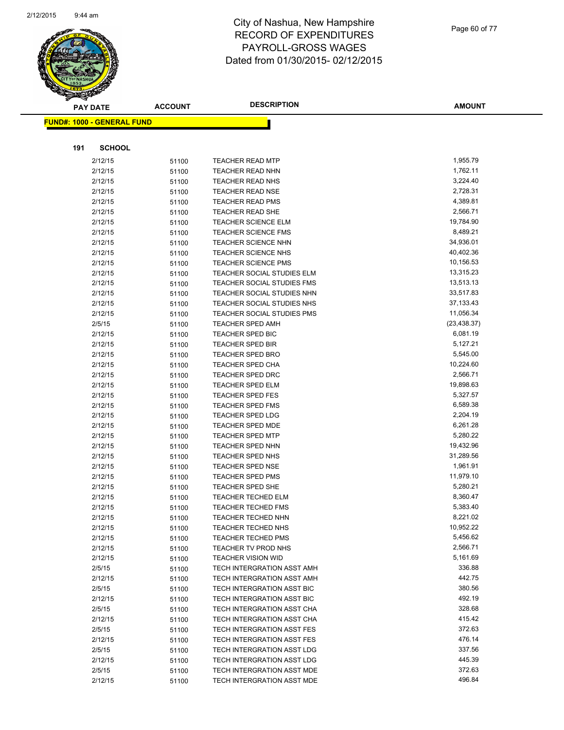

Page 60 of 77

|     | <b>PAY DATE</b>                   | <b>ACCOUNT</b> | <b>DESCRIPTION</b>                                 | <b>AMOUNT</b>        |
|-----|-----------------------------------|----------------|----------------------------------------------------|----------------------|
|     | <b>FUND#: 1000 - GENERAL FUND</b> |                |                                                    |                      |
|     |                                   |                |                                                    |                      |
|     |                                   |                |                                                    |                      |
| 191 | <b>SCHOOL</b>                     |                |                                                    |                      |
|     | 2/12/15                           | 51100          | <b>TEACHER READ MTP</b>                            | 1,955.79             |
|     | 2/12/15                           | 51100          | <b>TEACHER READ NHN</b>                            | 1,762.11             |
|     | 2/12/15                           | 51100          | TEACHER READ NHS                                   | 3,224.40             |
|     | 2/12/15                           | 51100          | <b>TEACHER READ NSE</b>                            | 2,728.31             |
|     | 2/12/15                           | 51100          | <b>TEACHER READ PMS</b>                            | 4,389.81             |
|     | 2/12/15                           | 51100          | <b>TEACHER READ SHE</b>                            | 2,566.71             |
|     | 2/12/15                           | 51100          | <b>TEACHER SCIENCE ELM</b>                         | 19,784.90            |
|     | 2/12/15                           | 51100          | <b>TEACHER SCIENCE FMS</b>                         | 8,489.21             |
|     | 2/12/15                           | 51100          | <b>TEACHER SCIENCE NHN</b>                         | 34,936.01            |
|     | 2/12/15                           | 51100          | <b>TEACHER SCIENCE NHS</b>                         | 40,402.36            |
|     | 2/12/15                           | 51100          | <b>TEACHER SCIENCE PMS</b>                         | 10,156.53            |
|     | 2/12/15                           | 51100          | TEACHER SOCIAL STUDIES ELM                         | 13,315.23            |
|     | 2/12/15                           | 51100          | TEACHER SOCIAL STUDIES FMS                         | 13,513.13            |
|     | 2/12/15                           | 51100          | TEACHER SOCIAL STUDIES NHN                         | 33,517.83            |
|     | 2/12/15                           | 51100          | TEACHER SOCIAL STUDIES NHS                         | 37,133.43            |
|     | 2/12/15                           | 51100          | <b>TEACHER SOCIAL STUDIES PMS</b>                  | 11,056.34            |
|     | 2/5/15                            | 51100          | TEACHER SPED AMH                                   | (23, 438.37)         |
|     | 2/12/15                           | 51100          | <b>TEACHER SPED BIC</b>                            | 6,081.19             |
|     | 2/12/15                           | 51100          | <b>TEACHER SPED BIR</b>                            | 5,127.21             |
|     | 2/12/15                           | 51100          | <b>TEACHER SPED BRO</b>                            | 5,545.00             |
|     | 2/12/15                           | 51100          | <b>TEACHER SPED CHA</b>                            | 10,224.60            |
|     | 2/12/15                           | 51100          | <b>TEACHER SPED DRC</b>                            | 2,566.71             |
|     | 2/12/15                           | 51100          | <b>TEACHER SPED ELM</b>                            | 19,898.63            |
|     | 2/12/15                           | 51100          | <b>TEACHER SPED FES</b>                            | 5,327.57             |
|     | 2/12/15                           | 51100          | <b>TEACHER SPED FMS</b>                            | 6,589.38             |
|     | 2/12/15                           | 51100          | <b>TEACHER SPED LDG</b>                            | 2,204.19             |
|     | 2/12/15<br>2/12/15                | 51100          | <b>TEACHER SPED MDE</b>                            | 6,261.28<br>5,280.22 |
|     | 2/12/15                           | 51100          | <b>TEACHER SPED MTP</b><br><b>TEACHER SPED NHN</b> | 19,432.96            |
|     | 2/12/15                           | 51100<br>51100 | <b>TEACHER SPED NHS</b>                            | 31,289.56            |
|     | 2/12/15                           | 51100          | <b>TEACHER SPED NSE</b>                            | 1,961.91             |
|     | 2/12/15                           | 51100          | <b>TEACHER SPED PMS</b>                            | 11,979.10            |
|     | 2/12/15                           | 51100          | <b>TEACHER SPED SHE</b>                            | 5,280.21             |
|     | 2/12/15                           | 51100          | <b>TEACHER TECHED ELM</b>                          | 8,360.47             |
|     | 2/12/15                           | 51100          | <b>TEACHER TECHED FMS</b>                          | 5,383.40             |
|     | 2/12/15                           | 51100          | TEACHER TECHED NHN                                 | 8,221.02             |
|     | 2/12/15                           | 51100          | <b>TEACHER TECHED NHS</b>                          | 10,952.22            |
|     | 2/12/15                           | 51100          | <b>TEACHER TECHED PMS</b>                          | 5,456.62             |
|     | 2/12/15                           | 51100          | TEACHER TV PROD NHS                                | 2,566.71             |
|     | 2/12/15                           | 51100          | <b>TEACHER VISION WID</b>                          | 5,161.69             |
|     | 2/5/15                            | 51100          | TECH INTERGRATION ASST AMH                         | 336.88               |
|     | 2/12/15                           | 51100          | TECH INTERGRATION ASST AMH                         | 442.75               |
|     | 2/5/15                            | 51100          | TECH INTERGRATION ASST BIC                         | 380.56               |
|     | 2/12/15                           | 51100          | TECH INTERGRATION ASST BIC                         | 492.19               |
|     | 2/5/15                            | 51100          | TECH INTERGRATION ASST CHA                         | 328.68               |
|     | 2/12/15                           | 51100          | TECH INTERGRATION ASST CHA                         | 415.42               |
|     | 2/5/15                            | 51100          | TECH INTERGRATION ASST FES                         | 372.63               |
|     | 2/12/15                           | 51100          | TECH INTERGRATION ASST FES                         | 476.14               |
|     | 2/5/15                            | 51100          | TECH INTERGRATION ASST LDG                         | 337.56               |
|     | 2/12/15                           | 51100          | TECH INTERGRATION ASST LDG                         | 445.39               |
|     | 2/5/15                            | 51100          | TECH INTERGRATION ASST MDE                         | 372.63               |
|     | 2/12/15                           | 51100          | TECH INTERGRATION ASST MDE                         | 496.84               |
|     |                                   |                |                                                    |                      |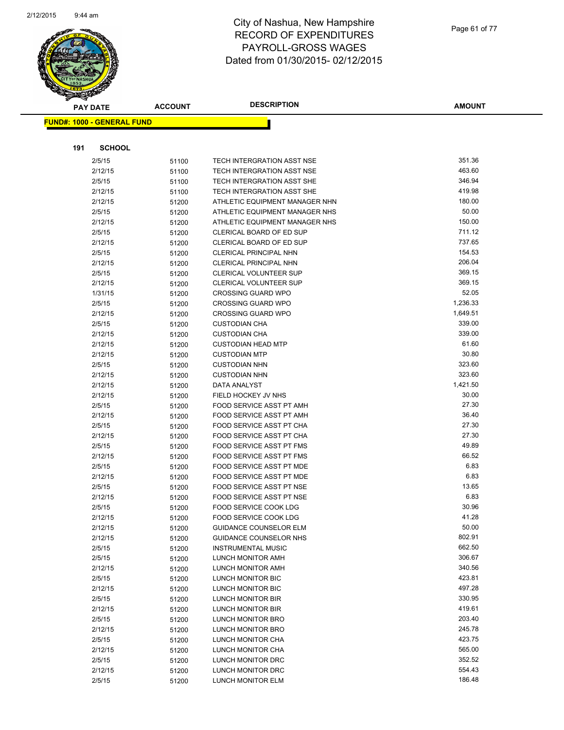

|     | <b>PAY DATE</b>                   | <b>ACCOUNT</b> | <b>DESCRIPTION</b>             | <b>AMOUNT</b> |
|-----|-----------------------------------|----------------|--------------------------------|---------------|
|     | <b>FUND#: 1000 - GENERAL FUND</b> |                |                                |               |
|     |                                   |                |                                |               |
| 191 | <b>SCHOOL</b>                     |                |                                |               |
|     | 2/5/15                            | 51100          | TECH INTERGRATION ASST NSE     | 351.36        |
|     | 2/12/15                           | 51100          | TECH INTERGRATION ASST NSE     | 463.60        |
|     | 2/5/15                            | 51100          | TECH INTERGRATION ASST SHE     | 346.94        |
|     | 2/12/15                           | 51100          | TECH INTERGRATION ASST SHE     | 419.98        |
|     | 2/12/15                           | 51200          | ATHLETIC EQUIPMENT MANAGER NHN | 180.00        |
|     | 2/5/15                            | 51200          | ATHLETIC EQUIPMENT MANAGER NHS | 50.00         |
|     | 2/12/15                           | 51200          | ATHLETIC EQUIPMENT MANAGER NHS | 150.00        |
|     | 2/5/15                            | 51200          | CLERICAL BOARD OF ED SUP       | 711.12        |
|     | 2/12/15                           | 51200          | CLERICAL BOARD OF ED SUP       | 737.65        |
|     | 2/5/15                            | 51200          | <b>CLERICAL PRINCIPAL NHN</b>  | 154.53        |
|     | 2/12/15                           | 51200          | CLERICAL PRINCIPAL NHN         | 206.04        |
|     | 2/5/15                            | 51200          | <b>CLERICAL VOLUNTEER SUP</b>  | 369.15        |
|     | 2/12/15                           | 51200          | <b>CLERICAL VOLUNTEER SUP</b>  | 369.15        |
|     | 1/31/15                           | 51200          | <b>CROSSING GUARD WPO</b>      | 52.05         |
|     | 2/5/15                            | 51200          | <b>CROSSING GUARD WPO</b>      | 1,236.33      |
|     | 2/12/15                           | 51200          | <b>CROSSING GUARD WPO</b>      | 1,649.51      |
|     | 2/5/15                            | 51200          | <b>CUSTODIAN CHA</b>           | 339.00        |
|     | 2/12/15                           | 51200          | <b>CUSTODIAN CHA</b>           | 339.00        |
|     | 2/12/15                           | 51200          | <b>CUSTODIAN HEAD MTP</b>      | 61.60         |
|     | 2/12/15                           | 51200          | <b>CUSTODIAN MTP</b>           | 30.80         |
|     | 2/5/15                            | 51200          | <b>CUSTODIAN NHN</b>           | 323.60        |
|     | 2/12/15                           | 51200          | <b>CUSTODIAN NHN</b>           | 323.60        |
|     | 2/12/15                           | 51200          | DATA ANALYST                   | 1,421.50      |
|     | 2/12/15                           | 51200          | FIELD HOCKEY JV NHS            | 30.00         |
|     | 2/5/15                            | 51200          | FOOD SERVICE ASST PT AMH       | 27.30         |
|     | 2/12/15                           | 51200          | FOOD SERVICE ASST PT AMH       | 36.40         |
|     | 2/5/15                            | 51200          | FOOD SERVICE ASST PT CHA       | 27.30         |
|     | 2/12/15                           | 51200          | FOOD SERVICE ASST PT CHA       | 27.30         |
|     | 2/5/15                            | 51200          | FOOD SERVICE ASST PT FMS       | 49.89         |
|     | 2/12/15                           | 51200          | FOOD SERVICE ASST PT FMS       | 66.52         |
|     | 2/5/15                            | 51200          | FOOD SERVICE ASST PT MDE       | 6.83          |
|     | 2/12/15                           | 51200          | FOOD SERVICE ASST PT MDE       | 6.83          |
|     | 2/5/15                            | 51200          | FOOD SERVICE ASST PT NSE       | 13.65         |
|     | 2/12/15                           | 51200          | FOOD SERVICE ASST PT NSE       | 6.83          |
|     | 2/5/15                            | 51200          | FOOD SERVICE COOK LDG          | 30.96         |
|     | 2/12/15                           | 51200          | <b>FOOD SERVICE COOK LDG</b>   | 41.28         |
|     | 2/12/15                           | 51200          | <b>GUIDANCE COUNSELOR ELM</b>  | 50.00         |
|     | 2/12/15                           | 51200          | GUIDANCE COUNSELOR NHS         | 802.91        |
|     | 2/5/15                            | 51200          | <b>INSTRUMENTAL MUSIC</b>      | 662.50        |
|     | 2/5/15                            | 51200          | LUNCH MONITOR AMH              | 306.67        |
|     | 2/12/15                           | 51200          | LUNCH MONITOR AMH              | 340.56        |
|     | 2/5/15                            | 51200          | LUNCH MONITOR BIC              | 423.81        |
|     | 2/12/15                           | 51200          | LUNCH MONITOR BIC              | 497.28        |
|     | 2/5/15                            | 51200          | LUNCH MONITOR BIR              | 330.95        |
|     | 2/12/15                           | 51200          | LUNCH MONITOR BIR              | 419.61        |
|     | 2/5/15                            | 51200          | <b>LUNCH MONITOR BRO</b>       | 203.40        |
|     | 2/12/15                           | 51200          | LUNCH MONITOR BRO              | 245.78        |
|     | 2/5/15                            | 51200          | LUNCH MONITOR CHA              | 423.75        |
|     | 2/12/15                           | 51200          | LUNCH MONITOR CHA              | 565.00        |
|     | 2/5/15                            | 51200          | LUNCH MONITOR DRC              | 352.52        |
|     | 2/12/15                           | 51200          | LUNCH MONITOR DRC              | 554.43        |
|     | 2/5/15                            | 51200          | LUNCH MONITOR ELM              | 186.48        |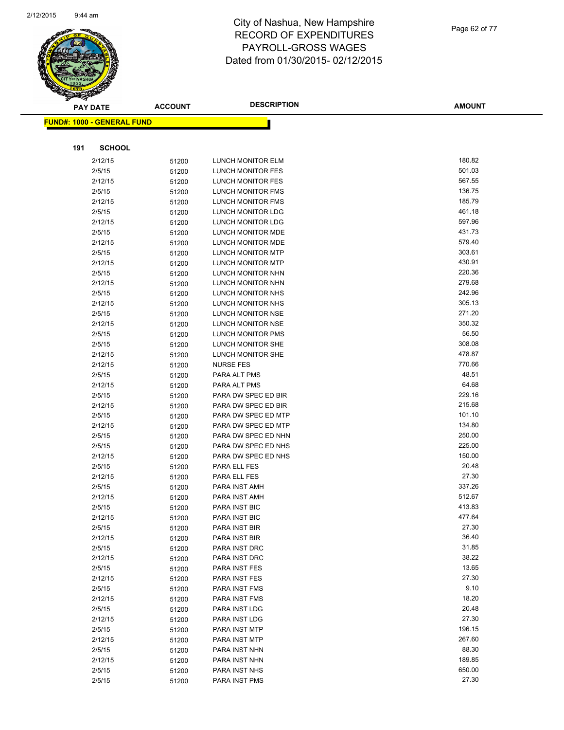

| $\tilde{\phantom{a}}$<br><b>PAY DATE</b> |               | <b>ACCOUNT</b> | <b>DESCRIPTION</b>       | <b>AMOUNT</b> |
|------------------------------------------|---------------|----------------|--------------------------|---------------|
| <u> FUND#: 1000 - GENERAL FUND</u>       |               |                |                          |               |
|                                          |               |                |                          |               |
| 191                                      | <b>SCHOOL</b> |                |                          |               |
|                                          | 2/12/15       | 51200          | <b>LUNCH MONITOR ELM</b> | 180.82        |
|                                          | 2/5/15        | 51200          | LUNCH MONITOR FES        | 501.03        |
|                                          | 2/12/15       | 51200          | LUNCH MONITOR FES        | 567.55        |
|                                          | 2/5/15        | 51200          | LUNCH MONITOR FMS        | 136.75        |
|                                          | 2/12/15       | 51200          | LUNCH MONITOR FMS        | 185.79        |
|                                          | 2/5/15        | 51200          | LUNCH MONITOR LDG        | 461.18        |
|                                          | 2/12/15       | 51200          | LUNCH MONITOR LDG        | 597.96        |
|                                          | 2/5/15        | 51200          | LUNCH MONITOR MDE        | 431.73        |
|                                          | 2/12/15       | 51200          | LUNCH MONITOR MDE        | 579.40        |
|                                          | 2/5/15        | 51200          | LUNCH MONITOR MTP        | 303.61        |
|                                          | 2/12/15       | 51200          | LUNCH MONITOR MTP        | 430.91        |
|                                          | 2/5/15        | 51200          | LUNCH MONITOR NHN        | 220.36        |
|                                          | 2/12/15       | 51200          | LUNCH MONITOR NHN        | 279.68        |
|                                          | 2/5/15        | 51200          | LUNCH MONITOR NHS        | 242.96        |
|                                          | 2/12/15       | 51200          | LUNCH MONITOR NHS        | 305.13        |
|                                          | 2/5/15        | 51200          | LUNCH MONITOR NSE        | 271.20        |
|                                          | 2/12/15       | 51200          | LUNCH MONITOR NSE        | 350.32        |
|                                          | 2/5/15        | 51200          | <b>LUNCH MONITOR PMS</b> | 56.50         |
|                                          | 2/5/15        | 51200          | LUNCH MONITOR SHE        | 308.08        |
|                                          | 2/12/15       | 51200          | LUNCH MONITOR SHE        | 478.87        |
|                                          | 2/12/15       | 51200          | <b>NURSE FES</b>         | 770.66        |
|                                          | 2/5/15        | 51200          | PARA ALT PMS             | 48.51         |
|                                          | 2/12/15       | 51200          | PARA ALT PMS             | 64.68         |
|                                          | 2/5/15        | 51200          | PARA DW SPEC ED BIR      | 229.16        |
|                                          | 2/12/15       | 51200          | PARA DW SPEC ED BIR      | 215.68        |
|                                          | 2/5/15        | 51200          | PARA DW SPEC ED MTP      | 101.10        |
|                                          | 2/12/15       | 51200          | PARA DW SPEC ED MTP      | 134.80        |
|                                          | 2/5/15        | 51200          | PARA DW SPEC ED NHN      | 250.00        |
|                                          | 2/5/15        | 51200          | PARA DW SPEC ED NHS      | 225.00        |
|                                          | 2/12/15       | 51200          | PARA DW SPEC ED NHS      | 150.00        |
|                                          | 2/5/15        | 51200          | PARA ELL FES             | 20.48         |
|                                          | 2/12/15       | 51200          | PARA ELL FES             | 27.30         |
|                                          | 2/5/15        | 51200          | PARA INST AMH            | 337.26        |
|                                          | 2/12/15       | 51200          | PARA INST AMH            | 512.67        |
|                                          | 2/5/15        | 51200          | PARA INST BIC            | 413.83        |
|                                          | 2/12/15       | 51200          | PARA INST BIC            | 477.64        |
|                                          | 2/5/15        | 51200          | PARA INST BIR            | 27.30         |
|                                          | 2/12/15       | 51200          | PARA INST BIR            | 36.40         |
|                                          | 2/5/15        | 51200          | PARA INST DRC            | 31.85         |
|                                          | 2/12/15       | 51200          | PARA INST DRC            | 38.22         |
|                                          | 2/5/15        | 51200          | PARA INST FES            | 13.65         |
|                                          | 2/12/15       | 51200          | PARA INST FES            | 27.30         |
|                                          | 2/5/15        | 51200          | PARA INST FMS            | 9.10          |
|                                          | 2/12/15       | 51200          | PARA INST FMS            | 18.20         |
|                                          | 2/5/15        | 51200          | PARA INST LDG            | 20.48         |
|                                          | 2/12/15       | 51200          | PARA INST LDG            | 27.30         |
|                                          | 2/5/15        | 51200          | PARA INST MTP            | 196.15        |
|                                          | 2/12/15       | 51200          | PARA INST MTP            | 267.60        |
|                                          | 2/5/15        | 51200          | PARA INST NHN            | 88.30         |
|                                          | 2/12/15       | 51200          | PARA INST NHN            | 189.85        |
|                                          | 2/5/15        | 51200          | PARA INST NHS            | 650.00        |
|                                          | 2/5/15        | 51200          | PARA INST PMS            | 27.30         |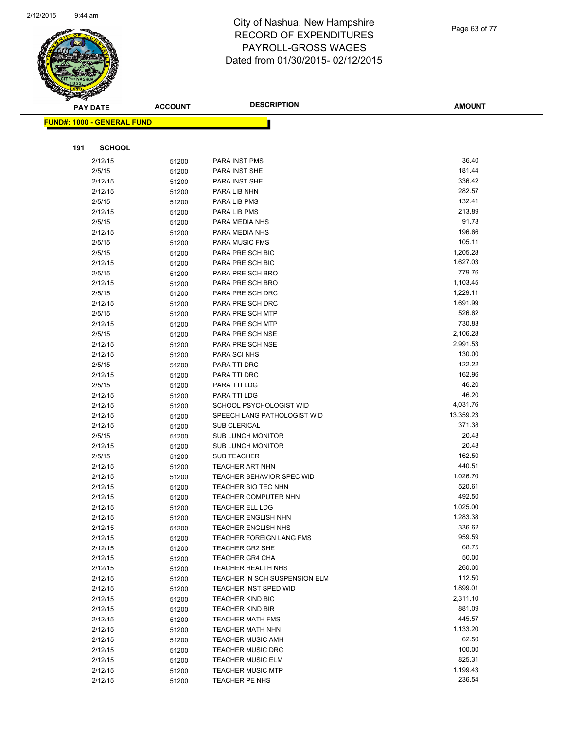

Page 63 of 77

| <b>PAY DATE</b>                   | <b>ACCOUNT</b> | <b>DESCRIPTION</b>                             | <b>AMOUNT</b>    |
|-----------------------------------|----------------|------------------------------------------------|------------------|
| <b>FUND#: 1000 - GENERAL FUND</b> |                |                                                |                  |
|                                   |                |                                                |                  |
| <b>SCHOOL</b>                     |                |                                                |                  |
| 191                               |                |                                                |                  |
| 2/12/15                           | 51200          | PARA INST PMS                                  | 36.40            |
| 2/5/15                            | 51200          | PARA INST SHE                                  | 181.44<br>336.42 |
| 2/12/15<br>2/12/15                | 51200          | PARA INST SHE<br>PARA LIB NHN                  | 282.57           |
| 2/5/15                            | 51200<br>51200 | PARA LIB PMS                                   | 132.41           |
| 2/12/15                           |                | PARA LIB PMS                                   | 213.89           |
| 2/5/15                            | 51200<br>51200 | PARA MEDIA NHS                                 | 91.78            |
| 2/12/15                           | 51200          | PARA MEDIA NHS                                 | 196.66           |
| 2/5/15                            | 51200          | <b>PARA MUSIC FMS</b>                          | 105.11           |
| 2/5/15                            | 51200          | PARA PRE SCH BIC                               | 1,205.28         |
| 2/12/15                           | 51200          | PARA PRE SCH BIC                               | 1,627.03         |
| 2/5/15                            | 51200          | PARA PRE SCH BRO                               | 779.76           |
| 2/12/15                           | 51200          | PARA PRE SCH BRO                               | 1,103.45         |
| 2/5/15                            | 51200          | PARA PRE SCH DRC                               | 1,229.11         |
| 2/12/15                           | 51200          | PARA PRE SCH DRC                               | 1,691.99         |
| 2/5/15                            | 51200          | PARA PRE SCH MTP                               | 526.62           |
| 2/12/15                           | 51200          | PARA PRE SCH MTP                               | 730.83           |
| 2/5/15                            | 51200          | PARA PRE SCH NSE                               | 2,106.28         |
| 2/12/15                           | 51200          | PARA PRE SCH NSE                               | 2,991.53         |
| 2/12/15                           | 51200          | PARA SCI NHS                                   | 130.00           |
| 2/5/15                            | 51200          | PARA TTI DRC                                   | 122.22           |
| 2/12/15                           | 51200          | PARA TTI DRC                                   | 162.96           |
| 2/5/15                            | 51200          | PARA TTI LDG                                   | 46.20            |
| 2/12/15                           | 51200          | PARA TTI LDG                                   | 46.20            |
| 2/12/15                           | 51200          | SCHOOL PSYCHOLOGIST WID                        | 4,031.76         |
| 2/12/15                           | 51200          | SPEECH LANG PATHOLOGIST WID                    | 13,359.23        |
| 2/12/15                           | 51200          | <b>SUB CLERICAL</b>                            | 371.38           |
| 2/5/15                            | 51200          | <b>SUB LUNCH MONITOR</b>                       | 20.48<br>20.48   |
| 2/12/15                           | 51200          | <b>SUB LUNCH MONITOR</b><br><b>SUB TEACHER</b> | 162.50           |
| 2/5/15<br>2/12/15                 | 51200          | <b>TEACHER ART NHN</b>                         | 440.51           |
| 2/12/15                           | 51200<br>51200 | <b>TEACHER BEHAVIOR SPEC WID</b>               | 1,026.70         |
| 2/12/15                           | 51200          | TEACHER BIO TEC NHN                            | 520.61           |
| 2/12/15                           | 51200          | <b>TEACHER COMPUTER NHN</b>                    | 492.50           |
| 2/12/15                           | 51200          | <b>TEACHER ELL LDG</b>                         | 1,025.00         |
| 2/12/15                           | 51200          | TEACHER ENGLISH NHN                            | 1,283.38         |
| 2/12/15                           | 51200          | TEACHER ENGLISH NHS                            | 336.62           |
| 2/12/15                           | 51200          | TEACHER FOREIGN LANG FMS                       | 959.59           |
| 2/12/15                           | 51200          | <b>TEACHER GR2 SHE</b>                         | 68.75            |
| 2/12/15                           | 51200          | <b>TEACHER GR4 CHA</b>                         | 50.00            |
| 2/12/15                           | 51200          | TEACHER HEALTH NHS                             | 260.00           |
| 2/12/15                           | 51200          | TEACHER IN SCH SUSPENSION ELM                  | 112.50           |
| 2/12/15                           | 51200          | TEACHER INST SPED WID                          | 1,899.01         |
| 2/12/15                           | 51200          | <b>TEACHER KIND BIC</b>                        | 2,311.10         |
| 2/12/15                           | 51200          | <b>TEACHER KIND BIR</b>                        | 881.09           |
| 2/12/15                           | 51200          | <b>TEACHER MATH FMS</b>                        | 445.57           |
| 2/12/15                           | 51200          | <b>TEACHER MATH NHN</b>                        | 1,133.20         |
| 2/12/15                           | 51200          | <b>TEACHER MUSIC AMH</b>                       | 62.50            |
| 2/12/15                           | 51200          | <b>TEACHER MUSIC DRC</b>                       | 100.00           |
| 2/12/15                           | 51200          | <b>TEACHER MUSIC ELM</b>                       | 825.31           |
| 2/12/15                           | 51200          | <b>TEACHER MUSIC MTP</b>                       | 1,199.43         |
| 2/12/15                           | 51200          | TEACHER PE NHS                                 | 236.54           |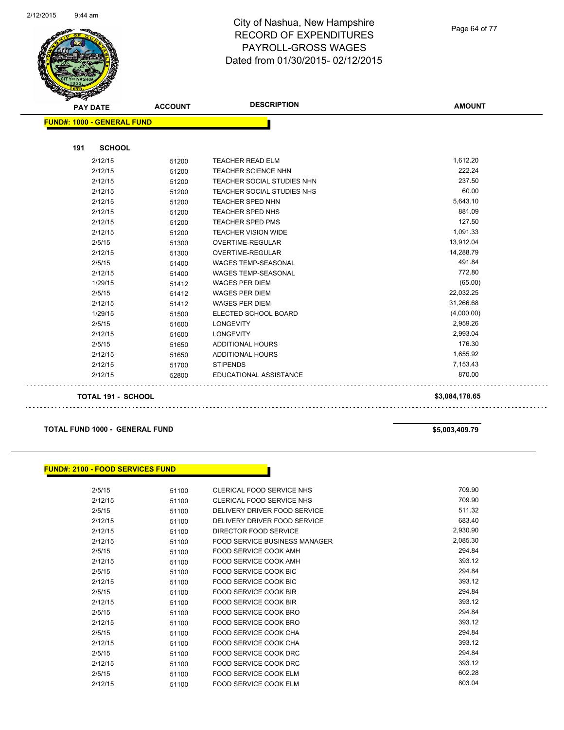

Page 64 of 77

| <b>PAY DATE</b>                   | <b>ACCOUNT</b> | <b>DESCRIPTION</b>                | <b>AMOUNT</b>  |
|-----------------------------------|----------------|-----------------------------------|----------------|
| <b>FUND#: 1000 - GENERAL FUND</b> |                |                                   |                |
| <b>SCHOOL</b><br>191              |                |                                   |                |
| 2/12/15                           |                | <b>TEACHER READ ELM</b>           | 1,612.20       |
|                                   | 51200          | <b>TEACHER SCIENCE NHN</b>        | 222.24         |
| 2/12/15                           | 51200          |                                   | 237.50         |
| 2/12/15                           | 51200          | <b>TEACHER SOCIAL STUDIES NHN</b> | 60.00          |
| 2/12/15                           | 51200          | TEACHER SOCIAL STUDIES NHS        |                |
| 2/12/15                           | 51200          | <b>TEACHER SPED NHN</b>           | 5,643.10       |
| 2/12/15                           | 51200          | <b>TEACHER SPED NHS</b>           | 881.09         |
| 2/12/15                           | 51200          | <b>TEACHER SPED PMS</b>           | 127.50         |
| 2/12/15                           | 51200          | <b>TEACHER VISION WIDE</b>        | 1,091.33       |
| 2/5/15                            | 51300          | <b>OVERTIME-REGULAR</b>           | 13,912.04      |
| 2/12/15                           | 51300          | <b>OVERTIME-REGULAR</b>           | 14,288.79      |
| 2/5/15                            | 51400          | WAGES TEMP-SEASONAL               | 491.84         |
| 2/12/15                           | 51400          | <b>WAGES TEMP-SEASONAL</b>        | 772.80         |
| 1/29/15                           | 51412          | <b>WAGES PER DIEM</b>             | (65.00)        |
| 2/5/15                            | 51412          | <b>WAGES PER DIEM</b>             | 22,032.25      |
| 2/12/15                           | 51412          | <b>WAGES PER DIEM</b>             | 31,266.68      |
| 1/29/15                           | 51500          | ELECTED SCHOOL BOARD              | (4,000.00)     |
| 2/5/15                            | 51600          | <b>LONGEVITY</b>                  | 2,959.26       |
| 2/12/15                           | 51600          | <b>LONGEVITY</b>                  | 2,993.04       |
| 2/5/15                            | 51650          | ADDITIONAL HOURS                  | 176.30         |
| 2/12/15                           | 51650          | <b>ADDITIONAL HOURS</b>           | 1,655.92       |
| 2/12/15                           | 51700          | <b>STIPENDS</b>                   | 7,153.43       |
| 2/12/15                           | 52800          | <b>EDUCATIONAL ASSISTANCE</b>     | 870.00         |
| <b>TOTAL 191 - SCHOOL</b>         |                |                                   | \$3,084,178.65 |

#### **TOTAL FUND 1000 - GENERAL FUND \$5,003,409.79**

#### **FUND#: 2100 - FOOD SERVICES FUND**

| 2/5/15  | 51100 | CLERICAL FOOD SERVICE NHS            | 709.90   |
|---------|-------|--------------------------------------|----------|
| 2/12/15 | 51100 | CLERICAL FOOD SERVICE NHS            | 709.90   |
| 2/5/15  | 51100 | DELIVERY DRIVER FOOD SERVICE         | 511.32   |
| 2/12/15 | 51100 | DELIVERY DRIVER FOOD SERVICE         | 683.40   |
| 2/12/15 | 51100 | DIRECTOR FOOD SERVICE                | 2,930.90 |
| 2/12/15 | 51100 | <b>FOOD SERVICE BUSINESS MANAGER</b> | 2,085.30 |
| 2/5/15  | 51100 | FOOD SERVICE COOK AMH                | 294.84   |
| 2/12/15 | 51100 | FOOD SERVICE COOK AMH                | 393.12   |
| 2/5/15  | 51100 | <b>FOOD SERVICE COOK BIC</b>         | 294.84   |
| 2/12/15 | 51100 | <b>FOOD SERVICE COOK BIC</b>         | 393.12   |
| 2/5/15  | 51100 | <b>FOOD SERVICE COOK BIR</b>         | 294.84   |
| 2/12/15 | 51100 | FOOD SERVICE COOK BIR                | 393.12   |
| 2/5/15  | 51100 | FOOD SERVICE COOK BRO                | 294.84   |
| 2/12/15 | 51100 | FOOD SERVICE COOK BRO                | 393.12   |
| 2/5/15  | 51100 | FOOD SERVICE COOK CHA                | 294.84   |
| 2/12/15 | 51100 | <b>FOOD SERVICE COOK CHA</b>         | 393.12   |
| 2/5/15  | 51100 | FOOD SERVICE COOK DRC                | 294.84   |
| 2/12/15 | 51100 | FOOD SERVICE COOK DRC                | 393.12   |
| 2/5/15  | 51100 | <b>FOOD SERVICE COOK ELM</b>         | 602.28   |
| 2/12/15 | 51100 | <b>FOOD SERVICE COOK ELM</b>         | 803.04   |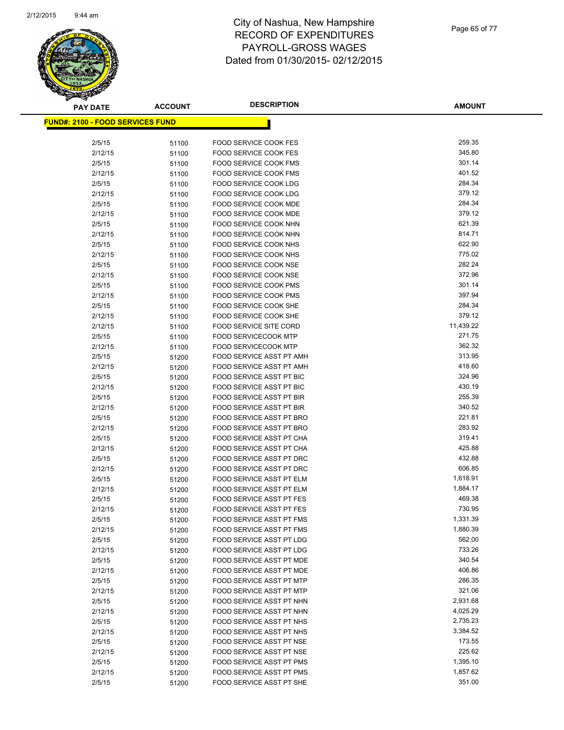

| <b>PAY DATE</b>                          | <b>ACCOUNT</b> | <b>DESCRIPTION</b>                                          | <b>AMOUNT</b>    |
|------------------------------------------|----------------|-------------------------------------------------------------|------------------|
| <u> FUND#: 2100 - FOOD SERVICES FUND</u> |                |                                                             |                  |
|                                          |                |                                                             |                  |
| 2/5/15                                   | 51100          | <b>FOOD SERVICE COOK FES</b>                                | 259.35           |
| 2/12/15                                  | 51100          | <b>FOOD SERVICE COOK FES</b>                                | 345.80           |
| 2/5/15                                   | 51100          | <b>FOOD SERVICE COOK FMS</b>                                | 301.14           |
| 2/12/15                                  | 51100          | FOOD SERVICE COOK FMS                                       | 401.52           |
| 2/5/15                                   | 51100          | FOOD SERVICE COOK LDG                                       | 284.34           |
| 2/12/15                                  | 51100          | FOOD SERVICE COOK LDG                                       | 379.12           |
| 2/5/15                                   | 51100          | FOOD SERVICE COOK MDE                                       | 284.34           |
| 2/12/15                                  | 51100          | FOOD SERVICE COOK MDE                                       | 379.12           |
| 2/5/15                                   | 51100          | FOOD SERVICE COOK NHN                                       | 621.39           |
| 2/12/15                                  | 51100          | FOOD SERVICE COOK NHN                                       | 814.71           |
| 2/5/15                                   | 51100          | FOOD SERVICE COOK NHS                                       | 622.90           |
| 2/12/15                                  | 51100          | FOOD SERVICE COOK NHS                                       | 775.02           |
| 2/5/15                                   | 51100          | FOOD SERVICE COOK NSE                                       | 282.24           |
| 2/12/15                                  | 51100          | FOOD SERVICE COOK NSE                                       | 372.96           |
| 2/5/15                                   | 51100          | FOOD SERVICE COOK PMS                                       | 301.14           |
| 2/12/15                                  | 51100          | FOOD SERVICE COOK PMS                                       | 397.94           |
| 2/5/15                                   | 51100          | FOOD SERVICE COOK SHE                                       | 284.34           |
| 2/12/15                                  | 51100          | FOOD SERVICE COOK SHE                                       | 379.12           |
| 2/12/15                                  | 51100          | <b>FOOD SERVICE SITE CORD</b>                               | 11,439.22        |
| 2/5/15                                   | 51100          | <b>FOOD SERVICECOOK MTP</b>                                 | 271.75           |
| 2/12/15                                  | 51100          | <b>FOOD SERVICECOOK MTP</b>                                 | 362.32           |
| 2/5/15                                   | 51200          | FOOD SERVICE ASST PT AMH                                    | 313.95           |
| 2/12/15                                  | 51200          | FOOD SERVICE ASST PT AMH                                    | 418.60           |
| 2/5/15                                   | 51200          | FOOD SERVICE ASST PT BIC                                    | 324.96           |
| 2/12/15                                  | 51200          | FOOD SERVICE ASST PT BIC                                    | 430.19           |
| 2/5/15                                   | 51200          | FOOD SERVICE ASST PT BIR                                    | 255.39           |
| 2/12/15                                  | 51200          | FOOD SERVICE ASST PT BIR                                    | 340.52           |
| 2/5/15                                   | 51200          | FOOD SERVICE ASST PT BRO                                    | 221.81           |
| 2/12/15                                  | 51200          | FOOD SERVICE ASST PT BRO                                    | 283.92           |
| 2/5/15                                   | 51200          | FOOD SERVICE ASST PT CHA                                    | 319.41           |
| 2/12/15                                  | 51200          | FOOD SERVICE ASST PT CHA                                    | 425.88<br>432.88 |
| 2/5/15<br>2/12/15                        | 51200          | <b>FOOD SERVICE ASST PT DRC</b><br>FOOD SERVICE ASST PT DRC | 606.85           |
| 2/5/15                                   | 51200          | FOOD SERVICE ASST PT ELM                                    | 1,618.91         |
| 2/12/15                                  | 51200          | FOOD SERVICE ASST PT ELM                                    | 1,884.17         |
| 2/5/15                                   | 51200<br>51200 | <b>FOOD SERVICE ASST PT FES</b>                             | 469.38           |
| 2/12/15                                  | 51200          | <b>FOOD SERVICE ASST PT FES</b>                             | 730.95           |
| 2/5/15                                   | 51200          | FOOD SERVICE ASST PT FMS                                    | 1,331.39         |
| 2/12/15                                  | 51200          | FOOD SERVICE ASST PT FMS                                    | 1,880.39         |
| 2/5/15                                   | 51200          | FOOD SERVICE ASST PT LDG                                    | 562.00           |
| 2/12/15                                  | 51200          | FOOD SERVICE ASST PT LDG                                    | 733.26           |
| 2/5/15                                   | 51200          | FOOD SERVICE ASST PT MDE                                    | 340.54           |
| 2/12/15                                  | 51200          | FOOD SERVICE ASST PT MDE                                    | 406.86           |
| 2/5/15                                   | 51200          | FOOD SERVICE ASST PT MTP                                    | 286.35           |
| 2/12/15                                  | 51200          | FOOD SERVICE ASST PT MTP                                    | 321.06           |
| 2/5/15                                   | 51200          | FOOD SERVICE ASST PT NHN                                    | 2,931.68         |
| 2/12/15                                  | 51200          | FOOD SERVICE ASST PT NHN                                    | 4,025.29         |
| 2/5/15                                   | 51200          | FOOD SERVICE ASST PT NHS                                    | 2,735.23         |
| 2/12/15                                  | 51200          | FOOD SERVICE ASST PT NHS                                    | 3,384.52         |
| 2/5/15                                   | 51200          | FOOD SERVICE ASST PT NSE                                    | 173.55           |
| 2/12/15                                  | 51200          | FOOD SERVICE ASST PT NSE                                    | 225.62           |
| 2/5/15                                   | 51200          | FOOD SERVICE ASST PT PMS                                    | 1,395.10         |
| 2/12/15                                  | 51200          | FOOD SERVICE ASST PT PMS                                    | 1,857.62         |
| 2/5/15                                   | 51200          | FOOD SERVICE ASST PT SHE                                    | 351.00           |
|                                          |                |                                                             |                  |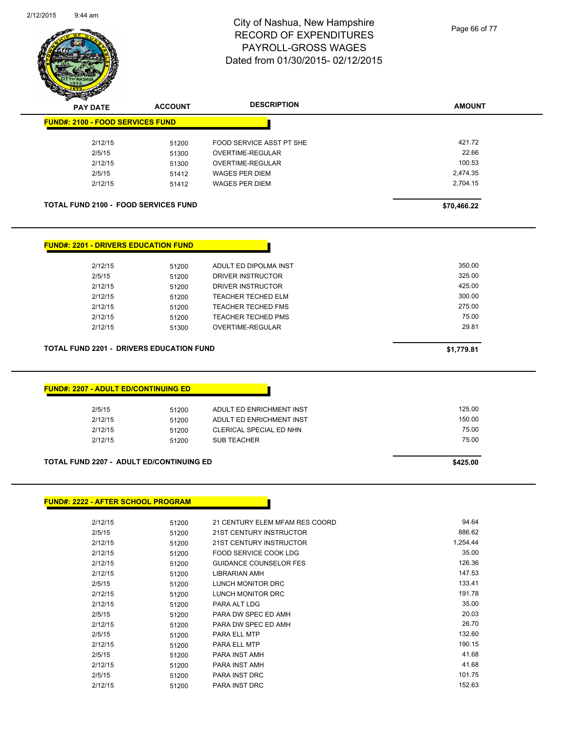

Page 66 of 77

| T<br>$\tilde{\phantom{a}}$<br><b>PAY DATE</b>         | <b>ACCOUNT</b> | <b>DESCRIPTION</b>             | <b>AMOUNT</b> |
|-------------------------------------------------------|----------------|--------------------------------|---------------|
| <b>FUND#: 2100 - FOOD SERVICES FUND</b>               |                |                                |               |
| 2/12/15                                               | 51200          | FOOD SERVICE ASST PT SHE       | 421.72        |
| 2/5/15                                                | 51300          | <b>OVERTIME-REGULAR</b>        | 22.66         |
| 2/12/15                                               | 51300          | OVERTIME-REGULAR               | 100.53        |
| 2/5/15                                                | 51412          | <b>WAGES PER DIEM</b>          | 2,474.35      |
| 2/12/15                                               | 51412          | <b>WAGES PER DIEM</b>          | 2,704.15      |
| <b>TOTAL FUND 2100 - FOOD SERVICES FUND</b>           |                |                                | \$70,466.22   |
| <b>FUND#: 2201 - DRIVERS EDUCATION FUND</b>           |                |                                |               |
|                                                       |                |                                |               |
| 2/12/15                                               | 51200          | ADULT ED DIPOLMA INST          | 350.00        |
| 2/5/15                                                | 51200          | DRIVER INSTRUCTOR              | 325.00        |
| 2/12/15                                               | 51200          | DRIVER INSTRUCTOR              | 425.00        |
| 2/12/15                                               | 51200          | <b>TEACHER TECHED ELM</b>      | 300.00        |
| 2/12/15                                               | 51200          | <b>TEACHER TECHED FMS</b>      | 275.00        |
| 2/12/15                                               | 51200          | <b>TEACHER TECHED PMS</b>      | 75.00         |
| 2/12/15                                               | 51300          | OVERTIME-REGULAR               | 29.81         |
|                                                       |                |                                |               |
| TOTAL FUND 2201 - DRIVERS EDUCATION FUND              |                |                                | \$1,779.81    |
| <b>FUND#: 2207 - ADULT ED/CONTINUING ED</b><br>2/5/15 | 51200          | ADULT ED ENRICHMENT INST       | 125.00        |
| 2/12/15                                               | 51200          | ADULT ED ENRICHMENT INST       | 150.00        |
| 2/12/15                                               | 51200          | CLERICAL SPECIAL ED NHN        | 75.00         |
| 2/12/15                                               | 51200          | <b>SUB TEACHER</b>             | 75.00         |
| <b>TOTAL FUND 2207 - ADULT ED/CONTINUING ED</b>       |                |                                | \$425.00      |
|                                                       |                |                                |               |
| <b>FUND#: 2222 - AFTER SCHOOL PROGRAM</b>             |                |                                |               |
|                                                       |                |                                |               |
| 2/12/15                                               | 51200          | 21 CENTURY ELEM MFAM RES COORD | 94.64         |
| 2/5/15                                                | 51200          | 21ST CENTURY INSTRUCTOR        | 886.62        |
| 2/12/15                                               | 51200          | 21ST CENTURY INSTRUCTOR        | 1,254.44      |
| 2/12/15                                               | 51200          | FOOD SERVICE COOK LDG          | 35.00         |
| 2/12/15                                               | 51200          | <b>GUIDANCE COUNSELOR FES</b>  | 126.36        |
| 2/12/15                                               | 51200          | <b>LIBRARIAN AMH</b>           | 147.53        |
| 2/5/15                                                | 51200          | LUNCH MONITOR DRC              | 133.41        |
| 2/12/15                                               | 51200          | LUNCH MONITOR DRC              | 191.78        |
| 2/12/15                                               | 51200          | PARA ALT LDG                   | 35.00         |
| 2/5/15                                                | 51200          | PARA DW SPEC ED AMH            | 20.03         |
| 2/12/15                                               | 51200          | PARA DW SPEC ED AMH            | 26.70         |
| 2/5/15                                                | 51200          | PARA ELL MTP                   | 132.60        |
| 2/12/15                                               | 51200          | PARA ELL MTP                   | 190.15        |

2/5/15 51200 PARA INST AMH 41.68 2/12/15 51200 PARA INST AMH 41.68 2/5/15 51200 PARA INST DRC 101.75

2/12/15 51200 PARA INST DRC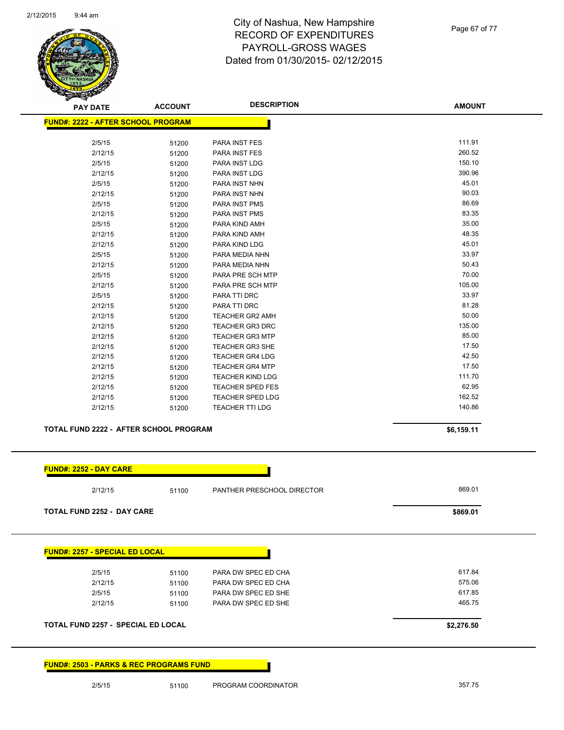

| <b>PAY DATE</b>                           | <b>ACCOUNT</b> | <b>DESCRIPTION</b>      | <b>AMOUNT</b> |
|-------------------------------------------|----------------|-------------------------|---------------|
| <b>FUND#: 2222 - AFTER SCHOOL PROGRAM</b> |                |                         |               |
|                                           |                |                         |               |
| 2/5/15                                    | 51200          | PARA INST FES           | 111.91        |
| 2/12/15                                   | 51200          | PARA INST FES           | 260.52        |
| 2/5/15                                    | 51200          | PARA INST LDG           | 150.10        |
| 2/12/15                                   | 51200          | PARA INST LDG           | 390.96        |
| 2/5/15                                    | 51200          | PARA INST NHN           | 45.01         |
| 2/12/15                                   | 51200          | PARA INST NHN           | 90.03         |
| 2/5/15                                    | 51200          | PARA INST PMS           | 86.69         |
| 2/12/15                                   | 51200          | PARA INST PMS           | 83.35         |
| 2/5/15                                    | 51200          | PARA KIND AMH           | 35.00         |
| 2/12/15                                   | 51200          | PARA KIND AMH           | 48.35         |
| 2/12/15                                   | 51200          | PARA KIND LDG           | 45.01         |
| 2/5/15                                    | 51200          | PARA MEDIA NHN          | 33.97         |
| 2/12/15                                   | 51200          | PARA MEDIA NHN          | 50.43         |
| 2/5/15                                    | 51200          | PARA PRE SCH MTP        | 70.00         |
| 2/12/15                                   | 51200          | PARA PRE SCH MTP        | 105.00        |
| 2/5/15                                    | 51200          | PARA TTI DRC            | 33.97         |
| 2/12/15                                   | 51200          | PARA TTI DRC            | 81.28         |
| 2/12/15                                   | 51200          | <b>TEACHER GR2 AMH</b>  | 50.00         |
| 2/12/15                                   | 51200          | <b>TEACHER GR3 DRC</b>  | 135.00        |
| 2/12/15                                   | 51200          | <b>TEACHER GR3 MTP</b>  | 85.00         |
| 2/12/15                                   | 51200          | <b>TEACHER GR3 SHE</b>  | 17.50         |
| 2/12/15                                   | 51200          | <b>TEACHER GR4 LDG</b>  | 42.50         |
| 2/12/15                                   | 51200          | <b>TEACHER GR4 MTP</b>  | 17.50         |
| 2/12/15                                   | 51200          | <b>TEACHER KIND LDG</b> | 111.70        |
| 2/12/15                                   | 51200          | <b>TEACHER SPED FES</b> | 62.95         |
| 2/12/15                                   | 51200          | <b>TEACHER SPED LDG</b> | 162.52        |
| 2/12/15                                   | 51200          | <b>TEACHER TTI LDG</b>  | 140.86        |

#### **TOTAL FUND 2222 - AFTER SCHOOL PROGRAM 56,159.11 \$6,159.11**

| 2/12/15                               | PANTHER PRESCHOOL DIRECTOR<br>51100 | 869.01   |
|---------------------------------------|-------------------------------------|----------|
| <b>TOTAL FUND 2252 - DAY CARE</b>     |                                     | \$869.01 |
|                                       |                                     |          |
| <b>FUND#: 2257 - SPECIAL ED LOCAL</b> |                                     |          |
| 2/5/15                                | PARA DW SPEC ED CHA<br>51100        | 617.84   |
| 2/12/15                               | PARA DW SPEC ED CHA<br>51100        | 575.06   |
| 2/5/15                                | PARA DW SPEC ED SHE<br>51100        | 617.85   |

**FUND#: 2503 - PARKS & REC PROGRAMS FUND**

2/5/15 51100 PROGRAM COORDINATOR 357.75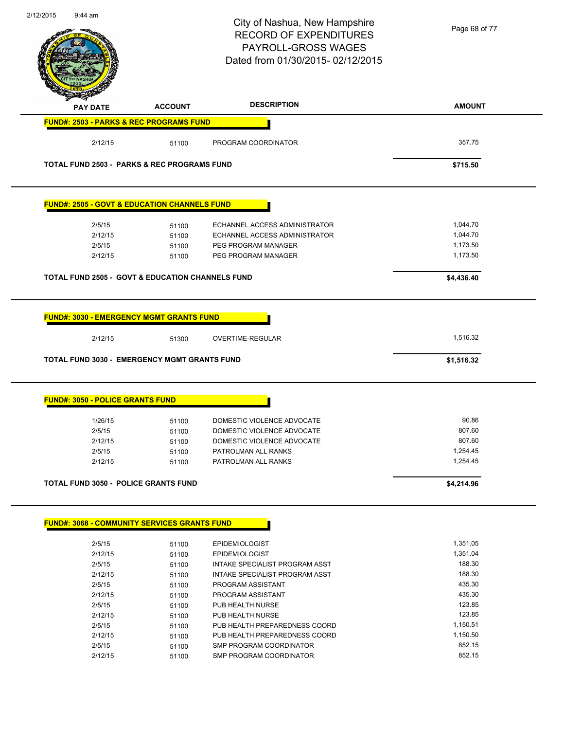| $9:44$ am                                                                                                         |                | City of Nashua, New Hampshire<br><b>RECORD OF EXPENDITURES</b><br><b>PAYROLL-GROSS WAGES</b><br>Dated from 01/30/2015-02/12/2015 | Page 68 of 77          |
|-------------------------------------------------------------------------------------------------------------------|----------------|----------------------------------------------------------------------------------------------------------------------------------|------------------------|
| PAY DATE                                                                                                          | <b>ACCOUNT</b> | <b>DESCRIPTION</b>                                                                                                               | <b>AMOUNT</b>          |
| <b>FUND#: 2503 - PARKS &amp; REC PROGRAMS FUND</b>                                                                |                |                                                                                                                                  |                        |
| 2/12/15                                                                                                           | 51100          | PROGRAM COORDINATOR                                                                                                              | 357.75                 |
| <b>TOTAL FUND 2503 - PARKS &amp; REC PROGRAMS FUND</b>                                                            |                |                                                                                                                                  | \$715.50               |
| <b>FUND#: 2505 - GOVT &amp; EDUCATION CHANNELS FUND</b>                                                           |                |                                                                                                                                  |                        |
| 2/5/15                                                                                                            | 51100          | ECHANNEL ACCESS ADMINISTRATOR                                                                                                    | 1,044.70               |
| 2/12/15                                                                                                           | 51100          | ECHANNEL ACCESS ADMINISTRATOR                                                                                                    | 1,044.70               |
| 2/5/15                                                                                                            | 51100          | PEG PROGRAM MANAGER                                                                                                              | 1,173.50               |
| 2/12/15                                                                                                           | 51100          | PEG PROGRAM MANAGER                                                                                                              | 1,173.50               |
| <b>TOTAL FUND 2505 - GOVT &amp; EDUCATION CHANNELS FUND</b>                                                       |                |                                                                                                                                  | \$4,436.40             |
|                                                                                                                   |                |                                                                                                                                  |                        |
| <b>FUND#: 3030 - EMERGENCY MGMT GRANTS FUND</b><br>2/12/15<br><b>TOTAL FUND 3030 - EMERGENCY MGMT GRANTS FUND</b> | 51300          | OVERTIME-REGULAR                                                                                                                 | 1,516.32<br>\$1,516.32 |
| <b>FUND#: 3050 - POLICE GRANTS FUND</b>                                                                           |                |                                                                                                                                  |                        |
| 1/26/15                                                                                                           | 51100          | DOMESTIC VIOLENCE ADVOCATE                                                                                                       | 90.86                  |
| 2/5/15                                                                                                            | 51100          | DOMESTIC VIOLENCE ADVOCATE                                                                                                       | 807.60                 |
| 2/12/15                                                                                                           | 51100          | DOMESTIC VIOLENCE ADVOCATE                                                                                                       | 807.60                 |
| 2/5/15                                                                                                            | 51100          | PATROLMAN ALL RANKS                                                                                                              | 1,254.45               |
| 2/12/15                                                                                                           | 51100          | PATROLMAN ALL RANKS                                                                                                              | 1,254.45               |
| <b>TOTAL FUND 3050 - POLICE GRANTS FUND</b>                                                                       |                |                                                                                                                                  | \$4,214.96             |
| <b>FUND#: 3068 - COMMUNITY SERVICES GRANTS FUND</b>                                                               |                |                                                                                                                                  |                        |
| 2/5/15                                                                                                            | 51100          | <b>EPIDEMIOLOGIST</b>                                                                                                            | 1,351.05               |
| 2/12/15                                                                                                           | 51100          | <b>EPIDEMIOLOGIST</b>                                                                                                            | 1,351.04               |
| 2/5/15                                                                                                            | 51100          | INTAKE SPECIALIST PROGRAM ASST                                                                                                   | 188.30                 |
| 2/12/15                                                                                                           | 51100          | INTAKE SPECIALIST PROGRAM ASST                                                                                                   | 188.30                 |
| 2/5/15                                                                                                            | 51100          | PROGRAM ASSISTANT                                                                                                                | 435.30                 |
| 2/12/15                                                                                                           | 51100          | PROGRAM ASSISTANT                                                                                                                | 435.30                 |
| 2/5/15                                                                                                            | 51100          | PUB HEALTH NURSE                                                                                                                 | 123.85                 |
| 2/12/15                                                                                                           | 51100          | PUB HEALTH NURSE                                                                                                                 | 123.85                 |
| 2/5/15                                                                                                            | 51100          | PUB HEALTH PREPAREDNESS COORD                                                                                                    | 1,150.51               |
| 2/12/15                                                                                                           | 51100          | PUB HEALTH PREPAREDNESS COORD                                                                                                    | 1,150.50               |
| 2/5/15                                                                                                            | 51100          | SMP PROGRAM COORDINATOR                                                                                                          | 852.15                 |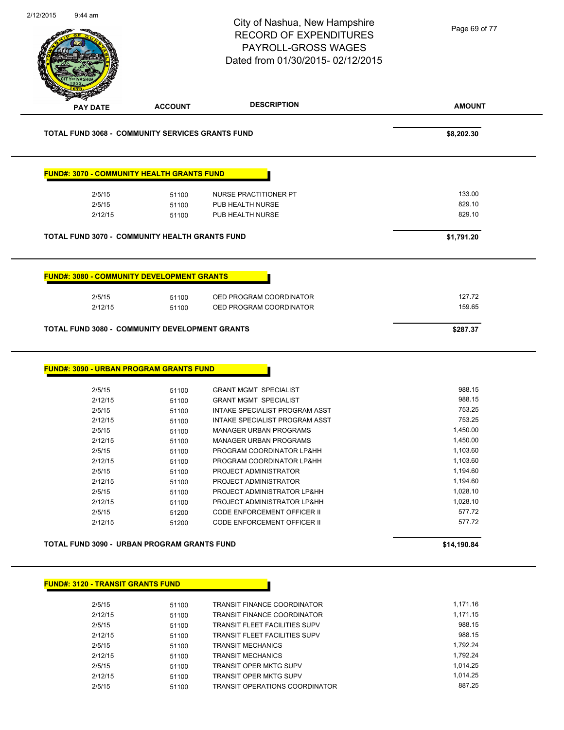|                                          |                                                            | City of Nashua, New Hampshire<br><b>RECORD OF EXPENDITURES</b><br>PAYROLL-GROSS WAGES<br>Dated from 01/30/2015-02/12/2015 | Page 69 of 77        |
|------------------------------------------|------------------------------------------------------------|---------------------------------------------------------------------------------------------------------------------------|----------------------|
| <b>PAY DATE</b>                          | <b>ACCOUNT</b>                                             | <b>DESCRIPTION</b>                                                                                                        | <b>AMOUNT</b>        |
|                                          | <b>TOTAL FUND 3068 - COMMUNITY SERVICES GRANTS FUND</b>    |                                                                                                                           | \$8,202.30           |
|                                          | <b>FUND#: 3070 - COMMUNITY HEALTH GRANTS FUND</b>          |                                                                                                                           |                      |
| 2/5/15                                   | 51100                                                      | NURSE PRACTITIONER PT                                                                                                     | 133.00               |
| 2/5/15                                   | 51100                                                      | PUB HEALTH NURSE                                                                                                          | 829.10               |
| 2/12/15                                  | 51100                                                      | PUB HEALTH NURSE                                                                                                          | 829.10               |
|                                          | <b>TOTAL FUND 3070 - COMMUNITY HEALTH GRANTS FUND</b>      |                                                                                                                           | \$1,791.20           |
| 2/5/15                                   | <b>FUND#: 3080 - COMMUNITY DEVELOPMENT GRANTS</b><br>51100 | OED PROGRAM COORDINATOR                                                                                                   | 127.72               |
| 2/12/15                                  | 51100                                                      | OED PROGRAM COORDINATOR                                                                                                   | 159.65               |
|                                          | TOTAL FUND 3080 - COMMUNITY DEVELOPMENT GRANTS             |                                                                                                                           | \$287.37             |
|                                          | <b>FUND#: 3090 - URBAN PROGRAM GRANTS FUND</b>             |                                                                                                                           |                      |
| 2/5/15                                   | 51100                                                      | <b>GRANT MGMT SPECIALIST</b>                                                                                              | 988.15               |
| 2/12/15                                  | 51100                                                      | <b>GRANT MGMT SPECIALIST</b>                                                                                              | 988.15               |
| 2/5/15                                   | 51100                                                      | INTAKE SPECIALIST PROGRAM ASST                                                                                            | 753.25               |
| 2/12/15                                  | 51100                                                      | <b>INTAKE SPECIALIST PROGRAM ASST</b>                                                                                     | 753.25               |
| 2/5/15                                   | 51100                                                      | <b>MANAGER URBAN PROGRAMS</b>                                                                                             | 1,450.00             |
| 2/12/15                                  | 51100                                                      | <b>MANAGER URBAN PROGRAMS</b>                                                                                             | 1,450.00             |
| 2/5/15                                   | 51100                                                      | PROGRAM COORDINATOR LP&HH                                                                                                 | 1,103.60             |
| 2/12/15                                  | 51100                                                      | PROGRAM COORDINATOR LP&HH                                                                                                 | 1,103.60             |
| 2/5/15                                   | 51100                                                      | PROJECT ADMINISTRATOR                                                                                                     | 1,194.60             |
| 2/12/15                                  | 51100                                                      | PROJECT ADMINISTRATOR                                                                                                     | 1,194.60             |
| 2/5/15                                   | 51100                                                      | PROJECT ADMINISTRATOR LP&HH<br>PROJECT ADMINISTRATOR LP&HH                                                                | 1,028.10<br>1,028.10 |
| 2/12/15<br>2/5/15                        | 51100<br>51200                                             | CODE ENFORCEMENT OFFICER II                                                                                               | 577.72               |
| 2/12/15                                  | 51200                                                      | CODE ENFORCEMENT OFFICER II                                                                                               | 577.72               |
|                                          | TOTAL FUND 3090 - URBAN PROGRAM GRANTS FUND                |                                                                                                                           | \$14,190.84          |
|                                          |                                                            |                                                                                                                           |                      |
| <b>FUND#: 3120 - TRANSIT GRANTS FUND</b> |                                                            |                                                                                                                           |                      |
| 2/5/15                                   | 51100                                                      | <b>TRANSIT FINANCE COORDINATOR</b>                                                                                        | 1,171.16             |
| 2/12/15                                  | 51100                                                      | TRANSIT FINANCE COORDINATOR                                                                                               | 1,171.15             |
| 2/5/15                                   | 51100                                                      | <b>TRANSIT FLEET FACILITIES SUPV</b>                                                                                      | 988.15<br>988.15     |
| 2/12/15                                  | 51100                                                      | TRANSIT FLEET FACILITIES SUPV                                                                                             | 1,792.24             |
| 2/5/15<br>2/12/15                        | 51100                                                      | <b>TRANSIT MECHANICS</b><br><b>TRANSIT MECHANICS</b>                                                                      | 1,792.24             |
|                                          | 51100                                                      |                                                                                                                           |                      |
| 2/5/15                                   | 51100                                                      | TRANSIT OPER MKTG SUPV                                                                                                    | 1,014.25             |

2/12/15 51100 TRANSIT OPER MKTG SUPV 1,014.25

2/5/15 51100 TRANSIT OPERATIONS COORDINATOR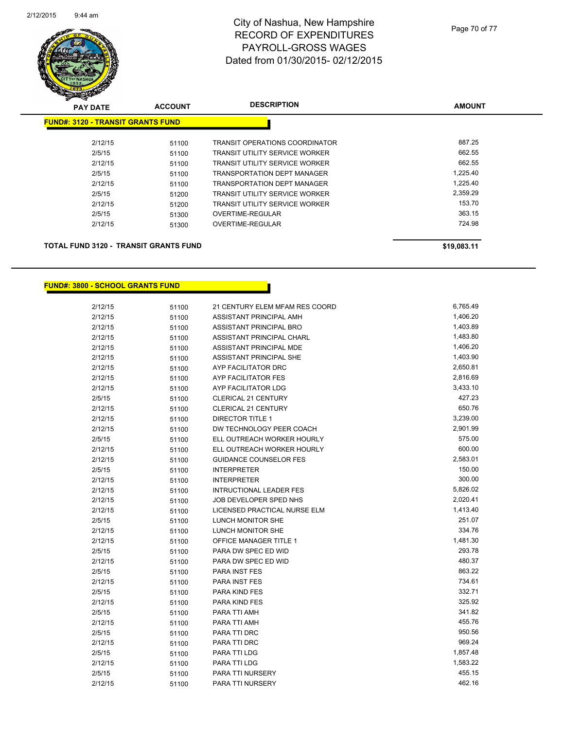

| <b>PAY DATE</b>                          | <b>ACCOUNT</b> | <b>DESCRIPTION</b>                    | <b>AMOUNT</b> |
|------------------------------------------|----------------|---------------------------------------|---------------|
| <b>FUND#: 3120 - TRANSIT GRANTS FUND</b> |                |                                       |               |
| 2/12/15                                  | 51100          | <b>TRANSIT OPERATIONS COORDINATOR</b> | 887.25        |
| 2/5/15                                   | 51100          | <b>TRANSIT UTILITY SERVICE WORKER</b> | 662.55        |
| 2/12/15                                  | 51100          | TRANSIT UTILITY SERVICE WORKER        | 662.55        |
| 2/5/15                                   | 51100          | TRANSPORTATION DEPT MANAGER           | 1,225.40      |
| 2/12/15                                  | 51100          | <b>TRANSPORTATION DEPT MANAGER</b>    | 1.225.40      |
| 2/5/15                                   | 51200          | <b>TRANSIT UTILITY SERVICE WORKER</b> | 2,359.29      |
| 2/12/15                                  | 51200          | TRANSIT UTILITY SERVICE WORKER        | 153.70        |
| 2/5/15                                   | 51300          | OVERTIME-REGULAR                      | 363.15        |
| 2/12/15                                  | 51300          | OVERTIME-REGULAR                      | 724.98        |
|                                          |                |                                       |               |
|                                          |                |                                       |               |

#### **TOTAL FUND 3120 - TRANSIT GRANTS FUND \$19,083.11**

**FUND#: 3800 - SCHOOL GRANTS FUND**

| 2/12/15 | 51100 | 21 CENTURY ELEM MFAM RES COORD | 6,765.49 |
|---------|-------|--------------------------------|----------|
| 2/12/15 | 51100 | ASSISTANT PRINCIPAL AMH        | 1,406.20 |
| 2/12/15 | 51100 | ASSISTANT PRINCIPAL BRO        | 1,403.89 |
| 2/12/15 | 51100 | ASSISTANT PRINCIPAL CHARL      | 1,483.80 |
| 2/12/15 | 51100 | ASSISTANT PRINCIPAL MDE        | 1,406.20 |
| 2/12/15 | 51100 | ASSISTANT PRINCIPAL SHE        | 1,403.90 |
| 2/12/15 | 51100 | AYP FACILITATOR DRC            | 2,650.81 |
| 2/12/15 | 51100 | AYP FACILITATOR FES            | 2,816.69 |
| 2/12/15 | 51100 | AYP FACILITATOR LDG            | 3,433.10 |
| 2/5/15  | 51100 | CLERICAL 21 CENTURY            | 427.23   |
| 2/12/15 | 51100 | <b>CLERICAL 21 CENTURY</b>     | 650.76   |
| 2/12/15 | 51100 | <b>DIRECTOR TITLE 1</b>        | 3,239.00 |
| 2/12/15 | 51100 | DW TECHNOLOGY PEER COACH       | 2,901.99 |
| 2/5/15  | 51100 | ELL OUTREACH WORKER HOURLY     | 575.00   |
| 2/12/15 | 51100 | ELL OUTREACH WORKER HOURLY     | 600.00   |
| 2/12/15 | 51100 | <b>GUIDANCE COUNSELOR FES</b>  | 2,583.01 |
| 2/5/15  | 51100 | <b>INTERPRETER</b>             | 150.00   |
| 2/12/15 | 51100 | <b>INTERPRETER</b>             | 300.00   |
| 2/12/15 | 51100 | <b>INTRUCTIONAL LEADER FES</b> | 5,826.02 |
| 2/12/15 | 51100 | JOB DEVELOPER SPED NHS         | 2,020.41 |
| 2/12/15 | 51100 | LICENSED PRACTICAL NURSE ELM   | 1,413.40 |
| 2/5/15  | 51100 | LUNCH MONITOR SHE              | 251.07   |
| 2/12/15 | 51100 | LUNCH MONITOR SHE              | 334.76   |
| 2/12/15 | 51100 | OFFICE MANAGER TITLE 1         | 1,481.30 |
| 2/5/15  | 51100 | PARA DW SPEC ED WID            | 293.78   |
| 2/12/15 | 51100 | PARA DW SPEC ED WID            | 480.37   |
| 2/5/15  | 51100 | PARA INST FES                  | 863.22   |
| 2/12/15 | 51100 | PARA INST FES                  | 734.61   |
| 2/5/15  | 51100 | PARA KIND FES                  | 332.71   |
| 2/12/15 | 51100 | PARA KIND FES                  | 325.92   |
| 2/5/15  | 51100 | PARA TTI AMH                   | 341.82   |
| 2/12/15 | 51100 | PARA TTI AMH                   | 455.76   |
| 2/5/15  | 51100 | PARA TTI DRC                   | 950.56   |
| 2/12/15 | 51100 | PARA TTI DRC                   | 969.24   |
| 2/5/15  | 51100 | PARA TTI LDG                   | 1,857.48 |
| 2/12/15 | 51100 | PARA TTI LDG                   | 1,583.22 |
| 2/5/15  | 51100 | PARA TTI NURSERY               | 455.15   |
| 2/12/15 | 51100 | PARA TTI NURSERY               | 462.16   |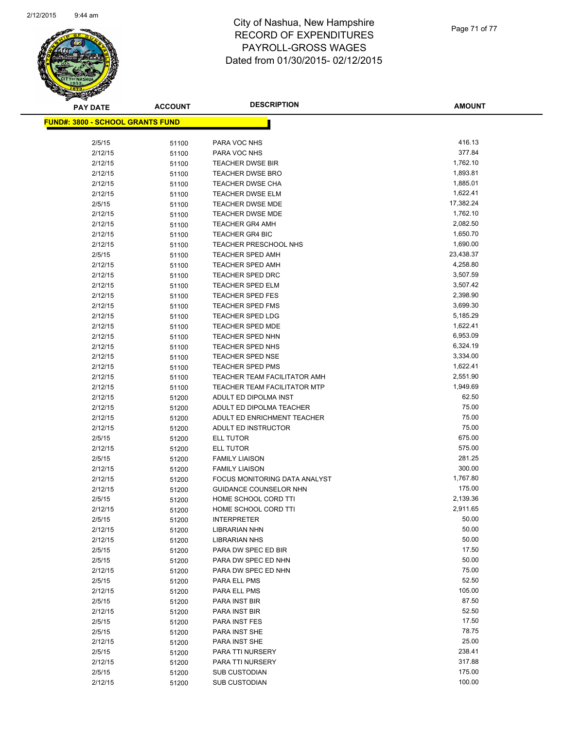

Page 71 of 77

| <b>PAY DATE</b>                          | <b>ACCOUNT</b> | <b>DESCRIPTION</b>                             | <b>AMOUNT</b>    |
|------------------------------------------|----------------|------------------------------------------------|------------------|
| <u> FUND#: 3800 - SCHOOL GRANTS FUND</u> |                |                                                |                  |
|                                          |                |                                                |                  |
| 2/5/15                                   | 51100          | PARA VOC NHS                                   | 416.13           |
| 2/12/15                                  | 51100          | PARA VOC NHS                                   | 377.84           |
| 2/12/15                                  | 51100          | <b>TEACHER DWSE BIR</b>                        | 1,762.10         |
| 2/12/15                                  | 51100          | <b>TEACHER DWSE BRO</b>                        | 1,893.81         |
| 2/12/15                                  | 51100          | <b>TEACHER DWSE CHA</b>                        | 1,885.01         |
| 2/12/15                                  | 51100          | <b>TEACHER DWSE ELM</b>                        | 1,622.41         |
| 2/5/15                                   | 51100          | <b>TEACHER DWSE MDE</b>                        | 17,382.24        |
| 2/12/15                                  | 51100          | <b>TEACHER DWSE MDE</b>                        | 1,762.10         |
| 2/12/15                                  | 51100          | <b>TEACHER GR4 AMH</b>                         | 2,082.50         |
| 2/12/15                                  | 51100          | <b>TEACHER GR4 BIC</b>                         | 1,650.70         |
| 2/12/15                                  | 51100          | <b>TEACHER PRESCHOOL NHS</b>                   | 1,690.00         |
| 2/5/15                                   | 51100          | <b>TEACHER SPED AMH</b>                        | 23,438.37        |
| 2/12/15                                  | 51100          | <b>TEACHER SPED AMH</b>                        | 4,258.80         |
| 2/12/15                                  | 51100          | <b>TEACHER SPED DRC</b>                        | 3,507.59         |
| 2/12/15                                  | 51100          | <b>TEACHER SPED ELM</b>                        | 3,507.42         |
| 2/12/15                                  | 51100          | TEACHER SPED FES                               | 2,398.90         |
| 2/12/15                                  | 51100          | <b>TEACHER SPED FMS</b>                        | 3,699.30         |
| 2/12/15                                  | 51100          | <b>TEACHER SPED LDG</b>                        | 5,185.29         |
| 2/12/15                                  | 51100          | <b>TEACHER SPED MDE</b>                        | 1,622.41         |
| 2/12/15                                  | 51100          | <b>TEACHER SPED NHN</b>                        | 6,953.09         |
| 2/12/15                                  | 51100          | TEACHER SPED NHS                               | 6,324.19         |
| 2/12/15                                  | 51100          | TEACHER SPED NSE                               | 3,334.00         |
| 2/12/15                                  | 51100          | <b>TEACHER SPED PMS</b>                        | 1,622.41         |
| 2/12/15                                  | 51100          | TEACHER TEAM FACILITATOR AMH                   | 2,551.90         |
| 2/12/15                                  | 51100          | <b>TEACHER TEAM FACILITATOR MTP</b>            | 1,949.69         |
| 2/12/15                                  | 51200          | ADULT ED DIPOLMA INST                          | 62.50            |
| 2/12/15                                  | 51200          | ADULT ED DIPOLMA TEACHER                       | 75.00            |
| 2/12/15                                  | 51200          | ADULT ED ENRICHMENT TEACHER                    | 75.00            |
| 2/12/15                                  | 51200          | ADULT ED INSTRUCTOR                            | 75.00            |
| 2/5/15                                   | 51200          | ELL TUTOR                                      | 675.00           |
| 2/12/15                                  | 51200          | ELL TUTOR                                      | 575.00<br>281.25 |
| 2/5/15<br>2/12/15                        | 51200          | <b>FAMILY LIAISON</b><br><b>FAMILY LIAISON</b> | 300.00           |
| 2/12/15                                  | 51200          | FOCUS MONITORING DATA ANALYST                  | 1,767.80         |
| 2/12/15                                  | 51200          | <b>GUIDANCE COUNSELOR NHN</b>                  | 175.00           |
| 2/5/15                                   | 51200<br>51200 | HOME SCHOOL CORD TTI                           | 2,139.36         |
| 2/12/15                                  | 51200          | HOME SCHOOL CORD TTI                           | 2,911.65         |
| 2/5/15                                   | 51200          | <b>INTERPRETER</b>                             | 50.00            |
| 2/12/15                                  | 51200          | <b>LIBRARIAN NHN</b>                           | 50.00            |
| 2/12/15                                  | 51200          | <b>LIBRARIAN NHS</b>                           | 50.00            |
| 2/5/15                                   | 51200          | PARA DW SPEC ED BIR                            | 17.50            |
| 2/5/15                                   | 51200          | PARA DW SPEC ED NHN                            | 50.00            |
| 2/12/15                                  | 51200          | PARA DW SPEC ED NHN                            | 75.00            |
| 2/5/15                                   | 51200          | PARA ELL PMS                                   | 52.50            |
| 2/12/15                                  | 51200          | PARA ELL PMS                                   | 105.00           |
| 2/5/15                                   | 51200          | PARA INST BIR                                  | 87.50            |
| 2/12/15                                  | 51200          | PARA INST BIR                                  | 52.50            |
| 2/5/15                                   | 51200          | PARA INST FES                                  | 17.50            |
| 2/5/15                                   | 51200          | PARA INST SHE                                  | 78.75            |
| 2/12/15                                  | 51200          | PARA INST SHE                                  | 25.00            |
| 2/5/15                                   | 51200          | PARA TTI NURSERY                               | 238.41           |
| 2/12/15                                  | 51200          | PARA TTI NURSERY                               | 317.88           |
| 2/5/15                                   | 51200          | <b>SUB CUSTODIAN</b>                           | 175.00           |
| 2/12/15                                  | 51200          | <b>SUB CUSTODIAN</b>                           | 100.00           |
|                                          |                |                                                |                  |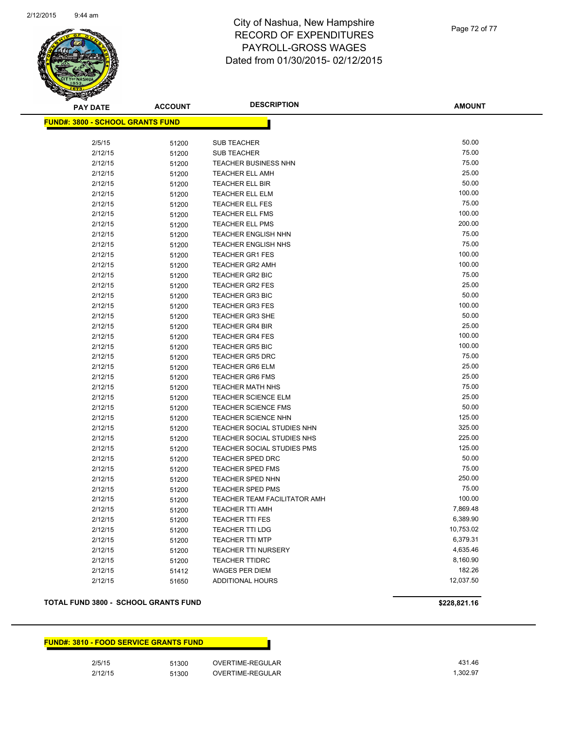

Page 72 of 77

| <b>PAY DATE</b>                          | <b>ACCOUNT</b> | <b>DESCRIPTION</b>                | <b>AMOUNT</b> |
|------------------------------------------|----------------|-----------------------------------|---------------|
| <u> FUND#: 3800 - SCHOOL GRANTS FUND</u> |                |                                   |               |
|                                          |                |                                   |               |
| 2/5/15                                   | 51200          | <b>SUB TEACHER</b>                | 50.00         |
| 2/12/15                                  | 51200          | <b>SUB TEACHER</b>                | 75.00         |
| 2/12/15                                  | 51200          | TEACHER BUSINESS NHN              | 75.00         |
| 2/12/15                                  | 51200          | <b>TEACHER ELL AMH</b>            | 25.00         |
| 2/12/15                                  | 51200          | <b>TEACHER ELL BIR</b>            | 50.00         |
| 2/12/15                                  | 51200          | <b>TEACHER ELL ELM</b>            | 100.00        |
| 2/12/15                                  | 51200          | <b>TEACHER ELL FES</b>            | 75.00         |
| 2/12/15                                  | 51200          | <b>TEACHER ELL FMS</b>            | 100.00        |
| 2/12/15                                  | 51200          | TEACHER ELL PMS                   | 200.00        |
| 2/12/15                                  | 51200          | <b>TEACHER ENGLISH NHN</b>        | 75.00         |
| 2/12/15                                  | 51200          | <b>TEACHER ENGLISH NHS</b>        | 75.00         |
| 2/12/15                                  | 51200          | <b>TEACHER GR1 FES</b>            | 100.00        |
| 2/12/15                                  | 51200          | <b>TEACHER GR2 AMH</b>            | 100.00        |
| 2/12/15                                  | 51200          | TEACHER GR2 BIC                   | 75.00         |
| 2/12/15                                  | 51200          | <b>TEACHER GR2 FES</b>            | 25.00         |
| 2/12/15                                  | 51200          | <b>TEACHER GR3 BIC</b>            | 50.00         |
| 2/12/15                                  | 51200          | <b>TEACHER GR3 FES</b>            | 100.00        |
| 2/12/15                                  | 51200          | <b>TEACHER GR3 SHE</b>            | 50.00         |
| 2/12/15                                  | 51200          | <b>TEACHER GR4 BIR</b>            | 25.00         |
| 2/12/15                                  | 51200          | <b>TEACHER GR4 FES</b>            | 100.00        |
| 2/12/15                                  | 51200          | <b>TEACHER GR5 BIC</b>            | 100.00        |
| 2/12/15                                  | 51200          | <b>TEACHER GR5 DRC</b>            | 75.00         |
| 2/12/15                                  | 51200          | <b>TEACHER GR6 ELM</b>            | 25.00         |
| 2/12/15                                  | 51200          | <b>TEACHER GR6 FMS</b>            | 25.00         |
| 2/12/15                                  | 51200          | <b>TEACHER MATH NHS</b>           | 75.00         |
| 2/12/15                                  | 51200          | <b>TEACHER SCIENCE ELM</b>        | 25.00         |
| 2/12/15                                  | 51200          | <b>TEACHER SCIENCE FMS</b>        | 50.00         |
| 2/12/15                                  | 51200          | <b>TEACHER SCIENCE NHN</b>        | 125.00        |
| 2/12/15                                  | 51200          | TEACHER SOCIAL STUDIES NHN        | 325.00        |
| 2/12/15                                  | 51200          | TEACHER SOCIAL STUDIES NHS        | 225.00        |
| 2/12/15                                  | 51200          | <b>TEACHER SOCIAL STUDIES PMS</b> | 125.00        |
| 2/12/15                                  | 51200          | <b>TEACHER SPED DRC</b>           | 50.00         |
| 2/12/15                                  | 51200          | <b>TEACHER SPED FMS</b>           | 75.00         |
| 2/12/15                                  | 51200          | TEACHER SPED NHN                  | 250.00        |
| 2/12/15                                  | 51200          | <b>TEACHER SPED PMS</b>           | 75.00         |
| 2/12/15                                  | 51200          | TEACHER TEAM FACILITATOR AMH      | 100.00        |
| 2/12/15                                  | 51200          | <b>TEACHER TTI AMH</b>            | 7,869.48      |
| 2/12/15                                  | 51200          | <b>TEACHER TTI FES</b>            | 6,389.90      |
| 2/12/15                                  | 51200          | <b>TEACHER TTI LDG</b>            | 10,753.02     |
| 2/12/15                                  | 51200          | <b>TEACHER TTI MTP</b>            | 6,379.31      |
| 2/12/15                                  | 51200          | <b>TEACHER TTI NURSERY</b>        | 4,635.46      |
| 2/12/15                                  | 51200          | <b>TEACHER TTIDRC</b>             | 8,160.90      |
| 2/12/15                                  | 51412          | WAGES PER DIEM                    | 182.26        |
| 2/12/15                                  | 51650          | ADDITIONAL HOURS                  | 12,037.50     |
|                                          |                |                                   |               |

#### **TOTAL FUND 3800 - SCHOOL GRANTS FUND \$228,821.16**

#### **FUND#: 3810 - FOOD SERVICE GRANTS FUND**

2/5/15 51300 OVERTIME-REGULAR 431.46 2/12/15 51300 OVERTIME-REGULAR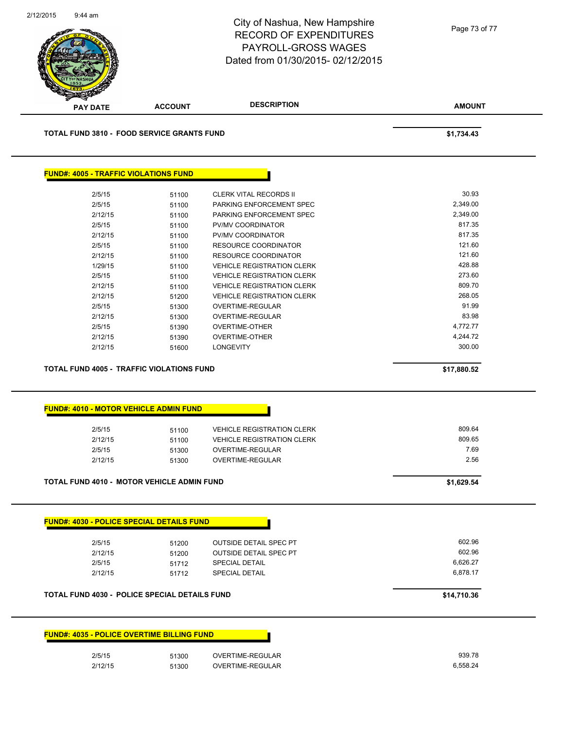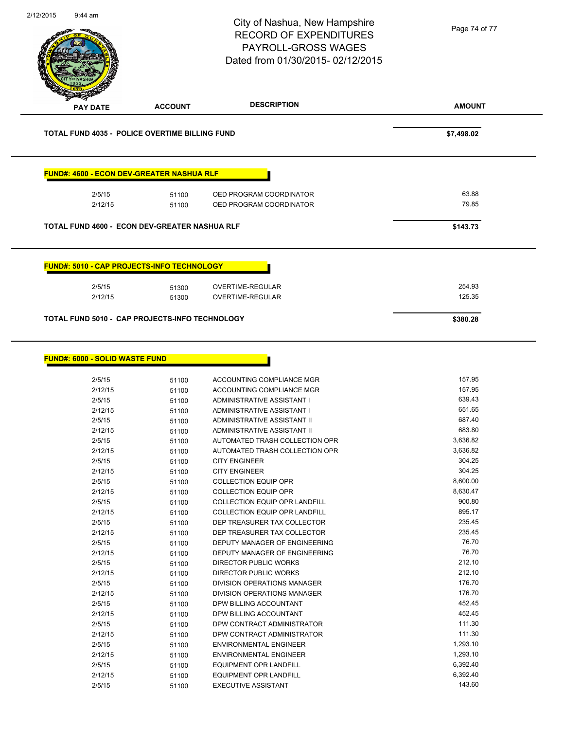| 2/12/2015<br>$9:44$ am                                |                | City of Nashua, New Hampshire<br><b>RECORD OF EXPENDITURES</b><br>PAYROLL-GROSS WAGES<br>Dated from 01/30/2015-02/12/2015 | Page 74 of 77    |
|-------------------------------------------------------|----------------|---------------------------------------------------------------------------------------------------------------------------|------------------|
| <b>PAY DATE</b>                                       | <b>ACCOUNT</b> | <b>DESCRIPTION</b>                                                                                                        | <b>AMOUNT</b>    |
| <b>TOTAL FUND 4035 - POLICE OVERTIME BILLING FUND</b> |                |                                                                                                                           | \$7,498.02       |
| <b>FUND#: 4600 - ECON DEV-GREATER NASHUA RLF</b>      |                |                                                                                                                           |                  |
| 2/5/15                                                | 51100          | OED PROGRAM COORDINATOR                                                                                                   | 63.88            |
| 2/12/15                                               | 51100          | OED PROGRAM COORDINATOR                                                                                                   | 79.85            |
| <b>TOTAL FUND 4600 - ECON DEV-GREATER NASHUA RLF</b>  |                |                                                                                                                           | \$143.73         |
| <b>FUND#: 5010 - CAP PROJECTS-INFO TECHNOLOGY</b>     |                |                                                                                                                           |                  |
| 2/5/15                                                | 51300          | <b>OVERTIME-REGULAR</b>                                                                                                   | 254.93           |
| 2/12/15                                               | 51300          | OVERTIME-REGULAR                                                                                                          | 125.35           |
| TOTAL FUND 5010 - CAP PROJECTS-INFO TECHNOLOGY        |                |                                                                                                                           | \$380.28         |
|                                                       |                |                                                                                                                           |                  |
| <b>FUND#: 6000 - SOLID WASTE FUND</b>                 |                |                                                                                                                           |                  |
| 2/5/15                                                | 51100          | ACCOUNTING COMPLIANCE MGR                                                                                                 | 157.95<br>157.95 |

| 2/12/15 | 51100 | ACCOUNTING COMPLIANCE MGR            | 157.95   |
|---------|-------|--------------------------------------|----------|
| 2/5/15  | 51100 | ADMINISTRATIVE ASSISTANT I           | 639.43   |
| 2/12/15 | 51100 | ADMINISTRATIVE ASSISTANT I           | 651.65   |
| 2/5/15  | 51100 | ADMINISTRATIVE ASSISTANT II          | 687.40   |
| 2/12/15 | 51100 | ADMINISTRATIVE ASSISTANT II          | 683.80   |
| 2/5/15  | 51100 | AUTOMATED TRASH COLLECTION OPR       | 3,636.82 |
| 2/12/15 | 51100 | AUTOMATED TRASH COLLECTION OPR       | 3,636.82 |
| 2/5/15  | 51100 | <b>CITY ENGINEER</b>                 | 304.25   |
| 2/12/15 | 51100 | <b>CITY ENGINEER</b>                 | 304.25   |
| 2/5/15  | 51100 | <b>COLLECTION EQUIP OPR</b>          | 8,600.00 |
| 2/12/15 | 51100 | <b>COLLECTION EQUIP OPR</b>          | 8,630.47 |
| 2/5/15  | 51100 | COLLECTION EQUIP OPR LANDFILL        | 900.80   |
| 2/12/15 | 51100 | <b>COLLECTION EQUIP OPR LANDFILL</b> | 895.17   |
| 2/5/15  | 51100 | DEP TREASURER TAX COLLECTOR          | 235.45   |
| 2/12/15 | 51100 | DEP TREASURER TAX COLLECTOR          | 235.45   |
| 2/5/15  | 51100 | DEPUTY MANAGER OF ENGINEERING        | 76.70    |
| 2/12/15 | 51100 | DEPUTY MANAGER OF ENGINEERING        | 76.70    |
| 2/5/15  | 51100 | <b>DIRECTOR PUBLIC WORKS</b>         | 212.10   |
| 2/12/15 | 51100 | <b>DIRECTOR PUBLIC WORKS</b>         | 212.10   |
| 2/5/15  | 51100 | <b>DIVISION OPERATIONS MANAGER</b>   | 176.70   |
| 2/12/15 | 51100 | DIVISION OPERATIONS MANAGER          | 176.70   |
| 2/5/15  | 51100 | DPW BILLING ACCOUNTANT               | 452.45   |
| 2/12/15 | 51100 | DPW BILLING ACCOUNTANT               | 452.45   |
| 2/5/15  | 51100 | DPW CONTRACT ADMINISTRATOR           | 111.30   |
| 2/12/15 | 51100 | DPW CONTRACT ADMINISTRATOR           | 111.30   |
| 2/5/15  | 51100 | <b>ENVIRONMENTAL ENGINEER</b>        | 1,293.10 |
| 2/12/15 | 51100 | <b>ENVIRONMENTAL ENGINEER</b>        | 1,293.10 |
| 2/5/15  | 51100 | <b>EQUIPMENT OPR LANDFILL</b>        | 6,392.40 |
| 2/12/15 | 51100 | <b>EQUIPMENT OPR LANDFILL</b>        | 6,392.40 |
| 2/5/15  | 51100 | <b>EXECUTIVE ASSISTANT</b>           | 143.60   |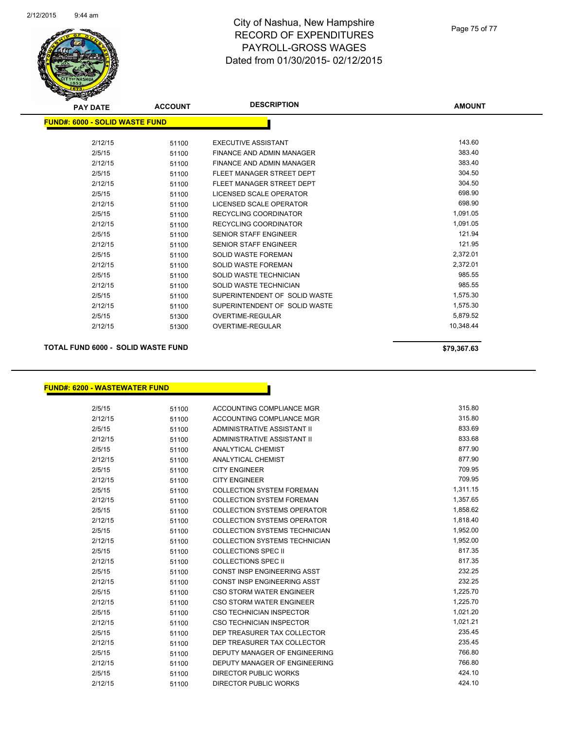

# City of Nashua, New Hampshire RECORD OF EXPENDITURES PAYROLL-GROSS WAGES Dated from 01/30/2015- 02/12/2015

| <b>PAY DATE</b>                        | <b>ACCOUNT</b> | <b>DESCRIPTION</b>            | <b>AMOUNT</b> |
|----------------------------------------|----------------|-------------------------------|---------------|
| <u> FUND#: 6000 - SOLID WASTE FUND</u> |                |                               |               |
| 2/12/15                                | 51100          | <b>EXECUTIVE ASSISTANT</b>    | 143.60        |
| 2/5/15                                 | 51100          | FINANCE AND ADMIN MANAGER     | 383.40        |
| 2/12/15                                | 51100          | FINANCE AND ADMIN MANAGER     | 383.40        |
| 2/5/15                                 | 51100          | FLEET MANAGER STREET DEPT     | 304.50        |
| 2/12/15                                | 51100          | FLEET MANAGER STREET DEPT     | 304.50        |
| 2/5/15                                 | 51100          | LICENSED SCALE OPERATOR       | 698.90        |
| 2/12/15                                | 51100          | LICENSED SCALE OPERATOR       | 698.90        |
| 2/5/15                                 | 51100          | <b>RECYCLING COORDINATOR</b>  | 1,091.05      |
| 2/12/15                                | 51100          | <b>RECYCLING COORDINATOR</b>  | 1,091.05      |
| 2/5/15                                 | 51100          | <b>SENIOR STAFF ENGINEER</b>  | 121.94        |
| 2/12/15                                | 51100          | <b>SENIOR STAFF ENGINEER</b>  | 121.95        |
| 2/5/15                                 | 51100          | <b>SOLID WASTE FOREMAN</b>    | 2,372.01      |
| 2/12/15                                | 51100          | <b>SOLID WASTE FOREMAN</b>    | 2,372.01      |
| 2/5/15                                 | 51100          | SOLID WASTE TECHNICIAN        | 985.55        |
| 2/12/15                                | 51100          | SOLID WASTE TECHNICIAN        | 985.55        |
| 2/5/15                                 | 51100          | SUPERINTENDENT OF SOLID WASTE | 1,575.30      |
| 2/12/15                                | 51100          | SUPERINTENDENT OF SOLID WASTE | 1,575.30      |
| 2/5/15                                 | 51300          | <b>OVERTIME-REGULAR</b>       | 5,879.52      |
| 2/12/15                                | 51300          | <b>OVERTIME-REGULAR</b>       | 10,348.44     |
|                                        |                |                               |               |

## **TOTAL FUND 6000 - SOLID WASTE FUND \$79,367.63**

## **FUND#: 6200 - WASTEWATER FUND**

| 2/5/15  | 51100 | ACCOUNTING COMPLIANCE MGR            | 315.80   |
|---------|-------|--------------------------------------|----------|
| 2/12/15 | 51100 | ACCOUNTING COMPLIANCE MGR            | 315.80   |
| 2/5/15  | 51100 | ADMINISTRATIVE ASSISTANT II          | 833.69   |
| 2/12/15 | 51100 | ADMINISTRATIVE ASSISTANT II          | 833.68   |
| 2/5/15  | 51100 | <b>ANALYTICAL CHEMIST</b>            | 877.90   |
| 2/12/15 | 51100 | ANALYTICAL CHEMIST                   | 877.90   |
| 2/5/15  | 51100 | <b>CITY ENGINEER</b>                 | 709.95   |
| 2/12/15 | 51100 | <b>CITY ENGINEER</b>                 | 709.95   |
| 2/5/15  | 51100 | <b>COLLECTION SYSTEM FOREMAN</b>     | 1,311.15 |
| 2/12/15 | 51100 | <b>COLLECTION SYSTEM FOREMAN</b>     | 1,357.65 |
| 2/5/15  | 51100 | <b>COLLECTION SYSTEMS OPERATOR</b>   | 1,858.62 |
| 2/12/15 | 51100 | <b>COLLECTION SYSTEMS OPERATOR</b>   | 1,818.40 |
| 2/5/15  | 51100 | <b>COLLECTION SYSTEMS TECHNICIAN</b> | 1,952.00 |
| 2/12/15 | 51100 | <b>COLLECTION SYSTEMS TECHNICIAN</b> | 1,952.00 |
| 2/5/15  | 51100 | <b>COLLECTIONS SPEC II</b>           | 817.35   |
| 2/12/15 | 51100 | <b>COLLECTIONS SPEC II</b>           | 817.35   |
| 2/5/15  | 51100 | CONST INSP ENGINEERING ASST          | 232.25   |
| 2/12/15 | 51100 | <b>CONST INSP ENGINEERING ASST</b>   | 232.25   |
| 2/5/15  | 51100 | <b>CSO STORM WATER ENGINEER</b>      | 1,225.70 |
| 2/12/15 | 51100 | <b>CSO STORM WATER ENGINEER</b>      | 1,225.70 |
| 2/5/15  | 51100 | CSO TECHNICIAN INSPECTOR             | 1,021.20 |
| 2/12/15 | 51100 | <b>CSO TECHNICIAN INSPECTOR</b>      | 1,021.21 |
| 2/5/15  | 51100 | DEP TREASURER TAX COLLECTOR          | 235.45   |
| 2/12/15 | 51100 | DEP TREASURER TAX COLLECTOR          | 235.45   |
| 2/5/15  | 51100 | DEPUTY MANAGER OF ENGINEERING        | 766.80   |
| 2/12/15 | 51100 | <b>DEPUTY MANAGER OF ENGINEERING</b> | 766.80   |
| 2/5/15  | 51100 | <b>DIRECTOR PUBLIC WORKS</b>         | 424.10   |
| 2/12/15 | 51100 | <b>DIRECTOR PUBLIC WORKS</b>         | 424.10   |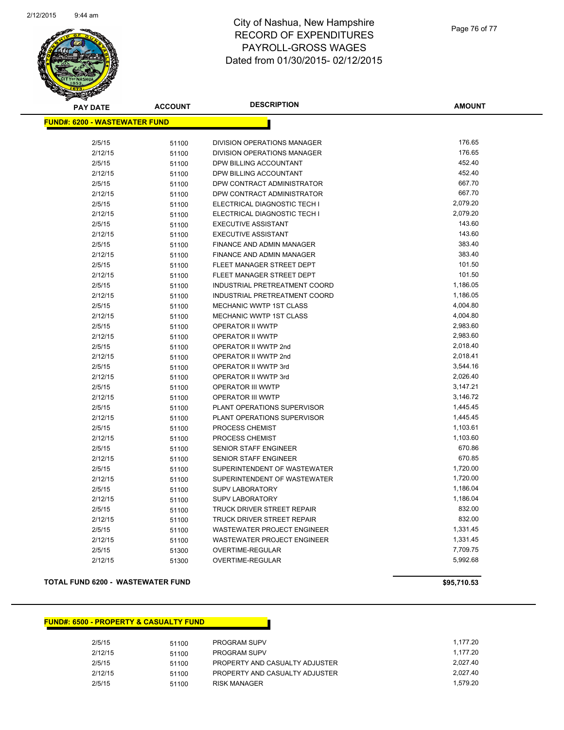

# City of Nashua, New Hampshire RECORD OF EXPENDITURES PAYROLL-GROSS WAGES Dated from 01/30/2015- 02/12/2015

| <b>PAY DATE</b>                       | <b>ACCOUNT</b> | <b>DESCRIPTION</b>                 | <b>AMOUNT</b> |  |  |
|---------------------------------------|----------------|------------------------------------|---------------|--|--|
| <u> FUND#: 6200 - WASTEWATER FUND</u> |                |                                    |               |  |  |
|                                       |                |                                    |               |  |  |
| 2/5/15                                | 51100          | DIVISION OPERATIONS MANAGER        | 176.65        |  |  |
| 2/12/15                               | 51100          | DIVISION OPERATIONS MANAGER        | 176.65        |  |  |
| 2/5/15                                | 51100          | DPW BILLING ACCOUNTANT             | 452.40        |  |  |
| 2/12/15                               | 51100          | DPW BILLING ACCOUNTANT             | 452.40        |  |  |
| 2/5/15                                | 51100          | DPW CONTRACT ADMINISTRATOR         | 667.70        |  |  |
| 2/12/15                               | 51100          | DPW CONTRACT ADMINISTRATOR         | 667.70        |  |  |
| 2/5/15                                | 51100          | ELECTRICAL DIAGNOSTIC TECH I       | 2,079.20      |  |  |
| 2/12/15                               | 51100          | ELECTRICAL DIAGNOSTIC TECH I       | 2,079.20      |  |  |
| 2/5/15                                | 51100          | <b>EXECUTIVE ASSISTANT</b>         | 143.60        |  |  |
| 2/12/15                               | 51100          | <b>EXECUTIVE ASSISTANT</b>         | 143.60        |  |  |
| 2/5/15                                | 51100          | FINANCE AND ADMIN MANAGER          | 383.40        |  |  |
| 2/12/15                               | 51100          | FINANCE AND ADMIN MANAGER          | 383.40        |  |  |
| 2/5/15                                | 51100          | FLEET MANAGER STREET DEPT          | 101.50        |  |  |
| 2/12/15                               | 51100          | FLEET MANAGER STREET DEPT          | 101.50        |  |  |
| 2/5/15                                | 51100          | INDUSTRIAL PRETREATMENT COORD      | 1,186.05      |  |  |
| 2/12/15                               | 51100          | INDUSTRIAL PRETREATMENT COORD      | 1,186.05      |  |  |
| 2/5/15                                | 51100          | <b>MECHANIC WWTP 1ST CLASS</b>     | 4,004.80      |  |  |
| 2/12/15                               | 51100          | MECHANIC WWTP 1ST CLASS            | 4,004.80      |  |  |
| 2/5/15                                | 51100          | <b>OPERATOR II WWTP</b>            | 2,983.60      |  |  |
| 2/12/15                               | 51100          | OPERATOR II WWTP                   | 2,983.60      |  |  |
| 2/5/15                                | 51100          | OPERATOR II WWTP 2nd               | 2,018.40      |  |  |
| 2/12/15                               | 51100          | OPERATOR II WWTP 2nd               | 2,018.41      |  |  |
| 2/5/15                                | 51100          | OPERATOR II WWTP 3rd               | 3,544.16      |  |  |
| 2/12/15                               | 51100          | OPERATOR II WWTP 3rd               | 2,026.40      |  |  |
| 2/5/15                                | 51100          | OPERATOR III WWTP                  | 3,147.21      |  |  |
| 2/12/15                               | 51100          | <b>OPERATOR III WWTP</b>           | 3,146.72      |  |  |
| 2/5/15                                | 51100          | PLANT OPERATIONS SUPERVISOR        | 1,445.45      |  |  |
| 2/12/15                               | 51100          | PLANT OPERATIONS SUPERVISOR        | 1,445.45      |  |  |
| 2/5/15                                | 51100          | PROCESS CHEMIST                    | 1,103.61      |  |  |
| 2/12/15                               | 51100          | PROCESS CHEMIST                    | 1,103.60      |  |  |
| 2/5/15                                | 51100          | <b>SENIOR STAFF ENGINEER</b>       | 670.86        |  |  |
| 2/12/15                               | 51100          | <b>SENIOR STAFF ENGINEER</b>       | 670.85        |  |  |
| 2/5/15                                | 51100          | SUPERINTENDENT OF WASTEWATER       | 1,720.00      |  |  |
| 2/12/15                               | 51100          | SUPERINTENDENT OF WASTEWATER       | 1,720.00      |  |  |
| 2/5/15                                | 51100          | <b>SUPV LABORATORY</b>             | 1,186.04      |  |  |
| 2/12/15                               | 51100          | SUPV LABORATORY                    | 1,186.04      |  |  |
| 2/5/15                                | 51100          | TRUCK DRIVER STREET REPAIR         | 832.00        |  |  |
| 2/12/15                               | 51100          | <b>TRUCK DRIVER STREET REPAIR</b>  | 832.00        |  |  |
| 2/5/15                                | 51100          | <b>WASTEWATER PROJECT ENGINEER</b> | 1,331.45      |  |  |
| 2/12/15                               | 51100          | <b>WASTEWATER PROJECT ENGINEER</b> | 1,331.45      |  |  |
| 2/5/15                                | 51300          | OVERTIME-REGULAR                   | 7,709.75      |  |  |
| 2/12/15                               | 51300          | OVERTIME-REGULAR                   | 5,992.68      |  |  |
|                                       |                |                                    |               |  |  |

### **TOTAL FUND 6200 - WASTEWATER FUND \$95,710.53**

#### **FUND#: 6500 - PROPERTY & CASUALTY FUND**

| 2/5/15  | 51100 | <b>PROGRAM SUPV</b>            | 1.177.20 |
|---------|-------|--------------------------------|----------|
| 2/12/15 | 51100 | <b>PROGRAM SUPV</b>            | 1.177.20 |
| 2/5/15  | 51100 | PROPERTY AND CASUALTY ADJUSTER | 2.027.40 |
| 2/12/15 | 51100 | PROPERTY AND CASUALTY ADJUSTER | 2.027.40 |
| 2/5/15  | 51100 | RISK MANAGER                   | 1.579.20 |